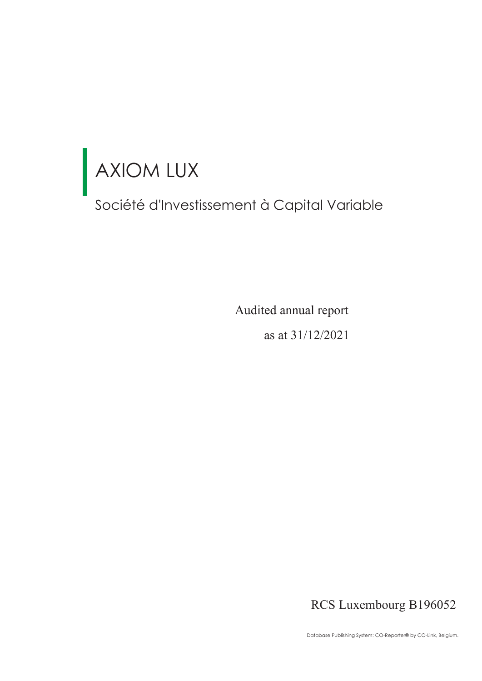Société d'Investissement à Capital Variable

as at 31/12/2021 Audited annual report

RCS Luxembourg B196052

Database Publishing System: CO-Reporter® by CO-Link, Belgium.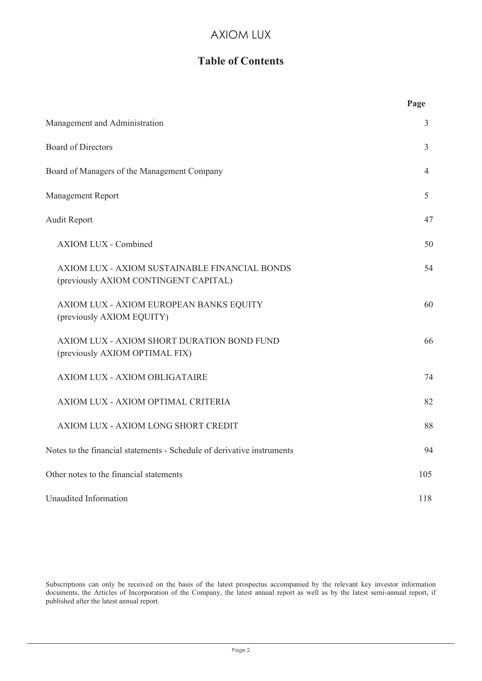# **Table of Contents**

|                                                                                        | Page           |
|----------------------------------------------------------------------------------------|----------------|
| Management and Administration                                                          | 3              |
| <b>Board of Directors</b>                                                              | 3              |
| Board of Managers of the Management Company                                            | $\overline{4}$ |
| Management Report                                                                      | 5              |
| <b>Audit Report</b>                                                                    | 47             |
| <b>AXIOM LUX - Combined</b>                                                            | 50             |
| AXIOM LUX - AXIOM SUSTAINABLE FINANCIAL BONDS<br>(previously AXIOM CONTINGENT CAPITAL) | 54             |
| AXIOM LUX - AXIOM EUROPEAN BANKS EQUITY<br>(previously AXIOM EQUITY)                   | 60             |
| AXIOM LUX - AXIOM SHORT DURATION BOND FUND<br>(previously AXIOM OPTIMAL FIX)           | 66             |
| AXIOM LUX - AXIOM OBLIGATAIRE                                                          | 74             |
| AXIOM LUX - AXIOM OPTIMAL CRITERIA                                                     | 82             |
| AXIOM LUX - AXIOM LONG SHORT CREDIT                                                    | 88             |
| Notes to the financial statements - Schedule of derivative instruments                 | 94             |
| Other notes to the financial statements                                                | 105            |
| Unaudited Information                                                                  | 118            |

Subscriptions can only be received on the basis of the latest prospectus accompanied by the relevant key investor information documents, the Articles of Incorporation of the Company, the latest annual report as well as by the latest semi-annual report, if published after the latest annual report.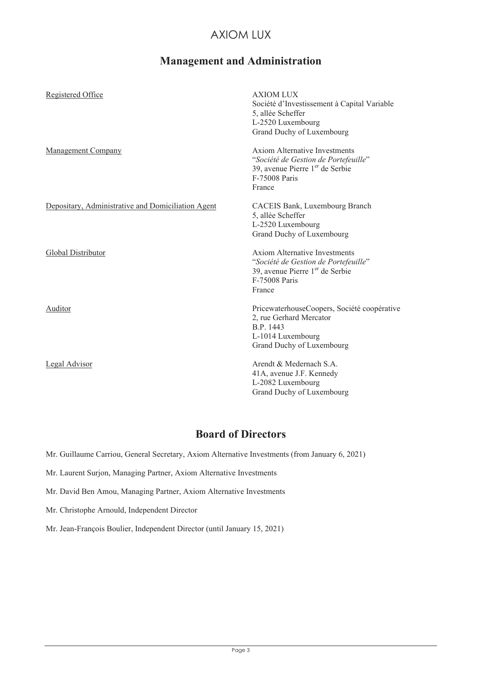# **Management and Administration**

| Registered Office                                  | <b>AXIOM LUX</b><br>Société d'Investissement à Capital Variable<br>5, allée Scheffer<br>L-2520 Luxembourg<br>Grand Duchy of Luxembourg                 |
|----------------------------------------------------|--------------------------------------------------------------------------------------------------------------------------------------------------------|
| <b>Management Company</b>                          | <b>Axiom Alternative Investments</b><br>"Société de Gestion de Portefeuille"<br>39, avenue Pierre $1er$ de Serbie<br>F-75008 Paris<br>France           |
| Depositary, Administrative and Domiciliation Agent | CACEIS Bank, Luxembourg Branch<br>5, allée Scheffer<br>L-2520 Luxembourg<br>Grand Duchy of Luxembourg                                                  |
| <b>Global Distributor</b>                          | <b>Axiom Alternative Investments</b><br>"Société de Gestion de Portefeuille"<br>39, avenue Pierre 1 <sup>er</sup> de Serbie<br>F-75008 Paris<br>France |
| Auditor                                            | PricewaterhouseCoopers, Société coopérative<br>2, rue Gerhard Mercator<br>B.P. 1443<br>L-1014 Luxembourg<br>Grand Duchy of Luxembourg                  |
| Legal Advisor                                      | Arendt & Medernach S.A.<br>41A, avenue J.F. Kennedy<br>L-2082 Luxembourg<br>Grand Duchy of Luxembourg                                                  |

# **Board of Directors**

Mr. Guillaume Carriou, General Secretary, Axiom Alternative Investments (from January 6, 2021)

Mr. Laurent Surjon, Managing Partner, Axiom Alternative Investments

Mr. David Ben Amou, Managing Partner, Axiom Alternative Investments

Mr. Christophe Arnould, Independent Director

Mr. Jean-François Boulier, Independent Director (until January 15, 2021)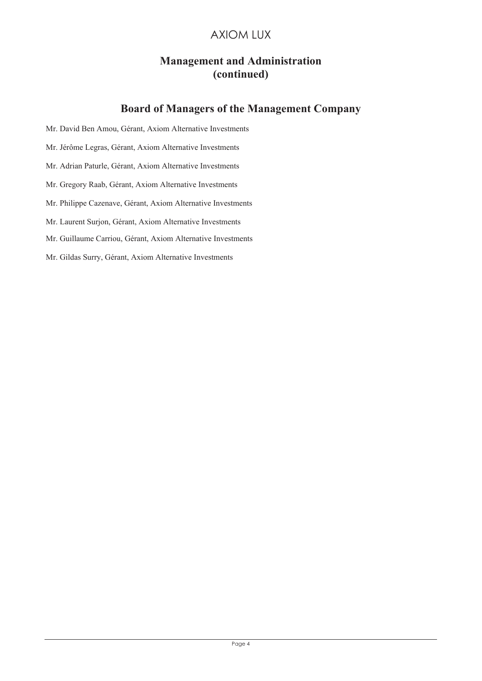# **Management and Administration (continued)**

# **Board of Managers of the Management Company**

- Mr. David Ben Amou, Gérant, Axiom Alternative Investments
- Mr. Jérôme Legras, Gérant, Axiom Alternative Investments
- Mr. Adrian Paturle, Gérant, Axiom Alternative Investments
- Mr. Gregory Raab, Gérant, Axiom Alternative Investments
- Mr. Philippe Cazenave, Gérant, Axiom Alternative Investments
- Mr. Laurent Surjon, Gérant, Axiom Alternative Investments
- Mr. Guillaume Carriou, Gérant, Axiom Alternative Investments
- Mr. Gildas Surry, Gérant, Axiom Alternative Investments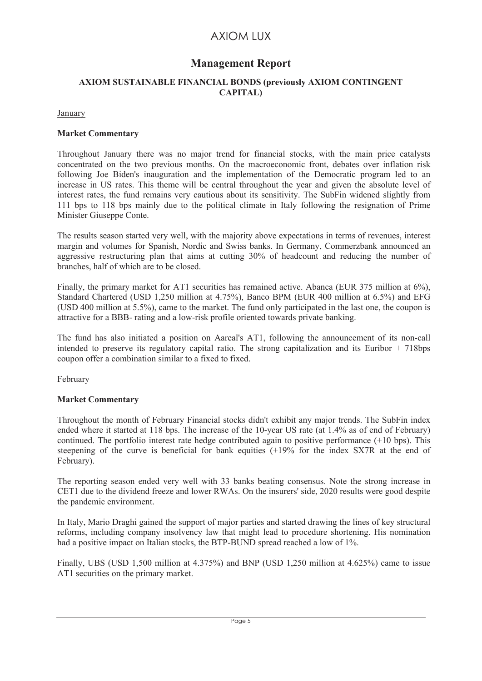# **Management Report**

## **AXIOM SUSTAINABLE FINANCIAL BONDS (previously AXIOM CONTINGENT CAPITAL)**

January

#### **Market Commentary**

Throughout January there was no major trend for financial stocks, with the main price catalysts concentrated on the two previous months. On the macroeconomic front, debates over inflation risk following Joe Biden's inauguration and the implementation of the Democratic program led to an increase in US rates. This theme will be central throughout the year and given the absolute level of interest rates, the fund remains very cautious about its sensitivity. The SubFin widened slightly from 111 bps to 118 bps mainly due to the political climate in Italy following the resignation of Prime Minister Giuseppe Conte.

The results season started very well, with the majority above expectations in terms of revenues, interest margin and volumes for Spanish, Nordic and Swiss banks. In Germany, Commerzbank announced an aggressive restructuring plan that aims at cutting 30% of headcount and reducing the number of branches, half of which are to be closed.

Finally, the primary market for AT1 securities has remained active. Abanca (EUR 375 million at 6%), Standard Chartered (USD 1,250 million at 4.75%), Banco BPM (EUR 400 million at 6.5%) and EFG (USD 400 million at 5.5%), came to the market. The fund only participated in the last one, the coupon is attractive for a BBB- rating and a low-risk profile oriented towards private banking.

The fund has also initiated a position on Aareal's AT1, following the announcement of its non-call intended to preserve its regulatory capital ratio. The strong capitalization and its Euribor + 718bps coupon offer a combination similar to a fixed to fixed.

February

## **Market Commentary**

Throughout the month of February Financial stocks didn't exhibit any major trends. The SubFin index ended where it started at 118 bps. The increase of the 10-year US rate (at 1.4% as of end of February) continued. The portfolio interest rate hedge contributed again to positive performance  $(+10 \text{ bps})$ . This steepening of the curve is beneficial for bank equities (+19% for the index SX7R at the end of February).

The reporting season ended very well with 33 banks beating consensus. Note the strong increase in CET1 due to the dividend freeze and lower RWAs. On the insurers' side, 2020 results were good despite the pandemic environment.

In Italy, Mario Draghi gained the support of major parties and started drawing the lines of key structural reforms, including company insolvency law that might lead to procedure shortening. His nomination had a positive impact on Italian stocks, the BTP-BUND spread reached a low of 1%.

Finally, UBS (USD 1,500 million at 4.375%) and BNP (USD 1,250 million at 4.625%) came to issue AT1 securities on the primary market.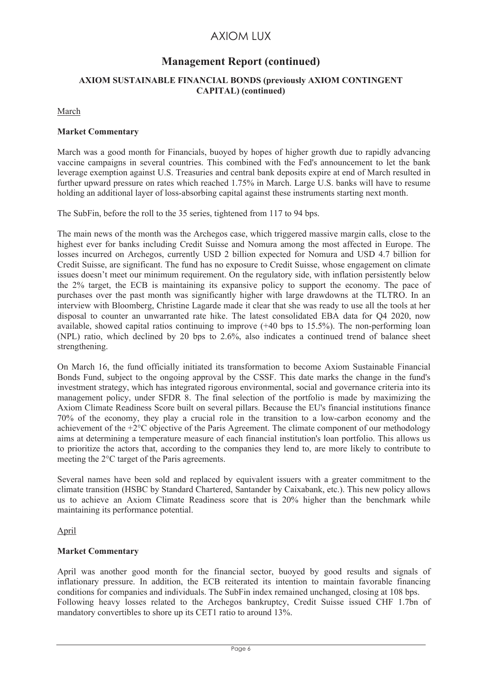# **Management Report (continued)**

## **AXIOM SUSTAINABLE FINANCIAL BONDS (previously AXIOM CONTINGENT CAPITAL) (continued)**

March

#### **Market Commentary**

March was a good month for Financials, buoyed by hopes of higher growth due to rapidly advancing vaccine campaigns in several countries. This combined with the Fed's announcement to let the bank leverage exemption against U.S. Treasuries and central bank deposits expire at end of March resulted in further upward pressure on rates which reached 1.75% in March. Large U.S. banks will have to resume holding an additional layer of loss-absorbing capital against these instruments starting next month.

The SubFin, before the roll to the 35 series, tightened from 117 to 94 bps.

The main news of the month was the Archegos case, which triggered massive margin calls, close to the highest ever for banks including Credit Suisse and Nomura among the most affected in Europe. The losses incurred on Archegos, currently USD 2 billion expected for Nomura and USD 4.7 billion for Credit Suisse, are significant. The fund has no exposure to Credit Suisse, whose engagement on climate issues doesn't meet our minimum requirement. On the regulatory side, with inflation persistently below the 2% target, the ECB is maintaining its expansive policy to support the economy. The pace of purchases over the past month was significantly higher with large drawdowns at the TLTRO. In an interview with Bloomberg, Christine Lagarde made it clear that she was ready to use all the tools at her disposal to counter an unwarranted rate hike. The latest consolidated EBA data for Q4 2020, now available, showed capital ratios continuing to improve (+40 bps to 15.5%). The non-performing loan (NPL) ratio, which declined by 20 bps to 2.6%, also indicates a continued trend of balance sheet strengthening.

On March 16, the fund officially initiated its transformation to become Axiom Sustainable Financial Bonds Fund, subject to the ongoing approval by the CSSF. This date marks the change in the fund's investment strategy, which has integrated rigorous environmental, social and governance criteria into its management policy, under SFDR 8. The final selection of the portfolio is made by maximizing the Axiom Climate Readiness Score built on several pillars. Because the EU's financial institutions finance 70% of the economy, they play a crucial role in the transition to a low-carbon economy and the achievement of the +2°C objective of the Paris Agreement. The climate component of our methodology aims at determining a temperature measure of each financial institution's loan portfolio. This allows us to prioritize the actors that, according to the companies they lend to, are more likely to contribute to meeting the 2°C target of the Paris agreements.

Several names have been sold and replaced by equivalent issuers with a greater commitment to the climate transition (HSBC by Standard Chartered, Santander by Caixabank, etc.). This new policy allows us to achieve an Axiom Climate Readiness score that is 20% higher than the benchmark while maintaining its performance potential.

## April

## **Market Commentary**

April was another good month for the financial sector, buoyed by good results and signals of inflationary pressure. In addition, the ECB reiterated its intention to maintain favorable financing conditions for companies and individuals. The SubFin index remained unchanged, closing at 108 bps. Following heavy losses related to the Archegos bankruptcy, Credit Suisse issued CHF 1.7bn of mandatory convertibles to shore up its CET1 ratio to around 13%.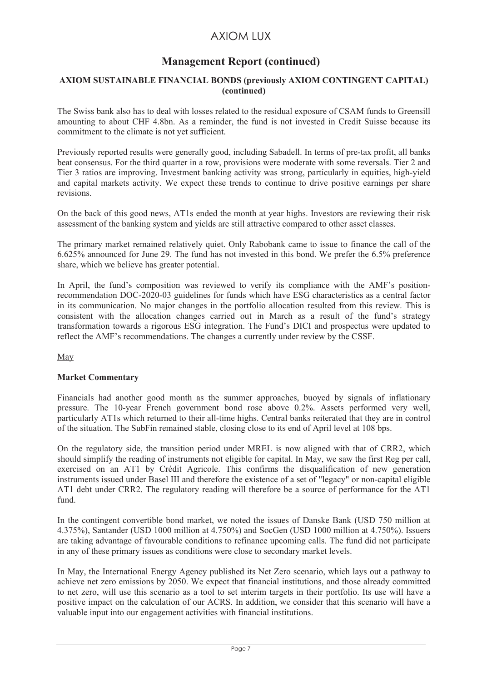# **Management Report (continued)**

#### **AXIOM SUSTAINABLE FINANCIAL BONDS (previously AXIOM CONTINGENT CAPITAL) (continued)**

The Swiss bank also has to deal with losses related to the residual exposure of CSAM funds to Greensill amounting to about CHF 4.8bn. As a reminder, the fund is not invested in Credit Suisse because its commitment to the climate is not yet sufficient.

Previously reported results were generally good, including Sabadell. In terms of pre-tax profit, all banks beat consensus. For the third quarter in a row, provisions were moderate with some reversals. Tier 2 and Tier 3 ratios are improving. Investment banking activity was strong, particularly in equities, high-yield and capital markets activity. We expect these trends to continue to drive positive earnings per share revisions.

On the back of this good news, AT1s ended the month at year highs. Investors are reviewing their risk assessment of the banking system and yields are still attractive compared to other asset classes.

The primary market remained relatively quiet. Only Rabobank came to issue to finance the call of the 6.625% announced for June 29. The fund has not invested in this bond. We prefer the 6.5% preference share, which we believe has greater potential.

In April, the fund's composition was reviewed to verify its compliance with the AMF's positionrecommendation DOC-2020-03 guidelines for funds which have ESG characteristics as a central factor in its communication. No major changes in the portfolio allocation resulted from this review. This is consistent with the allocation changes carried out in March as a result of the fund's strategy transformation towards a rigorous ESG integration. The Fund's DICI and prospectus were updated to reflect the AMF's recommendations. The changes a currently under review by the CSSF.

May

#### **Market Commentary**

Financials had another good month as the summer approaches, buoyed by signals of inflationary pressure. The 10-year French government bond rose above 0.2%. Assets performed very well, particularly AT1s which returned to their all-time highs. Central banks reiterated that they are in control of the situation. The SubFin remained stable, closing close to its end of April level at 108 bps.

On the regulatory side, the transition period under MREL is now aligned with that of CRR2, which should simplify the reading of instruments not eligible for capital. In May, we saw the first Reg per call, exercised on an AT1 by Crédit Agricole. This confirms the disqualification of new generation instruments issued under Basel III and therefore the existence of a set of "legacy" or non-capital eligible AT1 debt under CRR2. The regulatory reading will therefore be a source of performance for the AT1 fund.

In the contingent convertible bond market, we noted the issues of Danske Bank (USD 750 million at 4.375%), Santander (USD 1000 million at 4.750%) and SocGen (USD 1000 million at 4.750%). Issuers are taking advantage of favourable conditions to refinance upcoming calls. The fund did not participate in any of these primary issues as conditions were close to secondary market levels.

In May, the International Energy Agency published its Net Zero scenario, which lays out a pathway to achieve net zero emissions by 2050. We expect that financial institutions, and those already committed to net zero, will use this scenario as a tool to set interim targets in their portfolio. Its use will have a positive impact on the calculation of our ACRS. In addition, we consider that this scenario will have a valuable input into our engagement activities with financial institutions.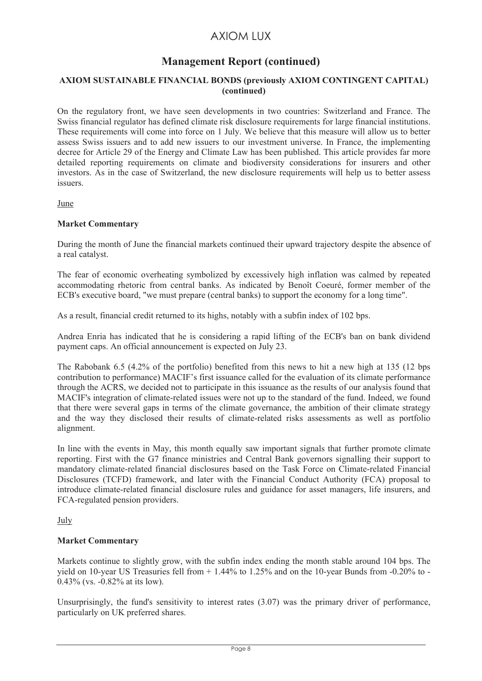# **Management Report (continued)**

## **AXIOM SUSTAINABLE FINANCIAL BONDS (previously AXIOM CONTINGENT CAPITAL) (continued)**

On the regulatory front, we have seen developments in two countries: Switzerland and France. The Swiss financial regulator has defined climate risk disclosure requirements for large financial institutions. These requirements will come into force on 1 July. We believe that this measure will allow us to better assess Swiss issuers and to add new issuers to our investment universe. In France, the implementing decree for Article 29 of the Energy and Climate Law has been published. This article provides far more detailed reporting requirements on climate and biodiversity considerations for insurers and other investors. As in the case of Switzerland, the new disclosure requirements will help us to better assess issuers.

June

#### **Market Commentary**

During the month of June the financial markets continued their upward trajectory despite the absence of a real catalyst.

The fear of economic overheating symbolized by excessively high inflation was calmed by repeated accommodating rhetoric from central banks. As indicated by Benoît Coeuré, former member of the ECB's executive board, "we must prepare (central banks) to support the economy for a long time".

As a result, financial credit returned to its highs, notably with a subfin index of 102 bps.

Andrea Enria has indicated that he is considering a rapid lifting of the ECB's ban on bank dividend payment caps. An official announcement is expected on July 23.

The Rabobank 6.5 (4.2% of the portfolio) benefited from this news to hit a new high at 135 (12 bps contribution to performance) MACIF's first issuance called for the evaluation of its climate performance through the ACRS, we decided not to participate in this issuance as the results of our analysis found that MACIF's integration of climate-related issues were not up to the standard of the fund. Indeed, we found that there were several gaps in terms of the climate governance, the ambition of their climate strategy and the way they disclosed their results of climate-related risks assessments as well as portfolio alignment.

In line with the events in May, this month equally saw important signals that further promote climate reporting. First with the G7 finance ministries and Central Bank governors signalling their support to mandatory climate-related financial disclosures based on the Task Force on Climate-related Financial Disclosures (TCFD) framework, and later with the Financial Conduct Authority (FCA) proposal to introduce climate-related financial disclosure rules and guidance for asset managers, life insurers, and FCA-regulated pension providers.

July

#### **Market Commentary**

Markets continue to slightly grow, with the subfin index ending the month stable around 104 bps. The yield on 10-year US Treasuries fell from + 1.44% to 1.25% and on the 10-year Bunds from -0.20% to - 0.43% (vs. -0.82% at its low).

Unsurprisingly, the fund's sensitivity to interest rates (3.07) was the primary driver of performance, particularly on UK preferred shares.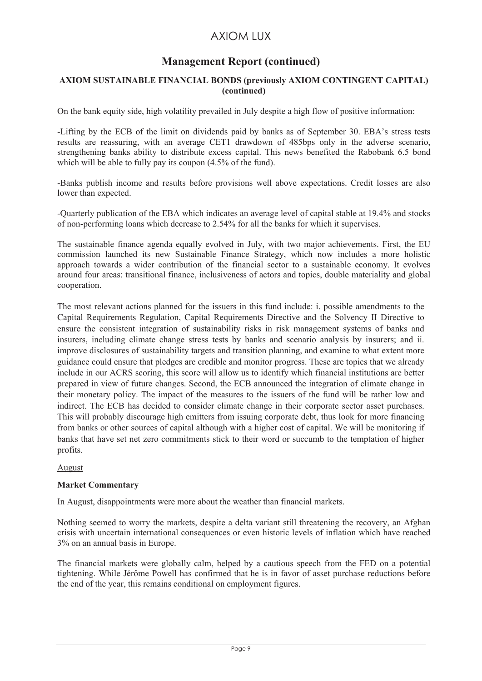# **Management Report (continued)**

## **AXIOM SUSTAINABLE FINANCIAL BONDS (previously AXIOM CONTINGENT CAPITAL) (continued)**

On the bank equity side, high volatility prevailed in July despite a high flow of positive information:

-Lifting by the ECB of the limit on dividends paid by banks as of September 30. EBA's stress tests results are reassuring, with an average CET1 drawdown of 485bps only in the adverse scenario, strengthening banks ability to distribute excess capital. This news benefited the Rabobank 6.5 bond which will be able to fully pay its coupon  $(4.5\% \text{ of the fund})$ .

-Banks publish income and results before provisions well above expectations. Credit losses are also lower than expected.

-Quarterly publication of the EBA which indicates an average level of capital stable at 19.4% and stocks of non-performing loans which decrease to 2.54% for all the banks for which it supervises.

The sustainable finance agenda equally evolved in July, with two major achievements. First, the EU commission launched its new Sustainable Finance Strategy, which now includes a more holistic approach towards a wider contribution of the financial sector to a sustainable economy. It evolves around four areas: transitional finance, inclusiveness of actors and topics, double materiality and global cooperation.

The most relevant actions planned for the issuers in this fund include: i. possible amendments to the Capital Requirements Regulation, Capital Requirements Directive and the Solvency II Directive to ensure the consistent integration of sustainability risks in risk management systems of banks and insurers, including climate change stress tests by banks and scenario analysis by insurers; and ii. improve disclosures of sustainability targets and transition planning, and examine to what extent more guidance could ensure that pledges are credible and monitor progress. These are topics that we already include in our ACRS scoring, this score will allow us to identify which financial institutions are better prepared in view of future changes. Second, the ECB announced the integration of climate change in their monetary policy. The impact of the measures to the issuers of the fund will be rather low and indirect. The ECB has decided to consider climate change in their corporate sector asset purchases. This will probably discourage high emitters from issuing corporate debt, thus look for more financing from banks or other sources of capital although with a higher cost of capital. We will be monitoring if banks that have set net zero commitments stick to their word or succumb to the temptation of higher profits.

## August

#### **Market Commentary**

In August, disappointments were more about the weather than financial markets.

Nothing seemed to worry the markets, despite a delta variant still threatening the recovery, an Afghan crisis with uncertain international consequences or even historic levels of inflation which have reached 3% on an annual basis in Europe.

The financial markets were globally calm, helped by a cautious speech from the FED on a potential tightening. While Jérôme Powell has confirmed that he is in favor of asset purchase reductions before the end of the year, this remains conditional on employment figures.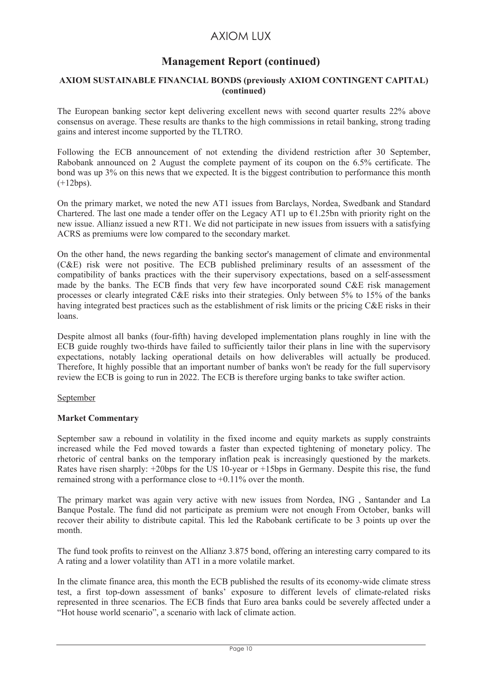# **Management Report (continued)**

#### **AXIOM SUSTAINABLE FINANCIAL BONDS (previously AXIOM CONTINGENT CAPITAL) (continued)**

The European banking sector kept delivering excellent news with second quarter results 22% above consensus on average. These results are thanks to the high commissions in retail banking, strong trading gains and interest income supported by the TLTRO.

Following the ECB announcement of not extending the dividend restriction after 30 September, Rabobank announced on 2 August the complete payment of its coupon on the 6.5% certificate. The bond was up 3% on this news that we expected. It is the biggest contribution to performance this month (+12bps).

On the primary market, we noted the new AT1 issues from Barclays, Nordea, Swedbank and Standard Chartered. The last one made a tender offer on the Legacy AT1 up to  $\epsilon$ 1.25bn with priority right on the new issue. Allianz issued a new RT1. We did not participate in new issues from issuers with a satisfying ACRS as premiums were low compared to the secondary market.

On the other hand, the news regarding the banking sector's management of climate and environmental (C&E) risk were not positive. The ECB published preliminary results of an assessment of the compatibility of banks practices with the their supervisory expectations, based on a self-assessment made by the banks. The ECB finds that very few have incorporated sound C&E risk management processes or clearly integrated C&E risks into their strategies. Only between 5% to 15% of the banks having integrated best practices such as the establishment of risk limits or the pricing C&E risks in their loans.

Despite almost all banks (four-fifth) having developed implementation plans roughly in line with the ECB guide roughly two-thirds have failed to sufficiently tailor their plans in line with the supervisory expectations, notably lacking operational details on how deliverables will actually be produced. Therefore, It highly possible that an important number of banks won't be ready for the full supervisory review the ECB is going to run in 2022. The ECB is therefore urging banks to take swifter action.

#### September

## **Market Commentary**

September saw a rebound in volatility in the fixed income and equity markets as supply constraints increased while the Fed moved towards a faster than expected tightening of monetary policy. The rhetoric of central banks on the temporary inflation peak is increasingly questioned by the markets. Rates have risen sharply: +20bps for the US 10-year or +15bps in Germany. Despite this rise, the fund remained strong with a performance close to +0.11% over the month.

The primary market was again very active with new issues from Nordea, ING , Santander and La Banque Postale. The fund did not participate as premium were not enough From October, banks will recover their ability to distribute capital. This led the Rabobank certificate to be 3 points up over the month.

The fund took profits to reinvest on the Allianz 3.875 bond, offering an interesting carry compared to its A rating and a lower volatility than AT1 in a more volatile market.

In the climate finance area, this month the ECB published the results of its economy-wide climate stress test, a first top-down assessment of banks' exposure to different levels of climate-related risks represented in three scenarios. The ECB finds that Euro area banks could be severely affected under a "Hot house world scenario", a scenario with lack of climate action.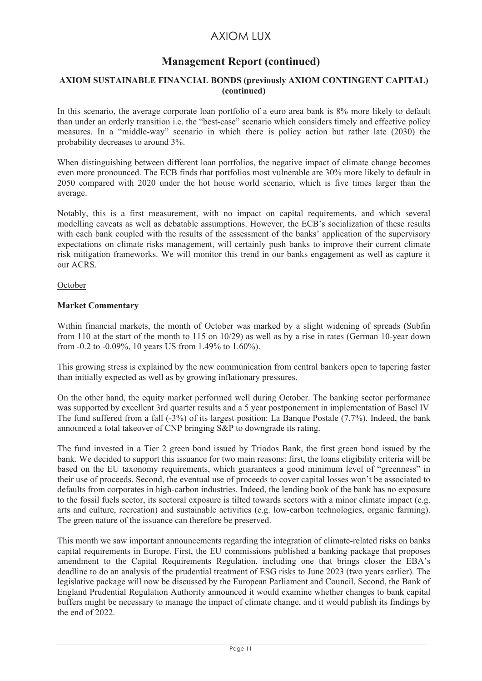# **Management Report (continued)**

## **AXIOM SUSTAINABLE FINANCIAL BONDS (previously AXIOM CONTINGENT CAPITAL) (continued)**

In this scenario, the average corporate loan portfolio of a euro area bank is 8% more likely to default than under an orderly transition i.e. the "best-case" scenario which considers timely and effective policy measures. In a "middle-way" scenario in which there is policy action but rather late (2030) the probability decreases to around 3%.

When distinguishing between different loan portfolios, the negative impact of climate change becomes even more pronounced. The ECB finds that portfolios most vulnerable are 30% more likely to default in 2050 compared with 2020 under the hot house world scenario, which is five times larger than the average.

Notably, this is a first measurement, with no impact on capital requirements, and which several modelling caveats as well as debatable assumptions. However, the ECB's socialization of these results with each bank coupled with the results of the assessment of the banks' application of the supervisory expectations on climate risks management, will certainly push banks to improve their current climate risk mitigation frameworks. We will monitor this trend in our banks engagement as well as capture it our ACRS.

**October** 

#### **Market Commentary**

Within financial markets, the month of October was marked by a slight widening of spreads (Subfin from 110 at the start of the month to 115 on 10/29) as well as by a rise in rates (German 10-year down from -0.2 to -0.09%, 10 years US from 1.49% to 1.60%).

This growing stress is explained by the new communication from central bankers open to tapering faster than initially expected as well as by growing inflationary pressures.

On the other hand, the equity market performed well during October. The banking sector performance was supported by excellent 3rd quarter results and a 5 year postponement in implementation of Basel IV The fund suffered from a fall (-3%) of its largest position: La Banque Postale (7.7%). Indeed, the bank announced a total takeover of CNP bringing S&P to downgrade its rating.

The fund invested in a Tier 2 green bond issued by Triodos Bank, the first green bond issued by the bank. We decided to support this issuance for two main reasons: first, the loans eligibility criteria will be based on the EU taxonomy requirements, which guarantees a good minimum level of "greenness" in their use of proceeds. Second, the eventual use of proceeds to cover capital losses won't be associated to defaults from corporates in high-carbon industries. Indeed, the lending book of the bank has no exposure to the fossil fuels sector, its sectoral exposure is tilted towards sectors with a minor climate impact (e.g. arts and culture, recreation) and sustainable activities (e.g. low-carbon technologies, organic farming). The green nature of the issuance can therefore be preserved.

This month we saw important announcements regarding the integration of climate-related risks on banks capital requirements in Europe. First, the EU commissions published a banking package that proposes amendment to the Capital Requirements Regulation, including one that brings closer the EBA's deadline to do an analysis of the prudential treatment of ESG risks to June 2023 (two years earlier). The legislative package will now be discussed by the European Parliament and Council. Second, the Bank of England Prudential Regulation Authority announced it would examine whether changes to bank capital buffers might be necessary to manage the impact of climate change, and it would publish its findings by the end of 2022.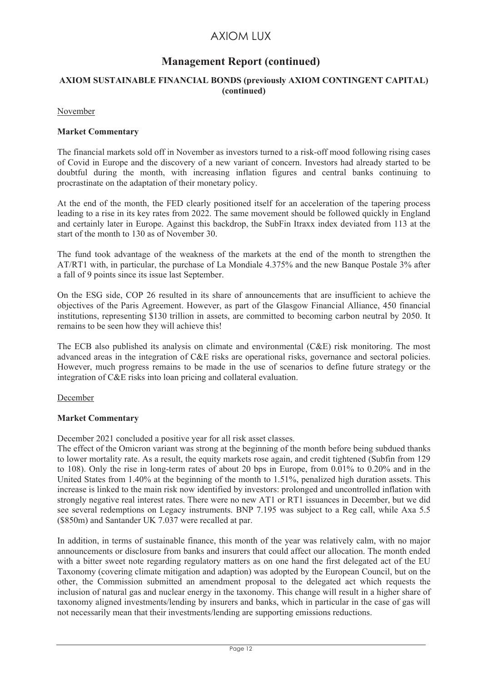# **Management Report (continued)**

## **AXIOM SUSTAINABLE FINANCIAL BONDS (previously AXIOM CONTINGENT CAPITAL) (continued)**

#### November

#### **Market Commentary**

The financial markets sold off in November as investors turned to a risk-off mood following rising cases of Covid in Europe and the discovery of a new variant of concern. Investors had already started to be doubtful during the month, with increasing inflation figures and central banks continuing to procrastinate on the adaptation of their monetary policy.

At the end of the month, the FED clearly positioned itself for an acceleration of the tapering process leading to a rise in its key rates from 2022. The same movement should be followed quickly in England and certainly later in Europe. Against this backdrop, the SubFin Itraxx index deviated from 113 at the start of the month to 130 as of November 30.

The fund took advantage of the weakness of the markets at the end of the month to strengthen the AT/RT1 with, in particular, the purchase of La Mondiale 4.375% and the new Banque Postale 3% after a fall of 9 points since its issue last September.

On the ESG side, COP 26 resulted in its share of announcements that are insufficient to achieve the objectives of the Paris Agreement. However, as part of the Glasgow Financial Alliance, 450 financial institutions, representing \$130 trillion in assets, are committed to becoming carbon neutral by 2050. It remains to be seen how they will achieve this!

The ECB also published its analysis on climate and environmental (C&E) risk monitoring. The most advanced areas in the integration of C&E risks are operational risks, governance and sectoral policies. However, much progress remains to be made in the use of scenarios to define future strategy or the integration of C&E risks into loan pricing and collateral evaluation.

#### December

#### **Market Commentary**

December 2021 concluded a positive year for all risk asset classes.

The effect of the Omicron variant was strong at the beginning of the month before being subdued thanks to lower mortality rate. As a result, the equity markets rose again, and credit tightened (Subfin from 129 to 108). Only the rise in long-term rates of about 20 bps in Europe, from 0.01% to 0.20% and in the United States from 1.40% at the beginning of the month to 1.51%, penalized high duration assets. This increase is linked to the main risk now identified by investors: prolonged and uncontrolled inflation with strongly negative real interest rates. There were no new AT1 or RT1 issuances in December, but we did see several redemptions on Legacy instruments. BNP 7.195 was subject to a Reg call, while Axa 5.5 (\$850m) and Santander UK 7.037 were recalled at par.

In addition, in terms of sustainable finance, this month of the year was relatively calm, with no major announcements or disclosure from banks and insurers that could affect our allocation. The month ended with a bitter sweet note regarding regulatory matters as on one hand the first delegated act of the EU Taxonomy (covering climate mitigation and adaption) was adopted by the European Council, but on the other, the Commission submitted an amendment proposal to the delegated act which requests the inclusion of natural gas and nuclear energy in the taxonomy. This change will result in a higher share of taxonomy aligned investments/lending by insurers and banks, which in particular in the case of gas will not necessarily mean that their investments/lending are supporting emissions reductions.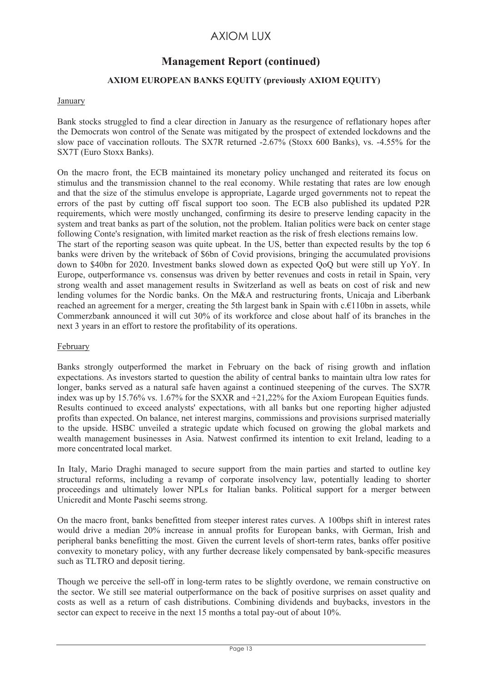# **Management Report (continued)**

## **AXIOM EUROPEAN BANKS EQUITY (previously AXIOM EQUITY)**

## January

Bank stocks struggled to find a clear direction in January as the resurgence of reflationary hopes after the Democrats won control of the Senate was mitigated by the prospect of extended lockdowns and the slow pace of vaccination rollouts. The SX7R returned -2.67% (Stoxx 600 Banks), vs. -4.55% for the SX7T (Euro Stoxx Banks).

On the macro front, the ECB maintained its monetary policy unchanged and reiterated its focus on stimulus and the transmission channel to the real economy. While restating that rates are low enough and that the size of the stimulus envelope is appropriate, Lagarde urged governments not to repeat the errors of the past by cutting off fiscal support too soon. The ECB also published its updated P2R requirements, which were mostly unchanged, confirming its desire to preserve lending capacity in the system and treat banks as part of the solution, not the problem. Italian politics were back on center stage following Conte's resignation, with limited market reaction as the risk of fresh elections remains low. The start of the reporting season was quite upbeat. In the US, better than expected results by the top 6 banks were driven by the writeback of \$6bn of Covid provisions, bringing the accumulated provisions down to \$40bn for 2020. Investment banks slowed down as expected QoQ but were still up YoY. In Europe, outperformance vs. consensus was driven by better revenues and costs in retail in Spain, very strong wealth and asset management results in Switzerland as well as beats on cost of risk and new lending volumes for the Nordic banks. On the M&A and restructuring fronts, Unicaja and Liberbank reached an agreement for a merger, creating the 5th largest bank in Spain with c.€110bn in assets, while Commerzbank announced it will cut 30% of its workforce and close about half of its branches in the next 3 years in an effort to restore the profitability of its operations.

#### February

Banks strongly outperformed the market in February on the back of rising growth and inflation expectations. As investors started to question the ability of central banks to maintain ultra low rates for longer, banks served as a natural safe haven against a continued steepening of the curves. The SX7R index was up by 15.76% vs. 1.67% for the SXXR and +21,22% for the Axiom European Equities funds. Results continued to exceed analysts' expectations, with all banks but one reporting higher adjusted profits than expected. On balance, net interest margins, commissions and provisions surprised materially to the upside. HSBC unveiled a strategic update which focused on growing the global markets and wealth management businesses in Asia. Natwest confirmed its intention to exit Ireland, leading to a more concentrated local market.

In Italy, Mario Draghi managed to secure support from the main parties and started to outline key structural reforms, including a revamp of corporate insolvency law, potentially leading to shorter proceedings and ultimately lower NPLs for Italian banks. Political support for a merger between Unicredit and Monte Paschi seems strong.

On the macro front, banks benefitted from steeper interest rates curves. A 100bps shift in interest rates would drive a median 20% increase in annual profits for European banks, with German, Irish and peripheral banks benefitting the most. Given the current levels of short-term rates, banks offer positive convexity to monetary policy, with any further decrease likely compensated by bank-specific measures such as TLTRO and deposit tiering.

Though we perceive the sell-off in long-term rates to be slightly overdone, we remain constructive on the sector. We still see material outperformance on the back of positive surprises on asset quality and costs as well as a return of cash distributions. Combining dividends and buybacks, investors in the sector can expect to receive in the next 15 months a total pay-out of about 10%.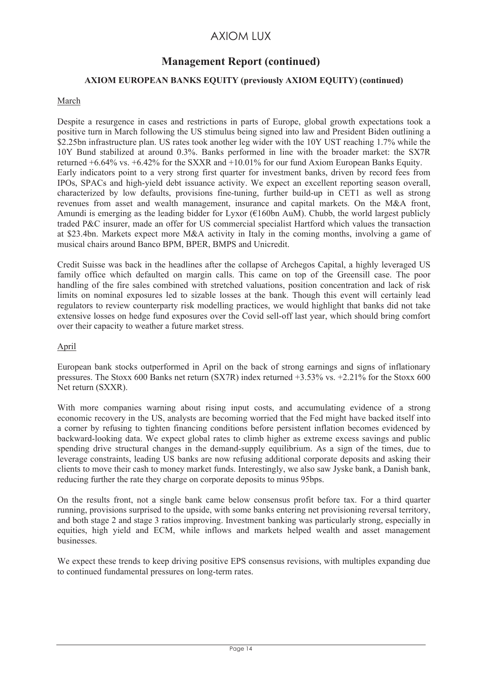# **Management Report (continued)**

## **AXIOM EUROPEAN BANKS EQUITY (previously AXIOM EQUITY) (continued)**

## March

Despite a resurgence in cases and restrictions in parts of Europe, global growth expectations took a positive turn in March following the US stimulus being signed into law and President Biden outlining a \$2.25bn infrastructure plan. US rates took another leg wider with the 10Y UST reaching 1.7% while the 10Y Bund stabilized at around 0.3%. Banks performed in line with the broader market: the SX7R returned +6.64% vs. +6.42% for the SXXR and +10.01% for our fund Axiom European Banks Equity. Early indicators point to a very strong first quarter for investment banks, driven by record fees from IPOs, SPACs and high-yield debt issuance activity. We expect an excellent reporting season overall, characterized by low defaults, provisions fine-tuning, further build-up in CET1 as well as strong revenues from asset and wealth management, insurance and capital markets. On the M&A front, Amundi is emerging as the leading bidder for Lyxor ( $\epsilon$ 160bn AuM). Chubb, the world largest publicly traded P&C insurer, made an offer for US commercial specialist Hartford which values the transaction at \$23.4bn. Markets expect more M&A activity in Italy in the coming months, involving a game of musical chairs around Banco BPM, BPER, BMPS and Unicredit.

Credit Suisse was back in the headlines after the collapse of Archegos Capital, a highly leveraged US family office which defaulted on margin calls. This came on top of the Greensill case. The poor handling of the fire sales combined with stretched valuations, position concentration and lack of risk limits on nominal exposures led to sizable losses at the bank. Though this event will certainly lead regulators to review counterparty risk modelling practices, we would highlight that banks did not take extensive losses on hedge fund exposures over the Covid sell-off last year, which should bring comfort over their capacity to weather a future market stress.

## April

European bank stocks outperformed in April on the back of strong earnings and signs of inflationary pressures. The Stoxx 600 Banks net return (SX7R) index returned +3.53% vs. +2.21% for the Stoxx 600 Net return (SXXR).

With more companies warning about rising input costs, and accumulating evidence of a strong economic recovery in the US, analysts are becoming worried that the Fed might have backed itself into a corner by refusing to tighten financing conditions before persistent inflation becomes evidenced by backward-looking data. We expect global rates to climb higher as extreme excess savings and public spending drive structural changes in the demand-supply equilibrium. As a sign of the times, due to leverage constraints, leading US banks are now refusing additional corporate deposits and asking their clients to move their cash to money market funds. Interestingly, we also saw Jyske bank, a Danish bank, reducing further the rate they charge on corporate deposits to minus 95bps.

On the results front, not a single bank came below consensus profit before tax. For a third quarter running, provisions surprised to the upside, with some banks entering net provisioning reversal territory, and both stage 2 and stage 3 ratios improving. Investment banking was particularly strong, especially in equities, high yield and ECM, while inflows and markets helped wealth and asset management businesses.

We expect these trends to keep driving positive EPS consensus revisions, with multiples expanding due to continued fundamental pressures on long-term rates.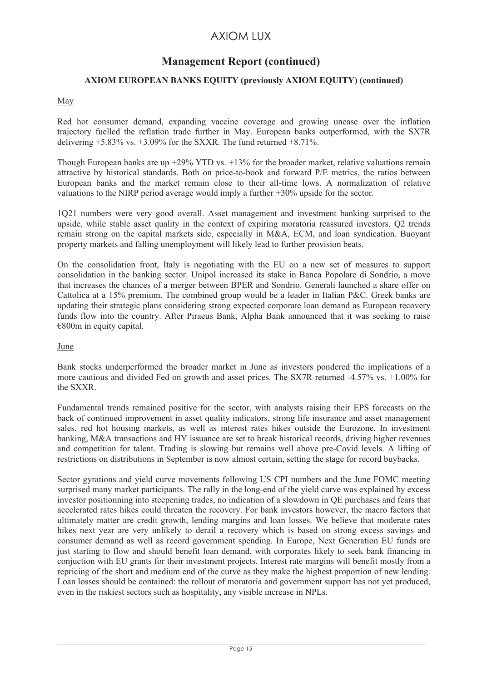# **Management Report (continued)**

## **AXIOM EUROPEAN BANKS EQUITY (previously AXIOM EQUITY) (continued)**

## May

Red hot consumer demand, expanding vaccine coverage and growing unease over the inflation trajectory fuelled the reflation trade further in May. European banks outperformed, with the SX7R delivering  $+5.83\%$  vs.  $+3.09\%$  for the SXXR. The fund returned  $+8.71\%$ .

Though European banks are up +29% YTD vs. +13% for the broader market, relative valuations remain attractive by historical standards. Both on price-to-book and forward P/E metrics, the ratios between European banks and the market remain close to their all-time lows. A normalization of relative valuations to the NIRP period average would imply a further +30% upside for the sector.

1Q21 numbers were very good overall. Asset management and investment banking surprised to the upside, while stable asset quality in the context of expiring moratoria reassured investors. Q2 trends remain strong on the capital markets side, especially in M&A, ECM, and loan syndication. Buoyant property markets and falling unemployment will likely lead to further provision beats.

On the consolidation front, Italy is negotiating with the EU on a new set of measures to support consolidation in the banking sector. Unipol increased its stake in Banca Popolare di Sondrio, a move that increases the chances of a merger between BPER and Sondrio. Generali launched a share offer on Cattolica at a 15% premium. The combined group would be a leader in Italian P&C. Greek banks are updating their strategic plans considering strong expected corporate loan demand as European recovery funds flow into the country. After Piraeus Bank, Alpha Bank announced that it was seeking to raise €800m in equity capital.

## **June**

Bank stocks underperformed the broader market in June as investors pondered the implications of a more cautious and divided Fed on growth and asset prices. The SX7R returned -4.57% vs. +1.00% for the SXXR.

Fundamental trends remained positive for the sector, with analysts raising their EPS forecasts on the back of continued improvement in asset quality indicators, strong life insurance and asset management sales, red hot housing markets, as well as interest rates hikes outside the Eurozone. In investment banking, M&A transactions and HY issuance are set to break historical records, driving higher revenues and competition for talent. Trading is slowing but remains well above pre-Covid levels. A lifting of restrictions on distributions in September is now almost certain, setting the stage for record buybacks.

Sector gyrations and yield curve movements following US CPI numbers and the June FOMC meeting surprised many market participants. The rally in the long-end of the yield curve was explained by excess investor positionning into steepening trades, no indication of a slowdown in QE purchases and fears that accelerated rates hikes could threaten the recovery. For bank investors however, the macro factors that ultimately matter are credit growth, lending margins and loan losses. We believe that moderate rates hikes next year are very unlikely to derail a recovery which is based on strong excess savings and consumer demand as well as record government spending. In Europe, Next Generation EU funds are just starting to flow and should benefit loan demand, with corporates likely to seek bank financing in conjuction with EU grants for their investment projects. Interest rate margins will benefit mostly from a repricing of the short and medium end of the curve as they make the highest proportion of new lending. Loan losses should be contained: the rollout of moratoria and government support has not yet produced, even in the riskiest sectors such as hospitality, any visible increase in NPLs.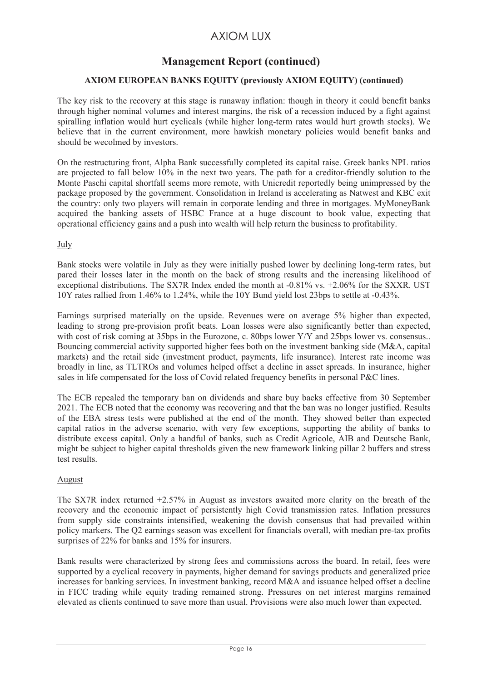# **Management Report (continued)**

## **AXIOM EUROPEAN BANKS EQUITY (previously AXIOM EQUITY) (continued)**

The key risk to the recovery at this stage is runaway inflation: though in theory it could benefit banks through higher nominal volumes and interest margins, the risk of a recession induced by a fight against spiralling inflation would hurt cyclicals (while higher long-term rates would hurt growth stocks). We believe that in the current environment, more hawkish monetary policies would benefit banks and should be wecolmed by investors.

On the restructuring front, Alpha Bank successfully completed its capital raise. Greek banks NPL ratios are projected to fall below 10% in the next two years. The path for a creditor-friendly solution to the Monte Paschi capital shortfall seems more remote, with Unicredit reportedly being unimpressed by the package proposed by the government. Consolidation in Ireland is accelerating as Natwest and KBC exit the country: only two players will remain in corporate lending and three in mortgages. MyMoneyBank acquired the banking assets of HSBC France at a huge discount to book value, expecting that operational efficiency gains and a push into wealth will help return the business to profitability.

July

Bank stocks were volatile in July as they were initially pushed lower by declining long-term rates, but pared their losses later in the month on the back of strong results and the increasing likelihood of exceptional distributions. The SX7R Index ended the month at -0.81% vs. +2.06% for the SXXR. UST 10Y rates rallied from 1.46% to 1.24%, while the 10Y Bund yield lost 23bps to settle at -0.43%.

Earnings surprised materially on the upside. Revenues were on average 5% higher than expected, leading to strong pre-provision profit beats. Loan losses were also significantly better than expected, with cost of risk coming at 35bps in the Eurozone, c. 80bps lower Y/Y and 25bps lower vs. consensus.. Bouncing commercial activity supported higher fees both on the investment banking side (M&A, capital markets) and the retail side (investment product, payments, life insurance). Interest rate income was broadly in line, as TLTROs and volumes helped offset a decline in asset spreads. In insurance, higher sales in life compensated for the loss of Covid related frequency benefits in personal P&C lines.

The ECB repealed the temporary ban on dividends and share buy backs effective from 30 September 2021. The ECB noted that the economy was recovering and that the ban was no longer justified. Results of the EBA stress tests were published at the end of the month. They showed better than expected capital ratios in the adverse scenario, with very few exceptions, supporting the ability of banks to distribute excess capital. Only a handful of banks, such as Credit Agricole, AIB and Deutsche Bank, might be subject to higher capital thresholds given the new framework linking pillar 2 buffers and stress test results.

## August

The SX7R index returned +2.57% in August as investors awaited more clarity on the breath of the recovery and the economic impact of persistently high Covid transmission rates. Inflation pressures from supply side constraints intensified, weakening the dovish consensus that had prevailed within policy markers. The Q2 earnings season was excellent for financials overall, with median pre-tax profits surprises of 22% for banks and 15% for insurers.

Bank results were characterized by strong fees and commissions across the board. In retail, fees were supported by a cyclical recovery in payments, higher demand for savings products and generalized price increases for banking services. In investment banking, record M&A and issuance helped offset a decline in FICC trading while equity trading remained strong. Pressures on net interest margins remained elevated as clients continued to save more than usual. Provisions were also much lower than expected.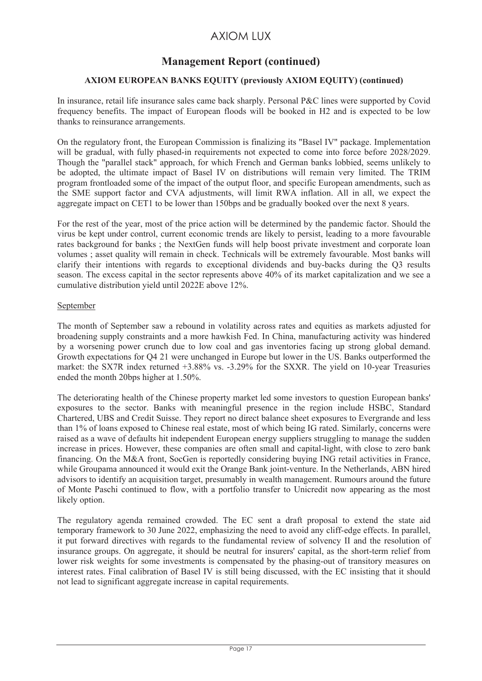# **Management Report (continued)**

## **AXIOM EUROPEAN BANKS EQUITY (previously AXIOM EQUITY) (continued)**

In insurance, retail life insurance sales came back sharply. Personal P&C lines were supported by Covid frequency benefits. The impact of European floods will be booked in H2 and is expected to be low thanks to reinsurance arrangements.

On the regulatory front, the European Commission is finalizing its "Basel IV" package. Implementation will be gradual, with fully phased-in requirements not expected to come into force before 2028/2029. Though the "parallel stack" approach, for which French and German banks lobbied, seems unlikely to be adopted, the ultimate impact of Basel IV on distributions will remain very limited. The TRIM program frontloaded some of the impact of the output floor, and specific European amendments, such as the SME support factor and CVA adjustments, will limit RWA inflation. All in all, we expect the aggregate impact on CET1 to be lower than 150bps and be gradually booked over the next 8 years.

For the rest of the year, most of the price action will be determined by the pandemic factor. Should the virus be kept under control, current economic trends are likely to persist, leading to a more favourable rates background for banks ; the NextGen funds will help boost private investment and corporate loan volumes ; asset quality will remain in check. Technicals will be extremely favourable. Most banks will clarify their intentions with regards to exceptional dividends and buy-backs during the Q3 results season. The excess capital in the sector represents above 40% of its market capitalization and we see a cumulative distribution yield until 2022E above 12%.

#### September

The month of September saw a rebound in volatility across rates and equities as markets adjusted for broadening supply constraints and a more hawkish Fed. In China, manufacturing activity was hindered by a worsening power crunch due to low coal and gas inventories facing up strong global demand. Growth expectations for Q4 21 were unchanged in Europe but lower in the US. Banks outperformed the market: the SX7R index returned +3.88% vs. -3.29% for the SXXR. The yield on 10-year Treasuries ended the month 20bps higher at 1.50%.

The deteriorating health of the Chinese property market led some investors to question European banks' exposures to the sector. Banks with meaningful presence in the region include HSBC, Standard Chartered, UBS and Credit Suisse. They report no direct balance sheet exposures to Evergrande and less than 1% of loans exposed to Chinese real estate, most of which being IG rated. Similarly, concerns were raised as a wave of defaults hit independent European energy suppliers struggling to manage the sudden increase in prices. However, these companies are often small and capital-light, with close to zero bank financing. On the M&A front, SocGen is reportedly considering buying ING retail activities in France, while Groupama announced it would exit the Orange Bank joint-venture. In the Netherlands, ABN hired advisors to identify an acquisition target, presumably in wealth management. Rumours around the future of Monte Paschi continued to flow, with a portfolio transfer to Unicredit now appearing as the most likely option.

The regulatory agenda remained crowded. The EC sent a draft proposal to extend the state aid temporary framework to 30 June 2022, emphasizing the need to avoid any cliff-edge effects. In parallel, it put forward directives with regards to the fundamental review of solvency II and the resolution of insurance groups. On aggregate, it should be neutral for insurers' capital, as the short-term relief from lower risk weights for some investments is compensated by the phasing-out of transitory measures on interest rates. Final calibration of Basel IV is still being discussed, with the EC insisting that it should not lead to significant aggregate increase in capital requirements.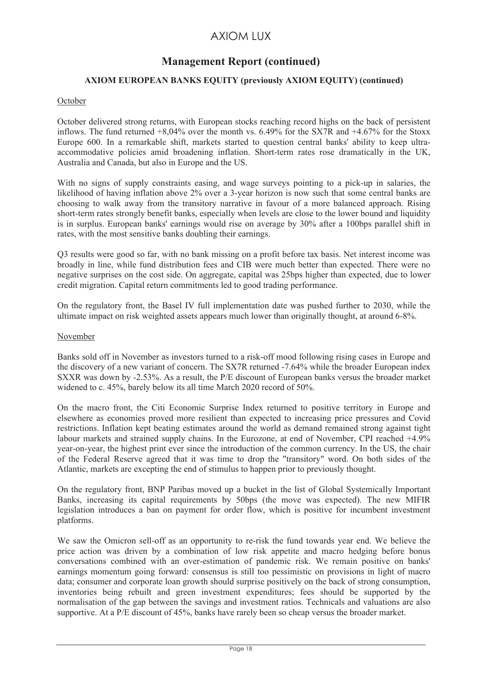# **Management Report (continued)**

## **AXIOM EUROPEAN BANKS EQUITY (previously AXIOM EQUITY) (continued)**

## October

October delivered strong returns, with European stocks reaching record highs on the back of persistent inflows. The fund returned  $+8.04\%$  over the month vs. 6.49% for the SX7R and  $+4.67\%$  for the Stoxx Europe 600. In a remarkable shift, markets started to question central banks' ability to keep ultraaccommodative policies amid broadening inflation. Short-term rates rose dramatically in the UK, Australia and Canada, but also in Europe and the US.

With no signs of supply constraints easing, and wage surveys pointing to a pick-up in salaries, the likelihood of having inflation above 2% over a 3-year horizon is now such that some central banks are choosing to walk away from the transitory narrative in favour of a more balanced approach. Rising short-term rates strongly benefit banks, especially when levels are close to the lower bound and liquidity is in surplus. European banks' earnings would rise on average by 30% after a 100bps parallel shift in rates, with the most sensitive banks doubling their earnings.

Q3 results were good so far, with no bank missing on a profit before tax basis. Net interest income was broadly in line, while fund distribution fees and CIB were much better than expected. There were no negative surprises on the cost side. On aggregate, capital was 25bps higher than expected, due to lower credit migration. Capital return commitments led to good trading performance.

On the regulatory front, the Basel IV full implementation date was pushed further to 2030, while the ultimate impact on risk weighted assets appears much lower than originally thought, at around 6-8%.

#### November

Banks sold off in November as investors turned to a risk-off mood following rising cases in Europe and the discovery of a new variant of concern. The SX7R returned -7.64% while the broader European index SXXR was down by -2.53%. As a result, the P/E discount of European banks versus the broader market widened to c. 45%, barely below its all time March 2020 record of 50%.

On the macro front, the Citi Economic Surprise Index returned to positive territory in Europe and elsewhere as economies proved more resilient than expected to increasing price pressures and Covid restrictions. Inflation kept beating estimates around the world as demand remained strong against tight labour markets and strained supply chains. In the Eurozone, at end of November, CPI reached +4.9% year-on-year, the highest print ever since the introduction of the common currency. In the US, the chair of the Federal Reserve agreed that it was time to drop the "transitory" word. On both sides of the Atlantic, markets are excepting the end of stimulus to happen prior to previously thought.

On the regulatory front, BNP Paribas moved up a bucket in the list of Global Systemically Important Banks, increasing its capital requirements by 50bps (the move was expected). The new MIFIR legislation introduces a ban on payment for order flow, which is positive for incumbent investment platforms.

We saw the Omicron sell-off as an opportunity to re-risk the fund towards year end. We believe the price action was driven by a combination of low risk appetite and macro hedging before bonus conversations combined with an over-estimation of pandemic risk. We remain positive on banks' earnings momentum going forward: consensus is still too pessimistic on provisions in light of macro data; consumer and corporate loan growth should surprise positively on the back of strong consumption, inventories being rebuilt and green investment expenditures; fees should be supported by the normalisation of the gap between the savings and investment ratios. Technicals and valuations are also supportive. At a P/E discount of 45%, banks have rarely been so cheap versus the broader market.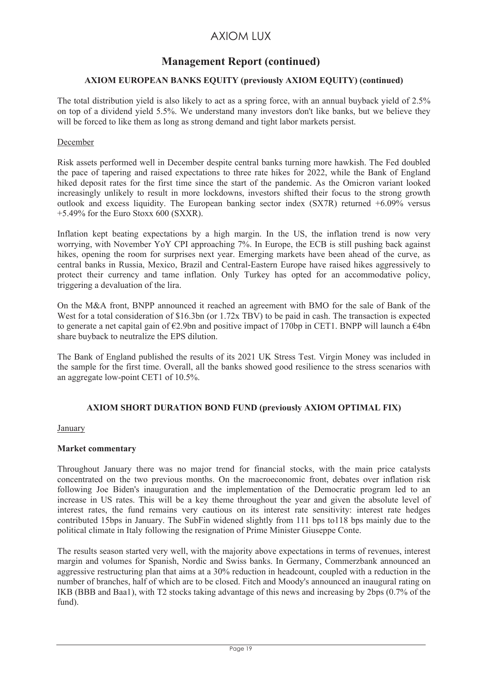## **Management Report (continued)**

## **AXIOM EUROPEAN BANKS EQUITY (previously AXIOM EQUITY) (continued)**

The total distribution yield is also likely to act as a spring force, with an annual buyback yield of 2.5% on top of a dividend yield 5.5%. We understand many investors don't like banks, but we believe they will be forced to like them as long as strong demand and tight labor markets persist.

#### December

Risk assets performed well in December despite central banks turning more hawkish. The Fed doubled the pace of tapering and raised expectations to three rate hikes for 2022, while the Bank of England hiked deposit rates for the first time since the start of the pandemic. As the Omicron variant looked increasingly unlikely to result in more lockdowns, investors shifted their focus to the strong growth outlook and excess liquidity. The European banking sector index  $(SX7R)$  returned  $+6.09\%$  versus  $+5.49\%$  for the Euro Stoxx 600 (SXXR).

Inflation kept beating expectations by a high margin. In the US, the inflation trend is now very worrying, with November YoY CPI approaching 7%. In Europe, the ECB is still pushing back against hikes, opening the room for surprises next year. Emerging markets have been ahead of the curve, as central banks in Russia, Mexico, Brazil and Central-Eastern Europe have raised hikes aggressively to protect their currency and tame inflation. Only Turkey has opted for an accommodative policy, triggering a devaluation of the lira.

On the M&A front, BNPP announced it reached an agreement with BMO for the sale of Bank of the West for a total consideration of \$16.3bn (or 1.72x TBV) to be paid in cash. The transaction is expected to generate a net capital gain of €2.9bn and positive impact of 170bp in CET1. BNPP will launch a €4bn share buyback to neutralize the EPS dilution.

The Bank of England published the results of its 2021 UK Stress Test. Virgin Money was included in the sample for the first time. Overall, all the banks showed good resilience to the stress scenarios with an aggregate low-point CET1 of 10.5%.

## **AXIOM SHORT DURATION BOND FUND (previously AXIOM OPTIMAL FIX)**

**January** 

## **Market commentary**

Throughout January there was no major trend for financial stocks, with the main price catalysts concentrated on the two previous months. On the macroeconomic front, debates over inflation risk following Joe Biden's inauguration and the implementation of the Democratic program led to an increase in US rates. This will be a key theme throughout the year and given the absolute level of interest rates, the fund remains very cautious on its interest rate sensitivity: interest rate hedges contributed 15bps in January. The SubFin widened slightly from 111 bps to118 bps mainly due to the political climate in Italy following the resignation of Prime Minister Giuseppe Conte.

The results season started very well, with the majority above expectations in terms of revenues, interest margin and volumes for Spanish, Nordic and Swiss banks. In Germany, Commerzbank announced an aggressive restructuring plan that aims at a 30% reduction in headcount, coupled with a reduction in the number of branches, half of which are to be closed. Fitch and Moody's announced an inaugural rating on IKB (BBB and Baa1), with T2 stocks taking advantage of this news and increasing by 2bps (0.7% of the fund).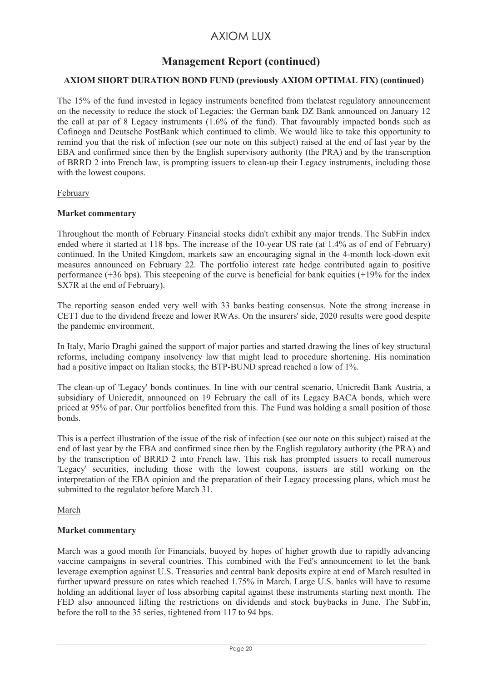## **Management Report (continued)**

## **AXIOM SHORT DURATION BOND FUND (previously AXIOM OPTIMAL FIX) (continued)**

The 15% of the fund invested in legacy instruments benefited from thelatest regulatory announcement on the necessity to reduce the stock of Legacies: the German bank DZ Bank announced on January 12 the call at par of 8 Legacy instruments (1.6% of the fund). That favourably impacted bonds such as Cofinoga and Deutsche PostBank which continued to climb. We would like to take this opportunity to remind you that the risk of infection (see our note on this subject) raised at the end of last year by the EBA and confirmed since then by the English supervisory authority (the PRA) and by the transcription of BRRD 2 into French law, is prompting issuers to clean-up their Legacy instruments, including those with the lowest coupons.

#### February

#### **Market commentary**

Throughout the month of February Financial stocks didn't exhibit any major trends. The SubFin index ended where it started at 118 bps. The increase of the 10-year US rate (at 1.4% as of end of February) continued. In the United Kingdom, markets saw an encouraging signal in the 4-month lock-down exit measures announced on February 22. The portfolio interest rate hedge contributed again to positive performance (+36 bps). This steepening of the curve is beneficial for bank equities (+19% for the index SX7R at the end of February).

The reporting season ended very well with 33 banks beating consensus. Note the strong increase in CET1 due to the dividend freeze and lower RWAs. On the insurers' side, 2020 results were good despite the pandemic environment.

In Italy, Mario Draghi gained the support of major parties and started drawing the lines of key structural reforms, including company insolvency law that might lead to procedure shortening. His nomination had a positive impact on Italian stocks, the BTP-BUND spread reached a low of 1%.

The clean-up of 'Legacy' bonds continues. In line with our central scenario, Unicredit Bank Austria, a subsidiary of Unicredit, announced on 19 February the call of its Legacy BACA bonds, which were priced at 95% of par. Our portfolios benefited from this. The Fund was holding a small position of those bonds.

This is a perfect illustration of the issue of the risk of infection (see our note on this subject) raised at the end of last year by the EBA and confirmed since then by the English regulatory authority (the PRA) and by the transcription of BRRD 2 into French law. This risk has prompted issuers to recall numerous 'Legacy' securities, including those with the lowest coupons, issuers are still working on the interpretation of the EBA opinion and the preparation of their Legacy processing plans, which must be submitted to the regulator before March 31.

#### March

#### **Market commentary**

March was a good month for Financials, buoyed by hopes of higher growth due to rapidly advancing vaccine campaigns in several countries. This combined with the Fed's announcement to let the bank leverage exemption against U.S. Treasuries and central bank deposits expire at end of March resulted in further upward pressure on rates which reached 1.75% in March. Large U.S. banks will have to resume holding an additional layer of loss absorbing capital against these instruments starting next month. The FED also announced lifting the restrictions on dividends and stock buybacks in June. The SubFin, before the roll to the 35 series, tightened from 117 to 94 bps.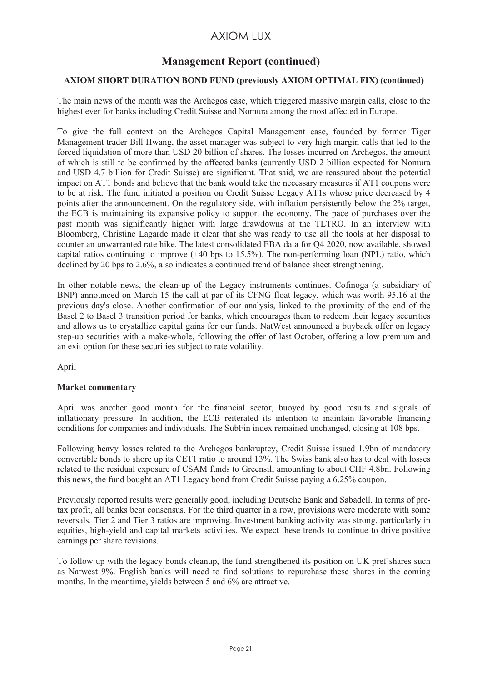# **Management Report (continued)**

## **AXIOM SHORT DURATION BOND FUND (previously AXIOM OPTIMAL FIX) (continued)**

The main news of the month was the Archegos case, which triggered massive margin calls, close to the highest ever for banks including Credit Suisse and Nomura among the most affected in Europe.

To give the full context on the Archegos Capital Management case, founded by former Tiger Management trader Bill Hwang, the asset manager was subject to very high margin calls that led to the forced liquidation of more than USD 20 billion of shares. The losses incurred on Archegos, the amount of which is still to be confirmed by the affected banks (currently USD 2 billion expected for Nomura and USD 4.7 billion for Credit Suisse) are significant. That said, we are reassured about the potential impact on AT1 bonds and believe that the bank would take the necessary measures if AT1 coupons were to be at risk. The fund initiated a position on Credit Suisse Legacy AT1s whose price decreased by 4 points after the announcement. On the regulatory side, with inflation persistently below the 2% target, the ECB is maintaining its expansive policy to support the economy. The pace of purchases over the past month was significantly higher with large drawdowns at the TLTRO. In an interview with Bloomberg, Christine Lagarde made it clear that she was ready to use all the tools at her disposal to counter an unwarranted rate hike. The latest consolidated EBA data for Q4 2020, now available, showed capital ratios continuing to improve  $(+40 \text{ bps to } 15.5\%)$ . The non-performing loan (NPL) ratio, which declined by 20 bps to 2.6%, also indicates a continued trend of balance sheet strengthening.

In other notable news, the clean-up of the Legacy instruments continues. Cofinoga (a subsidiary of BNP) announced on March 15 the call at par of its CFNG float legacy, which was worth 95.16 at the previous day's close. Another confirmation of our analysis, linked to the proximity of the end of the Basel 2 to Basel 3 transition period for banks, which encourages them to redeem their legacy securities and allows us to crystallize capital gains for our funds. NatWest announced a buyback offer on legacy step-up securities with a make-whole, following the offer of last October, offering a low premium and an exit option for these securities subject to rate volatility.

April

## **Market commentary**

April was another good month for the financial sector, buoyed by good results and signals of inflationary pressure. In addition, the ECB reiterated its intention to maintain favorable financing conditions for companies and individuals. The SubFin index remained unchanged, closing at 108 bps.

Following heavy losses related to the Archegos bankruptcy, Credit Suisse issued 1.9bn of mandatory convertible bonds to shore up its CET1 ratio to around 13%. The Swiss bank also has to deal with losses related to the residual exposure of CSAM funds to Greensill amounting to about CHF 4.8bn. Following this news, the fund bought an AT1 Legacy bond from Credit Suisse paying a 6.25% coupon.

Previously reported results were generally good, including Deutsche Bank and Sabadell. In terms of pretax profit, all banks beat consensus. For the third quarter in a row, provisions were moderate with some reversals. Tier 2 and Tier 3 ratios are improving. Investment banking activity was strong, particularly in equities, high-yield and capital markets activities. We expect these trends to continue to drive positive earnings per share revisions.

To follow up with the legacy bonds cleanup, the fund strengthened its position on UK pref shares such as Natwest 9%. English banks will need to find solutions to repurchase these shares in the coming months. In the meantime, yields between 5 and 6% are attractive.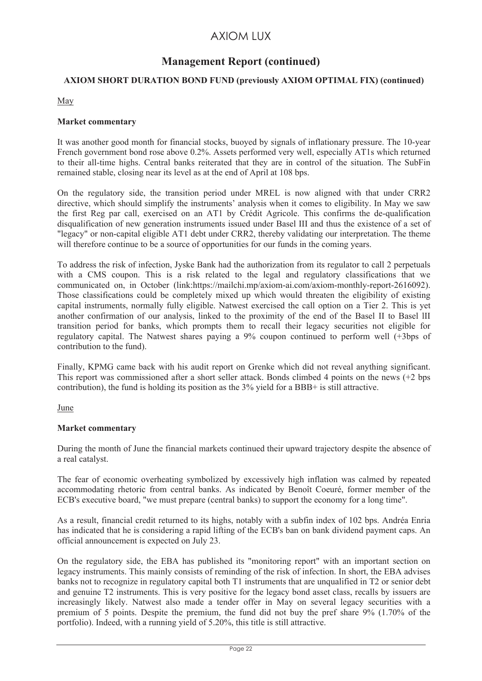## **Management Report (continued)**

## **AXIOM SHORT DURATION BOND FUND (previously AXIOM OPTIMAL FIX) (continued)**

## May

## **Market commentary**

It was another good month for financial stocks, buoyed by signals of inflationary pressure. The 10-year French government bond rose above 0.2%. Assets performed very well, especially AT1s which returned to their all-time highs. Central banks reiterated that they are in control of the situation. The SubFin remained stable, closing near its level as at the end of April at 108 bps.

On the regulatory side, the transition period under MREL is now aligned with that under CRR2 directive, which should simplify the instruments' analysis when it comes to eligibility. In May we saw the first Reg par call, exercised on an AT1 by Crédit Agricole. This confirms the de-qualification disqualification of new generation instruments issued under Basel III and thus the existence of a set of "legacy" or non-capital eligible AT1 debt under CRR2, thereby validating our interpretation. The theme will therefore continue to be a source of opportunities for our funds in the coming years.

To address the risk of infection, Jyske Bank had the authorization from its regulator to call 2 perpetuals with a CMS coupon. This is a risk related to the legal and regulatory classifications that we communicated on, in October (link:https://mailchi.mp/axiom-ai.com/axiom-monthly-report-2616092). Those classifications could be completely mixed up which would threaten the eligibility of existing capital instruments, normally fully eligible. Natwest exercised the call option on a Tier 2. This is yet another confirmation of our analysis, linked to the proximity of the end of the Basel II to Basel lII transition period for banks, which prompts them to recall their legacy securities not eligible for regulatory capital. The Natwest shares paying a 9% coupon continued to perform well (+3bps of contribution to the fund).

Finally, KPMG came back with his audit report on Grenke which did not reveal anything significant. This report was commissioned after a short seller attack. Bonds climbed 4 points on the news (+2 bps contribution), the fund is holding its position as the 3% yield for a BBB+ is still attractive.

#### June

## **Market commentary**

During the month of June the financial markets continued their upward trajectory despite the absence of a real catalyst.

The fear of economic overheating symbolized by excessively high inflation was calmed by repeated accommodating rhetoric from central banks. As indicated by Benoît Coeuré, former member of the ECB's executive board, "we must prepare (central banks) to support the economy for a long time".

As a result, financial credit returned to its highs, notably with a subfin index of 102 bps. Andréa Enria has indicated that he is considering a rapid lifting of the ECB's ban on bank dividend payment caps. An official announcement is expected on July 23.

On the regulatory side, the EBA has published its "monitoring report" with an important section on legacy instruments. This mainly consists of reminding of the risk of infection. In short, the EBA advises banks not to recognize in regulatory capital both T1 instruments that are unqualified in T2 or senior debt and genuine T2 instruments. This is very positive for the legacy bond asset class, recalls by issuers are increasingly likely. Natwest also made a tender offer in May on several legacy securities with a premium of 5 points. Despite the premium, the fund did not buy the pref share 9% (1.70% of the portfolio). Indeed, with a running yield of 5.20%, this title is still attractive.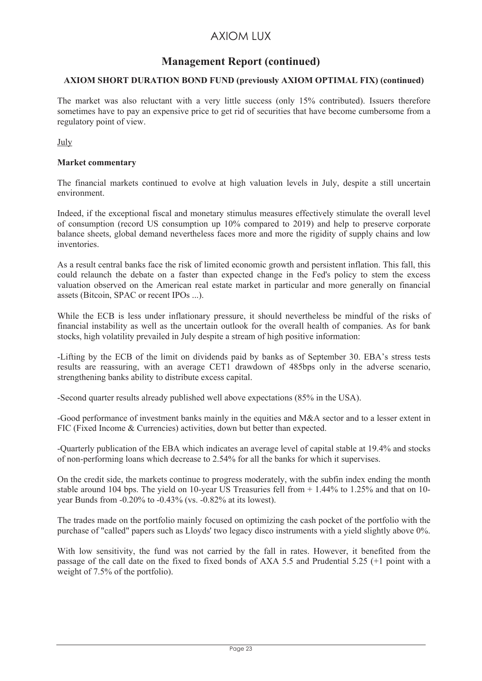# **Management Report (continued)**

## **AXIOM SHORT DURATION BOND FUND (previously AXIOM OPTIMAL FIX) (continued)**

The market was also reluctant with a very little success (only 15% contributed). Issuers therefore sometimes have to pay an expensive price to get rid of securities that have become cumbersome from a regulatory point of view.

July

#### **Market commentary**

The financial markets continued to evolve at high valuation levels in July, despite a still uncertain environment.

Indeed, if the exceptional fiscal and monetary stimulus measures effectively stimulate the overall level of consumption (record US consumption up 10% compared to 2019) and help to preserve corporate balance sheets, global demand nevertheless faces more and more the rigidity of supply chains and low *inventories* 

As a result central banks face the risk of limited economic growth and persistent inflation. This fall, this could relaunch the debate on a faster than expected change in the Fed's policy to stem the excess valuation observed on the American real estate market in particular and more generally on financial assets (Bitcoin, SPAC or recent IPOs ...).

While the ECB is less under inflationary pressure, it should nevertheless be mindful of the risks of financial instability as well as the uncertain outlook for the overall health of companies. As for bank stocks, high volatility prevailed in July despite a stream of high positive information:

-Lifting by the ECB of the limit on dividends paid by banks as of September 30. EBA's stress tests results are reassuring, with an average CET1 drawdown of 485bps only in the adverse scenario, strengthening banks ability to distribute excess capital.

-Second quarter results already published well above expectations (85% in the USA).

-Good performance of investment banks mainly in the equities and M&A sector and to a lesser extent in FIC (Fixed Income & Currencies) activities, down but better than expected.

-Quarterly publication of the EBA which indicates an average level of capital stable at 19.4% and stocks of non-performing loans which decrease to 2.54% for all the banks for which it supervises.

On the credit side, the markets continue to progress moderately, with the subfin index ending the month stable around 104 bps. The yield on 10-year US Treasuries fell from + 1.44% to 1.25% and that on 10 year Bunds from -0.20% to -0.43% (vs. -0.82% at its lowest).

The trades made on the portfolio mainly focused on optimizing the cash pocket of the portfolio with the purchase of "called" papers such as Lloyds' two legacy disco instruments with a yield slightly above 0%.

With low sensitivity, the fund was not carried by the fall in rates. However, it benefited from the passage of the call date on the fixed to fixed bonds of AXA 5.5 and Prudential 5.25 (+1 point with a weight of 7.5% of the portfolio).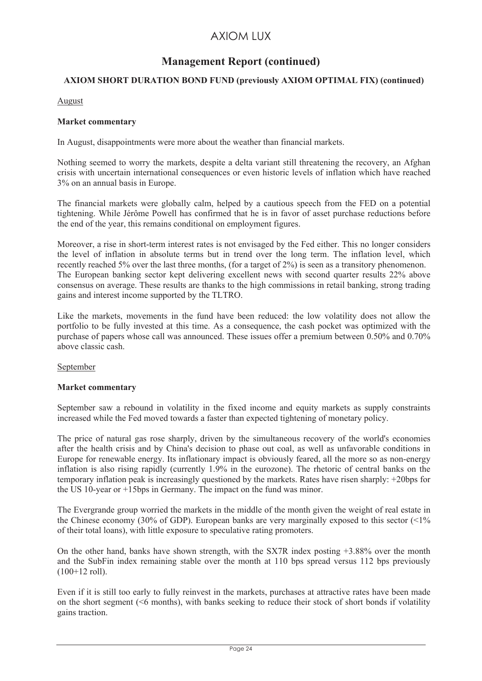# **Management Report (continued)**

## **AXIOM SHORT DURATION BOND FUND (previously AXIOM OPTIMAL FIX) (continued)**

#### August

#### **Market commentary**

In August, disappointments were more about the weather than financial markets.

Nothing seemed to worry the markets, despite a delta variant still threatening the recovery, an Afghan crisis with uncertain international consequences or even historic levels of inflation which have reached 3% on an annual basis in Europe.

The financial markets were globally calm, helped by a cautious speech from the FED on a potential tightening. While Jérôme Powell has confirmed that he is in favor of asset purchase reductions before the end of the year, this remains conditional on employment figures.

Moreover, a rise in short-term interest rates is not envisaged by the Fed either. This no longer considers the level of inflation in absolute terms but in trend over the long term. The inflation level, which recently reached 5% over the last three months, (for a target of 2%) is seen as a transitory phenomenon. The European banking sector kept delivering excellent news with second quarter results 22% above consensus on average. These results are thanks to the high commissions in retail banking, strong trading gains and interest income supported by the TLTRO.

Like the markets, movements in the fund have been reduced: the low volatility does not allow the portfolio to be fully invested at this time. As a consequence, the cash pocket was optimized with the purchase of papers whose call was announced. These issues offer a premium between 0.50% and 0.70% above classic cash.

#### September

#### **Market commentary**

September saw a rebound in volatility in the fixed income and equity markets as supply constraints increased while the Fed moved towards a faster than expected tightening of monetary policy.

The price of natural gas rose sharply, driven by the simultaneous recovery of the world's economies after the health crisis and by China's decision to phase out coal, as well as unfavorable conditions in Europe for renewable energy. Its inflationary impact is obviously feared, all the more so as non-energy inflation is also rising rapidly (currently 1.9% in the eurozone). The rhetoric of central banks on the temporary inflation peak is increasingly questioned by the markets. Rates have risen sharply: +20bps for the US 10-year or +15bps in Germany. The impact on the fund was minor.

The Evergrande group worried the markets in the middle of the month given the weight of real estate in the Chinese economy (30% of GDP). European banks are very marginally exposed to this sector  $\left($  <1% of their total loans), with little exposure to speculative rating promoters.

On the other hand, banks have shown strength, with the SX7R index posting +3.88% over the month and the SubFin index remaining stable over the month at 110 bps spread versus 112 bps previously (100+12 roll).

Even if it is still too early to fully reinvest in the markets, purchases at attractive rates have been made on the short segment (<6 months), with banks seeking to reduce their stock of short bonds if volatility gains traction.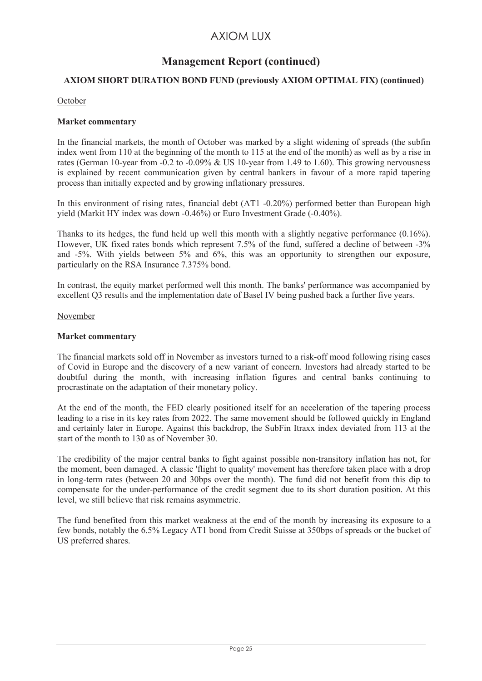# **Management Report (continued)**

## **AXIOM SHORT DURATION BOND FUND (previously AXIOM OPTIMAL FIX) (continued)**

#### October

#### **Market commentary**

In the financial markets, the month of October was marked by a slight widening of spreads (the subfin index went from 110 at the beginning of the month to 115 at the end of the month) as well as by a rise in rates (German 10-year from -0.2 to -0.09% & US 10-year from 1.49 to 1.60). This growing nervousness is explained by recent communication given by central bankers in favour of a more rapid tapering process than initially expected and by growing inflationary pressures.

In this environment of rising rates, financial debt (AT1 -0.20%) performed better than European high yield (Markit HY index was down -0.46%) or Euro Investment Grade (-0.40%).

Thanks to its hedges, the fund held up well this month with a slightly negative performance (0.16%). However, UK fixed rates bonds which represent 7.5% of the fund, suffered a decline of between -3% and -5%. With yields between 5% and 6%, this was an opportunity to strengthen our exposure, particularly on the RSA Insurance 7.375% bond.

In contrast, the equity market performed well this month. The banks' performance was accompanied by excellent Q3 results and the implementation date of Basel IV being pushed back a further five years.

#### November

#### **Market commentary**

The financial markets sold off in November as investors turned to a risk-off mood following rising cases of Covid in Europe and the discovery of a new variant of concern. Investors had already started to be doubtful during the month, with increasing inflation figures and central banks continuing to procrastinate on the adaptation of their monetary policy.

At the end of the month, the FED clearly positioned itself for an acceleration of the tapering process leading to a rise in its key rates from 2022. The same movement should be followed quickly in England and certainly later in Europe. Against this backdrop, the SubFin Itraxx index deviated from 113 at the start of the month to 130 as of November 30.

The credibility of the major central banks to fight against possible non-transitory inflation has not, for the moment, been damaged. A classic 'flight to quality' movement has therefore taken place with a drop in long-term rates (between 20 and 30bps over the month). The fund did not benefit from this dip to compensate for the under-performance of the credit segment due to its short duration position. At this level, we still believe that risk remains asymmetric.

The fund benefited from this market weakness at the end of the month by increasing its exposure to a few bonds, notably the 6.5% Legacy AT1 bond from Credit Suisse at 350bps of spreads or the bucket of US preferred shares.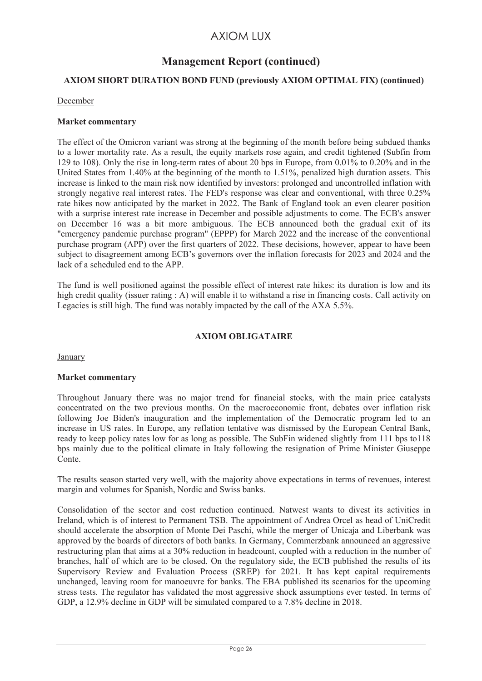## **Management Report (continued)**

## **AXIOM SHORT DURATION BOND FUND (previously AXIOM OPTIMAL FIX) (continued)**

#### December

#### **Market commentary**

The effect of the Omicron variant was strong at the beginning of the month before being subdued thanks to a lower mortality rate. As a result, the equity markets rose again, and credit tightened (Subfin from 129 to 108). Only the rise in long-term rates of about 20 bps in Europe, from 0.01% to 0.20% and in the United States from 1.40% at the beginning of the month to 1.51%, penalized high duration assets. This increase is linked to the main risk now identified by investors: prolonged and uncontrolled inflation with strongly negative real interest rates. The FED's response was clear and conventional, with three 0.25% rate hikes now anticipated by the market in 2022. The Bank of England took an even clearer position with a surprise interest rate increase in December and possible adjustments to come. The ECB's answer on December 16 was a bit more ambiguous. The ECB announced both the gradual exit of its "emergency pandemic purchase program" (EPPP) for March 2022 and the increase of the conventional purchase program (APP) over the first quarters of 2022. These decisions, however, appear to have been subject to disagreement among ECB's governors over the inflation forecasts for 2023 and 2024 and the lack of a scheduled end to the APP.

The fund is well positioned against the possible effect of interest rate hikes: its duration is low and its high credit quality (issuer rating : A) will enable it to withstand a rise in financing costs. Call activity on Legacies is still high. The fund was notably impacted by the call of the AXA 5.5%.

## **AXIOM OBLIGATAIRE**

**January** 

#### **Market commentary**

Throughout January there was no major trend for financial stocks, with the main price catalysts concentrated on the two previous months. On the macroeconomic front, debates over inflation risk following Joe Biden's inauguration and the implementation of the Democratic program led to an increase in US rates. In Europe, any reflation tentative was dismissed by the European Central Bank, ready to keep policy rates low for as long as possible. The SubFin widened slightly from 111 bps to118 bps mainly due to the political climate in Italy following the resignation of Prime Minister Giuseppe Conte.

The results season started very well, with the majority above expectations in terms of revenues, interest margin and volumes for Spanish, Nordic and Swiss banks.

Consolidation of the sector and cost reduction continued. Natwest wants to divest its activities in Ireland, which is of interest to Permanent TSB. The appointment of Andrea Orcel as head of UniCredit should accelerate the absorption of Monte Dei Paschi, while the merger of Unicaja and Liberbank was approved by the boards of directors of both banks. In Germany, Commerzbank announced an aggressive restructuring plan that aims at a 30% reduction in headcount, coupled with a reduction in the number of branches, half of which are to be closed. On the regulatory side, the ECB published the results of its Supervisory Review and Evaluation Process (SREP) for 2021. It has kept capital requirements unchanged, leaving room for manoeuvre for banks. The EBA published its scenarios for the upcoming stress tests. The regulator has validated the most aggressive shock assumptions ever tested. In terms of GDP, a 12.9% decline in GDP will be simulated compared to a 7.8% decline in 2018.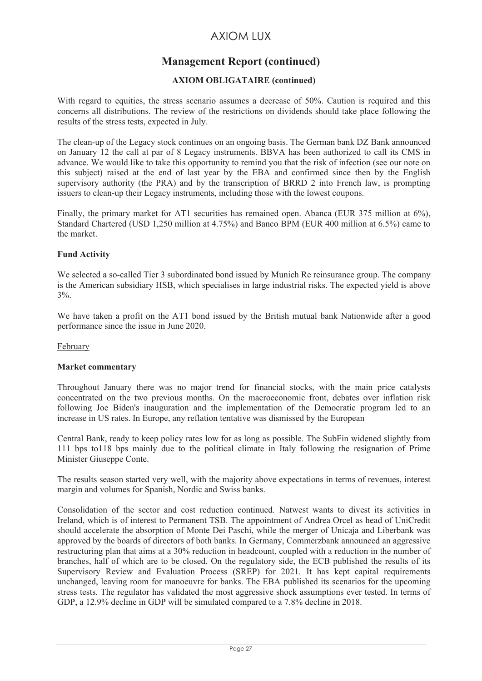# **Management Report (continued)**

## **AXIOM OBLIGATAIRE (continued)**

With regard to equities, the stress scenario assumes a decrease of 50%. Caution is required and this concerns all distributions. The review of the restrictions on dividends should take place following the results of the stress tests, expected in July.

The clean-up of the Legacy stock continues on an ongoing basis. The German bank DZ Bank announced on January 12 the call at par of 8 Legacy instruments. BBVA has been authorized to call its CMS in advance. We would like to take this opportunity to remind you that the risk of infection (see our note on this subject) raised at the end of last year by the EBA and confirmed since then by the English supervisory authority (the PRA) and by the transcription of BRRD 2 into French law, is prompting issuers to clean-up their Legacy instruments, including those with the lowest coupons.

Finally, the primary market for AT1 securities has remained open. Abanca (EUR 375 million at 6%), Standard Chartered (USD 1,250 million at 4.75%) and Banco BPM (EUR 400 million at 6.5%) came to the market.

## **Fund Activity**

We selected a so-called Tier 3 subordinated bond issued by Munich Re reinsurance group. The company is the American subsidiary HSB, which specialises in large industrial risks. The expected yield is above 3%.

We have taken a profit on the AT1 bond issued by the British mutual bank Nationwide after a good performance since the issue in June 2020.

#### February

#### **Market commentary**

Throughout January there was no major trend for financial stocks, with the main price catalysts concentrated on the two previous months. On the macroeconomic front, debates over inflation risk following Joe Biden's inauguration and the implementation of the Democratic program led to an increase in US rates. In Europe, any reflation tentative was dismissed by the European

Central Bank, ready to keep policy rates low for as long as possible. The SubFin widened slightly from 111 bps to118 bps mainly due to the political climate in Italy following the resignation of Prime Minister Giuseppe Conte.

The results season started very well, with the majority above expectations in terms of revenues, interest margin and volumes for Spanish, Nordic and Swiss banks.

Consolidation of the sector and cost reduction continued. Natwest wants to divest its activities in Ireland, which is of interest to Permanent TSB. The appointment of Andrea Orcel as head of UniCredit should accelerate the absorption of Monte Dei Paschi, while the merger of Unicaja and Liberbank was approved by the boards of directors of both banks. In Germany, Commerzbank announced an aggressive restructuring plan that aims at a 30% reduction in headcount, coupled with a reduction in the number of branches, half of which are to be closed. On the regulatory side, the ECB published the results of its Supervisory Review and Evaluation Process (SREP) for 2021. It has kept capital requirements unchanged, leaving room for manoeuvre for banks. The EBA published its scenarios for the upcoming stress tests. The regulator has validated the most aggressive shock assumptions ever tested. In terms of GDP, a 12.9% decline in GDP will be simulated compared to a 7.8% decline in 2018.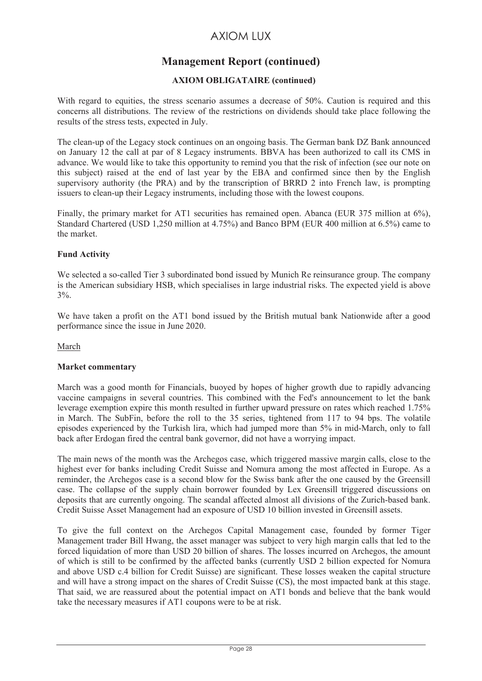# **Management Report (continued)**

## **AXIOM OBLIGATAIRE (continued)**

With regard to equities, the stress scenario assumes a decrease of 50%. Caution is required and this concerns all distributions. The review of the restrictions on dividends should take place following the results of the stress tests, expected in July.

The clean-up of the Legacy stock continues on an ongoing basis. The German bank DZ Bank announced on January 12 the call at par of 8 Legacy instruments. BBVA has been authorized to call its CMS in advance. We would like to take this opportunity to remind you that the risk of infection (see our note on this subject) raised at the end of last year by the EBA and confirmed since then by the English supervisory authority (the PRA) and by the transcription of BRRD 2 into French law, is prompting issuers to clean-up their Legacy instruments, including those with the lowest coupons.

Finally, the primary market for AT1 securities has remained open. Abanca (EUR 375 million at 6%), Standard Chartered (USD 1,250 million at 4.75%) and Banco BPM (EUR 400 million at 6.5%) came to the market.

## **Fund Activity**

We selected a so-called Tier 3 subordinated bond issued by Munich Re reinsurance group. The company is the American subsidiary HSB, which specialises in large industrial risks. The expected yield is above 3%.

We have taken a profit on the AT1 bond issued by the British mutual bank Nationwide after a good performance since the issue in June 2020.

March

#### **Market commentary**

March was a good month for Financials, buoyed by hopes of higher growth due to rapidly advancing vaccine campaigns in several countries. This combined with the Fed's announcement to let the bank leverage exemption expire this month resulted in further upward pressure on rates which reached 1.75% in March. The SubFin, before the roll to the 35 series, tightened from 117 to 94 bps. The volatile episodes experienced by the Turkish lira, which had jumped more than 5% in mid-March, only to fall back after Erdogan fired the central bank governor, did not have a worrying impact.

The main news of the month was the Archegos case, which triggered massive margin calls, close to the highest ever for banks including Credit Suisse and Nomura among the most affected in Europe. As a reminder, the Archegos case is a second blow for the Swiss bank after the one caused by the Greensill case. The collapse of the supply chain borrower founded by Lex Greensill triggered discussions on deposits that are currently ongoing. The scandal affected almost all divisions of the Zurich-based bank. Credit Suisse Asset Management had an exposure of USD 10 billion invested in Greensill assets.

To give the full context on the Archegos Capital Management case, founded by former Tiger Management trader Bill Hwang, the asset manager was subject to very high margin calls that led to the forced liquidation of more than USD 20 billion of shares. The losses incurred on Archegos, the amount of which is still to be confirmed by the affected banks (currently USD 2 billion expected for Nomura and above USD c.4 billion for Credit Suisse) are significant. These losses weaken the capital structure and will have a strong impact on the shares of Credit Suisse (CS), the most impacted bank at this stage. That said, we are reassured about the potential impact on AT1 bonds and believe that the bank would take the necessary measures if AT1 coupons were to be at risk.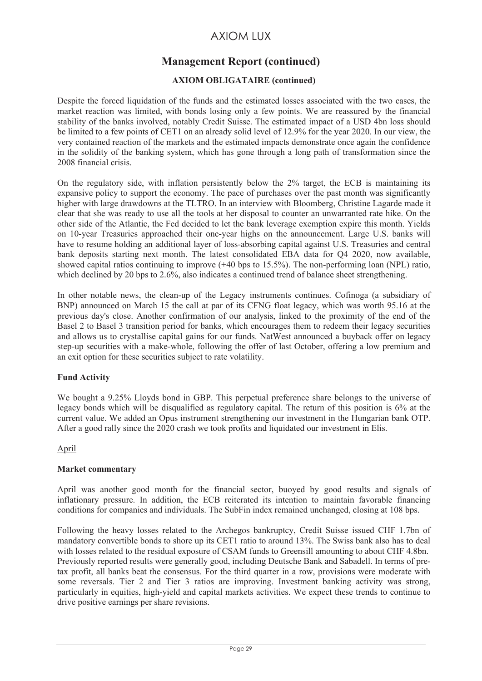# **Management Report (continued)**

## **AXIOM OBLIGATAIRE (continued)**

Despite the forced liquidation of the funds and the estimated losses associated with the two cases, the market reaction was limited, with bonds losing only a few points. We are reassured by the financial stability of the banks involved, notably Credit Suisse. The estimated impact of a USD 4bn loss should be limited to a few points of CET1 on an already solid level of 12.9% for the year 2020. In our view, the very contained reaction of the markets and the estimated impacts demonstrate once again the confidence in the solidity of the banking system, which has gone through a long path of transformation since the 2008 financial crisis.

On the regulatory side, with inflation persistently below the 2% target, the ECB is maintaining its expansive policy to support the economy. The pace of purchases over the past month was significantly higher with large drawdowns at the TLTRO. In an interview with Bloomberg, Christine Lagarde made it clear that she was ready to use all the tools at her disposal to counter an unwarranted rate hike. On the other side of the Atlantic, the Fed decided to let the bank leverage exemption expire this month. Yields on 10-year Treasuries approached their one-year highs on the announcement. Large U.S. banks will have to resume holding an additional layer of loss-absorbing capital against U.S. Treasuries and central bank deposits starting next month. The latest consolidated EBA data for Q4 2020, now available, showed capital ratios continuing to improve (+40 bps to 15.5%). The non-performing loan (NPL) ratio, which declined by 20 bps to 2.6%, also indicates a continued trend of balance sheet strengthening.

In other notable news, the clean-up of the Legacy instruments continues. Cofinoga (a subsidiary of BNP) announced on March 15 the call at par of its CFNG float legacy, which was worth 95.16 at the previous day's close. Another confirmation of our analysis, linked to the proximity of the end of the Basel 2 to Basel 3 transition period for banks, which encourages them to redeem their legacy securities and allows us to crystallise capital gains for our funds. NatWest announced a buyback offer on legacy step-up securities with a make-whole, following the offer of last October, offering a low premium and an exit option for these securities subject to rate volatility.

## **Fund Activity**

We bought a 9.25% Lloyds bond in GBP. This perpetual preference share belongs to the universe of legacy bonds which will be disqualified as regulatory capital. The return of this position is 6% at the current value. We added an Opus instrument strengthening our investment in the Hungarian bank OTP. After a good rally since the 2020 crash we took profits and liquidated our investment in Elis.

## April

#### **Market commentary**

April was another good month for the financial sector, buoyed by good results and signals of inflationary pressure. In addition, the ECB reiterated its intention to maintain favorable financing conditions for companies and individuals. The SubFin index remained unchanged, closing at 108 bps.

Following the heavy losses related to the Archegos bankruptcy, Credit Suisse issued CHF 1.7bn of mandatory convertible bonds to shore up its CET1 ratio to around 13%. The Swiss bank also has to deal with losses related to the residual exposure of CSAM funds to Greensill amounting to about CHF 4.8bn. Previously reported results were generally good, including Deutsche Bank and Sabadell. In terms of pretax profit, all banks beat the consensus. For the third quarter in a row, provisions were moderate with some reversals. Tier 2 and Tier 3 ratios are improving. Investment banking activity was strong, particularly in equities, high-yield and capital markets activities. We expect these trends to continue to drive positive earnings per share revisions.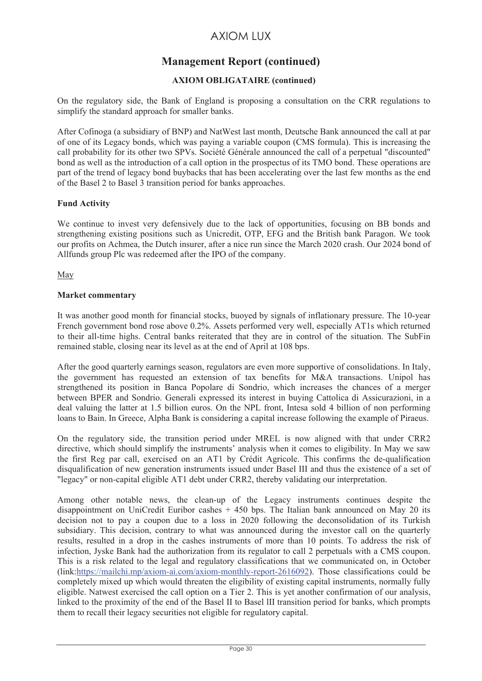# **Management Report (continued)**

## **AXIOM OBLIGATAIRE (continued)**

On the regulatory side, the Bank of England is proposing a consultation on the CRR regulations to simplify the standard approach for smaller banks.

After Cofinoga (a subsidiary of BNP) and NatWest last month, Deutsche Bank announced the call at par of one of its Legacy bonds, which was paying a variable coupon (CMS formula). This is increasing the call probability for its other two SPVs. Société Générale announced the call of a perpetual "discounted" bond as well as the introduction of a call option in the prospectus of its TMO bond. These operations are part of the trend of legacy bond buybacks that has been accelerating over the last few months as the end of the Basel 2 to Basel 3 transition period for banks approaches.

## **Fund Activity**

We continue to invest very defensively due to the lack of opportunities, focusing on BB bonds and strengthening existing positions such as Unicredit, OTP, EFG and the British bank Paragon. We took our profits on Achmea, the Dutch insurer, after a nice run since the March 2020 crash. Our 2024 bond of Allfunds group Plc was redeemed after the IPO of the company.

May

#### **Market commentary**

It was another good month for financial stocks, buoyed by signals of inflationary pressure. The 10-year French government bond rose above 0.2%. Assets performed very well, especially AT1s which returned to their all-time highs. Central banks reiterated that they are in control of the situation. The SubFin remained stable, closing near its level as at the end of April at 108 bps.

After the good quarterly earnings season, regulators are even more supportive of consolidations. In Italy, the government has requested an extension of tax benefits for M&A transactions. Unipol has strengthened its position in Banca Popolare di Sondrio, which increases the chances of a merger between BPER and Sondrio. Generali expressed its interest in buying Cattolica di Assicurazioni, in a deal valuing the latter at 1.5 billion euros. On the NPL front, Intesa sold 4 billion of non performing loans to Bain. In Greece, Alpha Bank is considering a capital increase following the example of Piraeus.

On the regulatory side, the transition period under MREL is now aligned with that under CRR2 directive, which should simplify the instruments' analysis when it comes to eligibility. In May we saw the first Reg par call, exercised on an AT1 by Crédit Agricole. This confirms the de-qualification disqualification of new generation instruments issued under Basel III and thus the existence of a set of "legacy" or non-capital eligible AT1 debt under CRR2, thereby validating our interpretation.

Among other notable news, the clean-up of the Legacy instruments continues despite the disappointment on UniCredit Euribor cashes  $+450$  bps. The Italian bank announced on May 20 its decision not to pay a coupon due to a loss in 2020 following the deconsolidation of its Turkish subsidiary. This decision, contrary to what was announced during the investor call on the quarterly results, resulted in a drop in the cashes instruments of more than 10 points. To address the risk of infection, Jyske Bank had the authorization from its regulator to call 2 perpetuals with a CMS coupon. This is a risk related to the legal and regulatory classifications that we communicated on, in October (link:https://mailchi.mp/axiom-ai.com/axiom-monthly-report-2616092). Those classifications could be completely mixed up which would threaten the eligibility of existing capital instruments, normally fully eligible. Natwest exercised the call option on a Tier 2. This is yet another confirmation of our analysis, linked to the proximity of the end of the Basel II to Basel lII transition period for banks, which prompts them to recall their legacy securities not eligible for regulatory capital.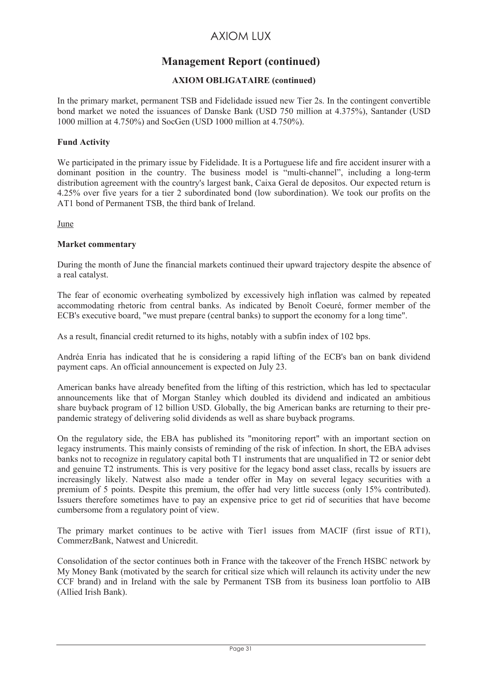# **Management Report (continued)**

## **AXIOM OBLIGATAIRE (continued)**

In the primary market, permanent TSB and Fidelidade issued new Tier 2s. In the contingent convertible bond market we noted the issuances of Danske Bank (USD 750 million at 4.375%), Santander (USD 1000 million at 4.750%) and SocGen (USD 1000 million at 4.750%).

#### **Fund Activity**

We participated in the primary issue by Fidelidade. It is a Portuguese life and fire accident insurer with a dominant position in the country. The business model is "multi-channel", including a long-term distribution agreement with the country's largest bank, Caixa Geral de depositos. Our expected return is 4.25% over five years for a tier 2 subordinated bond (low subordination). We took our profits on the AT1 bond of Permanent TSB, the third bank of Ireland.

**June** 

#### **Market commentary**

During the month of June the financial markets continued their upward trajectory despite the absence of a real catalyst.

The fear of economic overheating symbolized by excessively high inflation was calmed by repeated accommodating rhetoric from central banks. As indicated by Benoît Coeuré, former member of the ECB's executive board, "we must prepare (central banks) to support the economy for a long time".

As a result, financial credit returned to its highs, notably with a subfin index of 102 bps.

Andréa Enria has indicated that he is considering a rapid lifting of the ECB's ban on bank dividend payment caps. An official announcement is expected on July 23.

American banks have already benefited from the lifting of this restriction, which has led to spectacular announcements like that of Morgan Stanley which doubled its dividend and indicated an ambitious share buyback program of 12 billion USD. Globally, the big American banks are returning to their prepandemic strategy of delivering solid dividends as well as share buyback programs.

On the regulatory side, the EBA has published its "monitoring report" with an important section on legacy instruments. This mainly consists of reminding of the risk of infection. In short, the EBA advises banks not to recognize in regulatory capital both T1 instruments that are unqualified in T2 or senior debt and genuine T2 instruments. This is very positive for the legacy bond asset class, recalls by issuers are increasingly likely. Natwest also made a tender offer in May on several legacy securities with a premium of 5 points. Despite this premium, the offer had very little success (only 15% contributed). Issuers therefore sometimes have to pay an expensive price to get rid of securities that have become cumbersome from a regulatory point of view.

The primary market continues to be active with Tier1 issues from MACIF (first issue of RT1), CommerzBank, Natwest and Unicredit.

Consolidation of the sector continues both in France with the takeover of the French HSBC network by My Money Bank (motivated by the search for critical size which will relaunch its activity under the new CCF brand) and in Ireland with the sale by Permanent TSB from its business loan portfolio to AIB (Allied Irish Bank).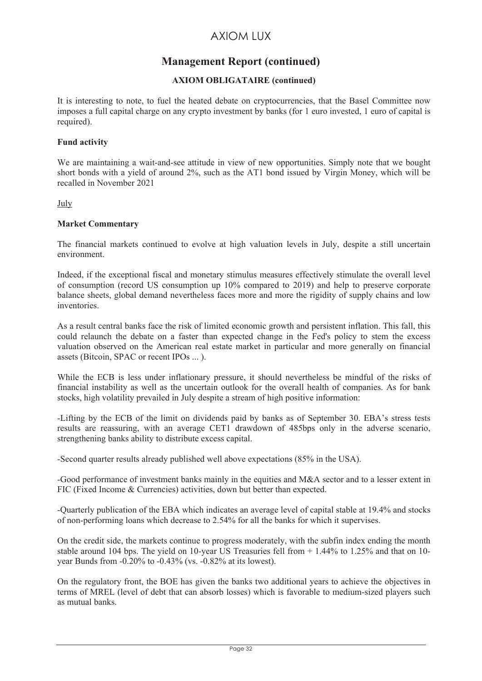# **Management Report (continued)**

## **AXIOM OBLIGATAIRE (continued)**

It is interesting to note, to fuel the heated debate on cryptocurrencies, that the Basel Committee now imposes a full capital charge on any crypto investment by banks (for 1 euro invested, 1 euro of capital is required).

#### **Fund activity**

We are maintaining a wait-and-see attitude in view of new opportunities. Simply note that we bought short bonds with a yield of around 2%, such as the AT1 bond issued by Virgin Money, which will be recalled in November 2021

#### July

## **Market Commentary**

The financial markets continued to evolve at high valuation levels in July, despite a still uncertain environment.

Indeed, if the exceptional fiscal and monetary stimulus measures effectively stimulate the overall level of consumption (record US consumption up 10% compared to 2019) and help to preserve corporate balance sheets, global demand nevertheless faces more and more the rigidity of supply chains and low inventories.

As a result central banks face the risk of limited economic growth and persistent inflation. This fall, this could relaunch the debate on a faster than expected change in the Fed's policy to stem the excess valuation observed on the American real estate market in particular and more generally on financial assets (Bitcoin, SPAC or recent IPOs ... ).

While the ECB is less under inflationary pressure, it should nevertheless be mindful of the risks of financial instability as well as the uncertain outlook for the overall health of companies. As for bank stocks, high volatility prevailed in July despite a stream of high positive information:

-Lifting by the ECB of the limit on dividends paid by banks as of September 30. EBA's stress tests results are reassuring, with an average CET1 drawdown of 485bps only in the adverse scenario, strengthening banks ability to distribute excess capital.

-Second quarter results already published well above expectations (85% in the USA).

-Good performance of investment banks mainly in the equities and M&A sector and to a lesser extent in FIC (Fixed Income & Currencies) activities, down but better than expected.

-Quarterly publication of the EBA which indicates an average level of capital stable at 19.4% and stocks of non-performing loans which decrease to 2.54% for all the banks for which it supervises.

On the credit side, the markets continue to progress moderately, with the subfin index ending the month stable around 104 bps. The yield on 10-year US Treasuries fell from + 1.44% to 1.25% and that on 10 year Bunds from -0.20% to -0.43% (vs. -0.82% at its lowest).

On the regulatory front, the BOE has given the banks two additional years to achieve the objectives in terms of MREL (level of debt that can absorb losses) which is favorable to medium-sized players such as mutual banks.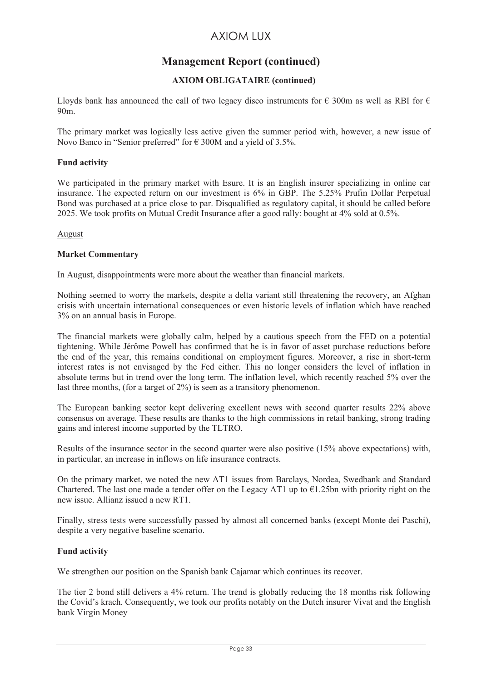# **Management Report (continued)**

## **AXIOM OBLIGATAIRE (continued)**

Lloyds bank has announced the call of two legacy disco instruments for  $\epsilon$  300m as well as RBI for  $\epsilon$ 90m.

The primary market was logically less active given the summer period with, however, a new issue of Novo Banco in "Senior preferred" for  $\epsilon$  300M and a yield of 3.5%.

#### **Fund activity**

We participated in the primary market with Esure. It is an English insurer specializing in online car insurance. The expected return on our investment is 6% in GBP. The 5.25% Prufin Dollar Perpetual Bond was purchased at a price close to par. Disqualified as regulatory capital, it should be called before 2025. We took profits on Mutual Credit Insurance after a good rally: bought at 4% sold at 0.5%.

#### August

#### **Market Commentary**

In August, disappointments were more about the weather than financial markets.

Nothing seemed to worry the markets, despite a delta variant still threatening the recovery, an Afghan crisis with uncertain international consequences or even historic levels of inflation which have reached 3% on an annual basis in Europe.

The financial markets were globally calm, helped by a cautious speech from the FED on a potential tightening. While Jérôme Powell has confirmed that he is in favor of asset purchase reductions before the end of the year, this remains conditional on employment figures. Moreover, a rise in short-term interest rates is not envisaged by the Fed either. This no longer considers the level of inflation in absolute terms but in trend over the long term. The inflation level, which recently reached 5% over the last three months, (for a target of 2%) is seen as a transitory phenomenon.

The European banking sector kept delivering excellent news with second quarter results 22% above consensus on average. These results are thanks to the high commissions in retail banking, strong trading gains and interest income supported by the TLTRO.

Results of the insurance sector in the second quarter were also positive (15% above expectations) with, in particular, an increase in inflows on life insurance contracts.

On the primary market, we noted the new AT1 issues from Barclays, Nordea, Swedbank and Standard Chartered. The last one made a tender offer on the Legacy AT1 up to  $\epsilon$ 1.25bn with priority right on the new issue. Allianz issued a new RT1.

Finally, stress tests were successfully passed by almost all concerned banks (except Monte dei Paschi), despite a very negative baseline scenario.

## **Fund activity**

We strengthen our position on the Spanish bank Cajamar which continues its recover.

The tier 2 bond still delivers a 4% return. The trend is globally reducing the 18 months risk following the Covid's krach. Consequently, we took our profits notably on the Dutch insurer Vivat and the English bank Virgin Money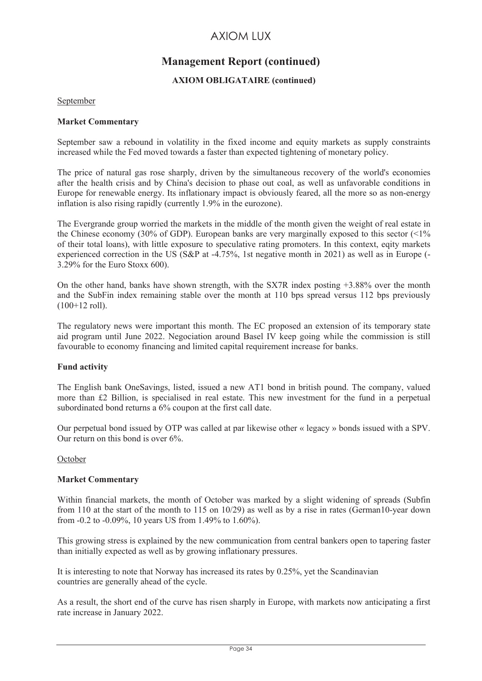# **Management Report (continued)**

## **AXIOM OBLIGATAIRE (continued)**

#### September

#### **Market Commentary**

September saw a rebound in volatility in the fixed income and equity markets as supply constraints increased while the Fed moved towards a faster than expected tightening of monetary policy.

The price of natural gas rose sharply, driven by the simultaneous recovery of the world's economies after the health crisis and by China's decision to phase out coal, as well as unfavorable conditions in Europe for renewable energy. Its inflationary impact is obviously feared, all the more so as non-energy inflation is also rising rapidly (currently 1.9% in the eurozone).

The Evergrande group worried the markets in the middle of the month given the weight of real estate in the Chinese economy (30% of GDP). European banks are very marginally exposed to this sector  $\langle \langle 1 \rangle$ of their total loans), with little exposure to speculative rating promoters. In this context, eqity markets experienced correction in the US (S&P at -4.75%, 1st negative month in 2021) as well as in Europe (- 3.29% for the Euro Stoxx 600).

On the other hand, banks have shown strength, with the SX7R index posting +3.88% over the month and the SubFin index remaining stable over the month at 110 bps spread versus 112 bps previously (100+12 roll).

The regulatory news were important this month. The EC proposed an extension of its temporary state aid program until June 2022. Negociation around Basel IV keep going while the commission is still favourable to economy financing and limited capital requirement increase for banks.

#### **Fund activity**

The English bank OneSavings, listed, issued a new AT1 bond in british pound. The company, valued more than £2 Billion, is specialised in real estate. This new investment for the fund in a perpetual subordinated bond returns a 6% coupon at the first call date.

Our perpetual bond issued by OTP was called at par likewise other « legacy » bonds issued with a SPV. Our return on this bond is over 6%.

#### October

#### **Market Commentary**

Within financial markets, the month of October was marked by a slight widening of spreads (Subfin from 110 at the start of the month to 115 on 10/29) as well as by a rise in rates (German10-year down from -0.2 to -0.09%, 10 years US from 1.49% to 1.60%).

This growing stress is explained by the new communication from central bankers open to tapering faster than initially expected as well as by growing inflationary pressures.

It is interesting to note that Norway has increased its rates by 0.25%, yet the Scandinavian countries are generally ahead of the cycle.

As a result, the short end of the curve has risen sharply in Europe, with markets now anticipating a first rate increase in January 2022.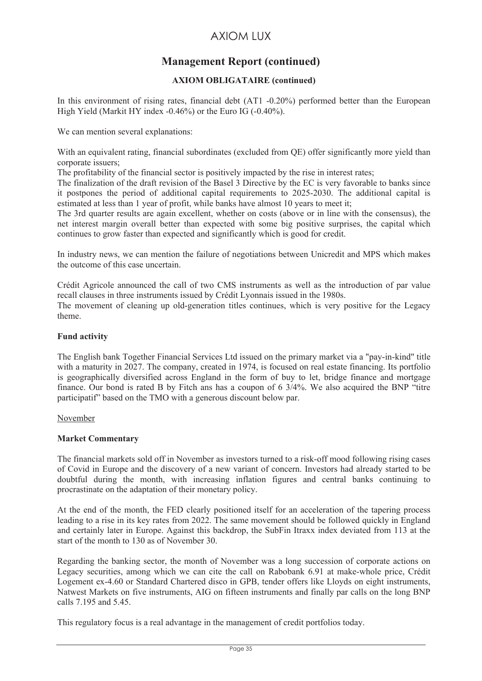# **Management Report (continued)**

## **AXIOM OBLIGATAIRE (continued)**

In this environment of rising rates, financial debt (AT1 -0.20%) performed better than the European High Yield (Markit HY index -0.46%) or the Euro IG (-0.40%).

We can mention several explanations:

With an equivalent rating, financial subordinates (excluded from OE) offer significantly more yield than corporate issuers;

The profitability of the financial sector is positively impacted by the rise in interest rates;

The finalization of the draft revision of the Basel 3 Directive by the EC is very favorable to banks since it postpones the period of additional capital requirements to 2025-2030. The additional capital is estimated at less than 1 year of profit, while banks have almost 10 years to meet it;

The 3rd quarter results are again excellent, whether on costs (above or in line with the consensus), the net interest margin overall better than expected with some big positive surprises, the capital which continues to grow faster than expected and significantly which is good for credit.

In industry news, we can mention the failure of negotiations between Unicredit and MPS which makes the outcome of this case uncertain.

Crédit Agricole announced the call of two CMS instruments as well as the introduction of par value recall clauses in three instruments issued by Crédit Lyonnais issued in the 1980s.

The movement of cleaning up old-generation titles continues, which is very positive for the Legacy theme.

#### **Fund activity**

The English bank Together Financial Services Ltd issued on the primary market via a "pay-in-kind" title with a maturity in 2027. The company, created in 1974, is focused on real estate financing. Its portfolio is geographically diversified across England in the form of buy to let, bridge finance and mortgage finance. Our bond is rated B by Fitch ans has a coupon of 6 3/4%. We also acquired the BNP "titre participatif" based on the TMO with a generous discount below par.

#### November

#### **Market Commentary**

The financial markets sold off in November as investors turned to a risk-off mood following rising cases of Covid in Europe and the discovery of a new variant of concern. Investors had already started to be doubtful during the month, with increasing inflation figures and central banks continuing to procrastinate on the adaptation of their monetary policy.

At the end of the month, the FED clearly positioned itself for an acceleration of the tapering process leading to a rise in its key rates from 2022. The same movement should be followed quickly in England and certainly later in Europe. Against this backdrop, the SubFin Itraxx index deviated from 113 at the start of the month to 130 as of November 30.

Regarding the banking sector, the month of November was a long succession of corporate actions on Legacy securities, among which we can cite the call on Rabobank 6.91 at make-whole price, Crédit Logement ex-4.60 or Standard Chartered disco in GPB, tender offers like Lloyds on eight instruments, Natwest Markets on five instruments, AIG on fifteen instruments and finally par calls on the long BNP calls 7.195 and 5.45.

This regulatory focus is a real advantage in the management of credit portfolios today.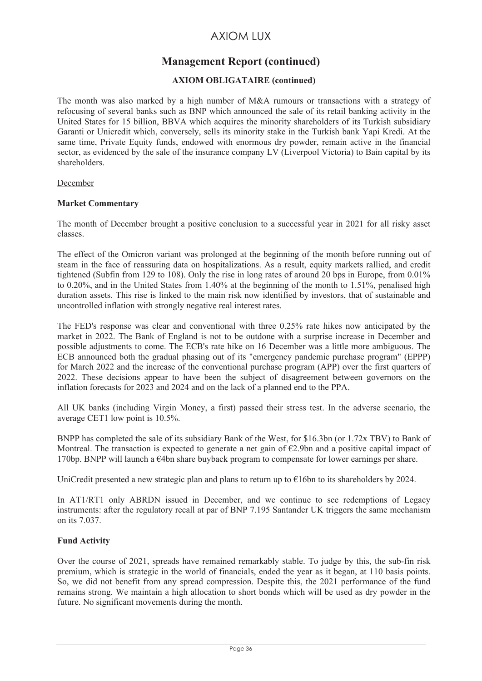# **Management Report (continued)**

## **AXIOM OBLIGATAIRE (continued)**

The month was also marked by a high number of M&A rumours or transactions with a strategy of refocusing of several banks such as BNP which announced the sale of its retail banking activity in the United States for 15 billion, BBVA which acquires the minority shareholders of its Turkish subsidiary Garanti or Unicredit which, conversely, sells its minority stake in the Turkish bank Yapi Kredi. At the same time, Private Equity funds, endowed with enormous dry powder, remain active in the financial sector, as evidenced by the sale of the insurance company LV (Liverpool Victoria) to Bain capital by its shareholders.

#### December

## **Market Commentary**

The month of December brought a positive conclusion to a successful year in 2021 for all risky asset classes.

The effect of the Omicron variant was prolonged at the beginning of the month before running out of steam in the face of reassuring data on hospitalizations. As a result, equity markets rallied, and credit tightened (Subfin from 129 to 108). Only the rise in long rates of around 20 bps in Europe, from 0.01% to 0.20%, and in the United States from 1.40% at the beginning of the month to 1.51%, penalised high duration assets. This rise is linked to the main risk now identified by investors, that of sustainable and uncontrolled inflation with strongly negative real interest rates.

The FED's response was clear and conventional with three 0.25% rate hikes now anticipated by the market in 2022. The Bank of England is not to be outdone with a surprise increase in December and possible adjustments to come. The ECB's rate hike on 16 December was a little more ambiguous. The ECB announced both the gradual phasing out of its "emergency pandemic purchase program" (EPPP) for March 2022 and the increase of the conventional purchase program (APP) over the first quarters of 2022. These decisions appear to have been the subject of disagreement between governors on the inflation forecasts for 2023 and 2024 and on the lack of a planned end to the PPA.

All UK banks (including Virgin Money, a first) passed their stress test. In the adverse scenario, the average CET1 low point is 10.5%.

BNPP has completed the sale of its subsidiary Bank of the West, for \$16.3bn (or 1.72x TBV) to Bank of Montreal. The transaction is expected to generate a net gain of  $E2.9$ bn and a positive capital impact of 170bp. BNPP will launch a €4bn share buyback program to compensate for lower earnings per share.

UniCredit presented a new strategic plan and plans to return up to €16bn to its shareholders by 2024.

In AT1/RT1 only ABRDN issued in December, and we continue to see redemptions of Legacy instruments: after the regulatory recall at par of BNP 7.195 Santander UK triggers the same mechanism on its 7.037.

## **Fund Activity**

Over the course of 2021, spreads have remained remarkably stable. To judge by this, the sub-fin risk premium, which is strategic in the world of financials, ended the year as it began, at 110 basis points. So, we did not benefit from any spread compression. Despite this, the 2021 performance of the fund remains strong. We maintain a high allocation to short bonds which will be used as dry powder in the future. No significant movements during the month.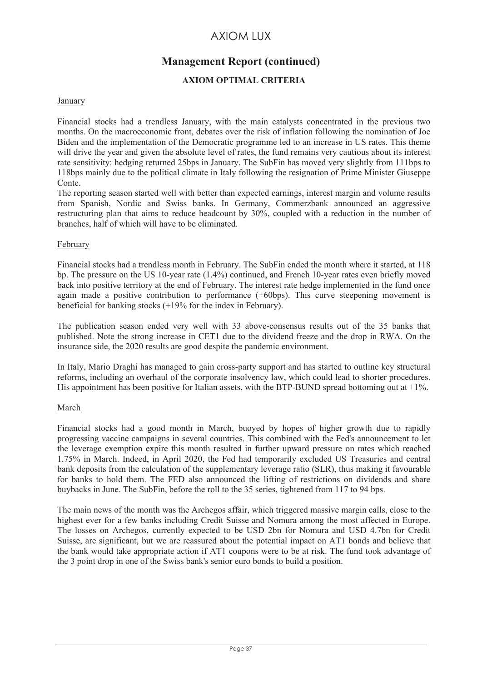# **Management Report (continued)**

### **AXIOM OPTIMAL CRITERIA**

### January

Financial stocks had a trendless January, with the main catalysts concentrated in the previous two months. On the macroeconomic front, debates over the risk of inflation following the nomination of Joe Biden and the implementation of the Democratic programme led to an increase in US rates. This theme will drive the year and given the absolute level of rates, the fund remains very cautious about its interest rate sensitivity: hedging returned 25bps in January. The SubFin has moved very slightly from 111bps to 118bps mainly due to the political climate in Italy following the resignation of Prime Minister Giuseppe Conte.

The reporting season started well with better than expected earnings, interest margin and volume results from Spanish, Nordic and Swiss banks. In Germany, Commerzbank announced an aggressive restructuring plan that aims to reduce headcount by 30%, coupled with a reduction in the number of branches, half of which will have to be eliminated.

### February

Financial stocks had a trendless month in February. The SubFin ended the month where it started, at 118 bp. The pressure on the US 10-year rate (1.4%) continued, and French 10-year rates even briefly moved back into positive territory at the end of February. The interest rate hedge implemented in the fund once again made a positive contribution to performance (+60bps). This curve steepening movement is beneficial for banking stocks (+19% for the index in February).

The publication season ended very well with 33 above-consensus results out of the 35 banks that published. Note the strong increase in CET1 due to the dividend freeze and the drop in RWA. On the insurance side, the 2020 results are good despite the pandemic environment.

In Italy, Mario Draghi has managed to gain cross-party support and has started to outline key structural reforms, including an overhaul of the corporate insolvency law, which could lead to shorter procedures. His appointment has been positive for Italian assets, with the BTP-BUND spread bottoming out at  $+1\%$ .

### March

Financial stocks had a good month in March, buoyed by hopes of higher growth due to rapidly progressing vaccine campaigns in several countries. This combined with the Fed's announcement to let the leverage exemption expire this month resulted in further upward pressure on rates which reached 1.75% in March. Indeed, in April 2020, the Fed had temporarily excluded US Treasuries and central bank deposits from the calculation of the supplementary leverage ratio (SLR), thus making it favourable for banks to hold them. The FED also announced the lifting of restrictions on dividends and share buybacks in June. The SubFin, before the roll to the 35 series, tightened from 117 to 94 bps.

The main news of the month was the Archegos affair, which triggered massive margin calls, close to the highest ever for a few banks including Credit Suisse and Nomura among the most affected in Europe. The losses on Archegos, currently expected to be USD 2bn for Nomura and USD 4.7bn for Credit Suisse, are significant, but we are reassured about the potential impact on AT1 bonds and believe that the bank would take appropriate action if AT1 coupons were to be at risk. The fund took advantage of the 3 point drop in one of the Swiss bank's senior euro bonds to build a position.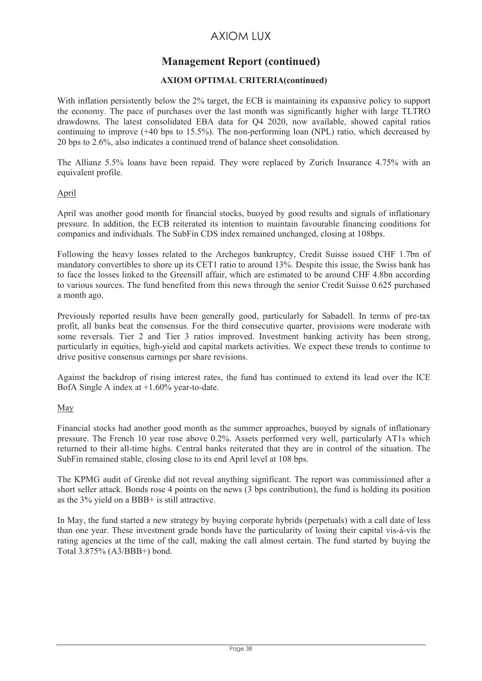# **Management Report (continued)**

### **AXIOM OPTIMAL CRITERIA(continued)**

With inflation persistently below the 2% target, the ECB is maintaining its expansive policy to support the economy. The pace of purchases over the last month was significantly higher with large TLTRO drawdowns. The latest consolidated EBA data for Q4 2020, now available, showed capital ratios continuing to improve (+40 bps to 15.5%). The non-performing loan (NPL) ratio, which decreased by 20 bps to 2.6%, also indicates a continued trend of balance sheet consolidation.

The Allianz 5.5% loans have been repaid. They were replaced by Zurich Insurance 4.75% with an equivalent profile.

### April

April was another good month for financial stocks, buoyed by good results and signals of inflationary pressure. In addition, the ECB reiterated its intention to maintain favourable financing conditions for companies and individuals. The SubFin CDS index remained unchanged, closing at 108bps.

Following the heavy losses related to the Archegos bankruptcy, Credit Suisse issued CHF 1.7bn of mandatory convertibles to shore up its CET1 ratio to around 13%. Despite this issue, the Swiss bank has to face the losses linked to the Greensill affair, which are estimated to be around CHF 4.8bn according to various sources. The fund benefited from this news through the senior Credit Suisse 0.625 purchased a month ago.

Previously reported results have been generally good, particularly for Sabadell. In terms of pre-tax profit, all banks beat the consensus. For the third consecutive quarter, provisions were moderate with some reversals. Tier 2 and Tier 3 ratios improved. Investment banking activity has been strong, particularly in equities, high-yield and capital markets activities. We expect these trends to continue to drive positive consensus earnings per share revisions.

Against the backdrop of rising interest rates, the fund has continued to extend its lead over the ICE BofA Single A index at +1.60% year-to-date.

### May

Financial stocks had another good month as the summer approaches, buoyed by signals of inflationary pressure. The French 10 year rose above 0.2%. Assets performed very well, particularly AT1s which returned to their all-time highs. Central banks reiterated that they are in control of the situation. The SubFin remained stable, closing close to its end April level at 108 bps.

The KPMG audit of Grenke did not reveal anything significant. The report was commissioned after a short seller attack. Bonds rose 4 points on the news (3 bps contribution), the fund is holding its position as the 3% yield on a BBB+ is still attractive.

In May, the fund started a new strategy by buying corporate hybrids (perpetuals) with a call date of less than one year. These investment grade bonds have the particularity of losing their capital vis-à-vis the rating agencies at the time of the call, making the call almost certain. The fund started by buying the Total 3.875% (A3/BBB+) bond.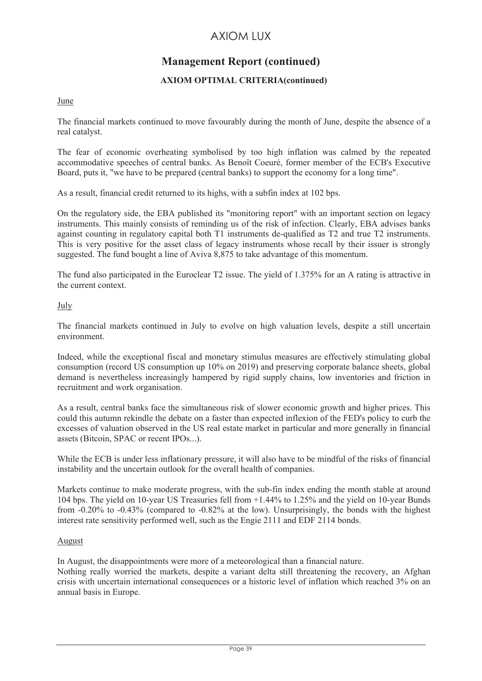# **Management Report (continued)**

### **AXIOM OPTIMAL CRITERIA(continued)**

### June

The financial markets continued to move favourably during the month of June, despite the absence of a real catalyst.

The fear of economic overheating symbolised by too high inflation was calmed by the repeated accommodative speeches of central banks. As Benoît Coeuré, former member of the ECB's Executive Board, puts it, "we have to be prepared (central banks) to support the economy for a long time".

As a result, financial credit returned to its highs, with a subfin index at 102 bps.

On the regulatory side, the EBA published its "monitoring report" with an important section on legacy instruments. This mainly consists of reminding us of the risk of infection. Clearly, EBA advises banks against counting in regulatory capital both T1 instruments de-qualified as T2 and true T2 instruments. This is very positive for the asset class of legacy instruments whose recall by their issuer is strongly suggested. The fund bought a line of Aviva 8,875 to take advantage of this momentum.

The fund also participated in the Euroclear T2 issue. The yield of 1.375% for an A rating is attractive in the current context.

### July

The financial markets continued in July to evolve on high valuation levels, despite a still uncertain environment.

Indeed, while the exceptional fiscal and monetary stimulus measures are effectively stimulating global consumption (record US consumption up 10% on 2019) and preserving corporate balance sheets, global demand is nevertheless increasingly hampered by rigid supply chains, low inventories and friction in recruitment and work organisation.

As a result, central banks face the simultaneous risk of slower economic growth and higher prices. This could this autumn rekindle the debate on a faster than expected inflexion of the FED's policy to curb the excesses of valuation observed in the US real estate market in particular and more generally in financial assets (Bitcoin, SPAC or recent IPOs...).

While the ECB is under less inflationary pressure, it will also have to be mindful of the risks of financial instability and the uncertain outlook for the overall health of companies.

Markets continue to make moderate progress, with the sub-fin index ending the month stable at around 104 bps. The yield on 10-year US Treasuries fell from +1.44% to 1.25% and the yield on 10-year Bunds from -0.20% to -0.43% (compared to -0.82% at the low). Unsurprisingly, the bonds with the highest interest rate sensitivity performed well, such as the Engie 2111 and EDF 2114 bonds.

#### August

In August, the disappointments were more of a meteorological than a financial nature.

Nothing really worried the markets, despite a variant delta still threatening the recovery, an Afghan crisis with uncertain international consequences or a historic level of inflation which reached 3% on an annual basis in Europe.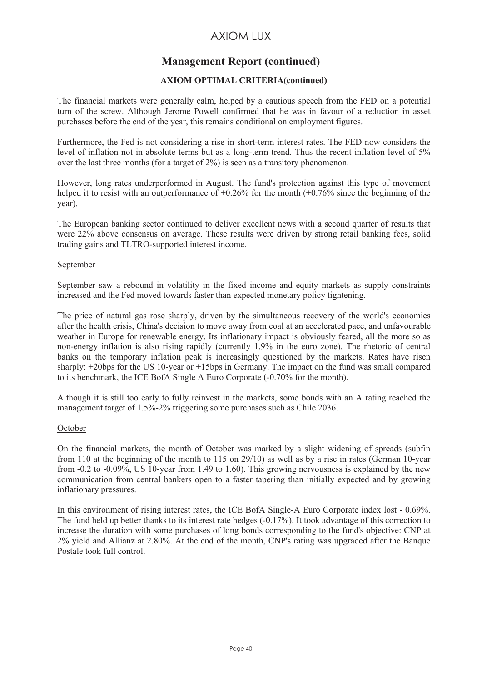# **Management Report (continued)**

### **AXIOM OPTIMAL CRITERIA(continued)**

The financial markets were generally calm, helped by a cautious speech from the FED on a potential turn of the screw. Although Jerome Powell confirmed that he was in favour of a reduction in asset purchases before the end of the year, this remains conditional on employment figures.

Furthermore, the Fed is not considering a rise in short-term interest rates. The FED now considers the level of inflation not in absolute terms but as a long-term trend. Thus the recent inflation level of 5% over the last three months (for a target of 2%) is seen as a transitory phenomenon.

However, long rates underperformed in August. The fund's protection against this type of movement helped it to resist with an outperformance of  $+0.26\%$  for the month  $(+0.76\%$  since the beginning of the year).

The European banking sector continued to deliver excellent news with a second quarter of results that were 22% above consensus on average. These results were driven by strong retail banking fees, solid trading gains and TLTRO-supported interest income.

### September

September saw a rebound in volatility in the fixed income and equity markets as supply constraints increased and the Fed moved towards faster than expected monetary policy tightening.

The price of natural gas rose sharply, driven by the simultaneous recovery of the world's economies after the health crisis, China's decision to move away from coal at an accelerated pace, and unfavourable weather in Europe for renewable energy. Its inflationary impact is obviously feared, all the more so as non-energy inflation is also rising rapidly (currently 1.9% in the euro zone). The rhetoric of central banks on the temporary inflation peak is increasingly questioned by the markets. Rates have risen sharply: +20bps for the US 10-year or +15bps in Germany. The impact on the fund was small compared to its benchmark, the ICE BofA Single A Euro Corporate (-0.70% for the month).

Although it is still too early to fully reinvest in the markets, some bonds with an A rating reached the management target of 1.5%-2% triggering some purchases such as Chile 2036.

### **October**

On the financial markets, the month of October was marked by a slight widening of spreads (subfin from 110 at the beginning of the month to 115 on 29/10) as well as by a rise in rates (German 10-year from -0.2 to -0.09%, US 10-year from 1.49 to 1.60). This growing nervousness is explained by the new communication from central bankers open to a faster tapering than initially expected and by growing inflationary pressures.

In this environment of rising interest rates, the ICE BofA Single-A Euro Corporate index lost - 0.69%. The fund held up better thanks to its interest rate hedges (-0.17%). It took advantage of this correction to increase the duration with some purchases of long bonds corresponding to the fund's objective: CNP at 2% yield and Allianz at 2.80%. At the end of the month, CNP's rating was upgraded after the Banque Postale took full control.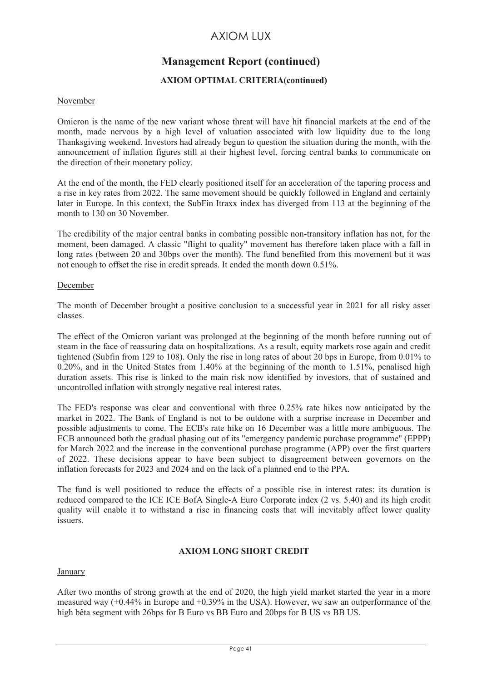# **Management Report (continued)**

### **AXIOM OPTIMAL CRITERIA(continued)**

### November

Omicron is the name of the new variant whose threat will have hit financial markets at the end of the month, made nervous by a high level of valuation associated with low liquidity due to the long Thanksgiving weekend. Investors had already begun to question the situation during the month, with the announcement of inflation figures still at their highest level, forcing central banks to communicate on the direction of their monetary policy.

At the end of the month, the FED clearly positioned itself for an acceleration of the tapering process and a rise in key rates from 2022. The same movement should be quickly followed in England and certainly later in Europe. In this context, the SubFin Itraxx index has diverged from 113 at the beginning of the month to 130 on 30 November.

The credibility of the major central banks in combating possible non-transitory inflation has not, for the moment, been damaged. A classic "flight to quality" movement has therefore taken place with a fall in long rates (between 20 and 30bps over the month). The fund benefited from this movement but it was not enough to offset the rise in credit spreads. It ended the month down 0.51%.

#### December

The month of December brought a positive conclusion to a successful year in 2021 for all risky asset classes.

The effect of the Omicron variant was prolonged at the beginning of the month before running out of steam in the face of reassuring data on hospitalizations. As a result, equity markets rose again and credit tightened (Subfin from 129 to 108). Only the rise in long rates of about 20 bps in Europe, from 0.01% to 0.20%, and in the United States from 1.40% at the beginning of the month to 1.51%, penalised high duration assets. This rise is linked to the main risk now identified by investors, that of sustained and uncontrolled inflation with strongly negative real interest rates.

The FED's response was clear and conventional with three 0.25% rate hikes now anticipated by the market in 2022. The Bank of England is not to be outdone with a surprise increase in December and possible adjustments to come. The ECB's rate hike on 16 December was a little more ambiguous. The ECB announced both the gradual phasing out of its "emergency pandemic purchase programme" (EPPP) for March 2022 and the increase in the conventional purchase programme (APP) over the first quarters of 2022. These decisions appear to have been subject to disagreement between governors on the inflation forecasts for 2023 and 2024 and on the lack of a planned end to the PPA.

The fund is well positioned to reduce the effects of a possible rise in interest rates: its duration is reduced compared to the ICE ICE BofA Single-A Euro Corporate index (2 vs. 5.40) and its high credit quality will enable it to withstand a rise in financing costs that will inevitably affect lower quality **issuers** 

### **AXIOM LONG SHORT CREDIT**

#### January

After two months of strong growth at the end of 2020, the high yield market started the year in a more measured way (+0.44% in Europe and +0.39% in the USA). However, we saw an outperformance of the high bêta segment with 26bps for B Euro vs BB Euro and 20bps for B US vs BB US.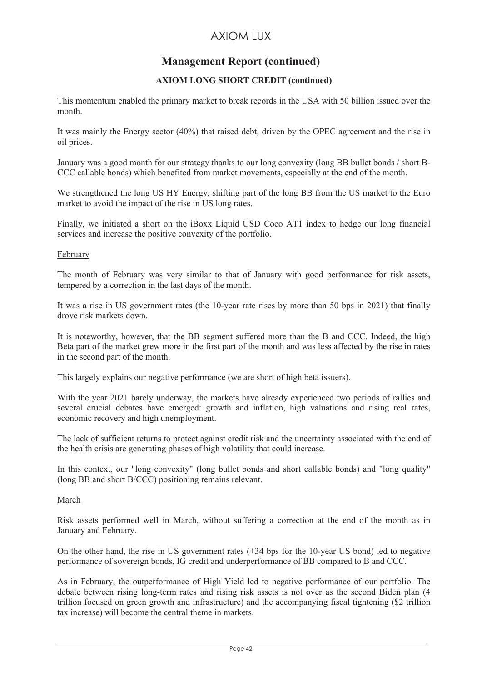## **Management Report (continued)**

### **AXIOM LONG SHORT CREDIT (continued)**

This momentum enabled the primary market to break records in the USA with 50 billion issued over the month.

It was mainly the Energy sector (40%) that raised debt, driven by the OPEC agreement and the rise in oil prices.

January was a good month for our strategy thanks to our long convexity (long BB bullet bonds / short B-CCC callable bonds) which benefited from market movements, especially at the end of the month.

We strengthened the long US HY Energy, shifting part of the long BB from the US market to the Euro market to avoid the impact of the rise in US long rates.

Finally, we initiated a short on the iBoxx Liquid USD Coco AT1 index to hedge our long financial services and increase the positive convexity of the portfolio.

### February

The month of February was very similar to that of January with good performance for risk assets, tempered by a correction in the last days of the month.

It was a rise in US government rates (the 10-year rate rises by more than 50 bps in 2021) that finally drove risk markets down.

It is noteworthy, however, that the BB segment suffered more than the B and CCC. Indeed, the high Beta part of the market grew more in the first part of the month and was less affected by the rise in rates in the second part of the month.

This largely explains our negative performance (we are short of high beta issuers).

With the year 2021 barely underway, the markets have already experienced two periods of rallies and several crucial debates have emerged: growth and inflation, high valuations and rising real rates, economic recovery and high unemployment.

The lack of sufficient returns to protect against credit risk and the uncertainty associated with the end of the health crisis are generating phases of high volatility that could increase.

In this context, our "long convexity" (long bullet bonds and short callable bonds) and "long quality" (long BB and short B/CCC) positioning remains relevant.

#### March

Risk assets performed well in March, without suffering a correction at the end of the month as in January and February.

On the other hand, the rise in US government rates (+34 bps for the 10-year US bond) led to negative performance of sovereign bonds, IG credit and underperformance of BB compared to B and CCC.

As in February, the outperformance of High Yield led to negative performance of our portfolio. The debate between rising long-term rates and rising risk assets is not over as the second Biden plan (4 trillion focused on green growth and infrastructure) and the accompanying fiscal tightening (\$2 trillion tax increase) will become the central theme in markets.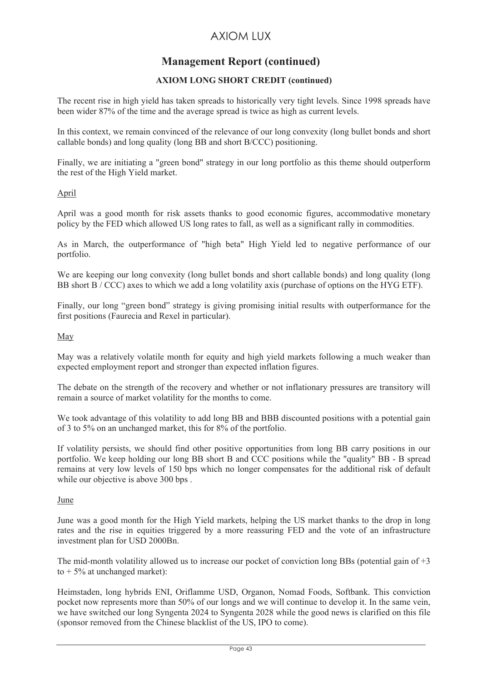# **Management Report (continued)**

### **AXIOM LONG SHORT CREDIT (continued)**

The recent rise in high yield has taken spreads to historically very tight levels. Since 1998 spreads have been wider 87% of the time and the average spread is twice as high as current levels.

In this context, we remain convinced of the relevance of our long convexity (long bullet bonds and short callable bonds) and long quality (long BB and short B/CCC) positioning.

Finally, we are initiating a "green bond" strategy in our long portfolio as this theme should outperform the rest of the High Yield market.

### April

April was a good month for risk assets thanks to good economic figures, accommodative monetary policy by the FED which allowed US long rates to fall, as well as a significant rally in commodities.

As in March, the outperformance of "high beta" High Yield led to negative performance of our portfolio.

We are keeping our long convexity (long bullet bonds and short callable bonds) and long quality (long BB short B / CCC) axes to which we add a long volatility axis (purchase of options on the HYG ETF).

Finally, our long "green bond" strategy is giving promising initial results with outperformance for the first positions (Faurecia and Rexel in particular).

May

May was a relatively volatile month for equity and high yield markets following a much weaker than expected employment report and stronger than expected inflation figures.

The debate on the strength of the recovery and whether or not inflationary pressures are transitory will remain a source of market volatility for the months to come.

We took advantage of this volatility to add long BB and BBB discounted positions with a potential gain of 3 to 5% on an unchanged market, this for 8% of the portfolio.

If volatility persists, we should find other positive opportunities from long BB carry positions in our portfolio. We keep holding our long BB short B and CCC positions while the "quality" BB - B spread remains at very low levels of 150 bps which no longer compensates for the additional risk of default while our objective is above 300 bps.

### June

June was a good month for the High Yield markets, helping the US market thanks to the drop in long rates and the rise in equities triggered by a more reassuring FED and the vote of an infrastructure investment plan for USD 2000Bn.

The mid-month volatility allowed us to increase our pocket of conviction long BBs (potential gain of  $+3$ ) to  $+5\%$  at unchanged market):

Heimstaden, long hybrids ENI, Oriflamme USD, Organon, Nomad Foods, Softbank. This conviction pocket now represents more than 50% of our longs and we will continue to develop it. In the same vein, we have switched our long Syngenta 2024 to Syngenta 2028 while the good news is clarified on this file (sponsor removed from the Chinese blacklist of the US, IPO to come).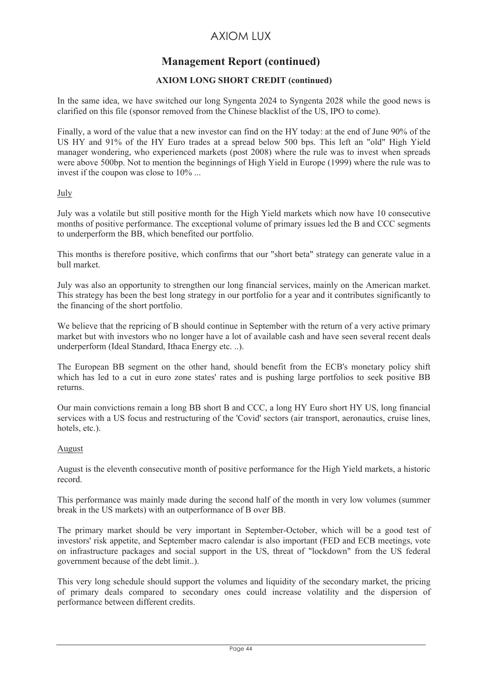# **Management Report (continued)**

### **AXIOM LONG SHORT CREDIT (continued)**

In the same idea, we have switched our long Syngenta 2024 to Syngenta 2028 while the good news is clarified on this file (sponsor removed from the Chinese blacklist of the US, IPO to come).

Finally, a word of the value that a new investor can find on the HY today: at the end of June 90% of the US HY and 91% of the HY Euro trades at a spread below 500 bps. This left an "old" High Yield manager wondering, who experienced markets (post 2008) where the rule was to invest when spreads were above 500bp. Not to mention the beginnings of High Yield in Europe (1999) where the rule was to invest if the coupon was close to 10% ...

### July

July was a volatile but still positive month for the High Yield markets which now have 10 consecutive months of positive performance. The exceptional volume of primary issues led the B and CCC segments to underperform the BB, which benefited our portfolio.

This months is therefore positive, which confirms that our "short beta" strategy can generate value in a bull market.

July was also an opportunity to strengthen our long financial services, mainly on the American market. This strategy has been the best long strategy in our portfolio for a year and it contributes significantly to the financing of the short portfolio.

We believe that the repricing of B should continue in September with the return of a very active primary market but with investors who no longer have a lot of available cash and have seen several recent deals underperform (Ideal Standard, Ithaca Energy etc. ..).

The European BB segment on the other hand, should benefit from the ECB's monetary policy shift which has led to a cut in euro zone states' rates and is pushing large portfolios to seek positive BB returns.

Our main convictions remain a long BB short B and CCC, a long HY Euro short HY US, long financial services with a US focus and restructuring of the 'Covid' sectors (air transport, aeronautics, cruise lines, hotels, etc.).

### August

August is the eleventh consecutive month of positive performance for the High Yield markets, a historic record.

This performance was mainly made during the second half of the month in very low volumes (summer break in the US markets) with an outperformance of B over BB.

The primary market should be very important in September-October, which will be a good test of investors' risk appetite, and September macro calendar is also important (FED and ECB meetings, vote on infrastructure packages and social support in the US, threat of "lockdown" from the US federal government because of the debt limit..).

This very long schedule should support the volumes and liquidity of the secondary market, the pricing of primary deals compared to secondary ones could increase volatility and the dispersion of performance between different credits.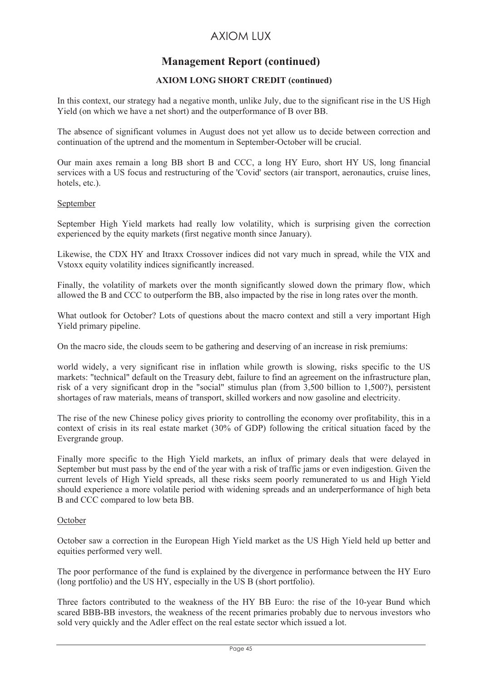# **Management Report (continued)**

### **AXIOM LONG SHORT CREDIT (continued)**

In this context, our strategy had a negative month, unlike July, due to the significant rise in the US High Yield (on which we have a net short) and the outperformance of B over BB.

The absence of significant volumes in August does not yet allow us to decide between correction and continuation of the uptrend and the momentum in September-October will be crucial.

Our main axes remain a long BB short B and CCC, a long HY Euro, short HY US, long financial services with a US focus and restructuring of the 'Covid' sectors (air transport, aeronautics, cruise lines, hotels, etc.).

### September

September High Yield markets had really low volatility, which is surprising given the correction experienced by the equity markets (first negative month since January).

Likewise, the CDX HY and Itraxx Crossover indices did not vary much in spread, while the VIX and Vstoxx equity volatility indices significantly increased.

Finally, the volatility of markets over the month significantly slowed down the primary flow, which allowed the B and CCC to outperform the BB, also impacted by the rise in long rates over the month.

What outlook for October? Lots of questions about the macro context and still a very important High Yield primary pipeline.

On the macro side, the clouds seem to be gathering and deserving of an increase in risk premiums:

world widely, a very significant rise in inflation while growth is slowing, risks specific to the US markets: "technical" default on the Treasury debt, failure to find an agreement on the infrastructure plan, risk of a very significant drop in the "social" stimulus plan (from 3,500 billion to 1,500?), persistent shortages of raw materials, means of transport, skilled workers and now gasoline and electricity.

The rise of the new Chinese policy gives priority to controlling the economy over profitability, this in a context of crisis in its real estate market (30% of GDP) following the critical situation faced by the Evergrande group.

Finally more specific to the High Yield markets, an influx of primary deals that were delayed in September but must pass by the end of the year with a risk of traffic jams or even indigestion. Given the current levels of High Yield spreads, all these risks seem poorly remunerated to us and High Yield should experience a more volatile period with widening spreads and an underperformance of high beta B and CCC compared to low beta BB.

#### **October**

October saw a correction in the European High Yield market as the US High Yield held up better and equities performed very well.

The poor performance of the fund is explained by the divergence in performance between the HY Euro (long portfolio) and the US HY, especially in the US B (short portfolio).

Three factors contributed to the weakness of the HY BB Euro: the rise of the 10-year Bund which scared BBB-BB investors, the weakness of the recent primaries probably due to nervous investors who sold very quickly and the Adler effect on the real estate sector which issued a lot.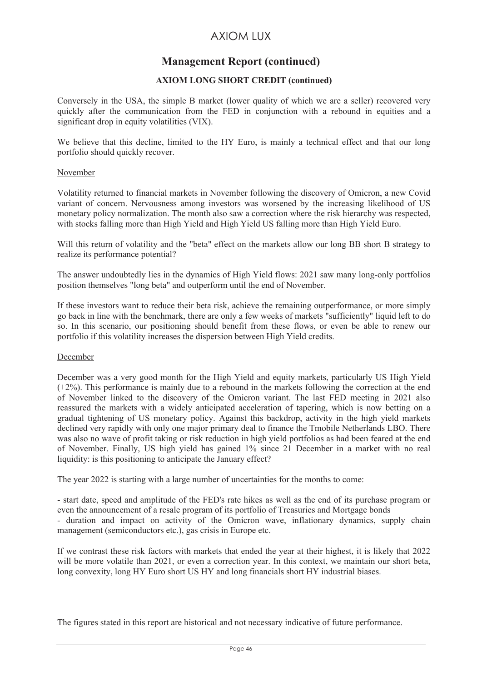### **Management Report (continued)**

### **AXIOM LONG SHORT CREDIT (continued)**

Conversely in the USA, the simple B market (lower quality of which we are a seller) recovered very quickly after the communication from the FED in conjunction with a rebound in equities and a significant drop in equity volatilities (VIX).

We believe that this decline, limited to the HY Euro, is mainly a technical effect and that our long portfolio should quickly recover.

### November

Volatility returned to financial markets in November following the discovery of Omicron, a new Covid variant of concern. Nervousness among investors was worsened by the increasing likelihood of US monetary policy normalization. The month also saw a correction where the risk hierarchy was respected, with stocks falling more than High Yield and High Yield US falling more than High Yield Euro.

Will this return of volatility and the "beta" effect on the markets allow our long BB short B strategy to realize its performance potential?

The answer undoubtedly lies in the dynamics of High Yield flows: 2021 saw many long-only portfolios position themselves "long beta" and outperform until the end of November.

If these investors want to reduce their beta risk, achieve the remaining outperformance, or more simply go back in line with the benchmark, there are only a few weeks of markets "sufficiently" liquid left to do so. In this scenario, our positioning should benefit from these flows, or even be able to renew our portfolio if this volatility increases the dispersion between High Yield credits.

#### December

December was a very good month for the High Yield and equity markets, particularly US High Yield (+2%). This performance is mainly due to a rebound in the markets following the correction at the end of November linked to the discovery of the Omicron variant. The last FED meeting in 2021 also reassured the markets with a widely anticipated acceleration of tapering, which is now betting on a gradual tightening of US monetary policy. Against this backdrop, activity in the high yield markets declined very rapidly with only one major primary deal to finance the Tmobile Netherlands LBO. There was also no wave of profit taking or risk reduction in high yield portfolios as had been feared at the end of November. Finally, US high yield has gained 1% since 21 December in a market with no real liquidity: is this positioning to anticipate the January effect?

The year 2022 is starting with a large number of uncertainties for the months to come:

- start date, speed and amplitude of the FED's rate hikes as well as the end of its purchase program or even the announcement of a resale program of its portfolio of Treasuries and Mortgage bonds

- duration and impact on activity of the Omicron wave, inflationary dynamics, supply chain management (semiconductors etc.), gas crisis in Europe etc.

If we contrast these risk factors with markets that ended the year at their highest, it is likely that 2022 will be more volatile than 2021, or even a correction year. In this context, we maintain our short beta, long convexity, long HY Euro short US HY and long financials short HY industrial biases.

The figures stated in this report are historical and not necessary indicative of future performance.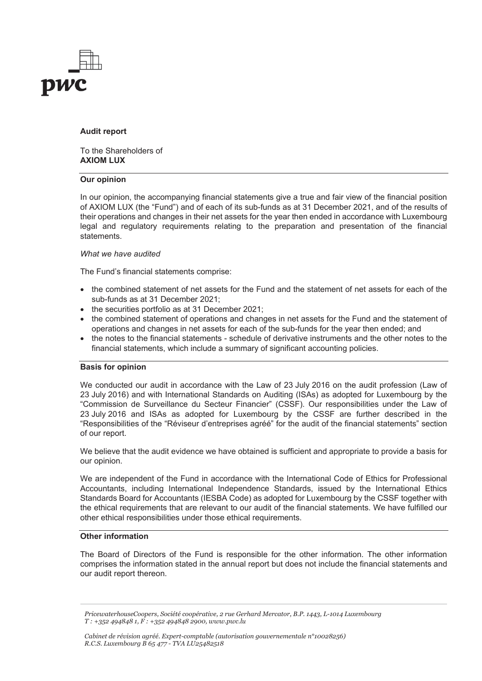

#### **Audit report**

To the Shareholders of **AXIOM LUX**

#### **Our opinion**

In our opinion, the accompanying financial statements give a true and fair view of the financial position of AXIOM LUX (the "Fund") and of each of its sub-funds as at 31 December 2021, and of the results of their operations and changes in their net assets for the year then ended in accordance with Luxembourg legal and regulatory requirements relating to the preparation and presentation of the financial statements.

#### *What we have audited*

The Fund's financial statements comprise:

- the combined statement of net assets for the Fund and the statement of net assets for each of the sub-funds as at 31 December 2021;
- the securities portfolio as at 31 December 2021;
- the combined statement of operations and changes in net assets for the Fund and the statement of operations and changes in net assets for each of the sub-funds for the year then ended; and
- the notes to the financial statements schedule of derivative instruments and the other notes to the financial statements, which include a summary of significant accounting policies.

#### **Basis for opinion**

We conducted our audit in accordance with the Law of 23 July 2016 on the audit profession (Law of 23 July 2016) and with International Standards on Auditing (ISAs) as adopted for Luxembourg by the "Commission de Surveillance du Secteur Financier" (CSSF). Our responsibilities under the Law of 23 July 2016 and ISAs as adopted for Luxembourg by the CSSF are further described in the "Responsibilities of the "Réviseur d'entreprises agréé" for the audit of the financial statements" section of our report.

We believe that the audit evidence we have obtained is sufficient and appropriate to provide a basis for our opinion.

We are independent of the Fund in accordance with the International Code of Ethics for Professional Accountants, including International Independence Standards, issued by the International Ethics Standards Board for Accountants (IESBA Code) as adopted for Luxembourg by the CSSF together with the ethical requirements that are relevant to our audit of the financial statements. We have fulfilled our other ethical responsibilities under those ethical requirements.

#### **Other information**

The Board of Directors of the Fund is responsible for the other information. The other information comprises the information stated in the annual report but does not include the financial statements and our audit report thereon.

*PricewaterhouseCoopers, Société coopérative, 2 rue Gerhard Mercator, B.P. 1443, L-1014 Luxembourg T : +352 494848 1, F : +352 494848 2900, www.pwc.lu*

*Cabinet de révision agréé. Expert-comptable (autorisation gouvernementale n°10028256) R.C.S. Luxembourg B 65 477 - TVA LU25482518*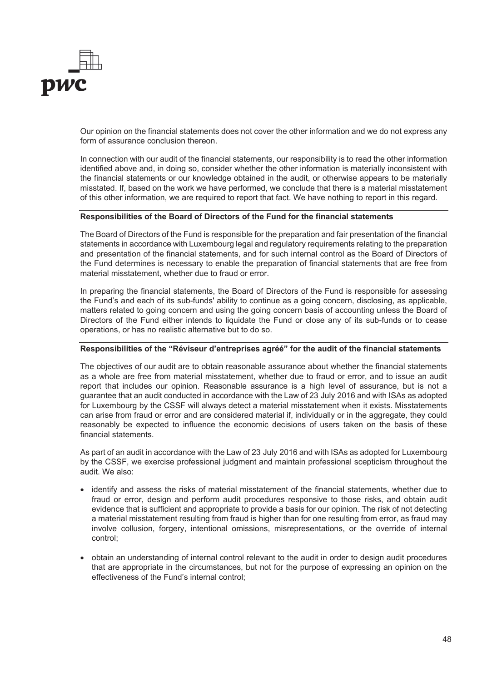

Our opinion on the financial statements does not cover the other information and we do not express any form of assurance conclusion thereon.

In connection with our audit of the financial statements, our responsibility is to read the other information identified above and, in doing so, consider whether the other information is materially inconsistent with the financial statements or our knowledge obtained in the audit, or otherwise appears to be materially misstated. If, based on the work we have performed, we conclude that there is a material misstatement of this other information, we are required to report that fact. We have nothing to report in this regard.

#### **Responsibilities of the Board of Directors of the Fund for the financial statements**

The Board of Directors of the Fund is responsible for the preparation and fair presentation of the financial statements in accordance with Luxembourg legal and regulatory requirements relating to the preparation and presentation of the financial statements, and for such internal control as the Board of Directors of the Fund determines is necessary to enable the preparation of financial statements that are free from material misstatement, whether due to fraud or error.

In preparing the financial statements, the Board of Directors of the Fund is responsible for assessing the Fund's and each of its sub-funds' ability to continue as a going concern, disclosing, as applicable, matters related to going concern and using the going concern basis of accounting unless the Board of Directors of the Fund either intends to liquidate the Fund or close any of its sub-funds or to cease operations, or has no realistic alternative but to do so.

#### **Responsibilities of the "Réviseur d'entreprises agréé" for the audit of the financial statements**

The objectives of our audit are to obtain reasonable assurance about whether the financial statements as a whole are free from material misstatement, whether due to fraud or error, and to issue an audit report that includes our opinion. Reasonable assurance is a high level of assurance, but is not a guarantee that an audit conducted in accordance with the Law of 23 July 2016 and with ISAs as adopted for Luxembourg by the CSSF will always detect a material misstatement when it exists. Misstatements can arise from fraud or error and are considered material if, individually or in the aggregate, they could reasonably be expected to influence the economic decisions of users taken on the basis of these financial statements.

As part of an audit in accordance with the Law of 23 July 2016 and with ISAs as adopted for Luxembourg by the CSSF, we exercise professional judgment and maintain professional scepticism throughout the audit. We also:

- identify and assess the risks of material misstatement of the financial statements, whether due to fraud or error, design and perform audit procedures responsive to those risks, and obtain audit evidence that is sufficient and appropriate to provide a basis for our opinion. The risk of not detecting a material misstatement resulting from fraud is higher than for one resulting from error, as fraud may involve collusion, forgery, intentional omissions, misrepresentations, or the override of internal control;
- obtain an understanding of internal control relevant to the audit in order to design audit procedures that are appropriate in the circumstances, but not for the purpose of expressing an opinion on the effectiveness of the Fund's internal control;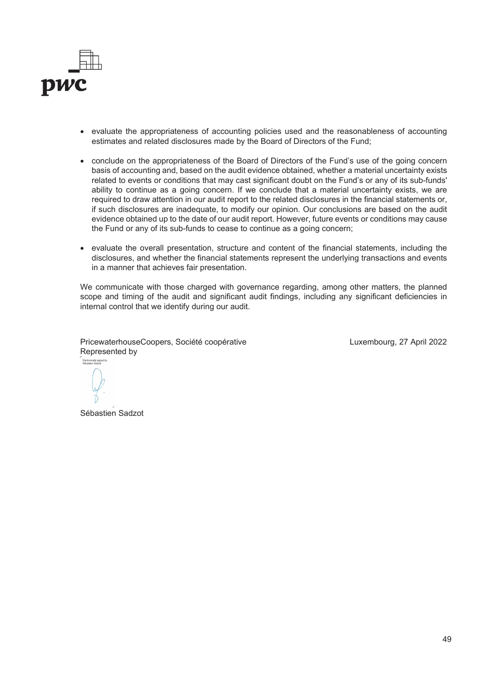

- evaluate the appropriateness of accounting policies used and the reasonableness of accounting estimates and related disclosures made by the Board of Directors of the Fund;
- conclude on the appropriateness of the Board of Directors of the Fund's use of the going concern basis of accounting and, based on the audit evidence obtained, whether a material uncertainty exists related to events or conditions that may cast significant doubt on the Fund's or any of its sub-funds' ability to continue as a going concern. If we conclude that a material uncertainty exists, we are required to draw attention in our audit report to the related disclosures in the financial statements or, if such disclosures are inadequate, to modify our opinion. Our conclusions are based on the audit evidence obtained up to the date of our audit report. However, future events or conditions may cause the Fund or any of its sub-funds to cease to continue as a going concern;
- evaluate the overall presentation, structure and content of the financial statements, including the disclosures, and whether the financial statements represent the underlying transactions and events in a manner that achieves fair presentation.

We communicate with those charged with governance regarding, among other matters, the planned scope and timing of the audit and significant audit findings, including any significant deficiencies in internal control that we identify during our audit.

PricewaterhouseCoopers, Société coopérative Represented by Electronically signed by:<br>Séhastien Sadzot

Luxembourg, 27 April 2022

 $\overline{a}$ 

Sébastien Sadzot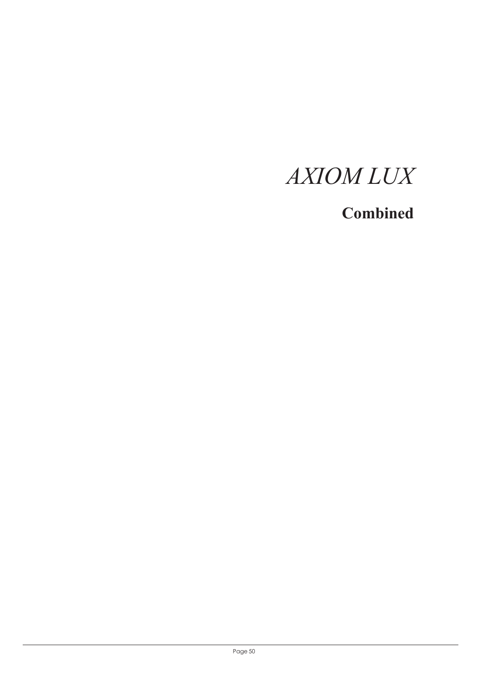# **Combined**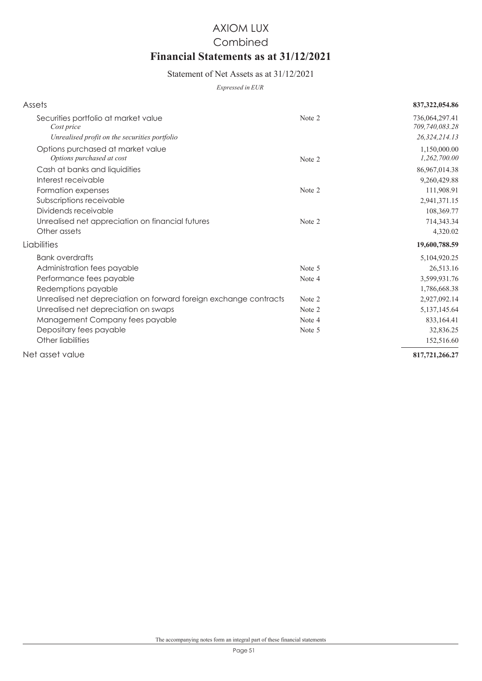# AXIOM LUX **Financial Statements as at 31/12/2021** Combined

### Statement of Net Assets as at 31/12/2021

*Expressed in EUR*

| Assets                                                            |        | 837, 322, 054.86                 |
|-------------------------------------------------------------------|--------|----------------------------------|
| Securities portfolio at market value<br>Cost price                | Note 2 | 736,064,297.41<br>709,740,083.28 |
| Unrealised profit on the securities portfolio                     |        | 26,324,214.13                    |
| Options purchased at market value<br>Options purchased at cost    | Note 2 | 1,150,000.00<br>1,262,700.00     |
| Cash at banks and liquidities                                     |        | 86,967,014.38                    |
| Interest receivable                                               |        | 9,260,429.88                     |
| Formation expenses                                                | Note 2 | 111,908.91                       |
| Subscriptions receivable                                          |        | 2,941,371.15                     |
| Dividends receivable                                              |        | 108,369.77                       |
| Unrealised net appreciation on financial futures                  | Note 2 | 714,343.34                       |
| Other assets                                                      |        | 4,320.02                         |
| Liabilities                                                       |        | 19,600,788.59                    |
| <b>Bank overdrafts</b>                                            |        | 5,104,920.25                     |
| Administration fees payable                                       | Note 5 | 26,513.16                        |
| Performance fees payable                                          | Note 4 | 3,599,931.76                     |
| Redemptions payable                                               |        | 1,786,668.38                     |
| Unrealised net depreciation on forward foreign exchange contracts | Note 2 | 2,927,092.14                     |
| Unrealised net depreciation on swaps                              | Note 2 | 5,137,145.64                     |
| Management Company fees payable                                   | Note 4 | 833,164.41                       |
| Depositary fees payable                                           | Note 5 | 32,836.25                        |
| Other liabilities                                                 |        | 152,516.60                       |
| Net asset value                                                   |        | 817,721,266.27                   |
|                                                                   |        |                                  |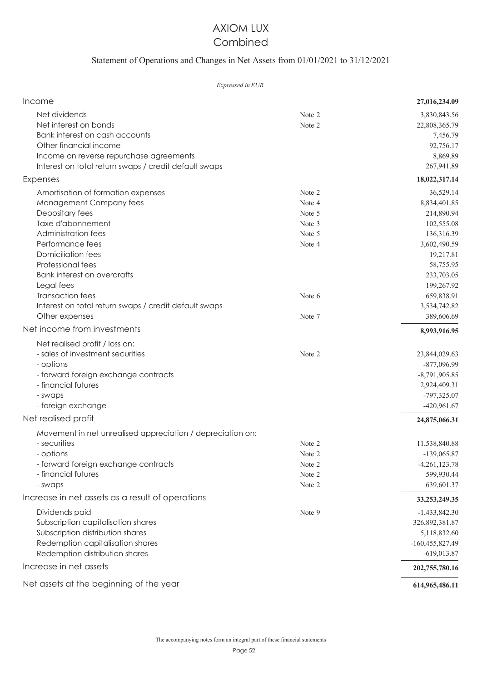### AXIOM LUX Combined

### Statement of Operations and Changes in Net Assets from 01/01/2021 to 31/12/2021

#### *Expressed in EUR*

| Income                                                     |        | 27,016,234.09     |
|------------------------------------------------------------|--------|-------------------|
| Net dividends                                              | Note 2 | 3,830,843.56      |
| Net interest on bonds                                      | Note 2 | 22,808,365.79     |
| Bank interest on cash accounts                             |        | 7,456.79          |
| Other financial income                                     |        | 92,756.17         |
| Income on reverse repurchase agreements                    |        | 8,869.89          |
| Interest on total return swaps / credit default swaps      |        | 267,941.89        |
| Expenses                                                   |        | 18,022,317.14     |
| Amortisation of formation expenses                         | Note 2 | 36,529.14         |
| Management Company fees                                    | Note 4 | 8,834,401.85      |
| Depositary fees                                            | Note 5 | 214,890.94        |
| Taxe d'abonnement                                          | Note 3 | 102,555.08        |
| <b>Administration fees</b>                                 | Note 5 | 136,316.39        |
| Performance fees                                           | Note 4 | 3,602,490.59      |
| <b>Domiciliation fees</b>                                  |        | 19,217.81         |
| Professional fees                                          |        | 58,755.95         |
| <b>Bank interest on overdrafts</b>                         |        | 233,703.05        |
| Legal fees                                                 |        | 199,267.92        |
| <b>Transaction fees</b>                                    | Note 6 | 659,838.91        |
| Interest on total return swaps / credit default swaps      |        | 3,534,742.82      |
| Other expenses                                             | Note 7 | 389,606.69        |
| Net income from investments                                |        | 8,993,916.95      |
| Net realised profit / loss on:                             |        |                   |
| - sales of investment securities                           | Note 2 | 23,844,029.63     |
| - options                                                  |        | $-877,096.99$     |
| - forward foreign exchange contracts                       |        | $-8,791,905.85$   |
| - financial futures                                        |        | 2,924,409.31      |
| - swaps                                                    |        | -797,325.07       |
| - foreign exchange                                         |        | -420,961.67       |
| Net realised profit                                        |        | 24,875,066.31     |
| Movement in net unrealised appreciation / depreciation on: |        |                   |
| - securities                                               | Note 2 | 11,538,840.88     |
| - options                                                  | Note 2 | $-139,065.87$     |
| - forward foreign exchange contracts                       | Note 2 | $-4,261,123.78$   |
| - financial futures                                        | Note 2 | 599,930.44        |
| - swaps                                                    | Note 2 | 639,601.37        |
| Increase in net assets as a result of operations           |        | 33, 253, 249. 35  |
| Dividends paid                                             | Note 9 | $-1,433,842.30$   |
| Subscription capitalisation shares                         |        | 326,892,381.87    |
| Subscription distribution shares                           |        | 5,118,832.60      |
| Redemption capitalisation shares                           |        | $-160,455,827.49$ |
| Redemption distribution shares                             |        | $-619,013.87$     |
| Increase in net assets                                     |        | 202,755,780.16    |
| Net assets at the beginning of the year                    |        | 614,965,486.11    |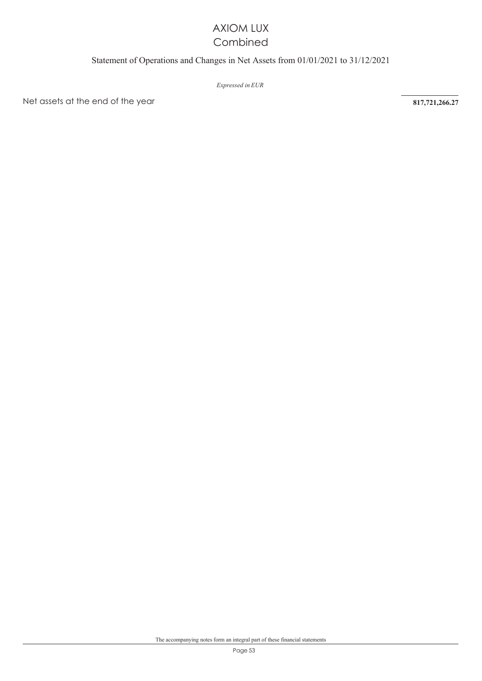### AXIOM LUX Combined

### Statement of Operations and Changes in Net Assets from 01/01/2021 to 31/12/2021

*Expressed in EUR* 

Net assets at the end of the year **817,721,266.27**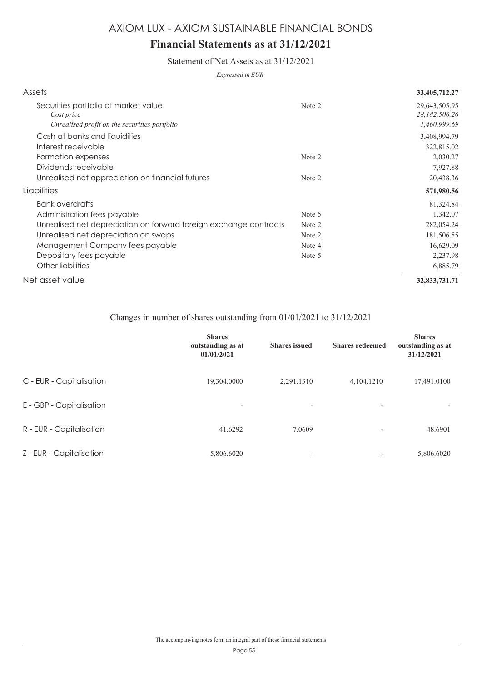# **Financial Statements as at 31/12/2021**

Statement of Net Assets as at 31/12/2021

*Expressed in EUR*

| Assets                                                                                                                                                                                                                                                |                                                | 33,405,712.27                                                                          |
|-------------------------------------------------------------------------------------------------------------------------------------------------------------------------------------------------------------------------------------------------------|------------------------------------------------|----------------------------------------------------------------------------------------|
| Securities portfolio at market value<br>Cost price<br>Unrealised profit on the securities portfolio                                                                                                                                                   | Note 2                                         | 29,643,505.95<br>28,182,506.26<br>1,460,999.69                                         |
| Cash at banks and liquidities<br>Interest receivable                                                                                                                                                                                                  |                                                | 3,408,994.79<br>322,815.02                                                             |
| Formation expenses<br>Dividends receivable                                                                                                                                                                                                            | Note 2                                         | 2,030.27<br>7,927.88                                                                   |
| Unrealised net appreciation on financial futures                                                                                                                                                                                                      | Note 2                                         | 20,438.36                                                                              |
| Liabilities                                                                                                                                                                                                                                           |                                                | 571,980.56                                                                             |
| <b>Bank overdrafts</b><br>Administration fees payable<br>Unrealised net depreciation on forward foreign exchange contracts<br>Unrealised net depreciation on swaps<br>Management Company fees payable<br>Depositary fees payable<br>Other liabilities | Note 5<br>Note 2<br>Note 2<br>Note 4<br>Note 5 | 81,324.84<br>1,342.07<br>282,054.24<br>181,506.55<br>16,629.09<br>2,237.98<br>6,885.79 |
| Net asset value                                                                                                                                                                                                                                       |                                                | 32,833,731.71                                                                          |

### Changes in number of shares outstanding from 01/01/2021 to 31/12/2021

|                          | <b>Shares</b><br>outstanding as at<br>01/01/2021 | <b>Shares</b> issued     | <b>Shares redeemed</b>   | <b>Shares</b><br>outstanding as at<br>31/12/2021 |
|--------------------------|--------------------------------------------------|--------------------------|--------------------------|--------------------------------------------------|
| C - EUR - Capitalisation | 19,304.0000                                      | 2,291.1310               | 4,104.1210               | 17,491.0100                                      |
| E - GBP - Capitalisation | $\overline{\phantom{a}}$                         | $\overline{\phantom{a}}$ | $\overline{\phantom{a}}$ | $\overline{\phantom{a}}$                         |
| R - EUR - Capitalisation | 41.6292                                          | 7.0609                   | $\overline{\phantom{a}}$ | 48.6901                                          |
| Z - EUR - Capitalisation | 5,806.6020                                       | $\overline{\phantom{0}}$ |                          | 5,806.6020                                       |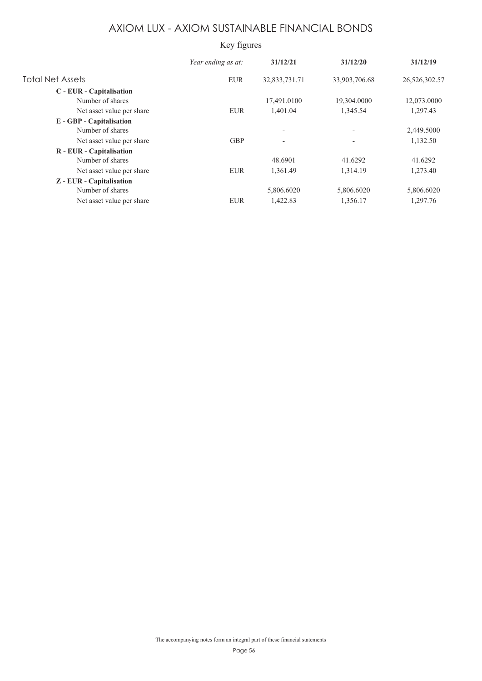### Key figures

|                           | Year ending as at: | 31/12/21                 | 31/12/20                 | 31/12/19      |
|---------------------------|--------------------|--------------------------|--------------------------|---------------|
| <b>Total Net Assets</b>   | <b>EUR</b>         | 32,833,731.71            | 33,903,706.68            | 26,526,302.57 |
| C - EUR - Capitalisation  |                    |                          |                          |               |
| Number of shares          |                    | 17,491.0100              | 19,304.0000              | 12,073.0000   |
| Net asset value per share | <b>EUR</b>         | 1,401.04                 | 1,345.54                 | 1,297.43      |
| E - GBP - Capitalisation  |                    |                          |                          |               |
| Number of shares          |                    | $\overline{\phantom{a}}$ | $\overline{\phantom{a}}$ | 2,449.5000    |
| Net asset value per share | <b>GBP</b>         | $\overline{\phantom{a}}$ | $\overline{\phantom{a}}$ | 1,132.50      |
| R - EUR - Capitalisation  |                    |                          |                          |               |
| Number of shares          |                    | 48.6901                  | 41.6292                  | 41.6292       |
| Net asset value per share | <b>EUR</b>         | 1,361.49                 | 1,314.19                 | 1,273.40      |
| Z - EUR - Capitalisation  |                    |                          |                          |               |
| Number of shares          |                    | 5,806.6020               | 5,806.6020               | 5,806.6020    |
| Net asset value per share | <b>EUR</b>         | 1,422.83                 | 1,356.17                 | 1,297.76      |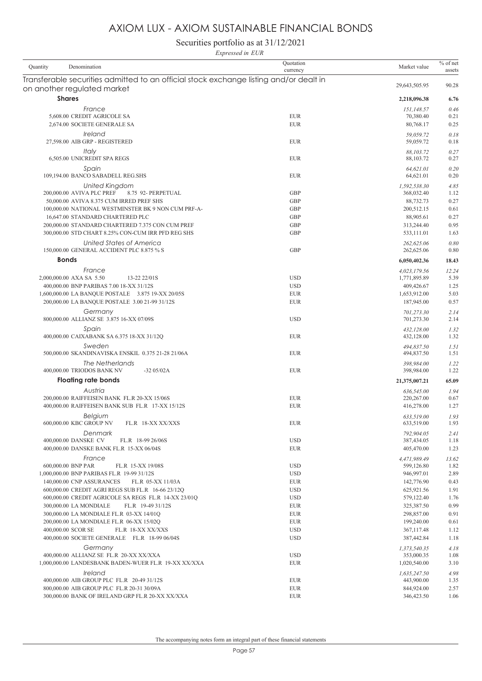Securities portfolio as at 31/12/2021 *Expressed in EUR*

| Denomination<br>Quantity                                                                                              | Quotation<br>currency    | Market value             | $%$ of net<br>assets |
|-----------------------------------------------------------------------------------------------------------------------|--------------------------|--------------------------|----------------------|
| Transferable securities admitted to an official stock exchange listing and/or dealt in<br>on another regulated market |                          | 29,643,505.95            | 90.28                |
| <b>Shares</b>                                                                                                         |                          | 2,218,096.38             | 6.76                 |
| France                                                                                                                |                          | 151,148.57               | 0.46                 |
| 5,608.00 CREDIT AGRICOLE SA                                                                                           | <b>EUR</b>               | 70,380.40                | 0.21                 |
| 2,674.00 SOCIETE GENERALE SA                                                                                          | <b>EUR</b>               | 80,768.17                | 0.25                 |
| <i><u><b>Ireland</b></u></i><br>27,598.00 AIB GRP - REGISTERED                                                        | <b>EUR</b>               | 59,059.72<br>59,059.72   | 0.18<br>0.18         |
| Italy<br>6,505.00 UNICREDIT SPA REGS                                                                                  | <b>EUR</b>               | 88,103.72<br>88,103.72   | 0.27<br>0.27         |
| Spain<br>109,194.00 BANCO SABADELL REG.SHS                                                                            | <b>EUR</b>               | 64,621.01<br>64,621.01   | 0.20<br>0.20         |
| United Kingdom                                                                                                        |                          | 1,592,538.30             | 4.85                 |
| 200,000.00 AVIVA PLC PREF<br>8.75 92- PERPETUAL                                                                       | <b>GBP</b>               | 368,032.40               | 1.12                 |
| 50,000.00 AVIVA 8.375 CUM IRRED PREF SHS                                                                              | <b>GBP</b>               | 88,732.73                | 0.27                 |
| 100,000.00 NATIONAL WESTMINSTER BK 9 NON CUM PRF-A-                                                                   | <b>GBP</b>               | 200,512.15               | 0.61                 |
| 16,647.00 STANDARD CHARTERED PLC                                                                                      | <b>GBP</b>               | 88,905.61                | 0.27                 |
| 200,000.00 STANDARD CHARTERED 7.375 CON CUM PREF                                                                      | <b>GBP</b>               | 313,244.40               | 0.95                 |
| 300,000.00 STD CHART 8.25% CON-CUM IRR PFD REG SHS                                                                    | <b>GBP</b>               | 533,111.01               | 1.63                 |
| United States of America<br>150,000.00 GENERAL ACCIDENT PLC 8.875 % S                                                 | <b>GBP</b>               | 262,625.06<br>262,625.06 | 0.80<br>0.80         |
| <b>Bonds</b>                                                                                                          |                          | 6,050,402.36             | 18.43                |
| France                                                                                                                |                          | 4,023,179.56             | 12.24                |
| 2,000,000.00 AXA SA 5.50<br>13-22 22/01S                                                                              | <b>USD</b>               | 1,771,895.89             | 5.39                 |
| 400,000.00 BNP PARIBAS 7.00 18-XX 31/12S                                                                              | <b>USD</b>               | 409,426.67               | 1.25                 |
| 1,600,000.00 LA BANQUE POSTALE 3.875 19-XX 20/05S                                                                     | <b>EUR</b><br><b>EUR</b> | 1,653,912.00             | 5.03<br>0.57         |
| 200,000.00 LA BANQUE POSTALE 3.00 21-99 31/12S                                                                        |                          | 187,945.00               |                      |
| Germany                                                                                                               |                          | 701,273.30               | 2.14                 |
| 800,000.00 ALLIANZ SE 3.875 16-XX 07/09S                                                                              | <b>USD</b>               | 701,273.30               | 2.14                 |
| Spain<br>400,000.00 CAIXABANK SA 6.375 18-XX 31/12Q                                                                   | <b>EUR</b>               | 432,128.00<br>432,128.00 | 1.32<br>1.32         |
| Sweden                                                                                                                |                          |                          |                      |
| 500,000.00 SKANDINAVISKA ENSKIL 0.375 21-28 21/06A                                                                    | <b>EUR</b>               | 494,837.50<br>494,837.50 | 1.51<br>1.51         |
|                                                                                                                       |                          |                          |                      |
| The Netherlands<br>400,000.00 TRIODOS BANK NV<br>$-3205/02A$                                                          | <b>EUR</b>               | 398,984.00<br>398,984.00 | 1.22<br>1.22         |
| <b>Floating rate bonds</b>                                                                                            |                          | 21,375,007.21            | 65.09                |
| Austria                                                                                                               |                          | 636,545.00               | 1.94                 |
| 200,000.00 RAIFFEISEN BANK FL.R 20-XX 15/06S                                                                          | <b>EUR</b>               | 220,267.00               | 0.67                 |
| 400,000.00 RAIFFEISEN BANK SUB FL.R 17-XX 15/12S                                                                      | <b>EUR</b>               | 416,278.00               | 1.27                 |
| Belgium<br>600,000.00 KBC GROUP NV<br>FL.R 18-XX XX/XXS                                                               | <b>EUR</b>               | 633,519.00<br>633,519.00 | 1.93<br>1.93         |
| Denmark                                                                                                               |                          | 792,904.05               | 2.41                 |
| 400,000.00 DANSKE CV<br>FL.R 18-99 26/06S                                                                             | <b>USD</b>               | 387,434.05               | 1.18                 |
| 400,000.00 DANSKE BANK FL.R 15-XX 06/04S                                                                              | <b>EUR</b>               | 405,470.00               | 1.23                 |
| France                                                                                                                |                          | 4,471,989.49             | 13.62                |
| 600,000.00 BNP PAR<br>FL.R 15-XX 19/08S                                                                               | <b>USD</b>               | 599,126.80               | 1.82                 |
| 1,000,000.00 BNP PARIBAS FL.R 19-99 31/12S                                                                            | <b>USD</b>               | 946,997.01               | 2.89                 |
| 140,000.00 CNP ASSURANCES<br>FL.R 05-XX 11/03A                                                                        | <b>EUR</b>               | 142,776.90               | 0.43                 |
| 600,000.00 CREDIT AGRI REGS SUB FL.R 16-66 23/12Q                                                                     | <b>USD</b>               | 625,921.56               | 1.91                 |
| 600,000.00 CREDIT AGRICOLE SA REGS FL.R 14-XX 23/01Q                                                                  | <b>USD</b>               | 579,122.40               | 1.76                 |
| 300,000.00 LA MONDIALE<br>FL.R 19-49 31/12S                                                                           | <b>EUR</b>               | 325,387.50               | 0.99                 |
| 300,000.00 LA MONDIALE FL.R 03-XX 14/01Q                                                                              | <b>EUR</b>               | 298,857.00               | 0.91                 |
| 200,000.00 LA MONDIALE FL.R 06-XX 15/02Q                                                                              | <b>EUR</b>               | 199,240.00               | 0.61                 |
| 400,000.00 SCOR SE<br>FL.R 18-XX XX/XXS                                                                               | <b>USD</b>               | 367,117.48               | 1.12                 |
| 400,000.00 SOCIETE GENERALE FL.R 18-99 06/04S                                                                         | <b>USD</b>               | 387,442.84               | 1.18                 |
| Germany                                                                                                               |                          | 1,373,540.35             | 4.18                 |
| 400,000.00 ALLIANZ SE FL.R 20-XX XX/XXA                                                                               | <b>USD</b>               | 353,000.35               | 1.08                 |
| 1,000,000.00 LANDESBANK BADEN-WUER FL.R 19-XX XX/XXA                                                                  | <b>EUR</b>               | 1,020,540.00             | 3.10                 |
| Ireland<br>400,000.00 AIB GROUP PLC FL.R 20-49 31/12S                                                                 | <b>EUR</b>               | 1.635,247.50             | 4.98<br>1.35         |
| 800,000.00 AIB GROUP PLC FL.R 20-31 30/09A                                                                            | <b>EUR</b>               | 443,900.00<br>844,924.00 | 2.57                 |
| 300,000.00 BANK OF IRELAND GRP FL.R 20-XX XX/XXA                                                                      | <b>EUR</b>               | 346,423.50               | 1.06                 |
|                                                                                                                       |                          |                          |                      |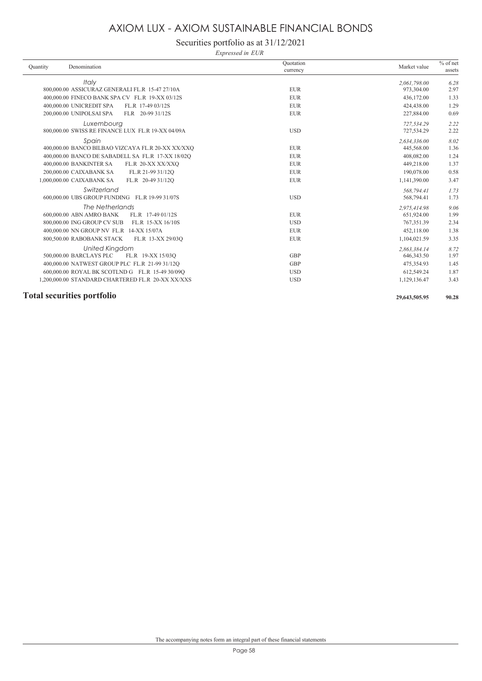### Securities portfolio as at 31/12/2021

*Expressed in EUR*

| Ouantity | Denomination                                      | Ouotation<br>currency | Market value | $%$ of net<br>assets |
|----------|---------------------------------------------------|-----------------------|--------------|----------------------|
|          | Italy                                             |                       | 2,061,798.00 | 6.28                 |
|          | 800,000.00 ASSICURAZ GENERALI FL.R 15-47 27/10A   | <b>EUR</b>            | 973,304.00   | 2.97                 |
|          | 400,000.00 FINECO BANK SPA CV FL.R 19-XX 03/12S   | <b>EUR</b>            | 436,172.00   | 1.33                 |
|          | 400,000.00 UNICREDIT SPA<br>FL.R 17-49 03/12S     | <b>EUR</b>            | 424,438.00   | 1.29                 |
|          | 200,000.00 UNIPOLSAI SPA<br>FLR 20-99 31/12S      | <b>EUR</b>            | 227,884.00   | 0.69                 |
|          | Luxembourg                                        |                       | 727.534.29   | 2.22                 |
|          | 800,000.00 SWISS RE FINANCE LUX FL.R 19-XX 04/09A | <b>USD</b>            | 727,534.29   | 2.22                 |
|          | Spain                                             |                       | 2,634,336.00 | 8.02                 |
|          | 400,000.00 BANCO BILBAO VIZCAYA FL.R 20-XX XX/XXO | <b>EUR</b>            | 445,568.00   | 1.36                 |
|          | 400,000.00 BANCO DE SABADELL SA FL.R 17-XX 18/02Q | <b>EUR</b>            | 408,082.00   | 1.24                 |
|          | 400,000.00 BANKINTER SA<br>FL.R 20-XX XX/XXQ      | <b>EUR</b>            | 449,218.00   | 1.37                 |
|          | 200,000.00 CAIXABANK SA<br>FL.R 21-99 31/12Q      | <b>EUR</b>            | 190,078.00   | 0.58                 |
|          | 1,000,000.00 CAIXABANK SA<br>FL.R 20-49 31/12O    | <b>EUR</b>            | 1,141,390.00 | 3.47                 |
|          | Switzerland                                       |                       | 568,794.41   | 1.73                 |
|          | 600,000.00 UBS GROUP FUNDING FL.R 19-99 31/07S    | <b>USD</b>            | 568,794.41   | 1.73                 |
|          | The Netherlands                                   |                       | 2.975.414.98 | 9.06                 |
|          | 600,000.00 ABN AMRO BANK<br>FL.R 17-49 01/12S     | <b>EUR</b>            | 651,924.00   | 1.99                 |
|          | 800,000.00 ING GROUP CV SUB<br>FL.R 15-XX 16/10S  | <b>USD</b>            | 767,351.39   | 2.34                 |
|          | 400,000.00 NN GROUP NV FL.R 14-XX 15/07A          | <b>EUR</b>            | 452,118.00   | 1.38                 |
|          | 800.500.00 RABOBANK STACK<br>FL.R 13-XX 29/03O    | <b>EUR</b>            | 1,104,021.59 | 3.35                 |
|          | <b>United Kingdom</b>                             |                       | 2.863.384.14 | 8.72                 |
|          | 500,000.00 BARCLAYS PLC<br>FL.R 19-XX 15/03O      | <b>GBP</b>            | 646, 343.50  | 1.97                 |
|          | 400,000.00 NATWEST GROUP PLC FL.R 21-99 31/12Q    | <b>GBP</b>            | 475,354.93   | 1.45                 |
|          | 600,000.00 ROYAL BK SCOTLND G FL.R 15-49 30/09Q   | <b>USD</b>            | 612,549.24   | 1.87                 |
|          | 1,200,000.00 STANDARD CHARTERED FL.R 20-XX XX/XXS | <b>USD</b>            | 1,129,136.47 | 3.43                 |
|          |                                                   |                       |              |                      |

#### **Total securities portfolio 29,643,505.95 90.28**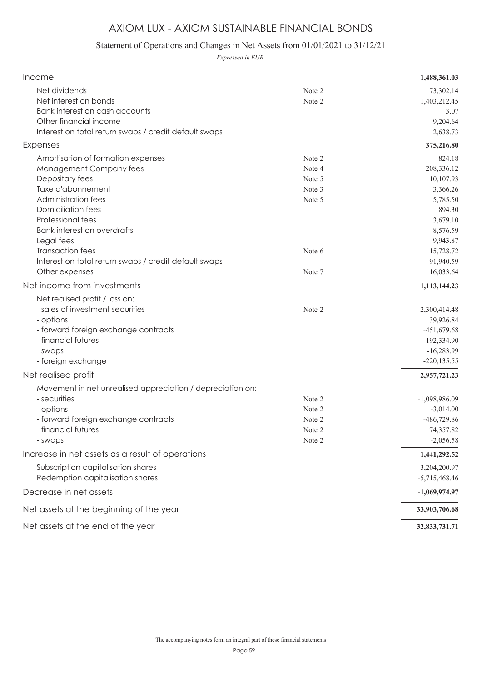### Statement of Operations and Changes in Net Assets from 01/01/2021 to 31/12/21

*Expressed in EUR*

| Income                                                                                                                                                                                                                                                                                                                 |                                                          | 1,488,361.03                                                                                                                      |
|------------------------------------------------------------------------------------------------------------------------------------------------------------------------------------------------------------------------------------------------------------------------------------------------------------------------|----------------------------------------------------------|-----------------------------------------------------------------------------------------------------------------------------------|
| Net dividends<br>Net interest on bonds<br>Bank interest on cash accounts<br>Other financial income<br>Interest on total return swaps / credit default swaps                                                                                                                                                            | Note 2<br>Note 2                                         | 73,302.14<br>1,403,212.45<br>3.07<br>9,204.64<br>2,638.73                                                                         |
| Expenses                                                                                                                                                                                                                                                                                                               |                                                          | 375,216.80                                                                                                                        |
| Amortisation of formation expenses<br>Management Company fees<br>Depositary fees<br>Taxe d'abonnement<br>Administration fees<br><b>Domiciliation fees</b><br>Professional fees<br><b>Bank interest on overdrafts</b><br>Legal fees<br><b>Transaction fees</b><br>Interest on total return swaps / credit default swaps | Note 2<br>Note 4<br>Note 5<br>Note 3<br>Note 5<br>Note 6 | 824.18<br>208,336.12<br>10,107.93<br>3,366.26<br>5,785.50<br>894.30<br>3,679.10<br>8,576.59<br>9,943.87<br>15,728.72<br>91,940.59 |
| Other expenses                                                                                                                                                                                                                                                                                                         | Note 7                                                   | 16,033.64                                                                                                                         |
| Net income from investments                                                                                                                                                                                                                                                                                            |                                                          | 1,113,144.23                                                                                                                      |
| Net realised profit / loss on:<br>- sales of investment securities<br>- options<br>- forward foreign exchange contracts<br>- financial futures<br>- swaps<br>- foreign exchange                                                                                                                                        | Note 2                                                   | 2,300,414.48<br>39,926.84<br>$-451,679.68$<br>192,334.90<br>$-16,283.99$<br>$-220, 135.55$                                        |
| Net realised profit                                                                                                                                                                                                                                                                                                    |                                                          | 2,957,721.23                                                                                                                      |
| Movement in net unrealised appreciation / depreciation on:<br>- securities<br>- options<br>- forward foreign exchange contracts<br>- financial futures<br>- swaps                                                                                                                                                      | Note 2<br>Note 2<br>Note 2<br>Note 2<br>Note 2           | $-1,098,986.09$<br>$-3,014.00$<br>-486,729.86<br>74,357.82<br>$-2,056.58$                                                         |
| Increase in net assets as a result of operations                                                                                                                                                                                                                                                                       |                                                          | 1,441,292.52                                                                                                                      |
| Subscription capitalisation shares<br>Redemption capitalisation shares                                                                                                                                                                                                                                                 |                                                          | 3,204,200.97<br>$-5,715,468.46$                                                                                                   |
| Decrease in net assets                                                                                                                                                                                                                                                                                                 |                                                          | $-1,069,974.97$                                                                                                                   |
| Net assets at the beginning of the year                                                                                                                                                                                                                                                                                |                                                          | 33,903,706.68                                                                                                                     |
| Net assets at the end of the year                                                                                                                                                                                                                                                                                      |                                                          | 32,833,731.71                                                                                                                     |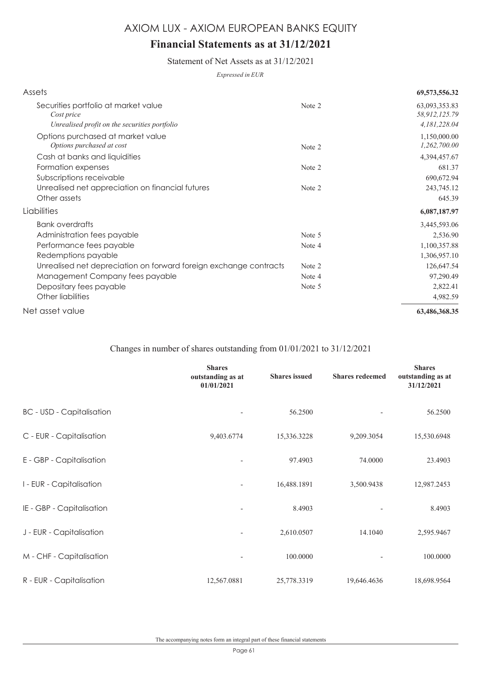# **Financial Statements as at 31/12/2021**

Statement of Net Assets as at 31/12/2021

*Expressed in EUR*

| Assets                                                                                              |                  | 69,573,556.32                                  |
|-----------------------------------------------------------------------------------------------------|------------------|------------------------------------------------|
| Securities portfolio at market value<br>Cost price<br>Unrealised profit on the securities portfolio | Note 2           | 63,093,353.83<br>58,912,125.79<br>4,181,228.04 |
| Options purchased at market value<br>Options purchased at cost                                      | Note 2           | 1,150,000.00<br>1,262,700.00                   |
| Cash at banks and liquidities                                                                       |                  | 4,394,457.67                                   |
| Formation expenses<br>Subscriptions receivable<br>Unrealised net appreciation on financial futures  | Note 2<br>Note 2 | 681.37<br>690,672.94<br>243,745.12             |
| Other assets                                                                                        |                  | 645.39                                         |
| Liabilities                                                                                         |                  | 6,087,187.97                                   |
| <b>Bank overdrafts</b>                                                                              |                  | 3,445,593.06                                   |
| Administration fees payable                                                                         | Note 5           | 2,536.90                                       |
| Performance fees payable<br>Redemptions payable                                                     | Note 4           | 1,100,357.88<br>1,306,957.10                   |
| Unrealised net depreciation on forward foreign exchange contracts                                   | Note 2           | 126,647.54                                     |
| Management Company fees payable                                                                     | Note 4           | 97,290.49                                      |
| Depositary fees payable                                                                             | Note 5           | 2,822.41                                       |
| Other liabilities                                                                                   |                  | 4,982.59                                       |
| Net asset value                                                                                     |                  | 63,486,368.35                                  |

### Changes in number of shares outstanding from 01/01/2021 to 31/12/2021

|                                  | <b>Shares</b><br>outstanding as at<br>01/01/2021 | <b>Shares</b> issued | <b>Shares redeemed</b> | <b>Shares</b><br>outstanding as at<br>31/12/2021 |
|----------------------------------|--------------------------------------------------|----------------------|------------------------|--------------------------------------------------|
| <b>BC</b> - USD - Capitalisation | $\overline{\phantom{a}}$                         | 56.2500              |                        | 56.2500                                          |
| C - EUR - Capitalisation         | 9,403.6774                                       | 15,336.3228          | 9,209.3054             | 15,530.6948                                      |
| E - GBP - Capitalisation         |                                                  | 97.4903              | 74.0000                | 23.4903                                          |
| I - EUR - Capitalisation         | $\overline{\phantom{a}}$                         | 16,488.1891          | 3,500.9438             | 12,987.2453                                      |
| IE - GBP - Capitalisation        | $\overline{\phantom{a}}$                         | 8.4903               |                        | 8.4903                                           |
| J - EUR - Capitalisation         | ٠                                                | 2,610.0507           | 14.1040                | 2,595.9467                                       |
| M - CHF - Capitalisation         | $\qquad \qquad \blacksquare$                     | 100.0000             |                        | 100.0000                                         |
| R - EUR - Capitalisation         | 12,567.0881                                      | 25,778.3319          | 19,646.4636            | 18,698.9564                                      |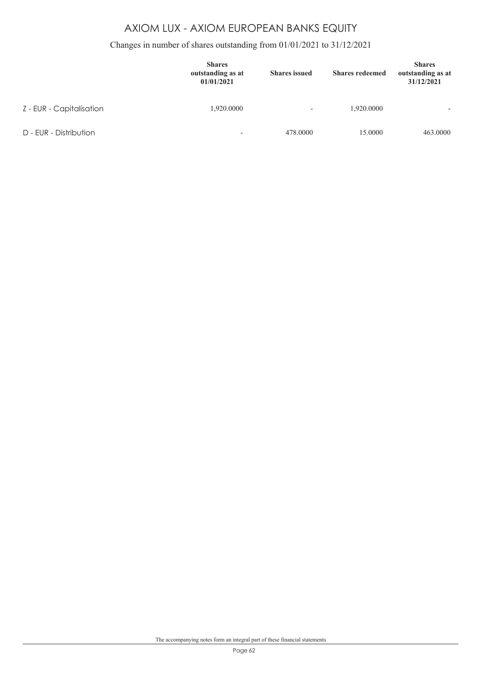### Changes in number of shares outstanding from 01/01/2021 to 31/12/2021

|                          | <b>Shares</b><br>outstanding as at<br>01/01/2021 | <b>Shares</b> issued     | <b>Shares redeemed</b> | <b>Shares</b><br>outstanding as at<br>31/12/2021 |
|--------------------------|--------------------------------------------------|--------------------------|------------------------|--------------------------------------------------|
| Z - EUR - Capitalisation | 1,920.0000                                       | $\overline{\phantom{a}}$ | 1,920.0000             | $\overline{\phantom{0}}$                         |
| D - EUR - Distribution   | $\overline{\phantom{0}}$                         | 478,0000                 | 15,0000                | 463,0000                                         |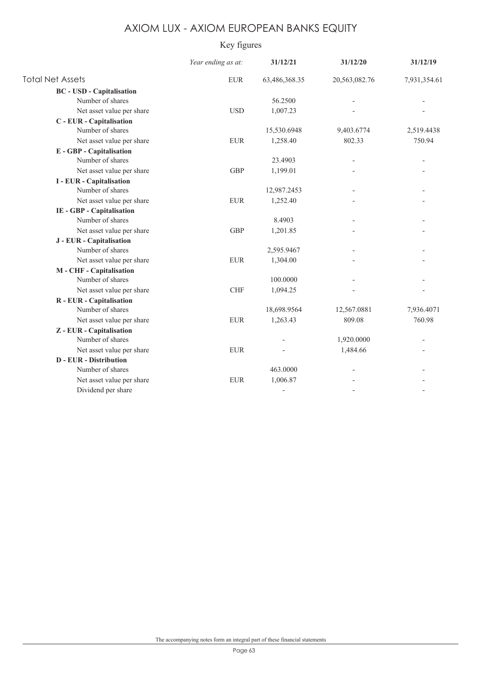### Key figures

|                                  | Year ending as at: | 31/12/21      | 31/12/20      | 31/12/19     |
|----------------------------------|--------------------|---------------|---------------|--------------|
| <b>Total Net Assets</b>          | <b>EUR</b>         | 63,486,368.35 | 20,563,082.76 | 7,931,354.61 |
| <b>BC</b> - USD - Capitalisation |                    |               |               |              |
| Number of shares                 |                    | 56.2500       |               |              |
| Net asset value per share        | <b>USD</b>         | 1,007.23      |               |              |
| C - EUR - Capitalisation         |                    |               |               |              |
| Number of shares                 |                    | 15,530.6948   | 9,403.6774    | 2,519.4438   |
| Net asset value per share        | <b>EUR</b>         | 1,258.40      | 802.33        | 750.94       |
| <b>E</b> - GBP - Capitalisation  |                    |               |               |              |
| Number of shares                 |                    | 23.4903       |               |              |
| Net asset value per share        | <b>GBP</b>         | 1,199.01      |               |              |
| <b>I</b> - EUR - Capitalisation  |                    |               |               |              |
| Number of shares                 |                    | 12,987.2453   |               |              |
| Net asset value per share        | <b>EUR</b>         | 1,252.40      |               |              |
| IE - GBP - Capitalisation        |                    |               |               |              |
| Number of shares                 |                    | 8.4903        |               |              |
| Net asset value per share        | <b>GBP</b>         | 1,201.85      |               |              |
| J - EUR - Capitalisation         |                    |               |               |              |
| Number of shares                 |                    | 2,595.9467    |               |              |
| Net asset value per share        | ${\rm EUR}$        | 1,304.00      |               |              |
| M - CHF - Capitalisation         |                    |               |               |              |
| Number of shares                 |                    | 100.0000      |               |              |
| Net asset value per share        | <b>CHF</b>         | 1,094.25      |               |              |
| R - EUR - Capitalisation         |                    |               |               |              |
| Number of shares                 |                    | 18,698.9564   | 12,567.0881   | 7,936.4071   |
| Net asset value per share        | ${\rm EUR}$        | 1,263.43      | 809.08        | 760.98       |
| Z - EUR - Capitalisation         |                    |               |               |              |
| Number of shares                 |                    |               | 1,920.0000    |              |
| Net asset value per share        | <b>EUR</b>         |               | 1,484.66      |              |
| <b>D</b> - EUR - Distribution    |                    |               |               |              |
| Number of shares                 |                    | 463,0000      |               |              |
| Net asset value per share        | <b>EUR</b>         | 1,006.87      |               |              |
| Dividend per share               |                    |               |               |              |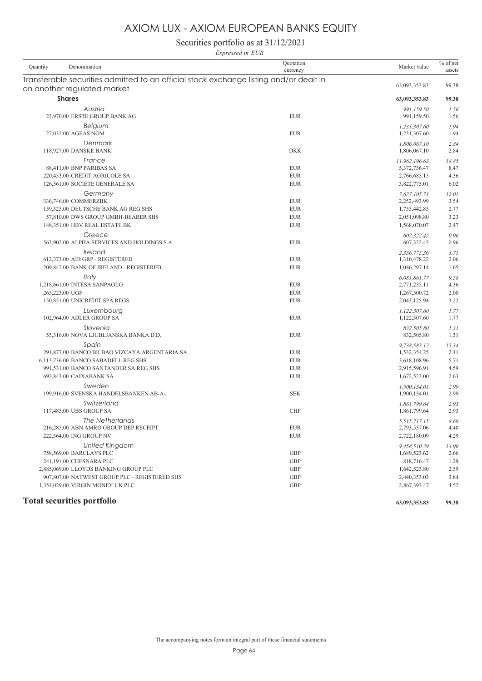Securities portfolio as at 31/12/2021

|                 | Expressed in EUR                                                                                                      |                          |                                              |                      |  |  |
|-----------------|-----------------------------------------------------------------------------------------------------------------------|--------------------------|----------------------------------------------|----------------------|--|--|
| <b>Quantity</b> | Denomination                                                                                                          | Quotation<br>currency    | Market value                                 | $%$ of net<br>assets |  |  |
|                 | Transferable securities admitted to an official stock exchange listing and/or dealt in<br>on another regulated market |                          | 63,093,353.83                                | 99.38                |  |  |
|                 | <b>Shares</b>                                                                                                         |                          | 63,093,353.83                                | 99.38                |  |  |
|                 | Austria<br>23,970.00 ERSTE GROUP BANK AG                                                                              | <b>EUR</b>               | 991,159.50<br>991,159.50                     | 1.56<br>1.56         |  |  |
|                 | Belgium<br>27,032.00 AGEAS NOM                                                                                        | <b>EUR</b>               | 1,231,307.60<br>1,231,307.60                 | 1.94<br>1.94         |  |  |
|                 | Denmark<br>118,927.00 DANSKE BANK                                                                                     | <b>DKK</b>               | 1,806,067.10<br>1,806,067.10                 | 2.84<br>2.84         |  |  |
|                 | France<br>88,411.00 BNP PARIBAS SA                                                                                    | <b>EUR</b>               | 11,962,196.63<br>5,372,736.47                | 18.85<br>8.47        |  |  |
|                 | 220,453.00 CREDIT AGRICOLE SA<br>126,561.00 SOCIETE GENERALE SA                                                       | <b>EUR</b><br><b>EUR</b> | 2,766,685.15<br>3,822,775.01                 | 4.36<br>6.02         |  |  |
|                 | Germany                                                                                                               |                          | 7,627,105.71                                 | 12.01                |  |  |
|                 | 336,746.00 COMMERZBK<br>159,325.00 DEUTSCHE BANK AG REG SHS                                                           | <b>EUR</b><br><b>EUR</b> | 2,252,493.99<br>1,755,442.85                 | 3.54<br>2.77         |  |  |
|                 | 57,810.00 DWS GROUP GMBH-BEARER SHS<br>148,351.00 HBV REAL ESTATE BK                                                  | <b>EUR</b><br><b>EUR</b> | 2,051,098.80<br>1,568,070.07                 | 3.23<br>2.47         |  |  |
|                 | Greece<br>563,902.00 ALPHA SERVICES AND HOLDINGS S.A                                                                  | <b>EUR</b>               | 607.322.45<br>607,322.45                     | 0.96<br>0.96         |  |  |
|                 | Ireland<br>612,373.00 AIB GRP - REGISTERED<br>209,847.00 BANK OF IRELAND - REGISTERED                                 | <b>EUR</b><br><b>EUR</b> | 2,356,775.36<br>1,310,478.22<br>1,046,297.14 | 3.71<br>2.06<br>1.65 |  |  |
|                 | Italy                                                                                                                 |                          | 6,081,861.77                                 | 9.58                 |  |  |
|                 | 1,218,661.00 INTESA SANPAOLO<br>265,223.00 UGF                                                                        | <b>EUR</b><br><b>EUR</b> | 2,771,235.11<br>1,267,500.72                 | 4.36<br>2.00         |  |  |
|                 | 150,851.00 UNICREDIT SPA REGS                                                                                         | <b>EUR</b>               | 2,043,125.94                                 | 3.22                 |  |  |
|                 | Luxembourg<br>102,964.00 ADLER GROUP SA                                                                               | <b>EUR</b>               | 1,122,307.60<br>1,122,307.60                 | 1.77<br>1.77         |  |  |
|                 | Slovenia<br>55,316.00 NOVA LJUBLJANSKA BANKA D.D.                                                                     | <b>EUR</b>               | 832,505.80<br>832,505.80                     | 1.31<br>1.31         |  |  |
|                 | Spain<br>291,877.00 BANCO BILBAO VIZCAYA ARGENTARIA SA                                                                | <b>EUR</b>               | 9,738,583.12<br>1,532,354.25                 | 15.34<br>2.41        |  |  |
|                 | 6,113,736.00 BANCO SABADELL REG.SHS                                                                                   | <b>EUR</b>               | 3,618,108.96                                 | 5.71                 |  |  |
|                 | 991,531.00 BANCO SANTANDER SA REG SHS<br>692,843.00 CAIXABANK SA                                                      | <b>EUR</b><br><b>EUR</b> | 2,915,596.91<br>1,672,523.00                 | 4.59<br>2.63         |  |  |
|                 | Sweden<br>199,916.00 SVENSKA HANDELSBANKEN AB-A-                                                                      | <b>SEK</b>               | 1,900,134.01<br>1,900,134.01                 | 2.99<br>2.99         |  |  |
|                 | Switzerland<br>117,485.00 UBS GROUP SA                                                                                | <b>CHF</b>               | 1,861,799.64<br>1,861,799.64                 | 2.93<br>2.93         |  |  |
|                 | The Netherlands<br>216,285.00 ABN AMRO GROUP DEP RECEIPT<br>222,364.00 ING GROUP NV                                   | <b>EUR</b><br><b>EUR</b> | 5,515,717.15<br>2,793,537.06<br>2,722,180.09 | 8.69<br>4.40<br>4.29 |  |  |
|                 | <b>United Kingdom</b><br>758,569.00 BARCLAYS PLC                                                                      | GBP                      | 9,458,510.39<br>1,689,523.62                 | 14.90<br>2.66        |  |  |
|                 | 241,191.00 CHESNARA PLC                                                                                               | GBP                      | 818,716.47                                   | 1.29                 |  |  |
|                 | 2,885,069.00 LLOYDS BANKING GROUP PLC<br>907,807.00 NATWEST GROUP PLC - REGISTERED SHS                                | GBP<br><b>GBP</b>        | 1,642,523.80<br>2,440,353.03                 | 2.59<br>3.84         |  |  |
|                 | 1,354,029.00 VIRGIN MONEY UK PLC                                                                                      | GBP                      | 2,867,393.47                                 | 4.52                 |  |  |

### **Total securities portfolio 63,093,353.83 99.38**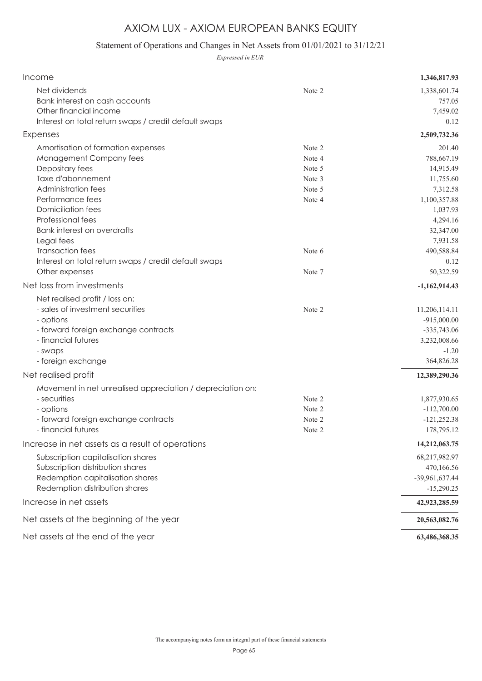### Statement of Operations and Changes in Net Assets from 01/01/2021 to 31/12/21

*Expressed in EUR*

| Income                                                                                                                                                                                                                                                                                   |                                                                    | 1,346,817.93                                                                                                                              |
|------------------------------------------------------------------------------------------------------------------------------------------------------------------------------------------------------------------------------------------------------------------------------------------|--------------------------------------------------------------------|-------------------------------------------------------------------------------------------------------------------------------------------|
| Net dividends<br>Bank interest on cash accounts<br>Other financial income                                                                                                                                                                                                                | Note 2                                                             | 1,338,601.74<br>757.05<br>7,459.02                                                                                                        |
| Interest on total return swaps / credit default swaps                                                                                                                                                                                                                                    |                                                                    | 0.12                                                                                                                                      |
| Expenses                                                                                                                                                                                                                                                                                 |                                                                    | 2,509,732.36                                                                                                                              |
| Amortisation of formation expenses<br>Management Company fees<br>Depositary fees<br>Taxe d'abonnement<br><b>Administration fees</b><br>Performance fees<br><b>Domiciliation fees</b><br>Professional fees<br><b>Bank interest on overdrafts</b><br>Legal fees<br><b>Transaction fees</b> | Note 2<br>Note 4<br>Note 5<br>Note 3<br>Note 5<br>Note 4<br>Note 6 | 201.40<br>788,667.19<br>14,915.49<br>11,755.60<br>7,312.58<br>1,100,357.88<br>1,037.93<br>4,294.16<br>32,347.00<br>7,931.58<br>490,588.84 |
| Interest on total return swaps / credit default swaps<br>Other expenses                                                                                                                                                                                                                  | Note 7                                                             | 0.12<br>50,322.59                                                                                                                         |
| Net loss from investments                                                                                                                                                                                                                                                                |                                                                    | $-1,162,914.43$                                                                                                                           |
| Net realised profit / loss on:<br>- sales of investment securities<br>- options<br>- forward foreign exchange contracts<br>- financial futures<br>- swaps<br>- foreign exchange                                                                                                          | Note 2                                                             | 11,206,114.11<br>$-915,000.00$<br>$-335,743.06$<br>3,232,008.66<br>$-1.20$<br>364,826.28                                                  |
| Net realised profit                                                                                                                                                                                                                                                                      |                                                                    | 12,389,290.36                                                                                                                             |
| Movement in net unrealised appreciation / depreciation on:<br>- securities<br>- options<br>- forward foreign exchange contracts<br>- financial futures                                                                                                                                   | Note 2<br>Note 2<br>Note 2<br>Note 2                               | 1,877,930.65<br>$-112,700.00$<br>$-121,252.38$<br>178,795.12                                                                              |
| Increase in net assets as a result of operations                                                                                                                                                                                                                                         |                                                                    | 14,212,063.75                                                                                                                             |
| Subscription capitalisation shares<br>Subscription distribution shares<br>Redemption capitalisation shares<br>Redemption distribution shares                                                                                                                                             |                                                                    | 68,217,982.97<br>470,166.56<br>-39,961,637.44<br>$-15,290.25$                                                                             |
| Increase in net assets                                                                                                                                                                                                                                                                   |                                                                    | 42,923,285.59                                                                                                                             |
| Net assets at the beginning of the year                                                                                                                                                                                                                                                  |                                                                    | 20,563,082.76                                                                                                                             |
| Net assets at the end of the year                                                                                                                                                                                                                                                        |                                                                    | 63,486,368.35                                                                                                                             |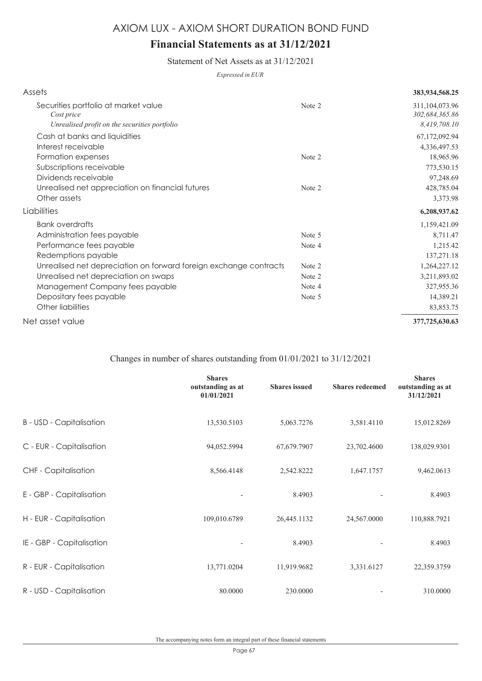# **Financial Statements as at 31/12/2021**

Statement of Net Assets as at 31/12/2021

*Expressed in EUR*

| Assets                                                            |        | 383,934,568.25                      |
|-------------------------------------------------------------------|--------|-------------------------------------|
| Securities portfolio at market value<br>Cost price                | Note 2 | 311, 104, 073. 96<br>302,684,365.86 |
| Unrealised profit on the securities portfolio                     |        | 8,419,708.10                        |
| Cash at banks and liquidities                                     |        | 67,172,092.94                       |
| Interest receivable                                               |        | 4,336,497.53                        |
| Formation expenses                                                | Note 2 | 18,965.96                           |
| Subscriptions receivable                                          |        | 773,530.15                          |
| Dividends receivable                                              |        | 97,248.69                           |
| Unrealised net appreciation on financial futures                  | Note 2 | 428,785.04                          |
| Other assets                                                      |        | 3,373.98                            |
| Liabilities                                                       |        | 6,208,937.62                        |
| <b>Bank overdrafts</b>                                            |        | 1,159,421.09                        |
| Administration fees payable                                       | Note 5 | 8,711.47                            |
| Performance fees payable                                          | Note 4 | 1,215.42                            |
| Redemptions payable                                               |        | 137,271.18                          |
| Unrealised net depreciation on forward foreign exchange contracts | Note 2 | 1,264,227.12                        |
| Unrealised net depreciation on swaps                              | Note 2 | 3,211,893.02                        |
| Management Company fees payable                                   | Note 4 | 327,955.36                          |
| Depositary fees payable                                           | Note 5 | 14,389.21                           |
| Other liabilities                                                 |        | 83,853.75                           |
| Net asset value                                                   |        | 377,725,630.63                      |

### Changes in number of shares outstanding from 01/01/2021 to 31/12/2021

|                                 | <b>Shares</b><br>outstanding as at<br>01/01/2021 | <b>Shares</b> issued | <b>Shares redeemed</b> | <b>Shares</b><br>outstanding as at<br>31/12/2021 |
|---------------------------------|--------------------------------------------------|----------------------|------------------------|--------------------------------------------------|
| <b>B</b> - USD - Capitalisation | 13,530.5103                                      | 5,063.7276           | 3,581.4110             | 15,012.8269                                      |
| C - EUR - Capitalisation        | 94,052.5994                                      | 67,679.7907          | 23,702.4600            | 138,029.9301                                     |
| <b>CHF</b> - Capitalisation     | 8,566.4148                                       | 2,542.8222           | 1,647.1757             | 9,462.0613                                       |
| E - GBP - Capitalisation        | $\overline{\phantom{a}}$                         | 8.4903               |                        | 8.4903                                           |
| H - EUR - Capitalisation        | 109,010.6789                                     | 26,445.1132          | 24,567.0000            | 110,888.7921                                     |
| IE - GBP - Capitalisation       | $\overline{\phantom{a}}$                         | 8.4903               |                        | 8.4903                                           |
| R - EUR - Capitalisation        | 13,771.0204                                      | 11,919.9682          | 3,331.6127             | 22,359.3759                                      |
| R - USD - Capitalisation        | 80.0000                                          | 230.0000             |                        | 310.0000                                         |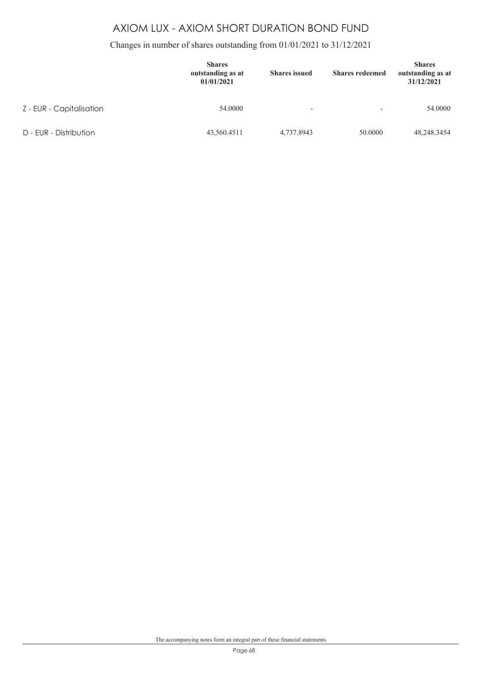### Changes in number of shares outstanding from 01/01/2021 to 31/12/2021

|                          | <b>Shares</b><br>outstanding as at<br>01/01/2021 | <b>Shares</b> issued     | <b>Shares redeemed</b>   | <b>Shares</b><br>outstanding as at<br>31/12/2021 |
|--------------------------|--------------------------------------------------|--------------------------|--------------------------|--------------------------------------------------|
| Z - EUR - Capitalisation | 54,0000                                          | $\overline{\phantom{a}}$ | $\overline{\phantom{a}}$ | 54,0000                                          |
| D - EUR - Distribution   | 43,560.4511                                      | 4,737.8943               | 50.0000                  | 48,248.3454                                      |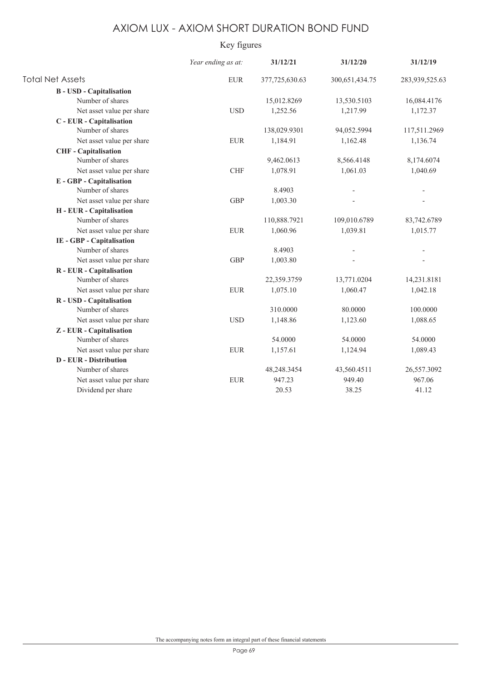### Key figures

|                                 | Year ending as at: | 31/12/21       | 31/12/20       | 31/12/19       |
|---------------------------------|--------------------|----------------|----------------|----------------|
| <b>Total Net Assets</b>         | <b>EUR</b>         | 377,725,630.63 | 300,651,434.75 | 283,939,525.63 |
| <b>B</b> - USD - Capitalisation |                    |                |                |                |
| Number of shares                |                    | 15,012.8269    | 13,530.5103    | 16,084.4176    |
| Net asset value per share       | <b>USD</b>         | 1,252.56       | 1,217.99       | 1,172.37       |
| C - EUR - Capitalisation        |                    |                |                |                |
| Number of shares                |                    | 138,029.9301   | 94,052.5994    | 117,511.2969   |
| Net asset value per share       | <b>EUR</b>         | 1,184.91       | 1,162.48       | 1,136.74       |
| <b>CHF</b> - Capitalisation     |                    |                |                |                |
| Number of shares                |                    | 9,462.0613     | 8,566.4148     | 8,174.6074     |
| Net asset value per share       | <b>CHF</b>         | 1,078.91       | 1,061.03       | 1,040.69       |
| E - GBP - Capitalisation        |                    |                |                |                |
| Number of shares                |                    | 8.4903         |                |                |
| Net asset value per share       | <b>GBP</b>         | 1,003.30       |                |                |
| H - EUR - Capitalisation        |                    |                |                |                |
| Number of shares                |                    | 110,888.7921   | 109,010.6789   | 83,742.6789    |
| Net asset value per share       | <b>EUR</b>         | 1,060.96       | 1,039.81       | 1,015.77       |
| IE - GBP - Capitalisation       |                    |                |                |                |
| Number of shares                |                    | 8.4903         |                |                |
| Net asset value per share       | <b>GBP</b>         | 1,003.80       |                |                |
| R - EUR - Capitalisation        |                    |                |                |                |
| Number of shares                |                    | 22,359.3759    | 13,771.0204    | 14,231.8181    |
| Net asset value per share       | ${\rm EUR}$        | 1,075.10       | 1,060.47       | 1,042.18       |
| R - USD - Capitalisation        |                    |                |                |                |
| Number of shares                |                    | 310.0000       | 80.0000        | 100.0000       |
| Net asset value per share       | <b>USD</b>         | 1,148.86       | 1,123.60       | 1,088.65       |
| Z - EUR - Capitalisation        |                    |                |                |                |
| Number of shares                |                    | 54.0000        | 54.0000        | 54.0000        |
| Net asset value per share       | <b>EUR</b>         | 1,157.61       | 1,124.94       | 1,089.43       |
| <b>D</b> - EUR - Distribution   |                    |                |                |                |
| Number of shares                |                    | 48,248.3454    | 43,560.4511    | 26,557.3092    |
| Net asset value per share       | <b>EUR</b>         | 947.23         | 949.40         | 967.06         |
| Dividend per share              |                    | 20.53          | 38.25          | 41.12          |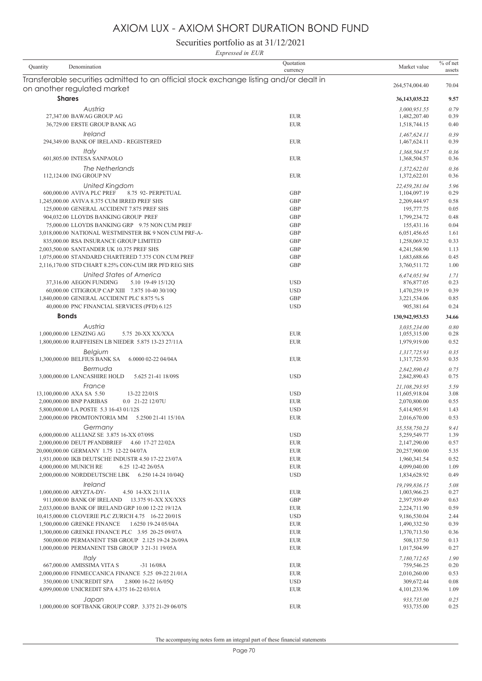Securities portfolio as at 31/12/2021

|          | Expressed in EUR                                                                                        |                          |                                |                      |
|----------|---------------------------------------------------------------------------------------------------------|--------------------------|--------------------------------|----------------------|
| Quantity | Denomination                                                                                            | Quotation<br>currency    | Market value                   | $%$ of net<br>assets |
|          | Transferable securities admitted to an official stock exchange listing and/or dealt in                  |                          |                                |                      |
|          | on another regulated market                                                                             |                          | 264,574,004.40                 | 70.04                |
|          | <b>Shares</b>                                                                                           |                          | 36,143,035.22                  | 9.57                 |
|          | Austria                                                                                                 |                          | 3,000,951.55                   | 0.79                 |
|          | 27,347.00 BAWAG GROUP AG<br>36,729.00 ERSTE GROUP BANK AG                                               | <b>EUR</b><br><b>EUR</b> | 1,482,207.40<br>1,518,744.15   | 0.39<br>0.40         |
|          | <i><u><b>Ireland</b></u></i>                                                                            |                          | 1,467,624.11                   | 0.39                 |
|          | 294,349.00 BANK OF IRELAND - REGISTERED                                                                 | <b>EUR</b>               | 1,467,624.11                   | 0.39                 |
|          | Italy                                                                                                   |                          | 1,368,504.57                   | 0.36                 |
|          | 601,805.00 INTESA SANPAOLO                                                                              | <b>EUR</b>               | 1,368,504.57                   | 0.36                 |
|          | The Netherlands<br>112,124.00 ING GROUP NV                                                              | <b>EUR</b>               | 1,372,622.01<br>1,372,622.01   | 0.36<br>0.36         |
|          | United Kingdom                                                                                          |                          | 22,459,281.04                  | 5.96                 |
|          | 600,000.00 AVIVA PLC PREF<br>8.75 92- PERPETUAL                                                         | <b>GBP</b>               | 1,104,097.19                   | 0.29                 |
|          | 1,245,000.00 AVIVA 8.375 CUM IRRED PREF SHS                                                             | <b>GBP</b>               | 2,209,444.97                   | 0.58                 |
|          | 125,000.00 GENERAL ACCIDENT 7.875 PREF SHS                                                              | <b>GBP</b>               | 195,777.75                     | 0.05                 |
|          | 904,032.00 LLOYDS BANKING GROUP PREF                                                                    | <b>GBP</b>               | 1,799,234.72                   | 0.48                 |
|          | 75,000.00 LLOYDS BANKING GRP 9.75 NON CUM PREF<br>3,018,000.00 NATIONAL WESTMINSTER BK 9 NON CUM PRF-A- | <b>GBP</b><br><b>GBP</b> | 155,431.16                     | 0.04<br>1.61         |
|          | 835,000.00 RSA INSURANCE GROUP LIMITED                                                                  | <b>GBP</b>               | 6,051,456.65<br>1,258,069.32   | 0.33                 |
|          | 2,003,500.00 SANTANDER UK 10.375 PREF SHS                                                               | <b>GBP</b>               | 4,241,568.90                   | 1.13                 |
|          | 1,075,000.00 STANDARD CHARTERED 7.375 CON CUM PREF                                                      | <b>GBP</b>               | 1,683,688.66                   | 0.45                 |
|          | 2,116,170.00 STD CHART 8.25% CON-CUM IRR PFD REG SHS                                                    | <b>GBP</b>               | 3,760,511.72                   | 1.00                 |
|          | United States of America                                                                                |                          | 6,474,051.94                   | 1.71                 |
|          | 37,316.00 AEGON FUNDING<br>5.10 19-49 15/12Q                                                            | <b>USD</b>               | 876, 877.05                    | 0.23                 |
|          | 60,000.00 CITIGROUP CAP XIII 7.875 10-40 30/10Q                                                         | <b>USD</b>               | 1,470,259.19                   | 0.39                 |
|          | 1,840,000.00 GENERAL ACCIDENT PLC 8.875 % S                                                             | <b>GBP</b>               | 3,221,534.06                   | 0.85                 |
|          | 40,000.00 PNC FINANCIAL SERVICES (PFD) 6.125                                                            | <b>USD</b>               | 905,381.64                     | 0.24                 |
|          | <b>Bonds</b>                                                                                            |                          | 130,942,953.53                 | 34.66                |
|          | Austria                                                                                                 |                          | 3,035,234.00                   | 0.80                 |
|          | 1,000,000.00 LENZING AG<br>5.75 20-XX XX/XXA                                                            | <b>EUR</b>               | 1,055,315.00                   | 0.28                 |
|          | 1,800,000.00 RAIFFEISEN LB NIEDER 5.875 13-23 27/11A                                                    | <b>EUR</b>               | 1,979,919.00                   | 0.52                 |
|          | Belgium<br>1,300,000.00 BELFIUS BANK SA<br>6.0000 02-22 04/04A                                          | <b>EUR</b>               | 1,317,725.93<br>1,317,725.93   | 0.35<br>0.35         |
|          | Bermuda                                                                                                 |                          | 2,842,890.43                   | 0.75                 |
|          | 3,000,000.00 LANCASHIRE HOLD<br>5.625 21-41 18/09S                                                      | <b>USD</b>               | 2,842,890.43                   | 0.75                 |
|          | France<br>13,100,000.00 AXA SA 5.50<br>13-22 22/01S                                                     | <b>USD</b>               | 21,108,293.95<br>11,605,918.04 | 5.59<br>3.08         |
|          | 2,000,000.00 BNP PARIBAS<br>0.0 21-22 12/07U                                                            | <b>EUR</b>               | 2,070,800.00                   | 0.55                 |
|          | 5,800,000.00 LA POSTE 5.3 16-43 01/12S                                                                  | <b>USD</b>               | 5,414,905.91                   | 1.43                 |
|          | 2,000,000.00 PROMTONTORIA MM 5.2500 21-41 15/10A                                                        | <b>EUR</b>               | 2,016,670.00                   | 0.53                 |
|          | Germany                                                                                                 |                          | 35,558,750.23                  | 9.41                 |
|          | 6,000,000.00 ALLIANZ SE 3.875 16-XX 07/09S                                                              | <b>USD</b>               | 5,259,549.77                   | 1.39                 |
|          | 2,000,000.00 DEUT PFANDBRIEF 4.60 17-27 22/02A                                                          | <b>EUR</b>               | 2,147,290.00                   | 0.57                 |
|          | 20,000,000.00 GERMANY 1.75 12-22 04/07A                                                                 | <b>EUR</b>               | 20,257,900.00                  | 5.35                 |
|          | 1,931,000.00 IKB DEUTSCHE INDUSTR 4.50 17-22 23/07A                                                     | <b>EUR</b>               | 1,960,341.54                   | 0.52                 |
|          | 4,000,000.00 MUNICH RE<br>6.25 12-42 26/05A                                                             | <b>EUR</b>               | 4,099,040.00                   | 1.09                 |
|          | 2,000,000.00 NORDDEUTSCHE LBK 6.250 14-24 10/04Q                                                        | <b>USD</b>               | 1,834,628.92                   | 0.49                 |
|          | Ireland                                                                                                 |                          | 19,199,836.15                  | 5.08                 |
|          | 1,000,000.00 ARYZTA-DY-<br>4.50 14-XX 21/11A<br>911,000.00 BANK OF IRELAND 13.375 91-XX XX/XXS          | <b>EUR</b>               | 1,003,966.23                   | 0.27                 |
|          | 2,033,000.00 BANK OF IRELAND GRP 10.00 12-22 19/12A                                                     | GBP<br><b>EUR</b>        | 2,397,939.49<br>2,224,711.90   | 0.63<br>0.59         |
|          | 10,415,000.00 CLOVERIE PLC ZURICH 4.75 16-22 20/01S                                                     | <b>USD</b>               | 9,186,530.04                   | 2.44                 |
|          | 1,500,000.00 GRENKE FINANCE  1.6250 19-24 05/04A                                                        | <b>EUR</b>               | 1,490,332.50                   | 0.39                 |
|          | 1,300,000.00 GRENKE FINANCE PLC 3.95 20-25 09/07A                                                       | <b>EUR</b>               | 1,370,713.50                   | 0.36                 |
|          | 500,000.00 PERMANENT TSB GROUP 2.125 19-24 26/09A                                                       | <b>EUR</b>               | 508,137.50                     | 0.13                 |
|          | 1,000,000.00 PERMANENT TSB GROUP 3 21-31 19/05A                                                         | <b>EUR</b>               | 1,017,504.99                   | 0.27                 |
|          | Italy                                                                                                   |                          | 7,180,712.65                   | 1.90                 |
|          | 667,000.00 AMISSIMA VITA S<br>$-31$ 16/08A                                                              | EUR                      | 759,546.25                     | 0.20                 |
|          | 2,000,000.00 FINMECCANICA FINANCE 5.25 09-22 21/01A                                                     | <b>EUR</b>               | 2,010,260.00                   | 0.53                 |
|          | 350,000.00 UNICREDIT SPA 2.8000 16-22 16/05Q                                                            | <b>USD</b>               | 309,672.44                     | 0.08                 |
|          | 4,099,000.00 UNICREDIT SPA 4.375 16-22 03/01A                                                           | <b>EUR</b>               | 4, 101, 233.96                 | 1.09                 |
|          | Japan                                                                                                   |                          | 933,735.00                     | 0.25                 |
|          | 1,000,000.00 SOFTBANK GROUP CORP. 3.375 21-29 06/07S                                                    | <b>EUR</b>               | 933,735.00                     | 0.25                 |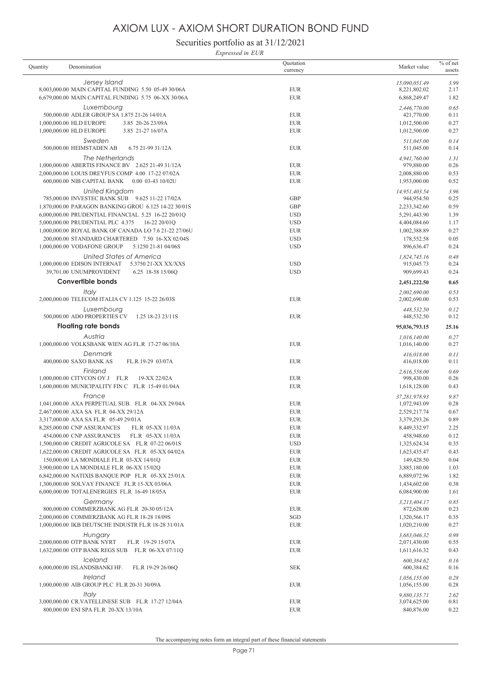Securities portfolio as at 31/12/2021

*Expressed in EUR*

| Quantity | Denomination                                               | Quotation<br>currency | Market value                 | $%$ of net<br>assets |
|----------|------------------------------------------------------------|-----------------------|------------------------------|----------------------|
|          | Jersey Island                                              |                       | 15,090,051.49                | 3.99                 |
|          | 8,003,000.00 MAIN CAPITAL FUNDING 5.50 05-49 30/06A        | <b>EUR</b>            | 8,221,802.02                 | 2.17                 |
|          | 6,679,000.00 MAIN CAPITAL FUNDING 5.75 06-XX 30/06A        | <b>EUR</b>            | 6,868,249.47                 | 1.82                 |
|          | Luxembourg                                                 |                       | 2,446,770.00                 | 0.65                 |
|          | 500,000.00 ADLER GROUP SA 1.875 21-26 14/01A               | <b>EUR</b>            | 421,770.00                   | 0.11                 |
|          | 1,000,000.00 HLD EUROPE<br>3.85 20-26 23/09A               | <b>EUR</b>            | 1,012,500.00                 | 0.27                 |
|          | 1,000,000.00 HLD EUROPE<br>3.85 21-27 16/07A               | <b>EUR</b>            | 1,012,500.00                 | 0.27                 |
|          | Sweden                                                     |                       | 511,045.00                   | 0.14                 |
|          | 500,000.00 HEIMSTADEN AB<br>6.75 21-99 31/12A              | <b>EUR</b>            | 511,045.00                   | 0.14                 |
|          | The Netherlands                                            |                       | 4,941,760.00                 | 1.31                 |
|          | 1,000,000.00 ABERTIS FINANCE BV 2.625 21-49 31/12A         | <b>EUR</b>            | 979,880.00                   | 0.26                 |
|          | 2,000,000.00 LOUIS DREYFUS COMP 4.00 17-22 07/02A          | <b>EUR</b>            | 2,008,880.00                 | 0.53                 |
|          | 600,000.00 NIB CAPITAL BANK  0.00 03-43 10/02U             | <b>EUR</b>            | 1,953,000.00                 | 0.52                 |
|          | United Kingdom                                             |                       | 14,951,403.54                | 3.96                 |
|          | 785,000.00 INVESTEC BANK SUB  9.625 11-22 17/02A           | <b>GBP</b>            | 944,954.50                   | 0.25                 |
|          | 1,870,000.00 PARAGON BANKING GROU 6.125 14-22 30/01S       | <b>GBP</b>            | 2,233,342.60                 | 0.59                 |
|          | 6,000,000.00 PRUDENTIAL FINANCIAL 5.25 16-22 20/01Q        | <b>USD</b>            | 5,291,443.90                 | 1.39                 |
|          | 5,000,000.00 PRUDENTIAL PLC 4.375<br>16-22 20/01Q          | <b>USD</b>            | 4,404,084.60                 | 1.17                 |
|          | 1,000,000.00 ROYAL BANK OF CANADA LO 7.6 21-22 27/06U      | <b>EUR</b>            | 1,002,388.89                 | 0.27                 |
|          | 200,000.00 STANDARD CHARTERED 7.50 16-XX 02/04S            | <b>USD</b>            | 178,552.58                   | 0.05                 |
|          | 1,000,000.00 VODAFONE GROUP<br>5.1250 21-81 04/06S         | <b>USD</b>            | 896,636.47                   | 0.24                 |
|          | United States of America                                   |                       |                              | 0.48                 |
|          | 1,000,000.00 EDISON INTERNAT<br>5.3750 21-XX XX/XXS        | <b>USD</b>            | 1,824,745.16<br>915,045.73   | 0.24                 |
|          | 39.701.00 UNUMPROVIDENT<br>6.25 18-58 15/06Q               | <b>USD</b>            | 909,699.43                   | 0.24                 |
|          | <b>Convertible bonds</b>                                   |                       | 2,451,222.50                 | 0.65                 |
|          |                                                            |                       |                              |                      |
|          | Italy                                                      | <b>EUR</b>            | 2,002,690.00                 | 0.53<br>0.53         |
|          | 2,000,000.00 TELECOM ITALIA CV 1.125 15-22 26/03S          |                       | 2,002,690.00                 |                      |
|          | Luxembourg                                                 |                       | 448,532.50                   | 0.12                 |
|          | 500,000.00 ADO PROPERTIES CV<br>1.25 18-23 23/11S          | <b>EUR</b>            | 448,532.50                   | 0.12                 |
|          | <b>Floating rate bonds</b>                                 |                       | 95,036,793.15                | 25.16                |
|          | Austria                                                    |                       | 1,016,140.00                 | 0.27                 |
|          | 1,000,000.00 VOLKSBANK WIEN AG FL.R 17-27 06/10A           | <b>EUR</b>            | 1,016,140.00                 | 0.27                 |
|          | Denmark                                                    |                       | 416,018.00                   | 0.11                 |
|          | 400,000.00 SAXO BANK AS<br>FL.R 19-29 03/07A               | <b>EUR</b>            | 416,018.00                   | 0.11                 |
|          | Finland                                                    |                       | 2,616,558.00                 | 0.69                 |
|          | 1,000,000.00 CITYCON OY J FL.R<br>19-XX 22/02A             | <b>EUR</b>            | 998,430.00                   | 0.26                 |
|          | 1,600,000.00 MUNICIPALITY FIN C FL.R 15-49 01/04A          | <b>EUR</b>            | 1,618,128.00                 | 0.43                 |
|          | France                                                     |                       | 37,281,978.93                | 9.87                 |
|          | 1,041,000.00 AXA PERPETUAL SUB. FL.R 04-XX 29/04A          | <b>EUR</b>            | 1,072,943.09                 | 0.28                 |
|          | 2,467,000.00 AXA SA FL.R 04-XX 29/12A                      | <b>EUR</b>            | 2,529,217.74                 | 0.67                 |
|          | 3,317,000.00 AXA SA FL.R 05-49 29/01A                      | <b>EUR</b>            | 3,379,293.26                 | 0.89                 |
|          | 8,285,000.00 CNP ASSURANCES<br>FL.R 05-XX 11/03A           | <b>EUR</b>            | 8,449,332.97                 | 2.25                 |
|          | 454,000.00 CNP ASSURANCES<br>FL.R 05-XX 11/03A             | <b>EUR</b>            | 458,948.60                   | 0.12                 |
|          | 1,500,000.00 CREDIT AGRICOLE SA FL.R 07-22 06/01S          | <b>USD</b>            | 1,325,624.34                 | 0.35                 |
|          | 1,622,000.00 CREDIT AGRICOLE SA FL.R 05-XX 04/02A          | <b>EUR</b>            | 1,623,435.47                 | 0.43                 |
|          | 150,000.00 LA MONDIALE FL.R 03-XX 14/01Q                   | <b>EUR</b>            | 149,428.50                   | 0.04                 |
|          | 3,900,000.00 LA MONDIALE FL.R 06-XX 15/02Q                 | <b>EUR</b>            | 3,885,180.00                 | 1.03                 |
|          | 6,842,000.00 NATIXIS BANQUE POP FL.R 05-XX 25/01A          | <b>EUR</b>            | 6,889,072.96                 | 1.82                 |
|          | 1,300,000.00 SOLVAY FINANCE FL.R 15-XX 03/06A              | <b>EUR</b>            | 1,434,602.00                 | 0.38                 |
|          | 6,000,000.00 TOTALENERGIES FL.R 16-49 18/05A               | <b>EUR</b>            | 6,084,900.00                 | 1.61                 |
|          | Germany                                                    |                       | 3,213,404.17                 | 0.85                 |
|          | 800,000.00 COMMERZBANK AG FL.R 20-30 05/12A                | <b>EUR</b>            | 872,628.00                   | 0.23                 |
|          | 2,000,000.00 COMMERZBANK AG FL.R 18-28 18/09S              | SGD                   | 1,320,566.17                 | 0.35                 |
|          | 1,000,000.00 IKB DEUTSCHE INDUSTR FL.R 18-28 31/01A        | <b>EUR</b>            | 1,020,210.00                 | 0.27                 |
|          | Hungary                                                    |                       | 3,683,046.32                 | 0.98                 |
|          | 2,000,000.00 OTP BANK NYRT<br>FL.R 19-29 15/07A            | <b>EUR</b>            | 2,071,430.00                 | 0.55                 |
|          | 1,632,000.00 OTP BANK REGS SUB FL.R 06-XX 07/11Q           | <b>EUR</b>            | 1,611,616.32                 | 0.43                 |
|          | Iceland                                                    |                       | 600,384.62                   | 0.16                 |
|          | 6,000,000.00 ISLANDSBANKI HF.<br>FL.R 19-29 26/06Q         | <b>SEK</b>            | 600,384.62                   | 0.16                 |
|          | Ireland                                                    |                       |                              |                      |
|          | 1,000,000.00 AIB GROUP PLC FL.R 20-31 30/09A               | <b>EUR</b>            | 1,056,155.00<br>1,056,155.00 | 0.28<br>0.28         |
|          |                                                            |                       |                              |                      |
|          | Italy<br>3,000,000.00 CR.VATELLINESE SUB FL.R 17-27 12/04A | <b>EUR</b>            | 9,880,135.71<br>3,074,625.00 | 2.62<br>0.81         |
|          | 800,000.00 ENI SPA FL.R 20-XX 13/10A                       | <b>EUR</b>            | 840,876.00                   | 0.22                 |
|          |                                                            |                       |                              |                      |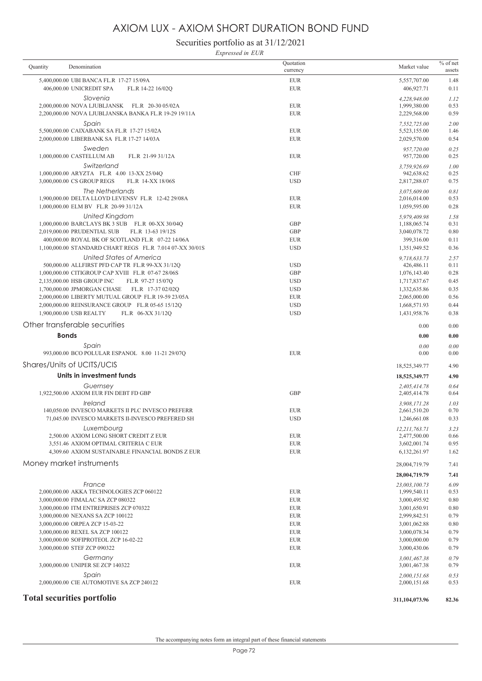Securities portfolio as at 31/12/2021

*Expressed in EUR*

| Quantity | Denomination                                                                                          | Quotation<br>currency    | Market value                 | $%$ of net<br>assets |
|----------|-------------------------------------------------------------------------------------------------------|--------------------------|------------------------------|----------------------|
|          | 5,400,000.00 UBI BANCA FL.R 17-27 15/09A                                                              | <b>EUR</b>               | 5,557,707.00                 | 1.48                 |
|          | 406,000.00 UNICREDIT SPA<br>FL.R 14-22 16/02Q                                                         | <b>EUR</b>               | 406,927.71                   | 0.11                 |
|          | Slovenia                                                                                              |                          | 4,228,948.00                 | 1.12                 |
|          | 2,000,000.00 NOVA LJUBLJANSK FL.R 20-30 05/02A                                                        | <b>EUR</b>               | 1,999,380.00                 | 0.53                 |
|          | 2,200,000.00 NOVA LJUBLJANSKA BANKA FL.R 19-29 19/11A                                                 | <b>EUR</b>               | 2,229,568.00                 | 0.59                 |
|          | Spain<br>5,500,000.00 CAIXABANK SA FL.R 17-27 15/02A                                                  | <b>EUR</b>               | 7,552,725.00<br>5,523,155.00 | 2.00<br>1.46         |
|          | 2,000,000.00 LIBERBANK SA FL.R 17-27 14/03A                                                           | <b>EUR</b>               | 2,029,570.00                 | 0.54                 |
|          | Sweden                                                                                                |                          | 957,720.00                   | 0.25                 |
|          | 1,000,000.00 CASTELLUM AB<br>FL.R 21-99 31/12A                                                        | <b>EUR</b>               | 957,720.00                   | 0.25                 |
|          | Switzerland                                                                                           |                          | 3.759.926.69                 | 1.00                 |
|          | 1,000,000.00 ARYZTA FL.R 4.00 13-XX 25/04O                                                            | <b>CHF</b>               | 942,638.62                   | 0.25                 |
|          | 3,000,000.00 CS GROUP REGS<br>FL.R 14-XX 18/06S                                                       | <b>USD</b>               | 2,817,288.07                 | 0.75                 |
|          | The Netherlands<br>1,900,000.00 DELTA LLOYD LEVENSV FL.R 12-42 29/08A                                 | <b>EUR</b>               | 3,075,609.00                 | 0.81<br>0.53         |
|          | 1,000,000.00 ELM BV FL.R 20-99 31/12A                                                                 | <b>EUR</b>               | 2,016,014.00<br>1,059,595.00 | 0.28                 |
|          | United Kingdom                                                                                        |                          | 5.979,409.98                 | 1.58                 |
|          | 1,000,000.00 BARCLAYS BK 3 SUB FL.R 00-XX 30/04Q                                                      | <b>GBP</b>               | 1,188,065.74                 | 0.31                 |
|          | 2,019,000.00 PRUDENTIAL SUB<br>FL.R 13-63 19/12S                                                      | <b>GBP</b>               | 3,040,078.72                 | 0.80                 |
|          | 400,000.00 ROYAL BK OF SCOTLAND FL.R 07-22 14/06A                                                     | <b>EUR</b>               | 399,316.00                   | 0.11                 |
|          | 1,100,000.00 STANDARD CHART REGS FL.R 7.014 07-XX 30/01S                                              | <b>USD</b>               | 1,351,949.52                 | 0.36                 |
|          | United States of America                                                                              |                          | 9,718,633.73                 | 2.57                 |
|          | 500,000.00 ALLFIRST PFD CAP TR FL.R 99-XX 31/12Q                                                      | <b>USD</b>               | 426,486.11                   | 0.11                 |
|          | 1,000,000.00 CITIGROUP CAP XVIII FL.R 07-67 28/06S<br>2,135,000.00 HSB GROUP INC<br>FL.R 97-27 15/07O | <b>GBP</b><br><b>USD</b> | 1,076,143.40<br>1,717,837.67 | 0.28<br>0.45         |
|          | FL.R 17-37 02/02Q<br>1,700,000.00 JPMORGAN CHASE                                                      | <b>USD</b>               | 1,332,635.86                 | 0.35                 |
|          | 2,000,000.00 LIBERTY MUTUAL GROUP FL.R 19-59 23/05A                                                   | <b>EUR</b>               | 2,065,000.00                 | 0.56                 |
|          | 2,000,000.00 REINSURANCE GROUP FL.R 05-65 15/12Q                                                      | <b>USD</b>               | 1,668,571.93                 | 0.44                 |
|          | 1,900,000.00 USB REALTY<br>FL.R 06-XX 31/12Q                                                          | <b>USD</b>               | 1,431,958.76                 | 0.38                 |
|          | Other transferable securities                                                                         |                          | 0.00                         | 0.00                 |
|          | <b>Bonds</b>                                                                                          |                          | 0.00                         | 0.00                 |
|          |                                                                                                       |                          |                              |                      |
|          | Spain<br>993,000.00 BCO POLULAR ESPANOL 8.00 11-21 29/07Q                                             | <b>EUR</b>               | 0.00<br>0.00                 | 0.00<br>0.00         |
|          | Shares/Units of UCITS/UCIS                                                                            |                          | 18,525,349.77                | 4.90                 |
|          | Units in investment funds                                                                             |                          | 18,525,349.77                | 4.90                 |
|          | Guernsey                                                                                              |                          | 2,405,414.78                 | 0.64                 |
|          | 1,922,500.00 AXIOM EUR FIN DEBT FD GBP                                                                | <b>GBP</b>               | 2,405,414.78                 | 0.64                 |
|          | Ireland                                                                                               |                          | 3.908.171.28                 | 1.03                 |
|          | 140,050.00 INVESCO MARKETS II PLC INVESCO PREFERR                                                     | <b>EUR</b>               | 2,661,510.20                 | 0.70                 |
|          | 71.045.00 INVESCO MARKETS II-INVESCO PREFERED SH                                                      | <b>USD</b>               | 1,246,661.08                 | 0.33                 |
|          | Luxembourg<br>2,500.00 AXIOM LONG SHORT CREDIT Z EUR                                                  |                          | 12,211,763.71                | 3.23                 |
|          | 3,551.46 AXIOM OPTIMAL CRITERIA C EUR                                                                 | <b>EUR</b><br><b>EUR</b> | 2,477,500.00<br>3,602,001.74 | 0.66<br>0.95         |
|          | 4,309.60 AXIOM SUSTAINABLE FINANCIAL BONDS Z EUR                                                      | <b>EUR</b>               | 6,132,261.97                 | 1.62                 |
|          | Money market instruments                                                                              |                          | 28,004,719.79                | 7.41                 |
|          |                                                                                                       |                          | 28,004,719.79                | 7.41                 |
|          | France                                                                                                |                          | 23,003,100.73                | 6.09                 |
|          | 2,000,000.00 AKKA TECHNOLOGIES ZCP 060122                                                             | <b>EUR</b>               | 1,999,540.11                 | 0.53                 |
|          | 3,000,000.00 FIMALAC SA ZCP 080322                                                                    | <b>EUR</b>               | 3,000,495.92                 | 0.80                 |
|          | 3.000.000.00 ITM ENTREPRISES ZCP 070322                                                               | <b>EUR</b>               | 3,001,650.91                 | 0.80                 |
|          | 3,000,000.00 NEXANS SA ZCP 100122<br>3,000,000.00 ORPEA ZCP 15-03-22                                  | <b>EUR</b><br><b>EUR</b> | 2,999,842.51<br>3,001,062.88 | 0.79<br>0.80         |
|          | 3,000,000.00 REXEL SA ZCP 100122                                                                      | <b>EUR</b>               | 3,000,078.34                 | 0.79                 |
|          | 3,000,000.00 SOFIPROTEOL ZCP 16-02-22                                                                 | <b>EUR</b>               | 3,000,000.00                 | 0.79                 |
|          | 3,000,000.00 STEF ZCP 090322                                                                          | <b>EUR</b>               | 3,000,430.06                 | 0.79                 |
|          | Germany                                                                                               |                          | 3,001,467.38                 | 0.79                 |
|          | 3,000,000.00 UNIPER SE ZCP 140322                                                                     | <b>EUR</b>               | 3,001,467.38                 | 0.79                 |
|          | Spain                                                                                                 |                          | 2,000,151.68                 | 0.53                 |
|          | 2,000,000.00 CIE AUTOMOTIVE SA ZCP 240122                                                             | <b>EUR</b>               | 2,000,151.68                 | 0.53                 |
|          | <b>Total securities portfolio</b>                                                                     |                          | 311,104,073.96               | 82.36                |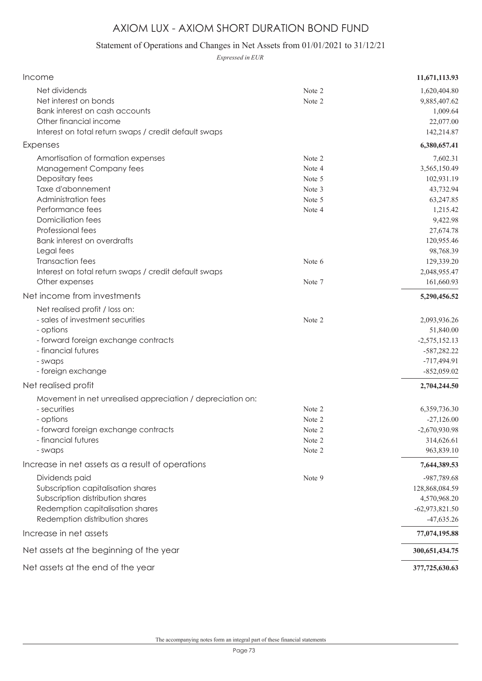## AXIOM LUX - AXIOM SHORT DURATION BOND FUND

## Statement of Operations and Changes in Net Assets from 01/01/2021 to 31/12/21

*Expressed in EUR*

| Income                                                                                                                                                                                                                                                                                                                              |                                                                    | 11,671,113.93                                                                                                                                                  |
|-------------------------------------------------------------------------------------------------------------------------------------------------------------------------------------------------------------------------------------------------------------------------------------------------------------------------------------|--------------------------------------------------------------------|----------------------------------------------------------------------------------------------------------------------------------------------------------------|
| Net dividends<br>Net interest on bonds<br>Bank interest on cash accounts<br>Other financial income<br>Interest on total return swaps / credit default swaps                                                                                                                                                                         | Note 2<br>Note 2                                                   | 1,620,404.80<br>9,885,407.62<br>1,009.64<br>22,077.00<br>142,214.87                                                                                            |
| Expenses                                                                                                                                                                                                                                                                                                                            |                                                                    | 6,380,657.41                                                                                                                                                   |
| Amortisation of formation expenses<br>Management Company fees<br>Depositary fees<br>Taxe d'abonnement<br>Administration fees<br>Performance fees<br><b>Domiciliation fees</b><br>Professional fees<br>Bank interest on overdrafts<br>Legal fees<br><b>Transaction fees</b><br>Interest on total return swaps / credit default swaps | Note 2<br>Note 4<br>Note 5<br>Note 3<br>Note 5<br>Note 4<br>Note 6 | 7,602.31<br>3,565,150.49<br>102,931.19<br>43,732.94<br>63,247.85<br>1,215.42<br>9,422.98<br>27,674.78<br>120,955.46<br>98,768.39<br>129,339.20<br>2,048,955.47 |
| Other expenses<br>Net income from investments                                                                                                                                                                                                                                                                                       | Note 7                                                             | 161,660.93<br>5,290,456.52                                                                                                                                     |
| Net realised profit / loss on:<br>- sales of investment securities<br>- options<br>- forward foreign exchange contracts<br>- financial futures<br>- swaps<br>- foreign exchange                                                                                                                                                     | Note 2                                                             | 2,093,936.26<br>51,840.00<br>$-2,575,152.13$<br>$-587,282.22$<br>-717,494.91<br>$-852,059.02$                                                                  |
| Net realised profit                                                                                                                                                                                                                                                                                                                 |                                                                    | 2,704,244.50                                                                                                                                                   |
| Movement in net unrealised appreciation / depreciation on:<br>- securities<br>- options<br>- forward foreign exchange contracts<br>- financial futures<br>- swaps                                                                                                                                                                   | Note 2<br>Note 2<br>Note 2<br>Note 2<br>Note 2                     | 6,359,736.30<br>$-27,126.00$<br>$-2,670,930.98$<br>314,626.61<br>963,839.10                                                                                    |
| Increase in net assets as a result of operations                                                                                                                                                                                                                                                                                    |                                                                    | 7,644,389.53                                                                                                                                                   |
| Dividends paid<br>Subscription capitalisation shares<br>Subscription distribution shares<br>Redemption capitalisation shares<br>Redemption distribution shares                                                                                                                                                                      | Note 9                                                             | -987,789.68<br>128,868,084.59<br>4,570,968.20<br>$-62,973,821.50$<br>$-47,635.26$                                                                              |
| Increase in net assets                                                                                                                                                                                                                                                                                                              |                                                                    | 77,074,195.88                                                                                                                                                  |
| Net assets at the beginning of the year                                                                                                                                                                                                                                                                                             |                                                                    | 300, 651, 434. 75                                                                                                                                              |
| Net assets at the end of the year                                                                                                                                                                                                                                                                                                   |                                                                    | 377,725,630.63                                                                                                                                                 |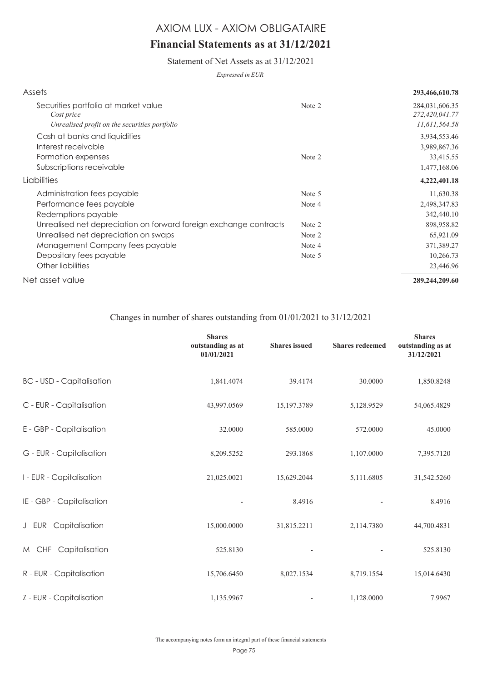## **Financial Statements as at 31/12/2021**

Statement of Net Assets as at 31/12/2021

*Expressed in EUR*

| Assets                                                            |        | 293,466,610.78                   |
|-------------------------------------------------------------------|--------|----------------------------------|
| Securities portfolio at market value<br>Cost price                | Note 2 | 284,031,606.35<br>272,420,041.77 |
| Unrealised profit on the securities portfolio                     |        | 11,611,564.58                    |
| Cash at banks and liquidities                                     |        | 3,934,553.46                     |
| Interest receivable                                               |        | 3,989,867.36                     |
| Formation expenses                                                | Note 2 | 33,415.55                        |
| Subscriptions receivable                                          |        | 1,477,168.06                     |
| Liabilities                                                       |        | 4,222,401.18                     |
| Administration fees payable                                       | Note 5 | 11,630.38                        |
| Performance fees payable                                          | Note 4 | 2,498,347.83                     |
| Redemptions payable                                               |        | 342,440.10                       |
| Unrealised net depreciation on forward foreign exchange contracts | Note 2 | 898,958.82                       |
| Unrealised net depreciation on swaps                              | Note 2 | 65,921.09                        |
| Management Company fees payable                                   | Note 4 | 371,389.27                       |
| Depositary fees payable                                           | Note 5 | 10,266.73                        |
| Other liabilities                                                 |        | 23,446.96                        |
| Net asset value                                                   |        | 289,244,209.60                   |

### Changes in number of shares outstanding from 01/01/2021 to 31/12/2021

|                                  | <b>Shares</b><br>outstanding as at<br>01/01/2021 | <b>Shares</b> issued | <b>Shares redeemed</b> | <b>Shares</b><br>outstanding as at<br>31/12/2021 |
|----------------------------------|--------------------------------------------------|----------------------|------------------------|--------------------------------------------------|
| <b>BC</b> - USD - Capitalisation | 1,841.4074                                       | 39.4174              | 30.0000                | 1,850.8248                                       |
| C - EUR - Capitalisation         | 43,997.0569                                      | 15,197.3789          | 5,128.9529             | 54,065.4829                                      |
| E - GBP - Capitalisation         | 32.0000                                          | 585.0000             | 572.0000               | 45.0000                                          |
| G - EUR - Capitalisation         | 8,209.5252                                       | 293.1868             | 1,107.0000             | 7,395.7120                                       |
| I - EUR - Capitalisation         | 21,025.0021                                      | 15,629.2044          | 5,111.6805             | 31,542.5260                                      |
| IE - GBP - Capitalisation        |                                                  | 8.4916               |                        | 8.4916                                           |
| J - EUR - Capitalisation         | 15,000.0000                                      | 31,815.2211          | 2,114.7380             | 44,700.4831                                      |
| M - CHF - Capitalisation         | 525.8130                                         |                      |                        | 525.8130                                         |
| R - EUR - Capitalisation         | 15,706.6450                                      | 8,027.1534           | 8,719.1554             | 15,014.6430                                      |
| Z - EUR - Capitalisation         | 1,135.9967                                       |                      | 1,128.0000             | 7.9967                                           |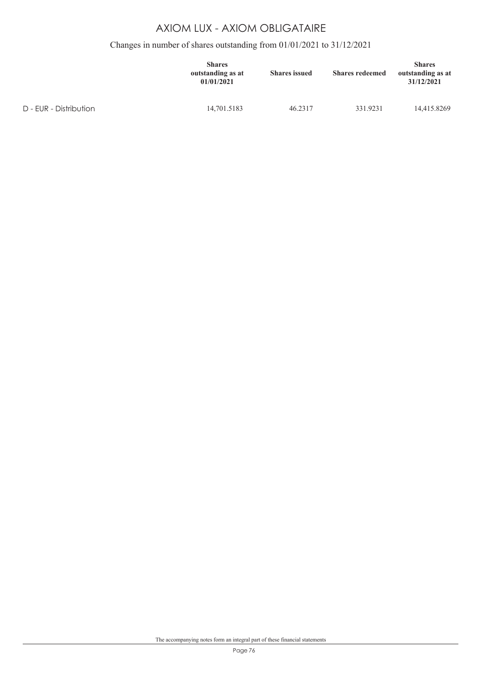## Changes in number of shares outstanding from 01/01/2021 to 31/12/2021

|                        | <b>Shares</b><br>outstanding as at<br>01/01/2021 | <b>Shares</b> issued | <b>Shares redeemed</b> | <b>Shares</b><br>outstanding as at<br>31/12/2021 |
|------------------------|--------------------------------------------------|----------------------|------------------------|--------------------------------------------------|
| D - EUR - Distribution | 14,701.5183                                      | 46.2317              | 331.9231               | 14,415.8269                                      |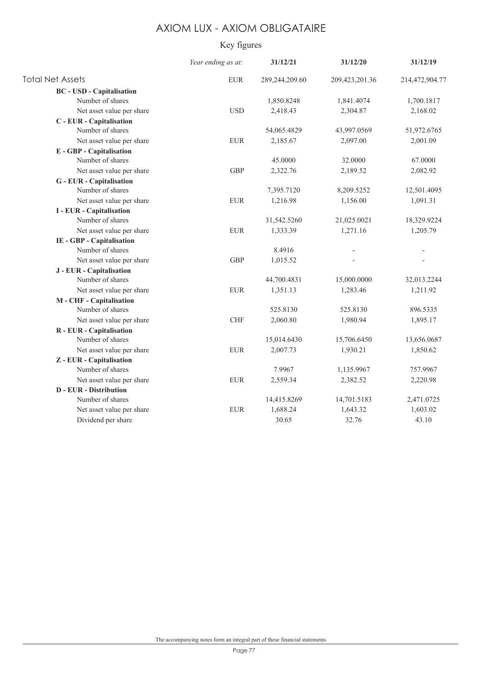## Key figures

|                                  | Year ending as at: | 31/12/21       | 31/12/20       | 31/12/19       |
|----------------------------------|--------------------|----------------|----------------|----------------|
| <b>Total Net Assets</b>          | <b>EUR</b>         | 289,244,209.60 | 209,423,201.36 | 214,472,904.77 |
| <b>BC</b> - USD - Capitalisation |                    |                |                |                |
| Number of shares                 |                    | 1,850.8248     | 1,841.4074     | 1,700.1817     |
| Net asset value per share        | <b>USD</b>         | 2,418.43       | 2,304.87       | 2,168.02       |
| C - EUR - Capitalisation         |                    |                |                |                |
| Number of shares                 |                    | 54,065.4829    | 43,997.0569    | 51,972.6765    |
| Net asset value per share        | <b>EUR</b>         | 2,185.67       | 2,097.00       | 2,001.09       |
| <b>E</b> - GBP - Capitalisation  |                    |                |                |                |
| Number of shares                 |                    | 45.0000        | 32.0000        | 67.0000        |
| Net asset value per share        | <b>GBP</b>         | 2,322.76       | 2,189.52       | 2,082.92       |
| <b>G</b> - EUR - Capitalisation  |                    |                |                |                |
| Number of shares                 |                    | 7,395.7120     | 8,209.5252     | 12,501.4095    |
| Net asset value per share        | <b>EUR</b>         | 1,216.98       | 1,156.00       | 1,091.31       |
| <b>I</b> - EUR - Capitalisation  |                    |                |                |                |
| Number of shares                 |                    | 31,542.5260    | 21,025.0021    | 18,329.9224    |
| Net asset value per share        | <b>EUR</b>         | 1,333.39       | 1,271.16       | 1,205.79       |
| IE - GBP - Capitalisation        |                    |                |                |                |
| Number of shares                 |                    | 8.4916         |                |                |
| Net asset value per share        | <b>GBP</b>         | 1,015.52       |                |                |
| J - EUR - Capitalisation         |                    |                |                |                |
| Number of shares                 |                    | 44,700.4831    | 15,000.0000    | 32,013.2244    |
| Net asset value per share        | <b>EUR</b>         | 1,351.13       | 1,283.46       | 1,211.92       |
| M - CHF - Capitalisation         |                    |                |                |                |
| Number of shares                 |                    | 525.8130       | 525.8130       | 896.5335       |
| Net asset value per share        | <b>CHF</b>         | 2,060.80       | 1,980.94       | 1,895.17       |
| R - EUR - Capitalisation         |                    |                |                |                |
| Number of shares                 |                    | 15,014.6430    | 15,706.6450    | 13,656.0687    |
| Net asset value per share        | <b>EUR</b>         | 2,007.73       | 1,930.21       | 1,850.62       |
| Z - EUR - Capitalisation         |                    |                |                |                |
| Number of shares                 |                    | 7.9967         | 1,135.9967     | 757.9967       |
| Net asset value per share        | <b>EUR</b>         | 2,559.34       | 2,382.52       | 2,220.98       |
| <b>D</b> - EUR - Distribution    |                    |                |                |                |
| Number of shares                 |                    | 14,415.8269    | 14,701.5183    | 2,471.0725     |
| Net asset value per share        | <b>EUR</b>         | 1,688.24       | 1,643.32       | 1,603.02       |
| Dividend per share               |                    | 30.65          | 32.76          | 43.10          |
|                                  |                    |                |                |                |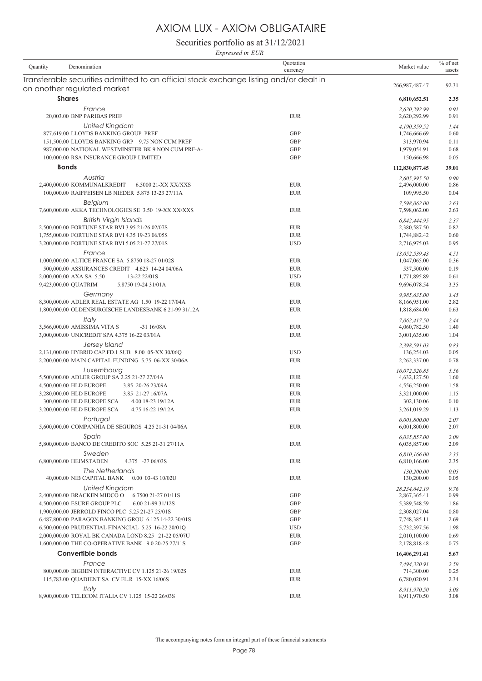Securities portfolio as at 31/12/2021

*Expressed in EUR*

| Denomination<br>Quantity                                                               | Ouotation<br>currency    | Market value                  | $%$ of net<br>assets |
|----------------------------------------------------------------------------------------|--------------------------|-------------------------------|----------------------|
| Transferable securities admitted to an official stock exchange listing and/or dealt in |                          | 266,987,487.47                | 92.31                |
| on another regulated market                                                            |                          |                               |                      |
| <b>Shares</b>                                                                          |                          | 6,810,652.51                  | 2.35                 |
| France                                                                                 |                          | 2,620,292.99                  | 0.91                 |
| 20,003.00 BNP PARIBAS PREF                                                             | <b>EUR</b>               | 2,620,292.99                  | 0.91                 |
| <b>United Kingdom</b><br>877,619.00 LLOYDS BANKING GROUP PREF                          | <b>GBP</b>               | 4,190,359.52<br>1,746,666.69  | 1.44<br>0.60         |
| 151,500.00 LLOYDS BANKING GRP 9.75 NON CUM PREF                                        | <b>GBP</b>               | 313,970.94                    | 0.11                 |
| 987,000.00 NATIONAL WESTMINSTER BK 9 NON CUM PRF-A-                                    | <b>GBP</b>               | 1,979,054.91                  | 0.68                 |
| 100,000,00 RSA INSURANCE GROUP LIMITED                                                 | <b>GBP</b>               | 150,666.98                    | 0.05                 |
| <b>Bonds</b>                                                                           |                          | 112,830,877.45                | 39.01                |
| Austria                                                                                |                          | 2,605,995.50                  | 0.90                 |
| 2,400,000.00 KOMMUNALKREDIT<br>6.5000 21-XX XX/XXS                                     | <b>EUR</b>               | 2,496,000.00                  | 0.86                 |
| 100,000.00 RAIFFEISEN LB NIEDER 5.875 13-23 27/11A                                     | <b>EUR</b>               | 109,995.50                    | 0.04                 |
| Belgium                                                                                |                          | 7,598,062.00                  | 2.63                 |
| 7,600,000.00 AKKA TECHNOLOGIES SE 3.50 19-XX XX/XXS                                    | <b>EUR</b>               | 7,598,062.00                  | 2.63                 |
| <b>British Virgin Islands</b>                                                          |                          | 6,842,444.95                  | 2.37                 |
| 2,500,000.00 FORTUNE STAR BVI 3.95 21-26 02/07S                                        | <b>EUR</b>               | 2,380,587.50                  | 0.82                 |
| 1,755,000.00 FORTUNE STAR BVI 4.35 19-23 06/05S                                        | <b>EUR</b>               | 1,744,882.42                  | 0.60                 |
| 3,200,000.00 FORTUNE STAR BVI 5.05 21-27 27/01S                                        | <b>USD</b>               | 2,716,975.03                  | 0.95                 |
| France                                                                                 |                          | 13,052,539.43                 | 4.51                 |
| 1,000,000.00 ALTICE FRANCE SA 5.8750 18-27 01/02S                                      | <b>EUR</b>               | 1,047,065.00                  | 0.36                 |
| 500,000.00 ASSURANCES CREDIT 4.625 14-24 04/06A                                        | <b>EUR</b>               | 537,500.00                    | 0.19                 |
| 13-22 22/01S<br>2,000,000.00 AXA SA 5.50<br>5.8750 19-24 31/01A                        | <b>USD</b><br><b>EUR</b> | 1,771,895.89<br>9,696,078.54  | 0.61<br>3.35         |
| 9,423,000.00 QUATRIM                                                                   |                          |                               |                      |
| Germany<br>8,300,000.00 ADLER REAL ESTATE AG 1.50 19-22 17/04A                         | <b>EUR</b>               | 9,985,635.00<br>8,166,951.00  | 3.45<br>2.82         |
| 1,800,000.00 OLDENBURGISCHE LANDESBANK 6 21-99 31/12A                                  | <b>EUR</b>               | 1,818,684.00                  | 0.63                 |
| Italy                                                                                  |                          |                               | 2.44                 |
| 3,566,000.00 AMISSIMA VITA S<br>$-3116/08A$                                            | <b>EUR</b>               | 7,062,417.50<br>4,060,782.50  | 1.40                 |
| 3,000,000.00 UNICREDIT SPA 4.375 16-22 03/01A                                          | <b>EUR</b>               | 3,001,635.00                  | 1.04                 |
| Jersey Island                                                                          |                          | 2,398,591.03                  | 0.83                 |
| 2,131,000.00 HYBRID CAP.FD.1 SUB 8.00 05-XX 30/06Q                                     | <b>USD</b>               | 136,254.03                    | 0.05                 |
| 2,200,000.00 MAIN CAPITAL FUNDING 5.75 06-XX 30/06A                                    | <b>EUR</b>               | 2,262,337.00                  | 0.78                 |
| Luxembourg                                                                             |                          | 16,072,526.85                 | 5.56                 |
| 5,500,000.00 ADLER GROUP SA 2.25 21-27 27/04A                                          | <b>EUR</b>               | 4,632,127.50                  | 1.60                 |
| 4,500,000.00 HLD EUROPE<br>3.85 20-26 23/09A                                           | <b>EUR</b>               | 4,556,250.00                  | 1.58                 |
| 3,280,000.00 HLD EUROPE<br>3.85 21-27 16/07A                                           | <b>EUR</b>               | 3,321,000.00                  | 1.15                 |
| 300,000.00 HLD EUROPE SCA<br>4.00 18-23 19/12A                                         | <b>EUR</b>               | 302,130.06                    | 0.10                 |
| 3,200,000.00 HLD EUROPE SCA<br>4.75 16-22 19/12A                                       | <b>EUR</b>               | 3,261,019.29                  | 1.13                 |
| Portugal                                                                               |                          | 6,001,800.00                  | 2.07                 |
| 5,600,000.00 COMPANHIA DE SEGUROS 4.25 21-31 04/06A                                    | <b>EUR</b>               | 6,001,800.00                  | 2.07                 |
| Spain                                                                                  |                          | 6,035,857.00                  | 2.09                 |
| 5,800,000.00 BANCO DE CREDITO SOC 5.25 21-31 27/11A                                    | <b>EUR</b>               | 6,035,857.00                  | 2.09                 |
| Sweden<br>6,800,000.00 HEIMSTADEN<br>4.375 -27 06/03S                                  | <b>EUR</b>               | 6,810,166.00                  | 2.35<br>2.35         |
|                                                                                        |                          | 6,810,166.00                  |                      |
| The Netherlands<br>40,000.00 NIB CAPITAL BANK  0.00 03-43 10/02U                       | <b>EUR</b>               | 130,200.00<br>130,200.00      | 0.05<br>0.05         |
|                                                                                        |                          |                               |                      |
| <b>United Kinadom</b><br>2,400,000.00 BRACKEN MIDCO O<br>6.7500 21-27 01/11S           | <b>GBP</b>               | 28,234,642.19<br>2,867,365.41 | 9.76<br>0.99         |
| 4,500,000.00 ESURE GROUP PLC<br>6.00 21-99 31/12S                                      | <b>GBP</b>               | 5,389,548.59                  | 1.86                 |
| 1,900,000.00 JERROLD FINCO PLC 5.25 21-27 25/01S                                       | <b>GBP</b>               | 2,308,027.04                  | 0.80                 |
| 6,487,800.00 PARAGON BANKING GROU 6.125 14-22 30/01S                                   | <b>GBP</b>               | 7,748,385.11                  | 2.69                 |
| 6,500,000.00 PRUDENTIAL FINANCIAL 5.25 16-22 20/01Q                                    | <b>USD</b>               | 5,732,397.56                  | 1.98                 |
| 2,000,000.00 ROYAL BK CANADA LOND 8.25 21-22 05/07U                                    | <b>EUR</b>               | 2,010,100.00                  | 0.69                 |
| 1,600,000.00 THE CO-OPERATIVE BANK 9.0 20-25 27/11S                                    | <b>GBP</b>               | 2,178,818.48                  | 0.75                 |
| <b>Convertible bonds</b>                                                               |                          | 16,406,291.41                 | 5.67                 |
| France                                                                                 |                          | 7,494,320.91                  | 2.59                 |
| 800,000.00 BIGBEN INTERACTIVE CV 1.125 21-26 19/02S                                    | <b>EUR</b>               | 714,300.00                    | 0.25                 |
| 115,783.00 QUADIENT SA CV FL.R 15-XX 16/06S                                            | <b>EUR</b>               | 6,780,020.91                  | 2.34                 |
| Italy                                                                                  |                          | 8,911,970.50                  | 3.08                 |
| 8,900,000.00 TELECOM ITALIA CV 1.125 15-22 26/03S                                      | <b>EUR</b>               | 8,911,970.50                  | 3.08                 |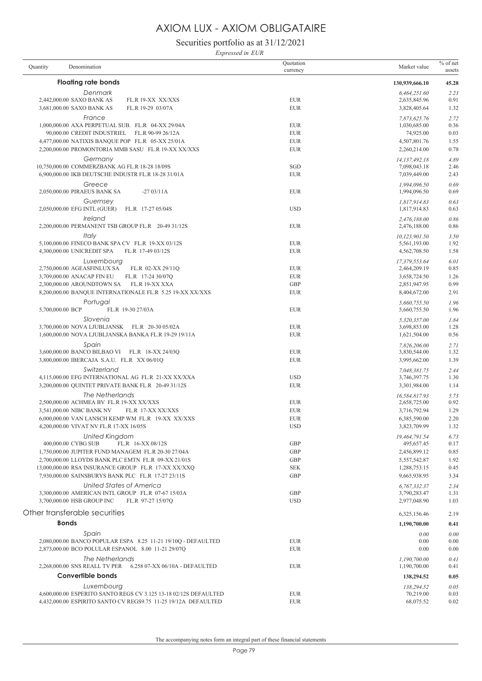Securities portfolio as at 31/12/2021

*Expressed in EUR*

| Quantity         | Denomination                                                                                            | Quotation<br>currency    | Market value                  | $%$ of net<br>assets |
|------------------|---------------------------------------------------------------------------------------------------------|--------------------------|-------------------------------|----------------------|
|                  | <b>Floating rate bonds</b>                                                                              |                          | 130,939,666.10                | 45.28                |
|                  | Denmark                                                                                                 |                          | 6,464,251.60                  | 2.23                 |
|                  | 2,442,000.00 SAXO BANK AS<br>FL.R 19-XX XX/XXS<br>3,681,000.00 SAXO BANK AS<br>FL.R 19-29 03/07A        | <b>EUR</b><br><b>EUR</b> | 2,635,845.96<br>3,828,405.64  | 0.91<br>1.32         |
|                  | France                                                                                                  |                          |                               | 2.72                 |
|                  | 1,000,000.00 AXA PERPETUAL SUB. FL.R 04-XX 29/04A                                                       | <b>EUR</b>               | 7,873,625.76<br>1,030,685.00  | 0.36                 |
|                  | 90,000.00 CREDIT INDUSTRIEL FL.R 90-99 26/12A                                                           | <b>EUR</b>               | 74,925.00                     | 0.03                 |
|                  | 4,477,000.00 NATIXIS BANQUE POP FL.R 05-XX 25/01A                                                       | <b>EUR</b>               | 4,507,801.76                  | 1.55                 |
|                  | 2,200,000.00 PROMONTORIA MMB SASU FL.R 19-XX XX/XXS                                                     | <b>EUR</b>               | 2,260,214.00                  | 0.78                 |
|                  | Germany                                                                                                 |                          | 14,137,492.18                 | 4.89                 |
|                  | 10,750,000.00 COMMERZBANK AG FL.R 18-28 18/09S                                                          | SGD                      | 7,098,043.18                  | 2.46                 |
|                  | $6,\!900,\!000.00$ IKB DEUTSCHE INDUSTR FL.R 18-28 31/01A                                               | <b>EUR</b>               | 7,039,449.00                  | 2.43                 |
|                  | Greece                                                                                                  |                          | 1,994,096.50                  | 0.69                 |
|                  | 2,050,000.00 PIRAEUS BANK SA<br>$-2703/11A$                                                             | <b>EUR</b>               | 1,994,096.50                  | 0.69                 |
|                  | Guernsey                                                                                                |                          |                               | 0.63                 |
|                  | 2,050,000.00 EFG INTL (GUER)<br>FL.R 17-27 05/04S                                                       | <b>USD</b>               | 1,817,914.83<br>1,817,914.83  | 0.63                 |
|                  | Ireland                                                                                                 |                          |                               |                      |
|                  | 2,200,000.00 PERMANENT TSB GROUP FL.R 20-49 31/12S                                                      | <b>EUR</b>               | 2,476,188.00<br>2,476,188.00  | 0.86<br>0.86         |
|                  |                                                                                                         |                          |                               |                      |
|                  | Italy<br>5,100,000.00 FINECO BANK SPA CV FL.R 19-XX 03/12S                                              | <b>EUR</b>               | 10,123,901.50<br>5,561,193.00 | 3.50<br>1.92         |
|                  | 4,300,000.00 UNICREDIT SPA<br>FL.R 17-49 03/12S                                                         | <b>EUR</b>               | 4,562,708.50                  | 1.58                 |
|                  |                                                                                                         |                          |                               |                      |
|                  | Luxembourg                                                                                              | <b>EUR</b>               | 17,379,553.64                 | 6.01<br>0.85         |
|                  | 2,750,000.00 AGEASFINLUX SA<br>FL.R 02-XX 29/11Q<br>3,709,000.00 ANACAP FIN EU FL.R 17-24 30/07Q        | <b>EUR</b>               | 2,464,209.19<br>3,658,724.50  | 1.26                 |
|                  | 2,300,000.00 AROUNDTOWN SA<br>FL.R 19-XX XXA                                                            | <b>GBP</b>               | 2,851,947.95                  | 0.99                 |
|                  | 8,200,000.00 BANQUE INTERNATIONALE FL.R 5.25 19-XX XX/XXS                                               | <b>EUR</b>               | 8,404,672.00                  | 2.91                 |
|                  |                                                                                                         |                          |                               |                      |
| 5,700,000.00 BCP | Portugal<br>FL.R 19-30 27/03A                                                                           | <b>EUR</b>               | 5,660,755.50<br>5,660,755.50  | 1.96<br>1.96         |
|                  |                                                                                                         |                          |                               |                      |
|                  | Slovenia                                                                                                |                          | 5,320,357.00                  | 1.84                 |
|                  | 3,700,000.00 NOVA LJUBLJANSK FL.R 20-30 05/02A<br>1,600,000.00 NOVA LJUBLJANSKA BANKA FL.R 19-29 19/11A | <b>EUR</b><br><b>EUR</b> | 3,698,853.00<br>1,621,504.00  | 1.28<br>0.56         |
|                  |                                                                                                         |                          |                               |                      |
|                  | Spain                                                                                                   |                          | 7,826,206.00                  | 2.71                 |
|                  | 3,600,000.00 BANCO BILBAO VI FL.R 18-XX 24/03Q<br>3,800,000.00 IBERCAJA S.A.U. FL.R XX 06/01Q           | <b>EUR</b><br><b>EUR</b> | 3,830,544.00<br>3,995,662.00  | 1.32<br>1.39         |
|                  |                                                                                                         |                          |                               |                      |
|                  | Switzerland<br>4,115,000.00 EFG INTERNATIONAL AG FL.R 21-XX XX/XXA                                      | <b>USD</b>               | 7,048,381.75<br>3,746,397.75  | 2.44                 |
|                  | 3,200,000.00 QUINTET PRIVATE BANK FL.R 20-49 31/12S                                                     | <b>EUR</b>               | 3,301,984.00                  | 1.30<br>1.14         |
|                  |                                                                                                         |                          |                               |                      |
|                  | The Netherlands                                                                                         | <b>EUR</b>               | 16,584,817.93<br>2,658,725.00 | 5.73                 |
|                  | 2,500,000.00 ACHMEA BV FL.R 19-XX XX/XXS<br>3,541,000.00 NIBC BANK NV<br>FL.R 17-XX XX/XXS              | <b>EUR</b>               | 3,716,792.94                  | 0.92<br>1.29         |
|                  | 6,000,000.00 VAN LANSCH KEMP WM FL.R 19-XX XX/XXS                                                       | <b>EUR</b>               | 6,385,590.00                  | 2.20                 |
|                  | 4,200,000.00 VIVAT NV FL.R 17-XX 16/05S                                                                 | <b>USD</b>               | 3,823,709.99                  | 1.32                 |
|                  |                                                                                                         |                          |                               |                      |
|                  | United Kingdom<br>400,000.00 CYBG SUB<br>FL.R 16-XX 08/12S                                              | <b>GBP</b>               | 19,464,791.54<br>495,657.45   | 6.73<br>0.17         |
|                  | 1,750,000.00 JUPITER FUND MANAGEM FL.R 20-30 27/04A                                                     | <b>GBP</b>               | 2,456,899.12                  | 0.85                 |
|                  | 2,700,000.00 LLOYDS BANK PLC EMTN FL.R 09-XX 21/01S                                                     | <b>GBP</b>               | 5,557,542.87                  | 1.92                 |
|                  | 13,000,000.00 RSA INSURANCE GROUP FL.R 17-XX XX/XXQ                                                     | <b>SEK</b>               | 1,288,753.15                  | 0.45                 |
|                  | 7,930,000.00 SAINSBURYS BANK PLC FL.R 17-27 23/11S                                                      | <b>GBP</b>               | 9,665,938.95                  | 3.34                 |
|                  | United States of America                                                                                |                          | 6.767.332.37                  | 2.34                 |
|                  | 3,300,000.00 AMERICAN INTL GROUP FL.R 07-67 15/03A                                                      | <b>GBP</b>               | 3,790,283.47                  | 1.31                 |
|                  | 3,700,000.00 HSB GROUP INC<br>FL.R 97-27 15/07Q                                                         | <b>USD</b>               | 2,977,048.90                  | 1.03                 |
|                  |                                                                                                         |                          |                               |                      |
|                  | Other transferable securities                                                                           |                          | 6,325,156.46                  | 2.19                 |
|                  | <b>Bonds</b>                                                                                            |                          | 1,190,700.00                  | 0.41                 |
|                  | Spain                                                                                                   |                          | 0.00                          | 0.00                 |
|                  | 2,080,000.00 BANCO POPULAR ESPA 8.25 11-21 19/10Q - DEFAULTED                                           | <b>EUR</b>               | 0.00                          | 0.00                 |
|                  | 2,873,000.00 BCO POLULAR ESPANOL 8.00 11-21 29/07Q                                                      | <b>EUR</b>               | 0.00                          | 0.00                 |
|                  | The Netherlands                                                                                         |                          | 1,190,700.00                  | 0.41                 |
|                  | 2,268,000.00 SNS REALL TV PER   6.258 07-XX 06/10A - DEFAULTED                                          | <b>EUR</b>               | 1,190,700.00                  | 0.41                 |
|                  | <b>Convertible bonds</b>                                                                                |                          | 138,294.52                    | 0.05                 |
|                  | Luxembourg                                                                                              |                          | 138,294.52                    | 0.05                 |
|                  | 4,600,000.00 ESPERITO SANTO REGS CV 3.125 13-18 02/12S DEFAULTED                                        | <b>EUR</b>               | 70,219.00                     | 0.03                 |
|                  | 4,432,000.00 ESPIRITO SANTO CV REGS9.75 11-25 19/12A DEFAULTED                                          | <b>EUR</b>               | 68,075.52                     | 0.02                 |
|                  |                                                                                                         |                          |                               |                      |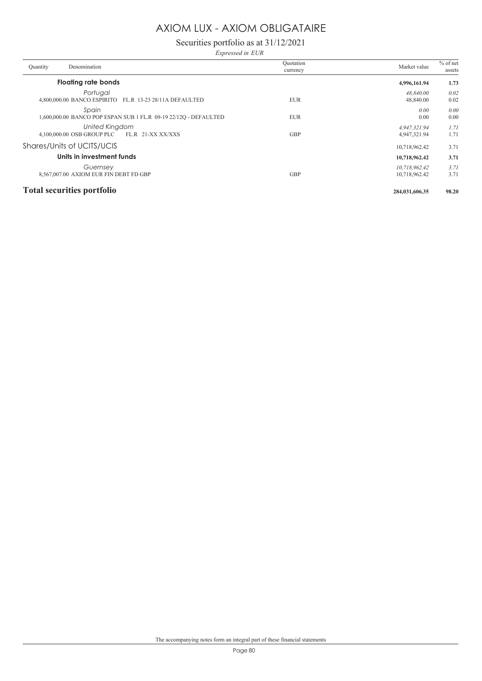## Securities portfolio as at 31/12/2021

*Expressed in EUR*

| Denomination<br>Quantity                                                  | Ouotation<br>currency | Market value                   | $%$ of net<br>assets |
|---------------------------------------------------------------------------|-----------------------|--------------------------------|----------------------|
| <b>Floating rate bonds</b>                                                |                       | 4,996,161.94                   | 1.73                 |
| Portugal<br>4,800,000.00 BANCO ESPIRITO FL.R 13-23 28/11A DEFAULTED       | <b>EUR</b>            | 48.840.00<br>48,840.00         | 0.02<br>0.02         |
| Spain<br>1,600,000.00 BANCO POP ESPAN SUB 1 FL.R 09-19 22/12O - DEFAULTED | <b>EUR</b>            | 0.00<br>0.00                   | 0.00<br>0.00         |
| <b>United Kingdom</b><br>4,100,000.00 OSB GROUP PLC<br>FL.R 21-XX XX/XXS  | <b>GBP</b>            | 4,947,321.94<br>4,947,321.94   | 1.71<br>1.71         |
| Shares/Units of UCITS/UCIS                                                |                       | 10,718,962.42                  | 3.71                 |
| Units in investment funds                                                 |                       | 10,718,962.42                  | 3.71                 |
| Guernsey<br>8,567,007.00 AXIOM EUR FIN DEBT FD GBP                        | <b>GBP</b>            | 10,718,962.42<br>10,718,962.42 | 3.71<br>3.71         |
| <b>Total securities portfolio</b>                                         |                       | 284,031,606.35                 | 98.20                |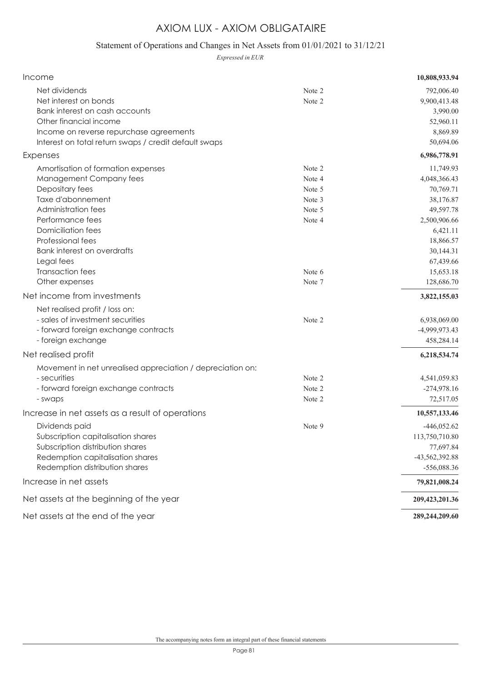## Statement of Operations and Changes in Net Assets from 01/01/2021 to 31/12/21

*Expressed in EUR*

| Income                                                                                                                                                                                                                                                                                                               |                                                                              | 10,808,933.94                                                                                                                                                                  |
|----------------------------------------------------------------------------------------------------------------------------------------------------------------------------------------------------------------------------------------------------------------------------------------------------------------------|------------------------------------------------------------------------------|--------------------------------------------------------------------------------------------------------------------------------------------------------------------------------|
| Net dividends<br>Net interest on bonds<br>Bank interest on cash accounts<br>Other financial income<br>Income on reverse repurchase agreements<br>Interest on total return swaps / credit default swaps                                                                                                               | Note 2<br>Note 2                                                             | 792,006.40<br>9,900,413.48<br>3,990.00<br>52,960.11<br>8,869.89<br>50,694.06                                                                                                   |
| Expenses                                                                                                                                                                                                                                                                                                             |                                                                              | 6,986,778.91                                                                                                                                                                   |
| Amortisation of formation expenses<br>Management Company fees<br>Depositary fees<br>Taxe d'abonnement<br>Administration fees<br>Performance fees<br><b>Domiciliation fees</b><br>Professional fees<br>Bank interest on overdrafts<br>Legal fees<br>Transaction fees<br>Other expenses<br>Net income from investments | Note 2<br>Note 4<br>Note 5<br>Note 3<br>Note 5<br>Note 4<br>Note 6<br>Note 7 | 11,749.93<br>4,048,366.43<br>70,769.71<br>38,176.87<br>49,597.78<br>2,500,906.66<br>6,421.11<br>18,866.57<br>30,144.31<br>67,439.66<br>15,653.18<br>128,686.70<br>3,822,155.03 |
| Net realised profit / loss on:<br>- sales of investment securities<br>- forward foreign exchange contracts<br>- foreign exchange                                                                                                                                                                                     | Note 2                                                                       | 6,938,069.00<br>-4,999,973.43<br>458,284.14                                                                                                                                    |
| Net realised profit                                                                                                                                                                                                                                                                                                  |                                                                              | 6,218,534.74                                                                                                                                                                   |
| Movement in net unrealised appreciation / depreciation on:<br>- securities<br>- forward foreign exchange contracts<br>- swaps                                                                                                                                                                                        | Note 2<br>Note 2<br>Note 2                                                   | 4,541,059.83<br>$-274,978.16$<br>72,517.05                                                                                                                                     |
| Increase in net assets as a result of operations                                                                                                                                                                                                                                                                     |                                                                              | 10,557,133.46                                                                                                                                                                  |
| Dividends paid<br>Subscription capitalisation shares<br>Subscription distribution shares<br>Redemption capitalisation shares<br>Redemption distribution shares                                                                                                                                                       | Note 9                                                                       | $-446,052.62$<br>113,750,710.80<br>77,697.84<br>-43,562,392.88<br>-556,088.36                                                                                                  |
| Increase in net assets                                                                                                                                                                                                                                                                                               |                                                                              | 79,821,008.24                                                                                                                                                                  |
| Net assets at the beginning of the year                                                                                                                                                                                                                                                                              |                                                                              | 209,423,201.36                                                                                                                                                                 |
| Net assets at the end of the year                                                                                                                                                                                                                                                                                    |                                                                              | 289,244,209.60                                                                                                                                                                 |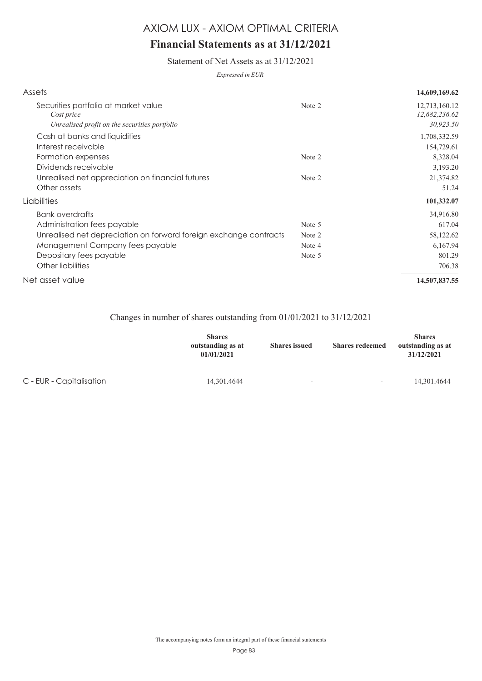## **Financial Statements as at 31/12/2021**

Statement of Net Assets as at 31/12/2021

*Expressed in EUR*

| Assets                                                            |        | 14,609,169.62                  |
|-------------------------------------------------------------------|--------|--------------------------------|
| Securities portfolio at market value<br>Cost price                | Note 2 | 12,713,160.12<br>12,682,236.62 |
| Unrealised profit on the securities portfolio                     |        | 30,923.50                      |
| Cash at banks and liquidities                                     |        | 1,708,332.59                   |
| Interest receivable                                               |        | 154,729.61                     |
| Formation expenses                                                | Note 2 | 8,328.04                       |
| Dividends receivable                                              |        | 3,193.20                       |
| Unrealised net appreciation on financial futures                  | Note 2 | 21,374.82                      |
| Other assets                                                      |        | 51.24                          |
| Liabilities                                                       |        | 101,332.07                     |
| <b>Bank overdrafts</b>                                            |        | 34,916.80                      |
| Administration fees payable                                       | Note 5 | 617.04                         |
| Unrealised net depreciation on forward foreign exchange contracts | Note 2 | 58,122.62                      |
| Management Company fees payable                                   | Note 4 | 6,167.94                       |
| Depositary fees payable                                           | Note 5 | 801.29                         |
| Other liabilities                                                 |        | 706.38                         |
| Net asset value                                                   |        | 14,507,837.55                  |
|                                                                   |        |                                |

### Changes in number of shares outstanding from 01/01/2021 to 31/12/2021

|                          | <b>Shares</b><br>outstanding as at<br>01/01/2021 | <b>Shares</b> issued     | <b>Shares redeemed</b>   | <b>Shares</b><br>outstanding as at<br>31/12/2021 |
|--------------------------|--------------------------------------------------|--------------------------|--------------------------|--------------------------------------------------|
| C - EUR - Capitalisation | 14,301.4644                                      | $\overline{\phantom{0}}$ | $\overline{\phantom{0}}$ | 14,301.4644                                      |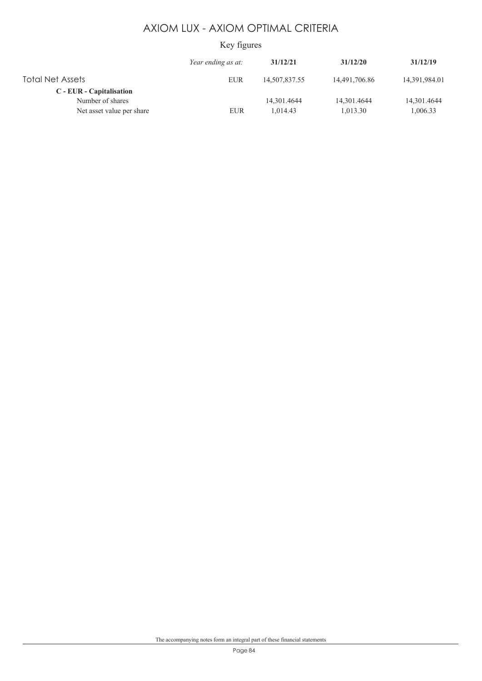## Key figures

|                                              | Year ending as at: | 31/12/21      | 31/12/20      | 31/12/19      |
|----------------------------------------------|--------------------|---------------|---------------|---------------|
| Total Net Assets                             | <b>EUR</b>         | 14,507,837.55 | 14,491,706.86 | 14,391,984.01 |
| C - EUR - Capitalisation<br>Number of shares |                    | 14.301.4644   | 14,301.4644   | 14,301.4644   |
| Net asset value per share                    | <b>EUR</b>         | 1.014.43      | 1.013.30      | 1,006.33      |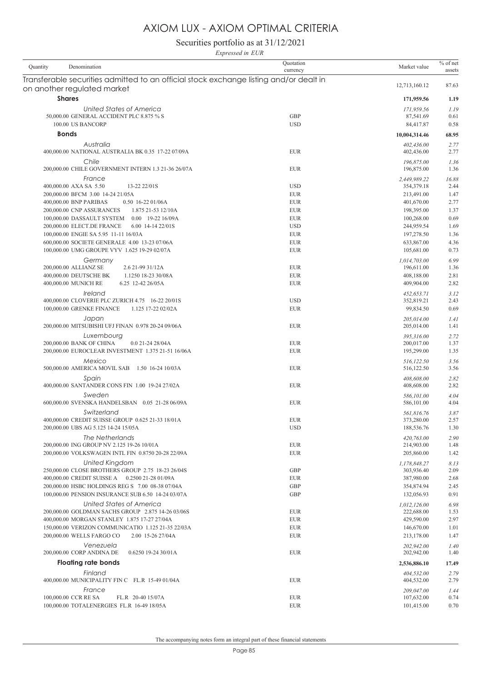Securities portfolio as at 31/12/2021

*Expressed in EUR*

| Denomination<br>Quantity                                                                                              | Quotation<br>currency    | Market value               | $%$ of net<br>assets |
|-----------------------------------------------------------------------------------------------------------------------|--------------------------|----------------------------|----------------------|
| Transferable securities admitted to an official stock exchange listing and/or dealt in<br>on another regulated market |                          | 12,713,160.12              | 87.63                |
| <b>Shares</b>                                                                                                         |                          | 171,959.56                 | 1.19                 |
| United States of America                                                                                              |                          | 171,959.56                 | 1.19                 |
| 50,000.00 GENERAL ACCIDENT PLC 8.875 % S                                                                              | <b>GBP</b>               | 87.541.69                  | 0.61                 |
| 100.00 US BANCORP                                                                                                     | <b>USD</b>               | 84,417.87                  | 0.58                 |
| <b>Bonds</b>                                                                                                          |                          | 10,004,314.46              | 68.95                |
| Australia<br>400,000.00 NATIONAL AUSTRALIA BK 0.35 17-22 07/09A                                                       | <b>EUR</b>               | 402,436.00<br>402,436.00   | 2.77<br>2.77         |
| Chile                                                                                                                 |                          | 196,875.00                 | 1.36                 |
| 200,000.00 CHILE GOVERNMENT INTERN 1.3 21-36 26/07A                                                                   | <b>EUR</b>               | 196,875.00                 | 1.36                 |
| France                                                                                                                |                          | 2,449,989.22               | 16.88                |
| 400,000.00 AXA SA 5.50<br>13-22 22/01S                                                                                | <b>USD</b>               | 354,379.18                 | 2.44                 |
| 200,000.00 BFCM 3.00 14-24 21/05A<br>0.50 16-22 01/06A                                                                | <b>EUR</b><br><b>EUR</b> | 213,491.00                 | 1.47<br>2.77         |
| 400,000.00 BNP PARIBAS                                                                                                |                          | 401,670.00                 |                      |
| 200,000.00 CNP ASSURANCES<br>1.875 21-53 12/10A<br>100,000.00 DASSAULT SYSTEM<br>0.00 19-22 16/09A                    | <b>EUR</b><br><b>EUR</b> | 198,395.00<br>100,268.00   | 1.37<br>0.69         |
| 6.00 14-14 22/01S                                                                                                     | <b>USD</b>               |                            | 1.69                 |
| 200,000.00 ELECT.DE FRANCE<br>100,000.00 ENGIE SA 5.95 11-11 16/03A                                                   | <b>EUR</b>               | 244,959.54<br>197,278.50   | 1.36                 |
| 600,000.00 SOCIETE GENERALE 4.00 13-23 07/06A                                                                         | <b>EUR</b>               | 633,867.00                 | 4.36                 |
| 100,000.00 UMG GROUPE VYV 1.625 19-29 02/07A                                                                          | <b>EUR</b>               | 105,681.00                 | 0.73                 |
|                                                                                                                       |                          |                            |                      |
| Germany<br>200,000.00 ALLIANZ SE<br>2.6 21-99 31/12A                                                                  | <b>EUR</b>               | 1,014,703.00<br>196,611.00 | 6.99<br>1.36         |
| 400,000.00 DEUTSCHE BK<br>1.1250 18-23 30/08A                                                                         | <b>EUR</b>               | 408,188.00                 | 2.81                 |
| 400,000.00 MUNICH RE<br>6.25 12-42 26/05A                                                                             | <b>EUR</b>               | 409,904.00                 | 2.82                 |
|                                                                                                                       |                          |                            |                      |
| Ireland                                                                                                               |                          | 452,653.71                 | 3.12                 |
| 400,000.00 CLOVERIE PLC ZURICH 4.75 16-22 20/01S                                                                      | <b>USD</b>               | 352,819.21                 | 2.43                 |
| 100,000.00 GRENKE FINANCE<br>1.125 17-22 02/02A                                                                       | <b>EUR</b>               | 99,834.50                  | 0.69                 |
| Japan                                                                                                                 |                          | 205,014.00                 | 1.41                 |
| 200,000.00 MITSUBISHI UFJ FINAN 0.978 20-24 09/06A                                                                    | <b>EUR</b>               | 205,014.00                 | 1.41                 |
| Luxembourg                                                                                                            |                          | 395,316.00                 | 2.72                 |
| 200,000.00 BANK OF CHINA<br>$0.021 - 2428/04A$                                                                        | <b>EUR</b>               | 200,017.00                 | 1.37                 |
| 200,000.00 EUROCLEAR INVESTMENT 1.375 21-51 16/06A                                                                    | <b>EUR</b>               | 195,299.00                 | 1.35                 |
| Mexico                                                                                                                |                          | 516,122.50                 | 3.56                 |
| 500,000.00 AMERICA MOVIL SAB  1.50 16-24 10/03A                                                                       | <b>EUR</b>               | 516,122.50                 | 3.56                 |
| Spain<br>400,000.00 SANTANDER CONS FIN 1.00 19-24 27/02A                                                              | <b>EUR</b>               | 408,608.00<br>408,608.00   | 2.82<br>2.82         |
|                                                                                                                       |                          |                            |                      |
| Sweden<br>600,000.00 SVENSKA HANDELSBAN 0.05 21-28 06/09A                                                             | <b>EUR</b>               | 586,101.00<br>586,101.00   | 4.04<br>4.04         |
|                                                                                                                       |                          |                            |                      |
| Switzerland<br>400,000.00 CREDIT SUISSE GROUP 0.625 21-33 18/01A                                                      | <b>EUR</b>               | 561,816.76<br>373,280.00   | 3.87                 |
| 200,000.00 UBS AG 5.125 14-24 15/05A                                                                                  | <b>USD</b>               | 188,536.76                 | 2.57<br>1.30         |
|                                                                                                                       |                          |                            |                      |
| The Netherlands<br>200,000.00 ING GROUP NV 2.125 19-26 10/01A                                                         | <b>EUR</b>               | 420,763.00<br>214,903.00   | 2.90<br>1.48         |
| 200,000.00 VOLKSWAGEN INTL FIN 0.8750 20-28 22/09A                                                                    | <b>EUR</b>               | 205,860.00                 | 1.42                 |
|                                                                                                                       |                          |                            |                      |
| United Kingdom<br>250,000.00 CLOSE BROTHERS GROUP 2.75 18-23 26/04S                                                   | <b>GBP</b>               | 1,178,848.27               | 8.13<br>2.09         |
| 400,000.00 CREDIT SUISSE A 0.2500 21-28 01/09A                                                                        | EUR                      | 303,936.40<br>387,980.00   | 2.68                 |
|                                                                                                                       | <b>GBP</b>               |                            |                      |
| 200,000.00 HSBC HOLDINGS REG S 7.00 08-38 07/04A<br>100,000.00 PENSION INSURANCE SUB 6.50 14-24 03/07A                | <b>GBP</b>               | 354,874.94<br>132,056.93   | 2.45<br>0.91         |
|                                                                                                                       |                          |                            |                      |
| United States of America<br>200,000.00 GOLDMAN SACHS GROUP 2.875 14-26 03/06S                                         |                          | 1,012,126.00               | 6.98                 |
| 400,000.00 MORGAN STANLEY 1.875 17-27 27/04A                                                                          | <b>EUR</b><br><b>EUR</b> | 222,688.00<br>429,590.00   | 1.53<br>2.97         |
| 150,000.00 VERIZON COMMUNICATIO 1.125 21-35 22/03A                                                                    | EUR                      | 146,670.00                 | 1.01                 |
| 200,000.00 WELLS FARGO CO<br>2.00 15-26 27/04A                                                                        | <b>EUR</b>               | 213,178.00                 | 1.47                 |
|                                                                                                                       |                          |                            |                      |
| Venezuela                                                                                                             | <b>EUR</b>               | 202,942.00                 | 1.40                 |
| 200,000.00 CORP ANDINA DE<br>0.6250 19-24 30/01A                                                                      |                          | 202,942.00                 | 1.40                 |
| <b>Floating rate bonds</b>                                                                                            |                          | 2,536,886.10               | 17.49                |
| Finland                                                                                                               |                          | 404,532.00                 | 2.79                 |
| 400,000.00 MUNICIPALITY FIN C FL.R 15-49 01/04A                                                                       | <b>EUR</b>               | 404,532.00                 | 2.79                 |
| France                                                                                                                |                          | 209,047.00                 | 1.44                 |
| 100,000.00 CCR RE SA<br>FL.R 20-40 15/07A                                                                             | <b>EUR</b>               | 107,632.00                 | 0.74                 |
| 100,000.00 TOTALENERGIES FL.R 16-49 18/05A                                                                            | <b>EUR</b>               | 101,415.00                 | 0.70                 |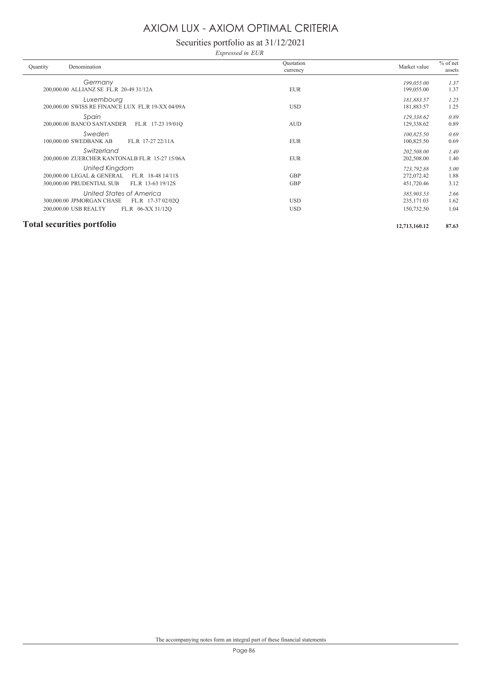Securities portfolio as at 31/12/2021

*Expressed in EUR*

| Quantity<br>Denomination                                                                                                 | Ouotation<br>currency    | Market value                            | $%$ of net<br>assets |
|--------------------------------------------------------------------------------------------------------------------------|--------------------------|-----------------------------------------|----------------------|
| Germany<br>200,000.00 ALLIANZ SE FL.R 20-49 31/12A                                                                       | <b>EUR</b>               | 199,055.00<br>199,055.00                | 1.37<br>1.37         |
| Luxembourg<br>200,000.00 SWISS RE FINANCE LUX FL.R 19-XX 04/09A                                                          | <b>USD</b>               | 181,883.57<br>181,883.57                | 1.25<br>1.25         |
| Spain<br>200,000.00 BANCO SANTANDER<br>FL.R 17-23 19/01Q                                                                 | <b>AUD</b>               | 129.338.62<br>129,338.62                | 0.89<br>0.89         |
| Sweden<br>100,000.00 SWEDBANK AB<br>FL.R 17-27 22/11A                                                                    | <b>EUR</b>               | 100,825.50<br>100,825.50                | 0.69<br>0.69         |
| Switzerland<br>200,000.00 ZUERCHER KANTONALB FL.R 15-27 15/06A                                                           | <b>EUR</b>               | 202,508.00<br>202,508.00                | 1.40<br>1.40         |
| United Kingdom<br>200,000.00 LEGAL & GENERAL<br>FL.R 18-48 14/11S<br>300,000.00 PRUDENTIAL SUB<br>FL.R 13-63 19/12S      | <b>GBP</b><br><b>GBP</b> | 723,792.88<br>272,072.42<br>451,720.46  | 5.00<br>1.88<br>3.12 |
| United States of America<br>300,000.00 JPMORGAN CHASE<br>FL.R 17-37 02/02Q<br>200,000.00 USB REALTY<br>FL.R 06-XX 31/12Q | <b>USD</b><br><b>USD</b> | 385,903.53<br>235, 171.03<br>150,732.50 | 2.66<br>1.62<br>1.04 |
| <b>Total securities portfolio</b>                                                                                        |                          | 12,713,160.12                           | 87.63                |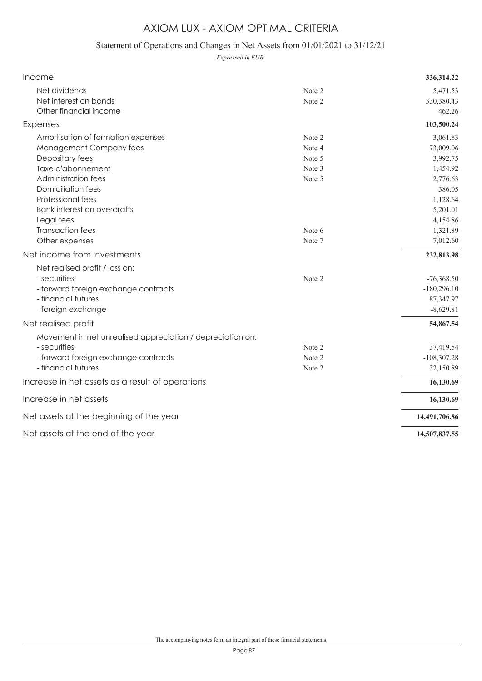## Statement of Operations and Changes in Net Assets from 01/01/2021 to 31/12/21

*Expressed in EUR*

| Income                                                     |        | 336, 314.22   |
|------------------------------------------------------------|--------|---------------|
| Net dividends                                              | Note 2 | 5,471.53      |
| Net interest on bonds                                      | Note 2 | 330,380.43    |
| Other financial income                                     |        | 462.26        |
| Expenses                                                   |        | 103,500.24    |
| Amortisation of formation expenses                         | Note 2 | 3,061.83      |
| Management Company fees                                    | Note 4 | 73,009.06     |
| Depositary fees                                            | Note 5 | 3,992.75      |
| Taxe d'abonnement                                          | Note 3 | 1,454.92      |
| Administration fees                                        | Note 5 | 2,776.63      |
| <b>Domiciliation fees</b>                                  |        | 386.05        |
| Professional fees                                          |        | 1,128.64      |
| Bank interest on overdrafts                                |        | 5,201.01      |
| Legal fees                                                 |        | 4,154.86      |
| <b>Transaction fees</b>                                    | Note 6 | 1,321.89      |
| Other expenses                                             | Note 7 | 7,012.60      |
| Net income from investments                                |        | 232,813.98    |
| Net realised profit / loss on:                             |        |               |
| - securities                                               | Note 2 | $-76,368.50$  |
| - forward foreign exchange contracts                       |        | $-180,296.10$ |
| - financial futures                                        |        | 87,347.97     |
| - foreign exchange                                         |        | $-8,629.81$   |
| Net realised profit                                        |        | 54,867.54     |
| Movement in net unrealised appreciation / depreciation on: |        |               |
| - securities                                               | Note 2 | 37,419.54     |
| - forward foreign exchange contracts                       | Note 2 | $-108,307.28$ |
| - financial futures                                        | Note 2 | 32,150.89     |
| Increase in net assets as a result of operations           |        | 16,130.69     |
| Increase in net assets                                     |        | 16,130.69     |
| Net assets at the beginning of the year                    |        | 14,491,706.86 |
| Net assets at the end of the year                          |        | 14,507,837.55 |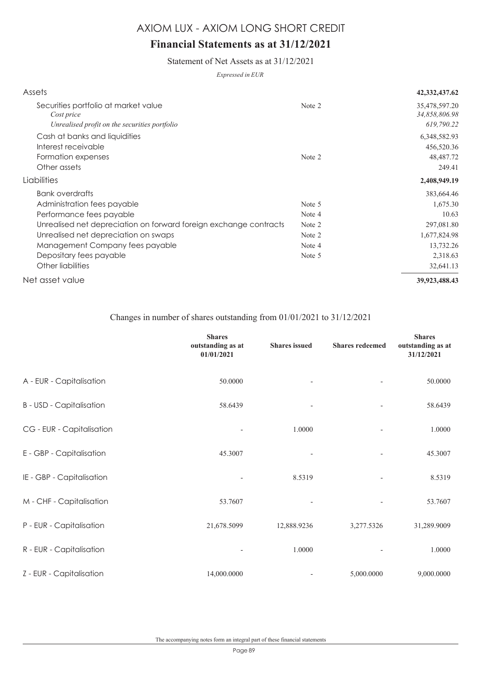## **Financial Statements as at 31/12/2021**

Statement of Net Assets as at 31/12/2021

*Expressed in EUR*

| Assets                                                            |        | 42, 332, 437. 62               |
|-------------------------------------------------------------------|--------|--------------------------------|
| Securities portfolio at market value<br>Cost price                | Note 2 | 35,478,597.20<br>34,858,806.98 |
| Unrealised profit on the securities portfolio                     |        | 619,790.22                     |
| Cash at banks and liquidities                                     |        | 6,348,582.93                   |
| Interest receivable                                               |        | 456,520.36                     |
| Formation expenses                                                | Note 2 | 48,487.72                      |
| Other assets                                                      |        | 249.41                         |
| Liabilities                                                       |        | 2,408,949.19                   |
| Bank overdrafts                                                   |        | 383,664.46                     |
| Administration fees payable                                       | Note 5 | 1,675.30                       |
| Performance fees payable                                          | Note 4 | 10.63                          |
| Unrealised net depreciation on forward foreign exchange contracts | Note 2 | 297,081.80                     |
| Unrealised net depreciation on swaps                              | Note 2 | 1,677,824.98                   |
| Management Company fees payable                                   | Note 4 | 13,732.26                      |
| Depositary fees payable                                           | Note 5 | 2,318.63                       |
| Other liabilities                                                 |        | 32,641.13                      |
| Net asset value                                                   |        | 39,923,488.43                  |

#### Changes in number of shares outstanding from 01/01/2021 to 31/12/2021

|                                 | <b>Shares</b><br>outstanding as at<br>01/01/2021 | <b>Shares</b> issued | <b>Shares redeemed</b>   | <b>Shares</b><br>outstanding as at<br>31/12/2021 |
|---------------------------------|--------------------------------------------------|----------------------|--------------------------|--------------------------------------------------|
| A - EUR - Capitalisation        | 50.0000                                          |                      |                          | 50.0000                                          |
| <b>B</b> - USD - Capitalisation | 58.6439                                          |                      | $\overline{a}$           | 58.6439                                          |
| CG - EUR - Capitalisation       |                                                  | 1.0000               |                          | 1.0000                                           |
| E - GBP - Capitalisation        | 45.3007                                          |                      | $\overline{\phantom{a}}$ | 45.3007                                          |
| IE - GBP - Capitalisation       |                                                  | 8.5319               | $\overline{a}$           | 8.5319                                           |
| M - CHF - Capitalisation        | 53.7607                                          |                      |                          | 53.7607                                          |
| P - EUR - Capitalisation        | 21,678.5099                                      | 12,888.9236          | 3,277.5326               | 31,289.9009                                      |
| R - EUR - Capitalisation        |                                                  | 1.0000               |                          | 1.0000                                           |
| Z - EUR - Capitalisation        | 14,000.0000                                      |                      | 5,000.0000               | 9,000.0000                                       |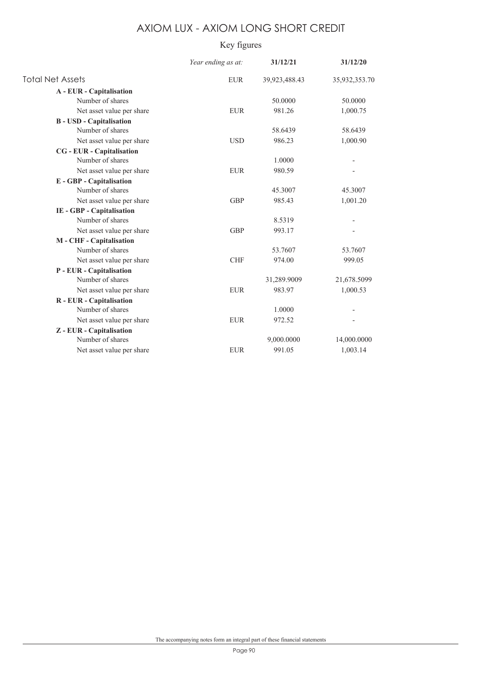## Key figures

|                                  | Year ending as at: | 31/12/21      | 31/12/20      |
|----------------------------------|--------------------|---------------|---------------|
| <b>Total Net Assets</b>          | <b>EUR</b>         | 39,923,488.43 | 35,932,353.70 |
| A - EUR - Capitalisation         |                    |               |               |
| Number of shares                 |                    | 50.0000       | 50.0000       |
| Net asset value per share        | <b>EUR</b>         | 981.26        | 1,000.75      |
| <b>B</b> - USD - Capitalisation  |                    |               |               |
| Number of shares                 |                    | 58.6439       | 58.6439       |
| Net asset value per share        | <b>USD</b>         | 986.23        | 1,000.90      |
| <b>CG</b> - EUR - Capitalisation |                    |               |               |
| Number of shares                 |                    | 1.0000        |               |
| Net asset value per share        | <b>EUR</b>         | 980.59        |               |
| E - GBP - Capitalisation         |                    |               |               |
| Number of shares                 |                    | 45.3007       | 45.3007       |
| Net asset value per share        | <b>GBP</b>         | 985.43        | 1,001.20      |
| IE - GBP - Capitalisation        |                    |               |               |
| Number of shares                 |                    | 8.5319        |               |
| Net asset value per share        | <b>GBP</b>         | 993.17        |               |
| M - CHF - Capitalisation         |                    |               |               |
| Number of shares                 |                    | 53.7607       | 53.7607       |
| Net asset value per share        | <b>CHF</b>         | 974.00        | 999.05        |
| P - EUR - Capitalisation         |                    |               |               |
| Number of shares                 |                    | 31,289.9009   | 21,678.5099   |
| Net asset value per share        | <b>EUR</b>         | 983.97        | 1,000.53      |
| R - EUR - Capitalisation         |                    |               |               |
| Number of shares                 |                    | 1.0000        |               |
| Net asset value per share        | <b>EUR</b>         | 972.52        |               |
| Z - EUR - Capitalisation         |                    |               |               |
| Number of shares                 |                    | 9,000.0000    | 14,000.0000   |
| Net asset value per share        | <b>EUR</b>         | 991.05        | 1.003.14      |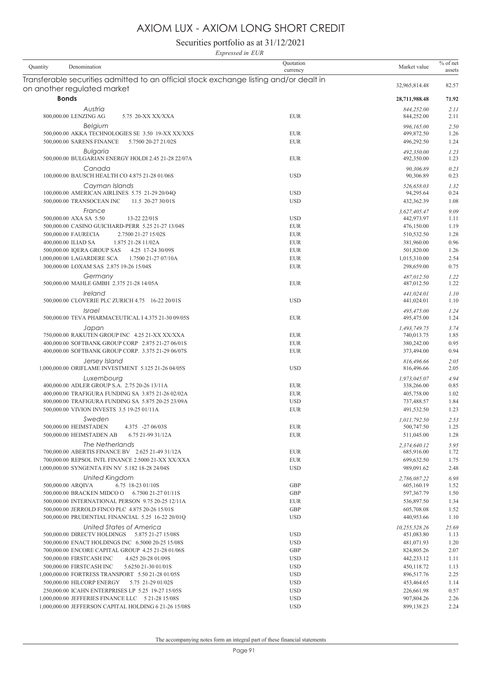Securities portfolio as at 31/12/2021 *Expressed in EUR*

| Denomination<br>Quantity                                                                                              | Quotation<br>currency    | Market value               | $%$ of net<br>assets |
|-----------------------------------------------------------------------------------------------------------------------|--------------------------|----------------------------|----------------------|
| Transferable securities admitted to an official stock exchange listing and/or dealt in<br>on another regulated market |                          | 32,965,814.48              | 82.57                |
| <b>Bonds</b>                                                                                                          |                          | 28,711,988.48              | 71.92                |
| Austria                                                                                                               |                          | 844.252.00                 | 2.11                 |
| 800,000.00 LENZING AG<br>5.75 20-XX XX/XXA                                                                            | <b>EUR</b>               | 844,252.00                 | 2.11                 |
| <b>Belgium</b>                                                                                                        | <b>EUR</b>               | 996,165.00                 | 2.50                 |
| 500,000.00 AKKA TECHNOLOGIES SE 3.50 19-XX XX/XXS<br>500,000.00 SARENS FINANCE<br>5.7500 20-27 21/02S                 | <b>EUR</b>               | 499,872.50<br>496,292.50   | 1.26<br>1.24         |
| <b>Bulgaria</b>                                                                                                       |                          | 492,350.00                 | 1.23                 |
| 500,000.00 BULGARIAN ENERGY HOLDI 2.45 21-28 22/07A                                                                   | <b>EUR</b>               | 492,350.00                 | 1.23                 |
| Canada                                                                                                                |                          | 90,306.89                  | 0.23                 |
| 100,000.00 BAUSCH HEALTH CO 4.875 21-28 01/06S                                                                        | <b>USD</b>               | 90,306.89                  | 0.23                 |
| Cayman Islands<br>100,000.00 AMERICAN AIRLINES 5.75 21-29 20/04Q                                                      | <b>USD</b>               | 526,658.03<br>94,295.64    | 1.32<br>0.24         |
| 500,000.00 TRANSOCEAN INC<br>11.5 20-27 30/01S                                                                        | <b>USD</b>               | 432,362.39                 | 1.08                 |
| France                                                                                                                |                          | 3,627,405.47               | 9.09                 |
| 500,000.00 AXA SA 5.50<br>13-22 22/01S                                                                                | <b>USD</b>               | 442,973.97                 | 1.11                 |
| 500,000.00 CASINO GUICHARD-PERR 5.25 21-27 13/04S<br>500,000.00 FAURECIA<br>2.7500 21-27 15/02S                       | <b>EUR</b><br><b>EUR</b> | 476,150.00<br>510,532.50   | 1.19<br>1.28         |
| 400,000.00 ILIAD SA<br>1.875 21-28 11/02A                                                                             | <b>EUR</b>               | 381,960.00                 | 0.96                 |
| 500,000.00 IQERA GROUP SAS<br>4.25 17-24 30/09S                                                                       | <b>EUR</b>               | 501,820.00                 | 1.26                 |
| 1,000,000.00 LAGARDERE SCA<br>1.7500 21-27 07/10A                                                                     | <b>EUR</b>               | 1,015,310.00               | 2.54                 |
| 300,000.00 LOXAM SAS 2.875 19-26 15/04S                                                                               | <b>EUR</b>               | 298,659.00                 | 0.75                 |
| Germany                                                                                                               |                          | 487.012.50                 | 1.22                 |
| 500,000.00 MAHLE GMBH 2.375 21-28 14/05A                                                                              | <b>EUR</b>               | 487,012.50                 | 1.22                 |
| Ireland<br>500,000.00 CLOVERIE PLC ZURICH 4.75 16-22 20/01S                                                           | <b>USD</b>               | 441,024.01<br>441,024.01   | 1.10<br>1.10         |
| <i><u><b>Israel</b></u></i>                                                                                           |                          | 495,475.00                 | 1.24                 |
| 500,000.00 TEVA PHARMACEUTICAL I 4.375 21-30 09/05S                                                                   | <b>EUR</b>               | 495,475.00                 | 1.24                 |
| Japan<br>750,000.00 RAKUTEN GROUP INC 4.25 21-XX XX/XXA                                                               | <b>EUR</b>               | 1,493,749.75<br>740,013.75 | 3.74<br>1.85         |
| 400,000.00 SOFTBANK GROUP CORP 2.875 21-27 06/01S                                                                     | <b>EUR</b>               | 380,242.00                 | 0.95                 |
| 400,000.00 SOFTBANK GROUP CORP. 3.375 21-29 06/07S                                                                    | <b>EUR</b>               | 373,494.00                 | 0.94                 |
| Jersey Island                                                                                                         |                          | 816,496.66                 | 2.05                 |
| 1,000,000.00 ORIFLAME INVESTMENT 5.125 21-26 04/05S                                                                   | <b>USD</b>               | 816,496.66                 | 2.05                 |
| Luxembourg<br>400,000.00 ADLER GROUP S.A. 2.75 20-26 13/11A                                                           | <b>EUR</b>               | 1,973,045.07<br>338,266.00 | 4.94<br>0.85         |
| 400,000.00 TRAFIGURA FUNDING SA 3.875 21-26 02/02A                                                                    | <b>EUR</b>               | 405,758.00                 | 1.02                 |
| 800,000.00 TRAFIGURA FUNDING SA 5.875 20-25 23/09A                                                                    | <b>USD</b>               | 737,488.57                 | 1.84                 |
| 500,000.00 VIVION INVESTS 3.5 19-25 01/11A                                                                            | <b>EUR</b>               | 491,532.50                 | 1.23                 |
| Sweden                                                                                                                |                          | 1,011,792.50               | 2.53                 |
| 500,000.00 HEIMSTADEN<br>4.375 -27 06/03S<br>500,000,00 HEIMSTADEN AB                                                 | <b>EUR</b>               | 500,747.50                 | 1.25                 |
| 6.75 21-99 31/12A                                                                                                     | <b>EUR</b>               | 511,045.00                 | 1.28                 |
| The Netherlands<br>700,000.00 ABERTIS FINANCE BV 2.625 21-49 31/12A                                                   | <b>EUR</b>               | 2,374,640.12<br>685,916.00 | 5.95<br>1.72         |
| 700,000.00 REPSOL INTL FINANCE 2.5000 21-XX XX/XXA                                                                    | <b>EUR</b>               | 699,632.50                 | 1.75                 |
| 1,000,000.00 SYNGENTA FIN NV 5.182 18-28 24/04S                                                                       | <b>USD</b>               | 989,091.62                 | 2.48                 |
| United Kingdom                                                                                                        |                          | 2,786,087.22               | 6.98                 |
| 500,000.00 ARQIVA<br>6.75 18-23 01/10S                                                                                | <b>GBP</b>               | 605,160.19                 | 1.52                 |
| 500,000.00 BRACKEN MIDCO O 6.7500 21-27 01/11S<br>500,000.00 INTERNATIONAL PERSON 9.75 20-25 12/11A                   | GBP<br><b>EUR</b>        | 597, 367. 79<br>536,897.50 | 1.50<br>1.34         |
| 500,000.00 JERROLD FINCO PLC 4.875 20-26 15/01S                                                                       | <b>GBP</b>               | 605,708.08                 | 1.52                 |
| 500,000.00 PRUDENTIAL FINANCIAL 5.25 16-22 20/01Q                                                                     | <b>USD</b>               | 440,953.66                 | 1.10                 |
| United States of America                                                                                              |                          | 10,255,528.26              | 25.69                |
| 500,000.00 DIRECTV HOLDINGS 5.875 21-27 15/08S                                                                        | <b>USD</b>               | 451,083.80                 | 1.13                 |
| 500,000.00 ENACT HOLDINGS INC 6.5000 20-25 15/08S<br>700,000.00 ENCORE CAPITAL GROUP 4.25 21-28 01/06S                | <b>USD</b><br>GBP        | 481,071.93<br>824,805.26   | 1.20<br>2.07         |
| 500,000.00 FIRSTCASH INC<br>4.625 20-28 01/09S                                                                        | <b>USD</b>               | 442,233.12                 | 1.11                 |
| 500,000.00 FIRSTCASH INC<br>5.6250 21-30 01/01S                                                                       | <b>USD</b>               | 450,118.72                 | 1.13                 |
| 1,000,000.00 FORTRESS TRANSPORT 5.50 21-28 01/05S                                                                     | <b>USD</b>               | 896,517.76                 | 2.25                 |
| 500,000.00 HILCORP ENERGY<br>5.75 21-29 01/02S                                                                        | <b>USD</b>               | 453,464.65                 | 1.14                 |
| 250,000.00 ICAHN ENTERPRISES LP 5.25 19-27 15/05S                                                                     | <b>USD</b>               | 226,661.98                 | 0.57                 |
| 1,000,000.00 JEFFERIES FINANCE LLC 5 21-28 15/08S<br>1,000,000.00 JEFFERSON CAPITAL HOLDING 6 21-26 15/08S            | <b>USD</b><br><b>USD</b> | 907,804.26<br>899,138.23   | 2.26<br>2.24         |
|                                                                                                                       |                          |                            |                      |
|                                                                                                                       |                          |                            |                      |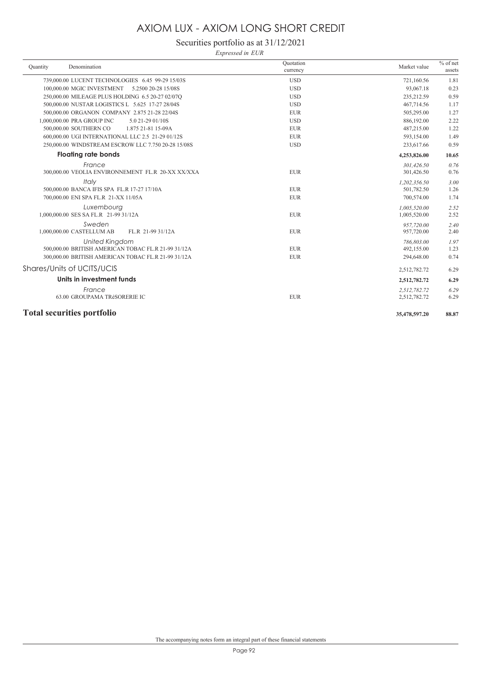## Securities portfolio as at 31/12/2021

*Expressed in EUR*

| Ouantity                          | Denomination                                        | Ouotation<br>currency | Market value  | $%$ of net<br>assets |
|-----------------------------------|-----------------------------------------------------|-----------------------|---------------|----------------------|
|                                   | 739,000.00 LUCENT TECHNOLOGIES 6.45 99-29 15/03S    | <b>USD</b>            | 721,160.56    | 1.81                 |
|                                   | 100,000.00 MGIC INVESTMENT<br>5.2500 20-28 15/08S   | <b>USD</b>            | 93,067.18     | 0.23                 |
|                                   | 250,000.00 MILEAGE PLUS HOLDING 6.5 20-27 02/07Q    | <b>USD</b>            | 235,212.59    | 0.59                 |
|                                   | 500,000.00 NUSTAR LOGISTICS L 5.625 17-27 28/04S    | <b>USD</b>            | 467,714.56    | 1.17                 |
|                                   | 500,000,00 ORGANON COMPANY 2.875 21-28 22/04S       | <b>EUR</b>            | 505,295.00    | 1.27                 |
| 1,000,000.00 PRA GROUP INC        | 5.0 21-29 01/10S                                    | <b>USD</b>            | 886,192.00    | 2.22                 |
| 500,000.00 SOUTHERN CO            | 1.875 21-81 15-09A                                  | <b>EUR</b>            | 487,215.00    | 1.22                 |
|                                   | 600,000,00 UGI INTERNATIONAL LLC 2.5 21-29 01/12S   | <b>EUR</b>            | 593.154.00    | 1.49                 |
|                                   | 250,000.00 WINDSTREAM ESCROW LLC 7.750 20-28 15/08S | <b>USD</b>            | 233,617.66    | 0.59                 |
|                                   | <b>Floating rate bonds</b>                          |                       | 4,253,826.00  | 10.65                |
|                                   | France                                              |                       | 301.426.50    | 0.76                 |
|                                   | 300,000.00 VEOLIA ENVIRONNEMENT FL.R 20-XX XX/XXA   | <b>EUR</b>            | 301,426.50    | 0.76                 |
|                                   | Italy                                               |                       | 1.202.356.50  | 3.00                 |
|                                   | 500,000,00 BANCA IFIS SPA FL.R 17-27 17/10A         | <b>EUR</b>            | 501,782.50    | 1.26                 |
|                                   | 700,000.00 ENI SPA FL.R 21-XX 11/05A                | <b>EUR</b>            | 700,574.00    | 1.74                 |
|                                   | Luxembourg                                          |                       | 1.005.520.00  | 2.52                 |
|                                   | 1,000,000.00 SES SA FL.R 21-99 31/12A               | <b>EUR</b>            | 1,005,520.00  | 2.52                 |
|                                   | Sweden                                              |                       | 957,720.00    | 2.40                 |
| 1,000,000.00 CASTELLUM AB         | FL.R 21-99 31/12A                                   | <b>EUR</b>            | 957,720.00    | 2.40                 |
|                                   | <b>United Kingdom</b>                               |                       | 786,803.00    | 1.97                 |
|                                   | 500,000.00 BRITISH AMERICAN TOBAC FL.R 21-99 31/12A | <b>EUR</b>            | 492,155.00    | 1.23                 |
|                                   | 300,000.00 BRITISH AMERICAN TOBAC FL.R 21-99 31/12A | <b>EUR</b>            | 294,648.00    | 0.74                 |
| Shares/Units of UCITS/UCIS        |                                                     |                       | 2,512,782.72  | 6.29                 |
|                                   | Units in investment funds                           |                       | 2,512,782.72  | 6.29                 |
|                                   | France                                              |                       | 2,512,782.72  | 6.29                 |
|                                   | 63.00 GROUPAMA TRéSORERIE IC                        | <b>EUR</b>            | 2,512,782.72  | 6.29                 |
| <b>Total securities portfolio</b> |                                                     |                       | 35,478,597.20 | 88.87                |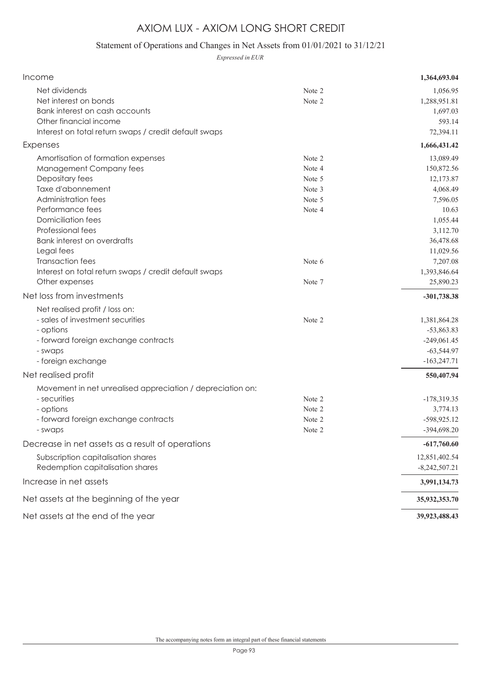## Statement of Operations and Changes in Net Assets from 01/01/2021 to 31/12/21

*Expressed in EUR*

| Income                                                                                                                                                                                                                                                                                                                                                       |                                                                              | 1,364,693.04                                                                                                                                                     |
|--------------------------------------------------------------------------------------------------------------------------------------------------------------------------------------------------------------------------------------------------------------------------------------------------------------------------------------------------------------|------------------------------------------------------------------------------|------------------------------------------------------------------------------------------------------------------------------------------------------------------|
| Net dividends<br>Net interest on bonds<br>Bank interest on cash accounts<br>Other financial income<br>Interest on total return swaps / credit default swaps                                                                                                                                                                                                  | Note 2<br>Note 2                                                             | 1,056.95<br>1,288,951.81<br>1,697.03<br>593.14<br>72,394.11                                                                                                      |
| Expenses                                                                                                                                                                                                                                                                                                                                                     |                                                                              | 1,666,431.42                                                                                                                                                     |
| Amortisation of formation expenses<br>Management Company fees<br>Depositary fees<br>Taxe d'abonnement<br>Administration fees<br>Performance fees<br><b>Domiciliation fees</b><br>Professional fees<br><b>Bank interest on overdrafts</b><br>Legal fees<br><b>Transaction fees</b><br>Interest on total return swaps / credit default swaps<br>Other expenses | Note 2<br>Note 4<br>Note 5<br>Note 3<br>Note 5<br>Note 4<br>Note 6<br>Note 7 | 13,089.49<br>150,872.56<br>12,173.87<br>4,068.49<br>7,596.05<br>10.63<br>1,055.44<br>3,112.70<br>36,478.68<br>11,029.56<br>7,207.08<br>1,393,846.64<br>25,890.23 |
| Net loss from investments                                                                                                                                                                                                                                                                                                                                    |                                                                              | $-301,738.38$                                                                                                                                                    |
| Net realised profit / loss on:<br>- sales of investment securities<br>- options<br>- forward foreign exchange contracts<br>- swaps<br>- foreign exchange                                                                                                                                                                                                     | Note 2                                                                       | 1,381,864.28<br>$-53,863.83$<br>$-249,061.45$<br>$-63,544.97$<br>$-163,247.71$                                                                                   |
| Net realised profit                                                                                                                                                                                                                                                                                                                                          |                                                                              | 550,407.94                                                                                                                                                       |
| Movement in net unrealised appreciation / depreciation on:<br>- securities<br>- options<br>- forward foreign exchange contracts<br>- swaps                                                                                                                                                                                                                   | Note 2<br>Note 2<br>Note 2<br>Note 2                                         | $-178,319.35$<br>3,774.13<br>-598,925.12<br>-394,698.20                                                                                                          |
| Decrease in net assets as a result of operations                                                                                                                                                                                                                                                                                                             |                                                                              | $-617,760.60$                                                                                                                                                    |
| Subscription capitalisation shares<br>Redemption capitalisation shares                                                                                                                                                                                                                                                                                       |                                                                              | 12,851,402.54<br>$-8,242,507.21$                                                                                                                                 |
| Increase in net assets                                                                                                                                                                                                                                                                                                                                       |                                                                              | 3,991,134.73                                                                                                                                                     |
| Net assets at the beginning of the year                                                                                                                                                                                                                                                                                                                      |                                                                              | 35,932,353.70                                                                                                                                                    |
| Net assets at the end of the year                                                                                                                                                                                                                                                                                                                            |                                                                              | 39,923,488.43                                                                                                                                                    |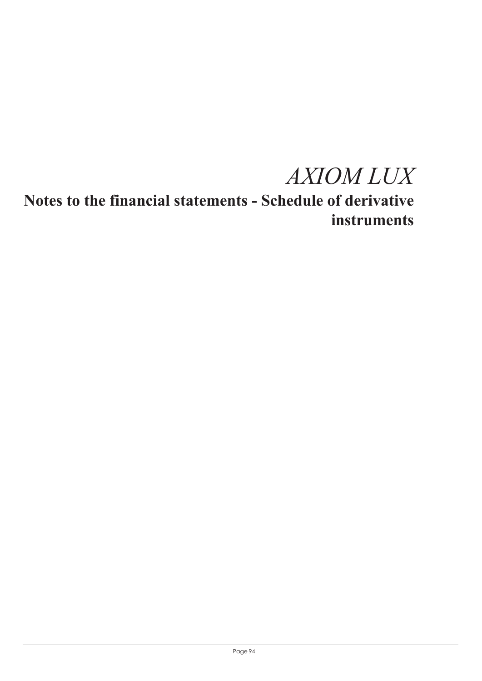*AXIOM LUX*

**Notes to the financial statements - Schedule of derivative instruments**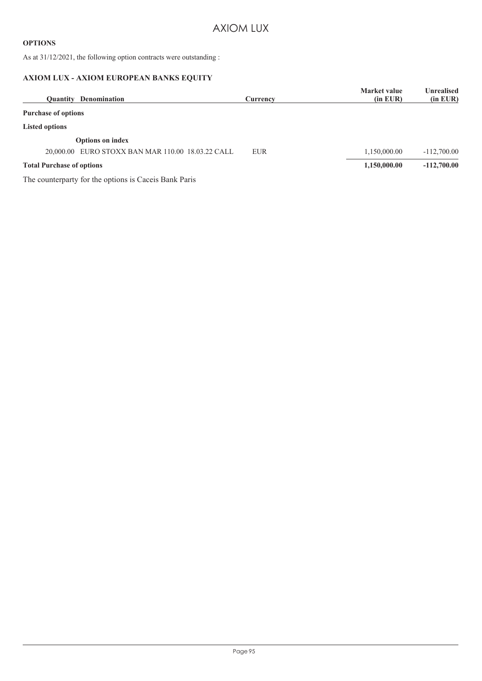#### **OPTIONS**

As at 31/12/2021, the following option contracts were outstanding :

#### **AXIOM LUX - AXIOM EUROPEAN BANKS EQUITY**

| Denomination<br><b>Ouantity</b>                       | Currency   | <b>Market value</b><br>$(in$ EUR $)$ | Unrealised<br>(in EUR) |
|-------------------------------------------------------|------------|--------------------------------------|------------------------|
| <b>Purchase of options</b>                            |            |                                      |                        |
| <b>Listed options</b>                                 |            |                                      |                        |
| <b>Options on index</b>                               |            |                                      |                        |
| EURO STOXX BAN MAR 110.00 18.03.22 CALL<br>20,000.00  | <b>EUR</b> | 1,150,000.00                         | $-112,700.00$          |
| <b>Total Purchase of options</b>                      |            | 1,150,000.00                         | $-112,700,00$          |
| The counterparty for the options is Caceis Bank Paris |            |                                      |                        |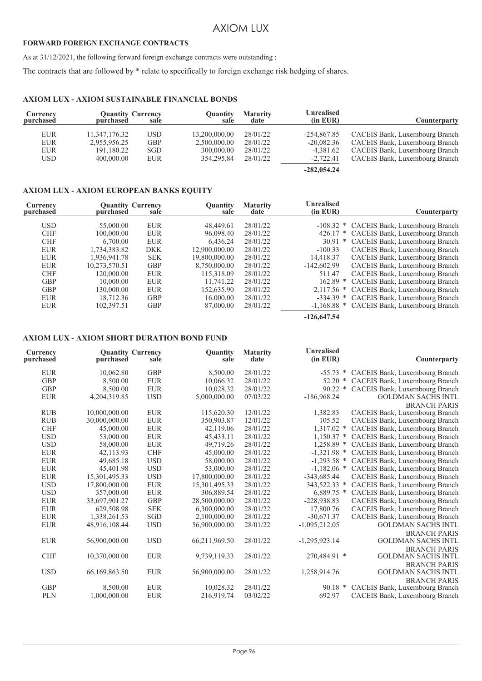#### **FORWARD FOREIGN EXCHANGE CONTRACTS**

As at 31/12/2021, the following forward foreign exchange contracts were outstanding :

The contracts that are followed by \* relate to specifically to foreign exchange risk hedging of shares.

#### **AXIOM LUX - AXIOM SUSTAINABLE FINANCIAL BONDS**

| Counterparty                                                                                                                         | Unrealised<br>$(in$ $EUR)$                                  | <b>Maturity</b><br>date                      | Ouantity<br>sale                                          | sale                                                 | <b>Quantity Currency</b><br>purchased                     | Currency<br>purchased                         |
|--------------------------------------------------------------------------------------------------------------------------------------|-------------------------------------------------------------|----------------------------------------------|-----------------------------------------------------------|------------------------------------------------------|-----------------------------------------------------------|-----------------------------------------------|
| CACEIS Bank, Luxembourg Branch<br>CACEIS Bank, Luxembourg Branch<br>CACEIS Bank, Luxembourg Branch<br>CACEIS Bank, Luxembourg Branch | $-254.867.85$<br>$-20,082.36$<br>$-4,381.62$<br>$-2,722.41$ | 28/01/22<br>28/01/22<br>28/01/22<br>28/01/22 | 13,200,000.00<br>2,500,000.00<br>300,000.00<br>354.295.84 | <b>USD</b><br><b>GBP</b><br><b>SGD</b><br><b>EUR</b> | 11,347,176.32<br>2,955,956.25<br>191,180.22<br>400,000,00 | <b>EUR</b><br><b>EUR</b><br><b>EUR</b><br>USD |
|                                                                                                                                      | $-282,054.24$                                               |                                              |                                                           |                                                      |                                                           |                                               |

#### **AXIOM LUX - AXIOM EUROPEAN BANKS EQUITY**

| Currency<br>purchased | purchased     | <b>Quantity Currency</b><br>sale | Quantity<br>sale | <b>Maturity</b><br>date | <b>Unrealised</b><br>$(in$ $EUR)$ | Counterparty                               |
|-----------------------|---------------|----------------------------------|------------------|-------------------------|-----------------------------------|--------------------------------------------|
|                       |               |                                  |                  |                         |                                   |                                            |
| <b>USD</b>            | 55,000.00     | <b>EUR</b>                       | 48,449.61        | 28/01/22                |                                   | -108.32 * CACEIS Bank, Luxembourg Branch   |
| <b>CHF</b>            | 100,000.00    | <b>EUR</b>                       | 96,098.40        | 28/01/22                |                                   | 426.17 * CACEIS Bank, Luxembourg Branch    |
| <b>CHF</b>            | 6.700.00      | <b>EUR</b>                       | 6.436.24         | 28/01/22                |                                   | 30.91 * CACEIS Bank, Luxembourg Branch     |
| <b>EUR</b>            | 1,734,383.82  | <b>DKK</b>                       | 12,900,000.00    | 28/01/22                | $-100.33$                         | CACEIS Bank, Luxembourg Branch             |
| <b>EUR</b>            | 1.936.941.78  | <b>SEK</b>                       | 19,800,000.00    | 28/01/22                | 14,418.37                         | CACEIS Bank, Luxembourg Branch             |
| <b>EUR</b>            | 10,273,570.51 | <b>GBP</b>                       | 8,750,000.00     | 28/01/22                | $-142,602.99$                     | CACEIS Bank, Luxembourg Branch             |
| <b>CHF</b>            | 120,000.00    | <b>EUR</b>                       | 115,318.09       | 28/01/22                | 511.47                            | CACEIS Bank, Luxembourg Branch             |
| <b>GBP</b>            | 10,000.00     | <b>EUR</b>                       | 11,741.22        | 28/01/22                |                                   | 162.89 * CACEIS Bank, Luxembourg Branch    |
| <b>GBP</b>            | 130,000.00    | <b>EUR</b>                       | 152,635.90       | 28/01/22                |                                   | 2,117.56 * CACEIS Bank, Luxembourg Branch  |
| <b>EUR</b>            | 18,712.36     | <b>GBP</b>                       | 16,000.00        | 28/01/22                |                                   | -334.39 * CACEIS Bank, Luxembourg Branch   |
| <b>EUR</b>            | 102,397.51    | <b>GBP</b>                       | 87,000.00        | 28/01/22                |                                   | -1,168.88 * CACEIS Bank, Luxembourg Branch |
|                       |               |                                  |                  |                         |                                   |                                            |

**-126,647.54**

#### **AXIOM LUX - AXIOM SHORT DURATION BOND FUND**

| Currency<br>purchased | purchased     | <b>Quantity Currency</b><br>sale | <b>Quantity</b><br>sale | <b>Maturity</b><br>date | <b>Unrealised</b><br>$(in$ EUR $)$ | Counterparty                        |
|-----------------------|---------------|----------------------------------|-------------------------|-------------------------|------------------------------------|-------------------------------------|
| <b>EUR</b>            | 10,062.80     | <b>GBP</b>                       | 8,500.00                | 28/01/22                | $-55.73$ *                         | CACEIS Bank, Luxembourg Branch      |
| <b>GBP</b>            | 8,500.00      | <b>EUR</b>                       | 10,066.32               | 28/01/22                | $52.20*$                           | CACEIS Bank, Luxembourg Branch      |
| <b>GBP</b>            | 8,500.00      | <b>EUR</b>                       | 10,028.32               | 28/01/22                | 90.22                              | CACEIS Bank, Luxembourg Branch<br>∗ |
| <b>EUR</b>            | 4,204,319.85  | <b>USD</b>                       | 5,000,000.00            | 07/03/22                | $-186,968.24$                      | <b>GOLDMAN SACHS INTL</b>           |
|                       |               |                                  |                         |                         |                                    | <b>BRANCH PARIS</b>                 |
| <b>RUB</b>            | 10,000,000.00 | <b>EUR</b>                       | 115,620.30              | 12/01/22                | 1,382.83                           | CACEIS Bank, Luxembourg Branch      |
| RUB                   | 30,000,000.00 | <b>EUR</b>                       | 350,903.87              | 12/01/22                | 105.52                             | CACEIS Bank, Luxembourg Branch      |
| <b>CHF</b>            | 45,000.00     | ${\rm EUR}$                      | 42,119.06               | 28/01/22                | $1,317.02$ *                       | CACEIS Bank, Luxembourg Branch      |
| <b>USD</b>            | 53,000.00     | <b>EUR</b>                       | 45, 433. 11             | 28/01/22                | $1,150.37$ *                       | CACEIS Bank, Luxembourg Branch      |
| <b>USD</b>            | 58,000.00     | <b>EUR</b>                       | 49,719.26               | 28/01/22                | $1,258.89$ *                       | CACEIS Bank, Luxembourg Branch      |
| <b>EUR</b>            | 42,113.93     | <b>CHF</b>                       | 45,000.00               | 28/01/22                | $-1,321.98$ *                      | CACEIS Bank, Luxembourg Branch      |
| <b>EUR</b>            | 49,685.18     | <b>USD</b>                       | 58,000.00               | 28/01/22                | $-1,293.58$ *                      | CACEIS Bank, Luxembourg Branch      |
| <b>EUR</b>            | 45,401.98     | <b>USD</b>                       | 53,000.00               | 28/01/22                | $-1,182.06$ *                      | CACEIS Bank, Luxembourg Branch      |
| <b>EUR</b>            | 15,301,495.33 | <b>USD</b>                       | 17,800,000.00           | 28/01/22                | $-343,685.44$                      | CACEIS Bank, Luxembourg Branch      |
| <b>USD</b>            | 17,800,000.00 | <b>EUR</b>                       | 15,301,495.33           | 28/01/22                | 343,522.33 *                       | CACEIS Bank, Luxembourg Branch      |
| <b>USD</b>            | 357,000.00    | <b>EUR</b>                       | 306,889.54              | 28/01/22                | $6,889.75$ *                       | CACEIS Bank, Luxembourg Branch      |
| ${\rm EUR}$           | 33,697,901.27 | <b>GBP</b>                       | 28,500,000.00           | 28/01/22                | -228,938.83                        | CACEIS Bank, Luxembourg Branch      |
| <b>EUR</b>            | 629,508.98    | <b>SEK</b>                       | 6,300,000.00            | 28/01/22                | 17,800.76                          | CACEIS Bank, Luxembourg Branch      |
| <b>EUR</b>            | 1,338,261.53  | SGD                              | 2,100,000.00            | 28/01/22                | $-30,671.37$                       | CACEIS Bank, Luxembourg Branch      |
| <b>EUR</b>            | 48,916,108.44 | <b>USD</b>                       | 56,900,000.00           | 28/01/22                | $-1,095,212.05$                    | <b>GOLDMAN SACHS INTL</b>           |
|                       |               |                                  |                         |                         |                                    | <b>BRANCH PARIS</b>                 |
| <b>EUR</b>            | 56,900,000.00 | <b>USD</b>                       | 66,211,969.50           | 28/01/22                | $-1,295,923.14$                    | <b>GOLDMAN SACHS INTL</b>           |
|                       |               |                                  |                         |                         |                                    | <b>BRANCH PARIS</b>                 |
| <b>CHF</b>            | 10,370,000.00 | <b>EUR</b>                       | 9,739,119.33            | 28/01/22                | 270,484.91 *                       | <b>GOLDMAN SACHS INTL</b>           |
|                       |               |                                  |                         |                         |                                    | <b>BRANCH PARIS</b>                 |
| <b>USD</b>            | 66,169,863.50 | <b>EUR</b>                       | 56,900,000.00           | 28/01/22                | 1,258,914.76                       | <b>GOLDMAN SACHS INTL</b>           |
|                       |               |                                  |                         |                         |                                    | <b>BRANCH PARIS</b>                 |
| <b>GBP</b>            | 8,500.00      | <b>EUR</b>                       | 10,028.32               | 28/01/22                | $90.18*$                           | CACEIS Bank, Luxembourg Branch      |
| <b>PLN</b>            | 1.000.000.00  | <b>EUR</b>                       | 216.919.74              | 03/02/22                | 692.97                             | CACEIS Bank, Luxembourg Branch      |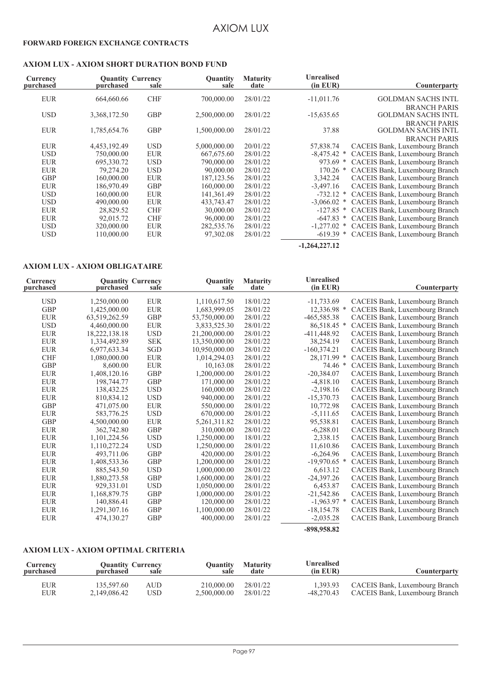#### **FORWARD FOREIGN EXCHANGE CONTRACTS**

#### **AXIOM LUX - AXIOM SHORT DURATION BOND FUND**

| Currency<br>purchased | purchased    | <b>Quantity Currency</b><br>sale | Quantity<br>sale | <b>Maturity</b><br>date | <b>Unrealised</b><br>$(in$ $EUR)$ | Counterparty                   |
|-----------------------|--------------|----------------------------------|------------------|-------------------------|-----------------------------------|--------------------------------|
| <b>EUR</b>            | 664,660.66   | <b>CHF</b>                       | 700,000.00       | 28/01/22                | $-11,011.76$                      | <b>GOLDMAN SACHS INTL</b>      |
|                       |              |                                  |                  |                         |                                   | <b>BRANCH PARIS</b>            |
| <b>USD</b>            | 3,368,172.50 | <b>GBP</b>                       | 2,500,000.00     | 28/01/22                | $-15,635.65$                      | <b>GOLDMAN SACHS INTL</b>      |
|                       |              |                                  |                  |                         |                                   | <b>BRANCH PARIS</b>            |
| <b>EUR</b>            | 1,785,654.76 | <b>GBP</b>                       | 1,500,000.00     | 28/01/22                | 37.88                             | <b>GOLDMAN SACHS INTL</b>      |
|                       |              |                                  |                  |                         |                                   | <b>BRANCH PARIS</b>            |
| <b>EUR</b>            | 4,453,192.49 | <b>USD</b>                       | 5,000,000.00     | 20/01/22                | 57,838.74                         | CACEIS Bank, Luxembourg Branch |
| <b>USD</b>            | 750,000.00   | <b>EUR</b>                       | 667,675.60       | 28/01/22                | $-8,475.42$ *                     | CACEIS Bank, Luxembourg Branch |
| <b>EUR</b>            | 695,330.72   | <b>USD</b>                       | 790,000.00       | 28/01/22                | $973.69$ *                        | CACEIS Bank, Luxembourg Branch |
| <b>EUR</b>            | 79,274.20    | <b>USD</b>                       | 90,000.00        | 28/01/22                | $170.26$ *                        | CACEIS Bank, Luxembourg Branch |
| <b>GBP</b>            | 160,000.00   | <b>EUR</b>                       | 187, 123.56      | 28/01/22                | 3,342.24                          | CACEIS Bank, Luxembourg Branch |
| <b>EUR</b>            | 186,970.49   | <b>GBP</b>                       | 160,000.00       | 28/01/22                | $-3,497.16$                       | CACEIS Bank, Luxembourg Branch |
| <b>USD</b>            | 160,000.00   | <b>EUR</b>                       | 141,361.49       | 28/01/22                | $-732.12$ *                       | CACEIS Bank, Luxembourg Branch |
| <b>USD</b>            | 490,000.00   | <b>EUR</b>                       | 433,743.47       | 28/01/22                | $-3,066.02$ *                     | CACEIS Bank, Luxembourg Branch |
| <b>EUR</b>            | 28,829.52    | <b>CHF</b>                       | 30,000.00        | 28/01/22                | $-127.85$ *                       | CACEIS Bank, Luxembourg Branch |
| <b>EUR</b>            | 92,015.72    | <b>CHF</b>                       | 96,000.00        | 28/01/22                | $-647.83$ *                       | CACEIS Bank, Luxembourg Branch |
| <b>USD</b>            | 320,000.00   | <b>EUR</b>                       | 282,535.76       | 28/01/22                | $-1.277.02$ *                     | CACEIS Bank, Luxembourg Branch |
| <b>USD</b>            | 110,000.00   | <b>EUR</b>                       | 97,302.08        | 28/01/22                | $-619.39$<br>∗                    | CACEIS Bank, Luxembourg Branch |
|                       |              |                                  |                  |                         | $-1,264,227,12$                   |                                |

#### **AXIOM LUX - AXIOM OBLIGATAIRE**

| Currency<br>purchased | purchased     | <b>Quantity Currency</b><br>sale | Quantity<br>sale | <b>Maturity</b><br>date | <b>Unrealised</b><br>$(in$ EUR $)$ | Counterparty                   |
|-----------------------|---------------|----------------------------------|------------------|-------------------------|------------------------------------|--------------------------------|
|                       |               |                                  |                  |                         |                                    |                                |
| <b>USD</b>            | 1,250,000.00  | <b>EUR</b>                       | 1,110,617.50     | 18/01/22                | $-11,733.69$                       | CACEIS Bank, Luxembourg Branch |
| <b>GBP</b>            | 1,425,000.00  | <b>EUR</b>                       | 1,683,999.05     | 28/01/22                | 12,336.98 *                        | CACEIS Bank, Luxembourg Branch |
| <b>EUR</b>            | 63,519,262.59 | <b>GBP</b>                       | 53,750,000.00    | 28/01/22                | -465,585.38                        | CACEIS Bank, Luxembourg Branch |
| <b>USD</b>            | 4,460,000.00  | ${\rm EUR}$                      | 3,833,525.30     | 28/01/22                | 86,518.45 *                        | CACEIS Bank, Luxembourg Branch |
| ${\rm EUR}$           | 18,222,138.18 | <b>USD</b>                       | 21,200,000.00    | 28/01/22                | $-411,448.92$                      | CACEIS Bank, Luxembourg Branch |
| <b>EUR</b>            | 1,334,492.89  | <b>SEK</b>                       | 13,350,000.00    | 28/01/22                | 38,254.19                          | CACEIS Bank, Luxembourg Branch |
| <b>EUR</b>            | 6,977,633.34  | SGD                              | 10,950,000.00    | 28/01/22                | $-160,374.21$                      | CACEIS Bank, Luxembourg Branch |
| <b>CHF</b>            | 1,080,000.00  | <b>EUR</b>                       | 1,014,294.03     | 28/01/22                | 28,171.99 *                        | CACEIS Bank, Luxembourg Branch |
| <b>GBP</b>            | 8.600.00      | <b>EUR</b>                       | 10,163.08        | 28/01/22                | 74.46 *                            | CACEIS Bank, Luxembourg Branch |
| <b>EUR</b>            | 1,408,120.16  | <b>GBP</b>                       | 1,200,000.00     | 28/01/22                | $-20,384.07$                       | CACEIS Bank, Luxembourg Branch |
| <b>EUR</b>            | 198,744.77    | <b>GBP</b>                       | 171,000.00       | 28/01/22                | $-4,818.10$                        | CACEIS Bank, Luxembourg Branch |
| <b>EUR</b>            | 138,432.25    | <b>USD</b>                       | 160,000.00       | 28/01/22                | $-2,198.16$                        | CACEIS Bank, Luxembourg Branch |
| <b>EUR</b>            | 810,834.12    | <b>USD</b>                       | 940,000.00       | 28/01/22                | $-15,370.73$                       | CACEIS Bank, Luxembourg Branch |
| <b>GBP</b>            | 471,075.00    | ${\rm EUR}$                      | 550,000.00       | 28/01/22                | 10,772.98                          | CACEIS Bank, Luxembourg Branch |
| <b>EUR</b>            | 583,776.25    | <b>USD</b>                       | 670,000.00       | 28/01/22                | $-5,111.65$                        | CACEIS Bank, Luxembourg Branch |
| GBP                   | 4,500,000.00  | <b>EUR</b>                       | 5, 261, 311.82   | 28/01/22                | 95,538.81                          | CACEIS Bank, Luxembourg Branch |
| <b>EUR</b>            | 362,742.80    | <b>GBP</b>                       | 310,000.00       | 28/01/22                | $-6,288.01$                        | CACEIS Bank, Luxembourg Branch |
| <b>EUR</b>            | 1,101,224.56  | <b>USD</b>                       | 1,250,000.00     | 18/01/22                | 2,338.15                           | CACEIS Bank, Luxembourg Branch |
| ${\rm EUR}$           | 1,110,272.24  | <b>USD</b>                       | 1,250,000.00     | 28/01/22                | 11,610.86                          | CACEIS Bank, Luxembourg Branch |
| <b>EUR</b>            | 493,711.06    | <b>GBP</b>                       | 420,000.00       | 28/01/22                | $-6,264.96$                        | CACEIS Bank, Luxembourg Branch |
| <b>EUR</b>            | 1,408,533.36  | <b>GBP</b>                       | 1,200,000.00     | 28/01/22                | $-19,970.65$ *                     | CACEIS Bank, Luxembourg Branch |
| ${\rm EUR}$           | 885,543.50    | <b>USD</b>                       | 1,000,000.00     | 28/01/22                | 6,613.12                           | CACEIS Bank, Luxembourg Branch |
| <b>EUR</b>            | 1,880,273.58  | <b>GBP</b>                       | 1,600,000.00     | 28/01/22                | $-24,397.26$                       | CACEIS Bank, Luxembourg Branch |
| <b>EUR</b>            | 929,331.01    | <b>USD</b>                       | 1,050,000.00     | 28/01/22                | 6,453.87                           | CACEIS Bank, Luxembourg Branch |
| <b>EUR</b>            | 1,168,879.75  | <b>GBP</b>                       | 1,000,000.00     | 28/01/22                | $-21,542.86$                       | CACEIS Bank, Luxembourg Branch |
| <b>EUR</b>            | 140,886.41    | <b>GBP</b>                       | 120,000.00       | 28/01/22                | $-1,963.97$ *                      | CACEIS Bank, Luxembourg Branch |
| EUR                   | 1,291,307.16  | <b>GBP</b>                       | 1,100,000.00     | 28/01/22                | $-18,154.78$                       | CACEIS Bank, Luxembourg Branch |
| <b>EUR</b>            | 474,130.27    | <b>GBP</b>                       | 400,000.00       | 28/01/22                | $-2,035.28$                        | CACEIS Bank, Luxembourg Branch |
|                       |               |                                  |                  |                         | -898,958.82                        |                                |

#### **AXIOM LUX - AXIOM OPTIMAL CRITERIA**

| Counterparty                   | <b>Unrealised</b><br>$(in$ $EUR)$ | <b>Maturity</b><br>date | Ouantity<br>sale | <b>Quantity Currency</b><br>sale | purchased    | Currency<br>purchased |
|--------------------------------|-----------------------------------|-------------------------|------------------|----------------------------------|--------------|-----------------------|
| CACEIS Bank, Luxembourg Branch | 1.393.93                          | 28/01/22                | 210,000.00       | AUD                              | 135.597.60   | EUR                   |
| CACEIS Bank, Luxembourg Branch | -48.270.43                        | 28/01/22                | 2.500.000.00     | USD                              | 2.149.086.42 | EUR                   |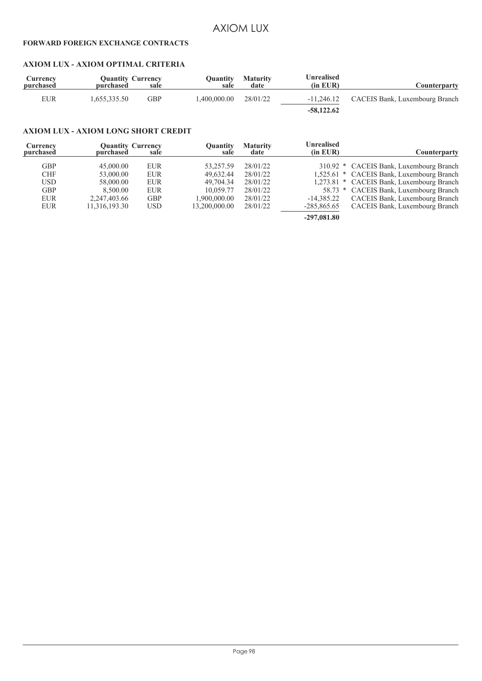#### **FORWARD FOREIGN EXCHANGE CONTRACTS**

#### **AXIOM LUX - AXIOM OPTIMAL CRITERIA**

| Counterparty                   | Unrealised<br>$(in$ EUR $)$ | <b>Maturity</b><br>date | Ouantity<br>sale | <b>Quantity Currency</b><br>sale | purchased   | <b>Currency</b><br>purchased |
|--------------------------------|-----------------------------|-------------------------|------------------|----------------------------------|-------------|------------------------------|
| CACEIS Bank, Luxembourg Branch | $-11,246.12$                | 28/01/22                | .400.000.00      | GBP                              | .655.335.50 | EUR                          |
|                                | $-58,122.62$                |                         |                  |                                  |             |                              |

#### **AXIOM LUX - AXIOM LONG SHORT CREDIT**

| Currency<br>purchased | purchased     | <b>Quantity Currency</b><br>sale | Ouantitv<br>sale | <b>Maturity</b><br>date | <b>Unrealised</b><br>(in EUR) | <b>Counterparty</b>                       |
|-----------------------|---------------|----------------------------------|------------------|-------------------------|-------------------------------|-------------------------------------------|
|                       |               |                                  |                  |                         |                               |                                           |
| <b>GBP</b>            | 45,000.00     | <b>EUR</b>                       | 53.257.59        | 28/01/22                |                               | 310.92 * CACEIS Bank, Luxembourg Branch   |
| <b>CHF</b>            | 53,000.00     | <b>EUR</b>                       | 49.632.44        | 28/01/22                |                               | 1,525.61 * CACEIS Bank, Luxembourg Branch |
| <b>USD</b>            | 58,000.00     | <b>EUR</b>                       | 49.704.34        | 28/01/22                |                               | 1,273.81 * CACEIS Bank, Luxembourg Branch |
| <b>GBP</b>            | 8.500.00      | <b>EUR</b>                       | 10.059.77        | 28/01/22                |                               | 58.73 * CACEIS Bank, Luxembourg Branch    |
| <b>EUR</b>            | 2,247,403.66  | <b>GBP</b>                       | 1.900.000.00     | 28/01/22                | $-14.385.22$                  | CACEIS Bank, Luxembourg Branch            |
| <b>EUR</b>            | 11,316,193.30 | <b>USD</b>                       | 13.200.000.00    | 28/01/22                | $-285,865.65$                 | CACEIS Bank, Luxembourg Branch            |
|                       |               |                                  |                  |                         | $-297,081.80$                 |                                           |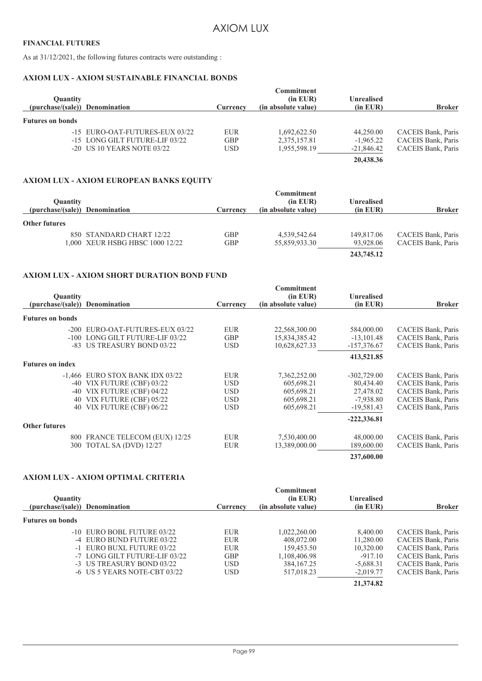#### **FINANCIAL FUTURES**

As at 31/12/2021, the following futures contracts were outstanding :

#### **AXIOM LUX - AXIOM SUSTAINABLE FINANCIAL BONDS**

| <b>Ouantity</b><br>(purchase/(sale)) Denomination |                                                                                                  | Currency                 | Commitment<br>$(in$ EUR $)$<br>(in absolute value) | Unrealised<br>(in EUR)                   | <b>Broker</b>                                                  |
|---------------------------------------------------|--------------------------------------------------------------------------------------------------|--------------------------|----------------------------------------------------|------------------------------------------|----------------------------------------------------------------|
| <b>Futures on bonds</b>                           |                                                                                                  |                          |                                                    |                                          |                                                                |
|                                                   | -15 EURO-OAT-FUTURES-EUX 03/22<br>-15 LONG GILT FUTURE-LIF 03/22<br>$-20$ US 10 YEARS NOTE 03/22 | <b>EUR</b><br>GBP<br>USD | 1.692.622.50<br>2,375,157.81<br>1.955.598.19       | 44.250.00<br>$-1,965.22$<br>$-21,846.42$ | CACEIS Bank, Paris<br>CACEIS Bank, Paris<br>CACEIS Bank, Paris |
|                                                   |                                                                                                  |                          |                                                    | 20,438.36                                |                                                                |

#### **AXIOM LUX - AXIOM EUROPEAN BANKS EQUITY**

| <b>Ouantity</b>                |                                 |            | <b>Commitment</b><br>(in EUR) | Unrealised |                           |
|--------------------------------|---------------------------------|------------|-------------------------------|------------|---------------------------|
| (purchase/(sale)) Denomination |                                 | Currencv   | (in absolute value)           | (in EUR)   | <b>Broker</b>             |
| <b>Other futures</b>           |                                 |            |                               |            |                           |
|                                | 850 STANDARD CHART 12/22        | GBP        | 4,539,542.64                  | 149,817.06 | <b>CACEIS Bank, Paris</b> |
|                                | 1,000 XEUR HSBG HBSC 1000 12/22 | <b>GBP</b> | 55,859,933.30                 | 93,928.06  | CACEIS Bank, Paris        |
|                                |                                 |            |                               | 243,745.12 |                           |

#### **AXIOM LUX - AXIOM SHORT DURATION BOND FUND**

| <b>Quantity</b>         | <b>Denomination</b>               |            | <b>Commitment</b><br>(in EUR) | <b>Unrealised</b> | <b>Broker</b>             |
|-------------------------|-----------------------------------|------------|-------------------------------|-------------------|---------------------------|
| (purchase/(sale))       |                                   | Currency   | (in absolute value)           | (in EUR)          |                           |
| <b>Futures on bonds</b> |                                   |            |                               |                   |                           |
|                         | -200 EURO-OAT-FUTURES-EUX 03/22   | <b>EUR</b> | 22,568,300.00                 | 584,000.00        | CACEIS Bank, Paris        |
|                         | -100 LONG GILT FUTURE-LIF 03/22   | <b>GBP</b> | 15,834,385.42                 | $-13,101.48$      | <b>CACEIS Bank, Paris</b> |
|                         | -83 US TREASURY BOND 03/22        | USD.       | 10,628,627.33                 | $-157,376.67$     | CACEIS Bank, Paris        |
|                         |                                   |            |                               | 413,521.85        |                           |
| <b>Futures on index</b> |                                   |            |                               |                   |                           |
|                         | $-1,466$ EURO STOX BANK IDX 03/22 | <b>EUR</b> | 7,362,252.00                  | $-302,729.00$     | CACEIS Bank, Paris        |
| $-40$                   | VIX FUTURE (CBF) 03/22            | <b>USD</b> | 605,698.21                    | 80,434.40         | CACEIS Bank, Paris        |
| $-40$                   | VIX FUTURE (CBF) 04/22            | <b>USD</b> | 605,698.21                    | 27,478.02         | CACEIS Bank, Paris        |
| 40                      | VIX FUTURE (CBF) 05/22            | <b>USD</b> | 605,698.21                    | $-7,938.80$       | CACEIS Bank, Paris        |
| 40                      | VIX FUTURE (CBF) 06/22            | <b>USD</b> | 605,698.21                    | $-19,581.43$      | CACEIS Bank, Paris        |
|                         |                                   |            |                               | $-222,336.81$     |                           |
| <b>Other futures</b>    |                                   |            |                               |                   |                           |
|                         | 800 FRANCE TELECOM (EUX) 12/25    | EUR        | 7,530,400.00                  | 48,000.00         | CACEIS Bank, Paris        |
|                         | 300 TOTAL SA (DVD) 12/27          | <b>EUR</b> | 13,389,000.00                 | 189,600.00        | CACEIS Bank, Paris        |
|                         |                                   |            |                               | 237,600.00        |                           |

#### **AXIOM LUX - AXIOM OPTIMAL CRITERIA**

| <b>Quantity</b>                |                               |            | <b>Commitment</b><br>(in EUR) | <b>Unrealised</b> |                    |
|--------------------------------|-------------------------------|------------|-------------------------------|-------------------|--------------------|
| (purchase/(sale)) Denomination |                               | Currency   | (in absolute value)           | (in EUR)          | <b>Broker</b>      |
| <b>Futures on bonds</b>        |                               |            |                               |                   |                    |
|                                | -10 EURO BOBL FUTURE 03/22    | <b>EUR</b> | 1.022.260.00                  | 8,400.00          | CACEIS Bank, Paris |
|                                | -4 EURO BUND FUTURE 03/22     | <b>EUR</b> | 408,072.00                    | 11,280.00         | CACEIS Bank, Paris |
|                                | -1 EURO BUXL FUTURE 03/22     | <b>EUR</b> | 159.453.50                    | 10,320.00         | CACEIS Bank, Paris |
|                                | -7 LONG GILT FUTURE-LIF 03/22 | <b>GBP</b> | 1,108,406.98                  | $-917.10$         | CACEIS Bank, Paris |
|                                | -3 US TREASURY BOND 03/22     | <b>USD</b> | 384, 167. 25                  | $-5,688.31$       | CACEIS Bank, Paris |
|                                | -6 US 5 YEARS NOTE-CBT 03/22  | <b>USD</b> | 517,018.23                    | $-2,019.77$       | CACEIS Bank, Paris |
|                                |                               |            |                               | 21,374.82         |                    |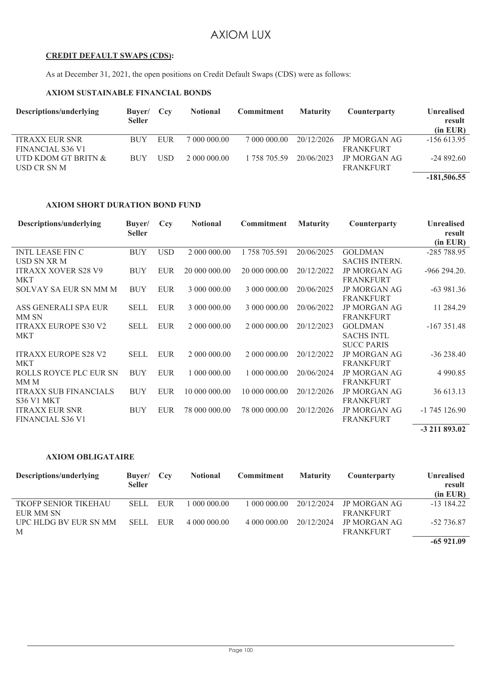#### **CREDIT DEFAULT SWAPS (CDS):**

As at December 31, 2021, the open positions on Credit Default Swaps (CDS) were as follows:

#### **AXIOM SUSTAINABLE FINANCIAL BONDS**

| Descriptions/underlying | Buyer/ Ccy<br><b>Seller</b> |            | <b>Notional</b> | <b>Commitment</b> | <b>Maturity</b> | Counterparty     | <b>Unrealised</b><br>result |
|-------------------------|-----------------------------|------------|-----------------|-------------------|-----------------|------------------|-----------------------------|
|                         |                             |            |                 |                   |                 |                  | $(in$ EUR $)$               |
| <b>ITRAXX EUR SNR</b>   | <b>BUY</b>                  | EUR        | 7 000 000 00    | 7 000 000 00      | 20/12/2026      | JP MORGAN AG     | $-156613.95$                |
| <b>FINANCIAL S36 V1</b> |                             |            |                 |                   |                 | <b>FRANKFURT</b> |                             |
| UTD KDOM GT BRITN &     | <b>BUY</b>                  | <b>USD</b> | 2 000 000 00    | 1 758 705.59      | 20/06/2023      | JP MORGAN AG     | $-24892.60$                 |
| USD CR SN M             |                             |            |                 |                   |                 | <b>FRANKFURT</b> |                             |
|                         |                             |            |                 |                   |                 |                  | $-181,506.55$               |

#### **AXIOM SHORT DURATION BOND FUND**

| Descriptions/underlying      | Buyer/<br><b>Seller</b> | Ccy        | <b>Notional</b> | Commitment    | <b>Maturity</b> | <b>Counterparty</b>  | <b>Unrealised</b><br>result<br>(in EUR) |
|------------------------------|-------------------------|------------|-----------------|---------------|-----------------|----------------------|-----------------------------------------|
| <b>INTL LEASE FIN C</b>      | <b>BUY</b>              | <b>USD</b> | 2 000 000.00    | 1 758 705.591 | 20/06/2025      | <b>GOLDMAN</b>       | $-285788.95$                            |
| USD SN XR M                  |                         |            |                 |               |                 | <b>SACHS INTERN.</b> |                                         |
| <b>ITRAXX XOVER S28 V9</b>   | <b>BUY</b>              | <b>EUR</b> | 20 000 000,00   | 20 000 000.00 | 20/12/2022      | <b>JP MORGAN AG</b>  | $-966294.20$ .                          |
| <b>MKT</b>                   |                         |            |                 |               |                 | <b>FRANKFURT</b>     |                                         |
| <b>SOLVAY SA EUR SN MM M</b> | <b>BUY</b>              | EUR        | 3 000 000.00    | 3 000 000.00  | 20/06/2025      | <b>JP MORGAN AG</b>  | $-63981.36$                             |
|                              |                         |            |                 |               |                 | <b>FRANKFURT</b>     |                                         |
| ASS GENERALI SPA EUR         | <b>SELL</b>             | <b>EUR</b> | 3 000 000.00    | 3 000 000.00  | 20/06/2022      | <b>JP MORGAN AG</b>  | 11 284.29                               |
| MM SN                        |                         |            |                 |               |                 | <b>FRANKFURT</b>     |                                         |
| <b>ITRAXX EUROPE S30 V2</b>  | <b>SELL</b>             | <b>EUR</b> | 2 000 000.00    | 2 000 000.00  | 20/12/2023      | <b>GOLDMAN</b>       | $-167351.48$                            |
| <b>MKT</b>                   |                         |            |                 |               |                 | <b>SACHS INTL</b>    |                                         |
|                              |                         |            |                 |               |                 | <b>SUCC PARIS</b>    |                                         |
| <b>ITRAXX EUROPE S28 V2</b>  | <b>SELL</b>             | <b>EUR</b> | 2 000 000.00    | 2 000 000.00  | 20/12/2022      | <b>JP MORGAN AG</b>  | $-36238.40$                             |
| <b>MKT</b>                   |                         |            |                 |               |                 | <b>FRANKFURT</b>     |                                         |
| ROLLS ROYCE PLC EUR SN       | <b>BUY</b>              | <b>EUR</b> | 1 000 000 00    | 1 000 000.00  | 20/06/2024      | <b>JP MORGAN AG</b>  | 4 9 9 0.85                              |
| MM M                         |                         |            |                 |               |                 | <b>FRANKFURT</b>     |                                         |
| <b>ITRAXX SUB FINANCIALS</b> | <b>BUY</b>              | <b>EUR</b> | 10 000 000 00   | 10 000 000 00 | 20/12/2026      | <b>JP MORGAN AG</b>  | 36 613.13                               |
| <b>S36 V1 MKT</b>            |                         |            |                 |               |                 | <b>FRANKFURT</b>     |                                         |
| <b>ITRAXX EUR SNR</b>        | <b>BUY</b>              | <b>EUR</b> | 78 000 000.00   | 78 000 000.00 | 20/12/2026      | <b>JP MORGAN AG</b>  | $-1745126.90$                           |
| <b>FINANCIAL S36 V1</b>      |                         |            |                 |               |                 | <b>FRANKFURT</b>     |                                         |
|                              |                         |            |                 |               |                 |                      | -3 211 893.02                           |

#### **AXIOM OBLIGATAIRE**

| Descriptions/underlying      | Buyer/ Ccy<br><b>Seller</b> |     | <b>Notional</b> | <b>Commitment</b> | <b>Maturity</b> | Counterparty        | <b>Unrealised</b><br>result |
|------------------------------|-----------------------------|-----|-----------------|-------------------|-----------------|---------------------|-----------------------------|
|                              |                             |     |                 |                   |                 |                     | (in EUR)                    |
| TKOFP SENIOR TIKEHAU         | <b>SELL</b>                 | EUR | 1 000 000.00    | 1 000 000 00      | 20/12/2024      | JP MORGAN AG        | $-13$ 184.22                |
| EUR MM SN                    |                             |     |                 |                   |                 | <b>FRANKFURT</b>    |                             |
| <b>UPC HLDG BV EUR SN MM</b> | <b>SELL</b>                 | EUR | 4 000 000 00    | 4 000 000 00      | 20/12/2024      | <b>JP MORGAN AG</b> | $-52\,736.87$               |
| M                            |                             |     |                 |                   |                 | <b>FRANKFURT</b>    |                             |
|                              |                             |     |                 |                   |                 |                     | $-65921.09$                 |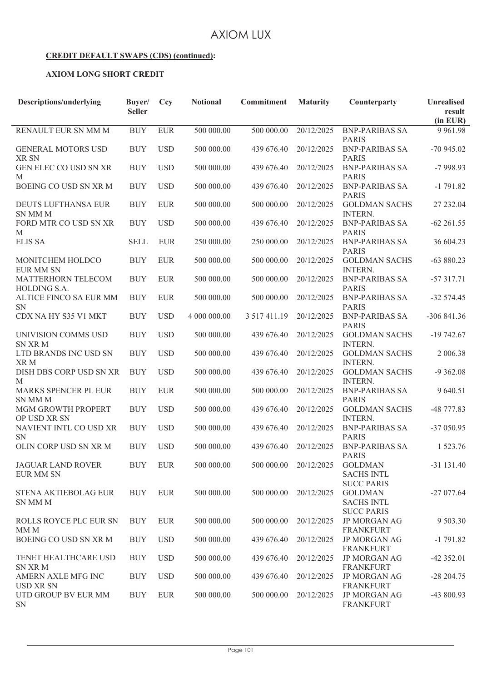#### **CREDIT DEFAULT SWAPS (CDS) (continued):**

#### **AXIOM LONG SHORT CREDIT**

| Descriptions/underlying                       | Buver/<br><b>Seller</b> | Ccy        | <b>Notional</b> | <b>Commitment</b> | <b>Maturity</b> | Counterparty                                                | <b>Unrealised</b><br>result<br>(in EUR) |
|-----------------------------------------------|-------------------------|------------|-----------------|-------------------|-----------------|-------------------------------------------------------------|-----------------------------------------|
| RENAULT EUR SN MM M                           | <b>BUY</b>              | <b>EUR</b> | 500 000.00      | 500 000.00        | 20/12/2025      | <b>BNP-PARIBAS SA</b><br><b>PARIS</b>                       | 9 9 6 1.98                              |
| <b>GENERAL MOTORS USD</b><br>XR SN            | <b>BUY</b>              | <b>USD</b> | 500 000.00      | 439 676.40        | 20/12/2025      | <b>BNP-PARIBAS SA</b><br><b>PARIS</b>                       | $-70945.02$                             |
| GEN ELEC CO USD SN XR<br>M                    | <b>BUY</b>              | <b>USD</b> | 500 000.00      | 439 676.40        | 20/12/2025      | <b>BNP-PARIBAS SA</b><br><b>PARIS</b>                       | $-7998.93$                              |
| BOEING CO USD SN XR M                         | <b>BUY</b>              | <b>USD</b> | 500 000.00      | 439 676.40        | 20/12/2025      | <b>BNP-PARIBAS SA</b><br><b>PARIS</b>                       | $-1791.82$                              |
| DEUTS LUFTHANSA EUR<br><b>SN MM M</b>         | <b>BUY</b>              | <b>EUR</b> | 500 000.00      | 500 000.00        | 20/12/2025      | <b>GOLDMAN SACHS</b><br><b>INTERN.</b>                      | 27 232.04                               |
| FORD MTR CO USD SN XR<br>M                    | <b>BUY</b>              | <b>USD</b> | 500 000.00      | 439 676.40        | 20/12/2025      | <b>BNP-PARIBAS SA</b><br><b>PARIS</b>                       | $-62261.55$                             |
| <b>ELIS SA</b>                                | <b>SELL</b>             | <b>EUR</b> | 250 000.00      | 250 000.00        | 20/12/2025      | <b>BNP-PARIBAS SA</b><br><b>PARIS</b>                       | 36 604.23                               |
| MONITCHEM HOLDCO<br><b>EUR MM SN</b>          | <b>BUY</b>              | <b>EUR</b> | 500 000.00      | 500 000.00        | 20/12/2025      | <b>GOLDMAN SACHS</b><br><b>INTERN.</b>                      | $-63880.23$                             |
| MATTERHORN TELECOM<br>HOLDING S.A.            | <b>BUY</b>              | <b>EUR</b> | 500 000.00      | 500 000.00        | 20/12/2025      | <b>BNP-PARIBAS SA</b><br><b>PARIS</b>                       | $-57317.71$                             |
| ALTICE FINCO SA EUR MM<br><b>SN</b>           | <b>BUY</b>              | <b>EUR</b> | 500 000.00      | 500 000.00        | 20/12/2025      | <b>BNP-PARIBAS SA</b><br><b>PARIS</b>                       | $-32574.45$                             |
| CDX NA HY S35 V1 MKT                          | <b>BUY</b>              | <b>USD</b> | 4 000 000.00    | 3 517 411.19      | 20/12/2025      | <b>BNP-PARIBAS SA</b><br><b>PARIS</b>                       | -306 841.36                             |
| UNIVISION COMMS USD<br><b>SN XR M</b>         | <b>BUY</b>              | <b>USD</b> | 500 000.00      | 439 676.40        | 20/12/2025      | <b>GOLDMAN SACHS</b><br><b>INTERN.</b>                      | $-19742.67$                             |
| LTD BRANDS INC USD SN<br>XR M                 | <b>BUY</b>              | <b>USD</b> | 500 000.00      | 439 676.40        | 20/12/2025      | <b>GOLDMAN SACHS</b><br><b>INTERN.</b>                      | 2 006.38                                |
| DISH DBS CORP USD SN XR<br>M                  | <b>BUY</b>              | <b>USD</b> | 500 000.00      | 439 676.40        | 20/12/2025      | <b>GOLDMAN SACHS</b><br><b>INTERN.</b>                      | $-9362.08$                              |
| MARKS SPENCER PL EUR<br><b>SN MM M</b>        | <b>BUY</b>              | <b>EUR</b> | 500 000.00      | 500 000.00        | 20/12/2025      | <b>BNP-PARIBAS SA</b><br><b>PARIS</b>                       | 9 640.51                                |
| MGM GROWTH PROPERT<br>OP USD XR SN            | <b>BUY</b>              | <b>USD</b> | 500 000.00      | 439 676.40        | 20/12/2025      | <b>GOLDMAN SACHS</b><br><b>INTERN.</b>                      | $-48777.83$                             |
| NAVIENT INTL CO USD XR<br><b>SN</b>           | <b>BUY</b>              | <b>USD</b> | 500 000.00      | 439 676.40        | 20/12/2025      | <b>BNP-PARIBAS SA</b><br><b>PARIS</b>                       | $-37050.95$                             |
| OLIN CORP USD SN XR M                         | <b>BUY</b>              | <b>USD</b> | 500 000.00      | 439 676.40        | 20/12/2025      | <b>BNP-PARIBAS SA</b><br><b>PARIS</b>                       | 1 523.76                                |
| <b>JAGUAR LAND ROVER</b><br><b>EUR MM SN</b>  | <b>BUY</b>              | <b>EUR</b> | 500 000.00      | 500 000.00        | 20/12/2025      | <b>GOLDMAN</b><br><b>SACHS INTL</b>                         | $-31131.40$                             |
| STENA AKTIEBOLAG EUR<br>SN MM M               | <b>BUY</b>              | <b>EUR</b> | 500 000.00      | 500 000.00        | 20/12/2025      | <b>SUCC PARIS</b><br><b>GOLDMAN</b><br><b>SACHS INTL</b>    | $-27077.64$                             |
| ROLLS ROYCE PLC EUR SN                        | <b>BUY</b>              | <b>EUR</b> | 500 000.00      | 500 000.00        | 20/12/2025      | <b>SUCC PARIS</b><br><b>JP MORGAN AG</b>                    | 9 503.30                                |
| MM <sub>M</sub><br>BOEING CO USD SN XR M      | <b>BUY</b>              | <b>USD</b> | 500 000.00      | 439 676.40        | 20/12/2025      | <b>FRANKFURT</b><br><b>JP MORGAN AG</b>                     | $-1791.82$                              |
| TENET HEALTHCARE USD                          | <b>BUY</b>              | <b>USD</b> | 500 000.00      | 439 676.40        | 20/12/2025      | <b>FRANKFURT</b><br><b>JP MORGAN AG</b>                     | $-42352.01$                             |
| <b>SN XR M</b><br>AMERN AXLE MFG INC          | <b>BUY</b>              | <b>USD</b> | 500 000.00      | 439 676.40        | 20/12/2025      | <b>FRANKFURT</b><br><b>JP MORGAN AG</b>                     | $-28204.75$                             |
| <b>USD XR SN</b><br>UTD GROUP BV EUR MM<br>SN | <b>BUY</b>              | EUR        | 500 000.00      | 500 000.00        | 20/12/2025      | <b>FRANKFURT</b><br><b>JP MORGAN AG</b><br><b>FRANKFURT</b> | $-43800.93$                             |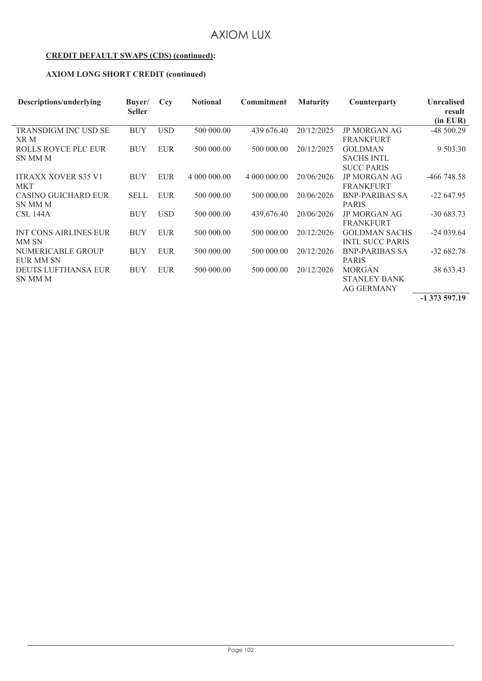#### **CREDIT DEFAULT SWAPS (CDS) (continued):**

#### **AXIOM LONG SHORT CREDIT (continued)**

| Descriptions/underlying                  | Buyer/<br><b>Seller</b> | Ccy        | <b>Notional</b> | <b>Commitment</b> | <b>Maturity</b> | Counterparty                                              | <b>Unrealised</b><br>result<br>(in EUR) |
|------------------------------------------|-------------------------|------------|-----------------|-------------------|-----------------|-----------------------------------------------------------|-----------------------------------------|
| <b>TRANSDIGM INC USD SE</b><br>XR M      | <b>BUY</b>              | <b>USD</b> | 500 000,00      | 439 676.40        | 20/12/2025      | <b>JP MORGAN AG</b><br><b>FRANKFURT</b>                   | $-48500.29$                             |
| <b>ROLLS ROYCE PLC EUR</b><br>SN MM M    | <b>BUY</b>              | <b>EUR</b> | 500 000,00      | 500 000.00        | 20/12/2025      | <b>GOLDMAN</b><br><b>SACHS INTL</b><br><b>SUCC PARIS</b>  | 9 503.30                                |
| <b>ITRAXX XOVER S35 V1</b><br><b>MKT</b> | <b>BUY</b>              | <b>EUR</b> | 4 000 000.00    | 4 000 000.00      | 20/06/2026      | <b>JP MORGAN AG</b><br><b>FRANKFURT</b>                   | $-466$ 748.58                           |
| <b>CASINO GUICHARD EUR</b><br>SN MM M    | <b>SELL</b>             | <b>EUR</b> | 500 000.00      | 500 000.00        | 20/06/2026      | <b>BNP-PARIBAS SA</b><br><b>PARIS</b>                     | $-22647.95$                             |
| <b>CSL 144A</b>                          | <b>BUY</b>              | <b>USD</b> | 500 000,00      | 439,676.40        | 20/06/2026      | <b>JP MORGAN AG</b><br><b>FRANKFURT</b>                   | $-30683.73$                             |
| <b>INT CONS AIRLINES EUR</b><br>MM SN    | <b>BUY</b>              | <b>EUR</b> | 500 000,00      | 500 000.00        | 20/12/2026      | <b>GOLDMAN SACHS</b><br><b>INTL SUCC PARIS</b>            | $-24039.64$                             |
| NUMERICABLE GROUP<br>EUR MM SN           | <b>BUY</b>              | <b>EUR</b> | 500 000,00      | 500 000,00        | 20/12/2026      | <b>BNP-PARIBAS SA</b><br><b>PARIS</b>                     | $-32682.78$                             |
| <b>DEUTS LUFTHANSA EUR</b><br>SN MM M    | <b>BUY</b>              | <b>EUR</b> | 500 000,00      | 500 000.00        | 20/12/2026      | <b>MORGAN</b><br><b>STANLEY BANK</b><br><b>AG GERMANY</b> | 38 633.43                               |

**-1 373 597.19**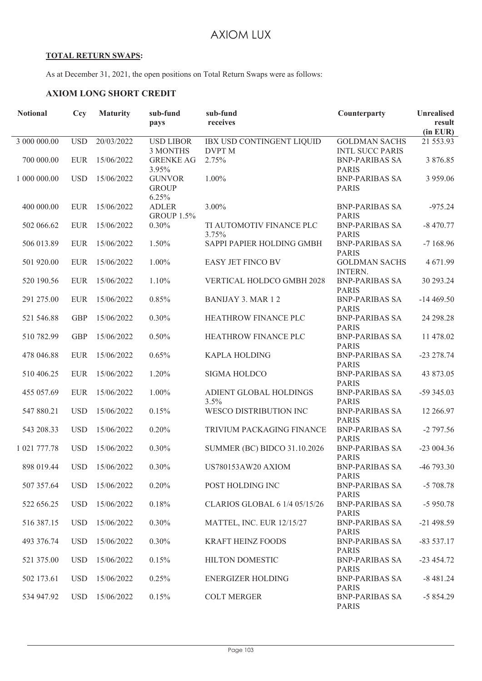#### **TOTAL RETURN SWAPS:**

As at December 31, 2021, the open positions on Total Return Swaps were as follows:

## **AXIOM LONG SHORT CREDIT**

| <b>Notional</b> | Ccy        | <b>Maturity</b> | sub-fund                          | sub-fund                                   | Counterparty                                   | <b>Unrealised</b> |
|-----------------|------------|-----------------|-----------------------------------|--------------------------------------------|------------------------------------------------|-------------------|
|                 |            |                 | pays                              | receives                                   |                                                | result            |
|                 |            |                 |                                   |                                            |                                                | (in EUR)          |
| 3 000 000.00    | <b>USD</b> | 20/03/2022      | <b>USD LIBOR</b><br>3 MONTHS      | IBX USD CONTINGENT LIQUID<br><b>DVPT M</b> | <b>GOLDMAN SACHS</b><br><b>INTL SUCC PARIS</b> | 21 553.93         |
| 700 000.00      | <b>EUR</b> | 15/06/2022      | <b>GRENKE AG</b>                  | 2.75%                                      | <b>BNP-PARIBAS SA</b>                          | 3 876.85          |
|                 |            |                 | 3.95%                             |                                            | <b>PARIS</b>                                   |                   |
| 1 000 000.00    | <b>USD</b> | 15/06/2022      | <b>GUNVOR</b>                     | 1.00%                                      | <b>BNP-PARIBAS SA</b>                          | 3 959.06          |
|                 |            |                 | <b>GROUP</b>                      |                                            | <b>PARIS</b>                                   |                   |
|                 |            |                 | 6.25%                             |                                            |                                                |                   |
| 400 000.00      | <b>EUR</b> | 15/06/2022      | <b>ADLER</b><br><b>GROUP 1.5%</b> | 3.00%                                      | <b>BNP-PARIBAS SA</b><br><b>PARIS</b>          | $-975.24$         |
| 502 066.62      | <b>EUR</b> | 15/06/2022      | 0.30%                             | TI AUTOMOTIV FINANCE PLC                   | <b>BNP-PARIBAS SA</b>                          | $-8470.77$        |
|                 |            |                 |                                   | 3.75%                                      | <b>PARIS</b>                                   |                   |
| 506 013.89      | <b>EUR</b> | 15/06/2022      | 1.50%                             | SAPPI PAPIER HOLDING GMBH                  | <b>BNP-PARIBAS SA</b>                          | $-7168.96$        |
|                 |            |                 |                                   |                                            | <b>PARIS</b>                                   |                   |
| 501 920.00      | <b>EUR</b> | 15/06/2022      | 1.00%                             | EASY JET FINCO BV                          | <b>GOLDMAN SACHS</b><br><b>INTERN.</b>         | 4 671.99          |
| 520 190.56      | <b>EUR</b> | 15/06/2022      | 1.10%                             | VERTICAL HOLDCO GMBH 2028                  | <b>BNP-PARIBAS SA</b>                          | 30 293.24         |
|                 |            |                 |                                   |                                            | <b>PARIS</b>                                   |                   |
| 291 275.00      | <b>EUR</b> | 15/06/2022      | 0.85%                             | <b>BANIJAY 3. MAR 12</b>                   | <b>BNP-PARIBAS SA</b>                          | $-14469.50$       |
|                 |            |                 |                                   |                                            | <b>PARIS</b>                                   |                   |
| 521 546.88      | <b>GBP</b> | 15/06/2022      | 0.30%                             | HEATHROW FINANCE PLC                       | <b>BNP-PARIBAS SA</b><br><b>PARIS</b>          | 24 298.28         |
| 510 782.99      | <b>GBP</b> | 15/06/2022      | 0.50%                             | HEATHROW FINANCE PLC                       | <b>BNP-PARIBAS SA</b>                          | 11 478.02         |
|                 |            |                 |                                   |                                            | <b>PARIS</b>                                   |                   |
| 478 046.88      | <b>EUR</b> | 15/06/2022      | 0.65%                             | <b>KAPLA HOLDING</b>                       | <b>BNP-PARIBAS SA</b>                          | $-23278.74$       |
|                 |            |                 |                                   |                                            | <b>PARIS</b>                                   |                   |
| 510 406.25      | <b>EUR</b> | 15/06/2022      | 1.20%                             | <b>SIGMA HOLDCO</b>                        | <b>BNP-PARIBAS SA</b>                          | 43 873.05         |
| 455 057.69      | <b>EUR</b> | 15/06/2022      | $1.00\%$                          | ADIENT GLOBAL HOLDINGS                     | <b>PARIS</b><br><b>BNP-PARIBAS SA</b>          | $-59345.03$       |
|                 |            |                 |                                   | 3.5%                                       | <b>PARIS</b>                                   |                   |
| 547 880.21      | <b>USD</b> | 15/06/2022      | 0.15%                             | WESCO DISTRIBUTION INC                     | <b>BNP-PARIBAS SA</b>                          | 12 266.97         |
|                 |            |                 |                                   |                                            | <b>PARIS</b>                                   |                   |
| 543 208.33      | <b>USD</b> | 15/06/2022      | 0.20%                             | TRIVIUM PACKAGING FINANCE                  | <b>BNP-PARIBAS SA</b>                          | $-2797.56$        |
| 1 021 777.78    | <b>USD</b> | 15/06/2022      | 0.30%                             | <b>SUMMER (BC) BIDCO 31.10.2026</b>        | <b>PARIS</b><br><b>BNP-PARIBAS SA</b>          | $-23004.36$       |
|                 |            |                 |                                   |                                            | <b>PARIS</b>                                   |                   |
| 898 019.44      | <b>USD</b> | 15/06/2022      | 0.30%                             | US780153AW20 AXIOM                         | <b>BNP-PARIBAS SA</b>                          | $-46793.30$       |
|                 |            |                 |                                   |                                            | <b>PARIS</b>                                   |                   |
| 507 357.64      | <b>USD</b> | 15/06/2022      | 0.20%                             | POST HOLDING INC                           | <b>BNP-PARIBAS SA</b>                          | $-5708.78$        |
| 522 656.25      | <b>USD</b> | 15/06/2022      | 0.18%                             | CLARIOS GLOBAL 6 1/4 05/15/26              | <b>PARIS</b><br><b>BNP-PARIBAS SA</b>          | $-5950.78$        |
|                 |            |                 |                                   |                                            | <b>PARIS</b>                                   |                   |
| 516 387.15      | <b>USD</b> | 15/06/2022      | 0.30%                             | <b>MATTEL, INC. EUR 12/15/27</b>           | <b>BNP-PARIBAS SA</b>                          | $-21498.59$       |
|                 |            |                 |                                   |                                            | <b>PARIS</b>                                   |                   |
| 493 376.74      | <b>USD</b> | 15/06/2022      | 0.30%                             | <b>KRAFT HEINZ FOODS</b>                   | <b>BNP-PARIBAS SA</b>                          | $-83537.17$       |
| 521 375.00      | <b>USD</b> | 15/06/2022      | 0.15%                             | HILTON DOMESTIC                            | <b>PARIS</b><br><b>BNP-PARIBAS SA</b>          | $-23454.72$       |
|                 |            |                 |                                   |                                            | <b>PARIS</b>                                   |                   |
| 502 173.61      | <b>USD</b> | 15/06/2022      | 0.25%                             | <b>ENERGIZER HOLDING</b>                   | <b>BNP-PARIBAS SA</b>                          | $-8481.24$        |
|                 |            |                 |                                   |                                            | <b>PARIS</b>                                   |                   |
| 534 947.92      | <b>USD</b> | 15/06/2022      | 0.15%                             | <b>COLT MERGER</b>                         | <b>BNP-PARIBAS SA</b>                          | $-5854.29$        |
|                 |            |                 |                                   |                                            | <b>PARIS</b>                                   |                   |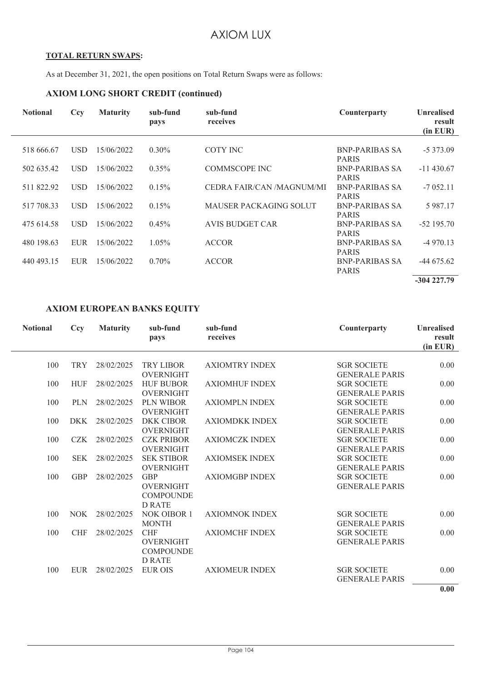#### **TOTAL RETURN SWAPS:**

As at December 31, 2021, the open positions on Total Return Swaps were as follows:

#### **AXIOM LONG SHORT CREDIT (continued)**

| <b>Notional</b> | Cey        | <b>Maturity</b> | sub-fund<br>pays | sub-fund<br>receives          | Counterparty                          | <b>Unrealised</b><br>result<br>$(in$ EUR $)$ |
|-----------------|------------|-----------------|------------------|-------------------------------|---------------------------------------|----------------------------------------------|
|                 |            |                 |                  |                               |                                       |                                              |
| 518 666.67      | <b>USD</b> | 15/06/2022      | $0.30\%$         | COTY INC                      | BNP-PARIBAS SA<br><b>PARIS</b>        | $-5373.09$                                   |
| 502 635.42      | <b>USD</b> | 15/06/2022      | $0.35\%$         | <b>COMMSCOPE INC</b>          | BNP-PARIBAS SA<br><b>PARIS</b>        | $-11430.67$                                  |
| 511 822.92      | USD.       | 15/06/2022      | 0.15%            | CEDRA FAIR/CAN /MAGNUM/MI     | BNP-PARIBAS SA<br><b>PARIS</b>        | $-7052.11$                                   |
| 517 708.33      | <b>USD</b> | 15/06/2022      | 0.15%            | <b>MAUSER PACKAGING SOLUT</b> | <b>BNP-PARIBAS SA</b><br><b>PARIS</b> | 5 987.17                                     |
| 475 614.58      | <b>USD</b> | 15/06/2022      | $0.45\%$         | <b>AVIS BUDGET CAR</b>        | <b>BNP-PARIBAS SA</b><br><b>PARIS</b> | $-52$ 195.70                                 |
| 480 198.63      | EUR        | 15/06/2022      | $1.05\%$         | <b>ACCOR</b>                  | <b>BNP-PARIBAS SA</b><br><b>PARIS</b> | $-4970.13$                                   |
| 440 493.15      | <b>EUR</b> | 15/06/2022      | 0.70%            | <b>ACCOR</b>                  | <b>BNP-PARIBAS SA</b><br><b>PARIS</b> | $-44675.62$                                  |
|                 |            |                 |                  |                               |                                       | $-304227.79$                                 |

#### **AXIOM EUROPEAN BANKS EQUITY**

| <b>Notional</b> | Ccy        | <b>Maturity</b> | sub-fund<br>pays                                                    | sub-fund<br>receives  | Counterparty                                                         | <b>Unrealised</b><br>result<br>(in EUR) |
|-----------------|------------|-----------------|---------------------------------------------------------------------|-----------------------|----------------------------------------------------------------------|-----------------------------------------|
| 100             | <b>TRY</b> | 28/02/2025      | <b>TRY LIBOR</b>                                                    | <b>AXIOMTRY INDEX</b> | <b>SGR SOCIETE</b>                                                   | 0.00                                    |
| 100             | <b>HUF</b> | 28/02/2025      | <b>OVERNIGHT</b><br><b>HUF BUBOR</b><br><b>OVERNIGHT</b>            | <b>AXIOMHUF INDEX</b> | <b>GENERALE PARIS</b><br><b>SGR SOCIETE</b><br><b>GENERALE PARIS</b> | 0.00                                    |
| 100             | <b>PLN</b> | 28/02/2025      | <b>PLN WIBOR</b><br><b>OVERNIGHT</b>                                | <b>AXIOMPLN INDEX</b> | <b>SGR SOCIETE</b><br><b>GENERALE PARIS</b>                          | 0.00                                    |
| 100             | <b>DKK</b> | 28/02/2025      | <b>DKK CIBOR</b><br><b>OVERNIGHT</b>                                | <b>AXIOMDKK INDEX</b> | <b>SGR SOCIETE</b><br><b>GENERALE PARIS</b>                          | 0.00                                    |
| 100             | <b>CZK</b> | 28/02/2025      | <b>CZK PRIBOR</b><br><b>OVERNIGHT</b>                               | <b>AXIOMCZK INDEX</b> | <b>SGR SOCIETE</b><br><b>GENERALE PARIS</b>                          | 0.00                                    |
| 100             | <b>SEK</b> | 28/02/2025      | <b>SEK STIBOR</b><br><b>OVERNIGHT</b>                               | <b>AXIOMSEK INDEX</b> | <b>SGR SOCIETE</b><br><b>GENERALE PARIS</b>                          | 0.00                                    |
| 100             | <b>GBP</b> | 28/02/2025      | <b>GBP</b><br><b>OVERNIGHT</b><br><b>COMPOUNDE</b><br><b>D RATE</b> | <b>AXIOMGBP INDEX</b> | <b>SGR SOCIETE</b><br><b>GENERALE PARIS</b>                          | 0.00                                    |
| 100             | NOK.       | 28/02/2025      | <b>NOK OIBOR 1</b><br><b>MONTH</b>                                  | <b>AXIOMNOK INDEX</b> | <b>SGR SOCIETE</b><br><b>GENERALE PARIS</b>                          | 0.00                                    |
| 100             | <b>CHF</b> | 28/02/2025      | <b>CHF</b><br><b>OVERNIGHT</b><br><b>COMPOUNDE</b><br><b>D RATE</b> | <b>AXIOMCHF INDEX</b> | <b>SGR SOCIETE</b><br><b>GENERALE PARIS</b>                          | 0.00                                    |
| 100             | <b>EUR</b> | 28/02/2025      | <b>EUR OIS</b>                                                      | <b>AXIOMEUR INDEX</b> | <b>SGR SOCIETE</b><br><b>GENERALE PARIS</b>                          | 0.00                                    |
|                 |            |                 |                                                                     |                       |                                                                      | 0.00                                    |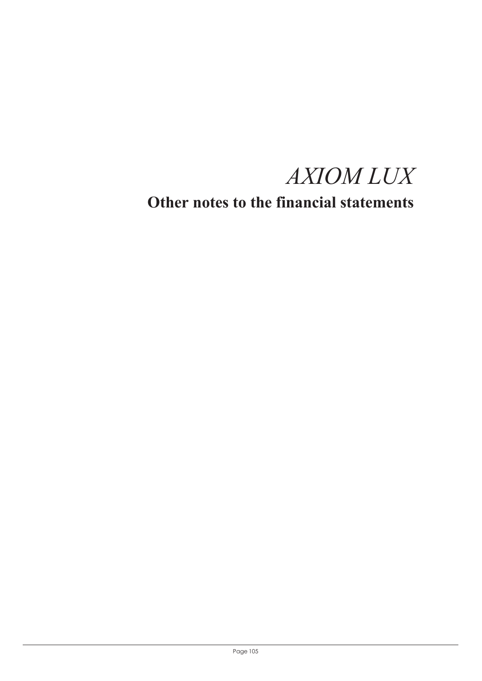*AXIOM LUX*

**Other notes to the financial statements**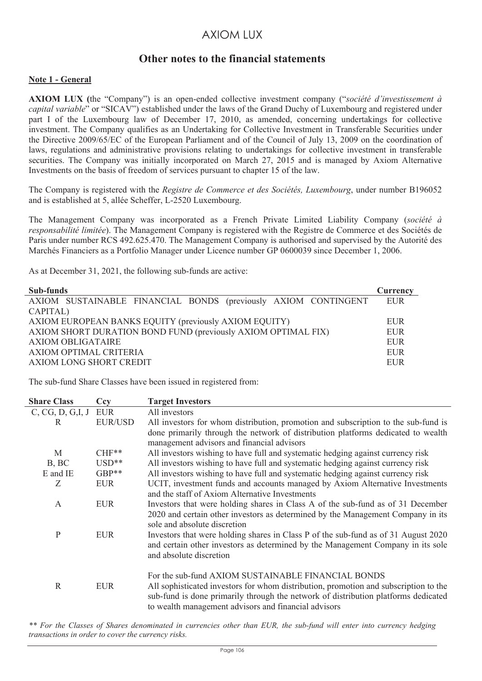## **Other notes to the financial statements**

#### **Note 1 - General**

**AXIOM LUX (**the "Company") is an open-ended collective investment company ("*société d'investissement à capital variable*" or "SICAV") established under the laws of the Grand Duchy of Luxembourg and registered under part I of the Luxembourg law of December 17, 2010, as amended, concerning undertakings for collective investment. The Company qualifies as an Undertaking for Collective Investment in Transferable Securities under the Directive 2009/65/EC of the European Parliament and of the Council of July 13, 2009 on the coordination of laws, regulations and administrative provisions relating to undertakings for collective investment in transferable securities. The Company was initially incorporated on March 27, 2015 and is managed by Axiom Alternative Investments on the basis of freedom of services pursuant to chapter 15 of the law.

The Company is registered with the *Registre de Commerce et des Sociétés, Luxembourg*, under number B196052 and is established at 5, allée Scheffer, L-2520 Luxembourg.

The Management Company was incorporated as a French Private Limited Liability Company (*société à responsabilité limitée*). The Management Company is registered with the Registre de Commerce et des Sociétés de Paris under number RCS 492.625.470. The Management Company is authorised and supervised by the Autorité des Marchés Financiers as a Portfolio Manager under Licence number GP 0600039 since December 1, 2006.

As at December 31, 2021, the following sub-funds are active:

| Sub-funds                                                      | Currency |  |  |  |  |  |
|----------------------------------------------------------------|----------|--|--|--|--|--|
| AXIOM SUSTAINABLE FINANCIAL BONDS (previously AXIOM CONTINGENT | EUR      |  |  |  |  |  |
| CAPITAL)                                                       |          |  |  |  |  |  |
| AXIOM EUROPEAN BANKS EQUITY (previously AXIOM EQUITY)          |          |  |  |  |  |  |
| AXIOM SHORT DURATION BOND FUND (previously AXIOM OPTIMAL FIX)  | EUR      |  |  |  |  |  |
| <b>AXIOM OBLIGATAIRE</b>                                       |          |  |  |  |  |  |
| AXIOM OPTIMAL CRITERIA                                         |          |  |  |  |  |  |
| AXIOM LONG SHORT CREDIT                                        | EUR      |  |  |  |  |  |

The sub-fund Share Classes have been issued in registered from:

| <b>Share Class</b>      | Ccy            | <b>Target Investors</b>                                                                                                                                                                                                                                                                  |
|-------------------------|----------------|------------------------------------------------------------------------------------------------------------------------------------------------------------------------------------------------------------------------------------------------------------------------------------------|
| $C, CG, D, G, I, J$ EUR |                | All investors                                                                                                                                                                                                                                                                            |
| R                       | <b>EUR/USD</b> | All investors for whom distribution, promotion and subscription to the sub-fund is                                                                                                                                                                                                       |
|                         |                | done primarily through the network of distribution platforms dedicated to wealth<br>management advisors and financial advisors                                                                                                                                                           |
| M                       | $CHF**$        | All investors wishing to have full and systematic hedging against currency risk                                                                                                                                                                                                          |
| B, BC                   | $USD**$        | All investors wishing to have full and systematic hedging against currency risk                                                                                                                                                                                                          |
| E and IE                | GBP**          | All investors wishing to have full and systematic hedging against currency risk                                                                                                                                                                                                          |
| Z                       | <b>EUR</b>     | UCIT, investment funds and accounts managed by Axiom Alternative Investments<br>and the staff of Axiom Alternative Investments                                                                                                                                                           |
| A                       | <b>EUR</b>     | Investors that were holding shares in Class A of the sub-fund as of 31 December<br>2020 and certain other investors as determined by the Management Company in its<br>sole and absolute discretion                                                                                       |
| $\mathbf{P}$            | <b>EUR</b>     | Investors that were holding shares in Class P of the sub-fund as of 31 August 2020<br>and certain other investors as determined by the Management Company in its sole<br>and absolute discretion                                                                                         |
| R                       | <b>EUR</b>     | For the sub-fund AXIOM SUSTAINABLE FINANCIAL BONDS<br>All sophisticated investors for whom distribution, promotion and subscription to the<br>sub-fund is done primarily through the network of distribution platforms dedicated<br>to wealth management advisors and financial advisors |

*\*\* For the Classes of Shares denominated in currencies other than EUR, the sub-fund will enter into currency hedging transactions in order to cover the currency risks.*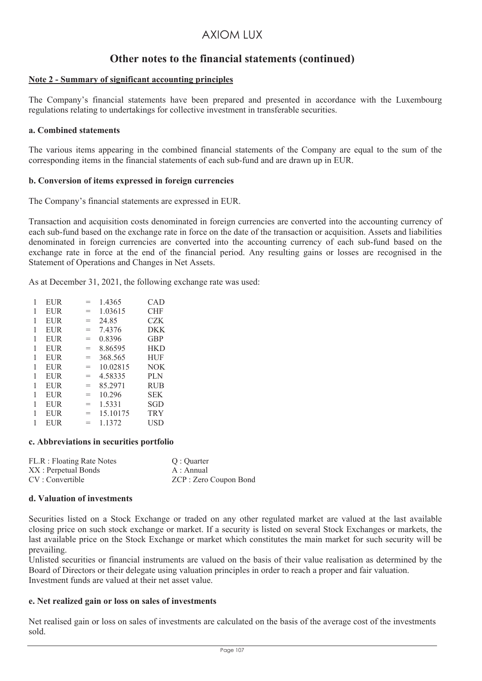## **Other notes to the financial statements (continued)**

#### **Note 2 - Summary of significant accounting principles**

The Company's financial statements have been prepared and presented in accordance with the Luxembourg regulations relating to undertakings for collective investment in transferable securities.

#### **a. Combined statements**

The various items appearing in the combined financial statements of the Company are equal to the sum of the corresponding items in the financial statements of each sub-fund and are drawn up in EUR.

#### **b. Conversion of items expressed in foreign currencies**

The Company's financial statements are expressed in EUR.

Transaction and acquisition costs denominated in foreign currencies are converted into the accounting currency of each sub-fund based on the exchange rate in force on the date of the transaction or acquisition. Assets and liabilities denominated in foreign currencies are converted into the accounting currency of each sub-fund based on the exchange rate in force at the end of the financial period. Any resulting gains or losses are recognised in the Statement of Operations and Changes in Net Assets.

As at December 31, 2021, the following exchange rate was used:

|   | EUR        | $=$ | 1.4365   | CAD        |
|---|------------|-----|----------|------------|
| 1 | EUR        | $=$ | 1.03615  | CHF        |
| 1 | EUR        | $=$ | 24.85    | CZK        |
| 1 | EUR        | $=$ | 7.4376   | <b>DKK</b> |
| 1 | EUR        | $=$ | 0.8396   | <b>GBP</b> |
|   | EUR        | $=$ | 8.86595  | <b>HKD</b> |
| 1 | EUR        | $=$ | 368.565  | HUF        |
| 1 | EUR        | $=$ | 10.02815 | <b>NOK</b> |
|   | EUR        | $=$ | 4.58335  | PLN        |
| 1 | EUR        | $=$ | 85.2971  | <b>RUB</b> |
| 1 | EUR        | $=$ | 10.296   | SEK        |
|   | EUR        | $=$ | 1.5331   | SGD        |
|   | <b>EUR</b> | $=$ | 15.10175 | <b>TRY</b> |
|   | EUR        | $=$ | 1.1372   | USD        |

#### **c. Abbreviations in securities portfolio**

| FL.R : Floating Rate Notes | O : Ouarter            |
|----------------------------|------------------------|
| XX : Perpetual Bonds       | A : Annual             |
| CV: Convertible            | ZCP : Zero Coupon Bond |

#### **d. Valuation of investments**

Securities listed on a Stock Exchange or traded on any other regulated market are valued at the last available closing price on such stock exchange or market. If a security is listed on several Stock Exchanges or markets, the last available price on the Stock Exchange or market which constitutes the main market for such security will be prevailing.

Unlisted securities or financial instruments are valued on the basis of their value realisation as determined by the Board of Directors or their delegate using valuation principles in order to reach a proper and fair valuation. Investment funds are valued at their net asset value.

#### **e. Net realized gain or loss on sales of investments**

Net realised gain or loss on sales of investments are calculated on the basis of the average cost of the investments sold.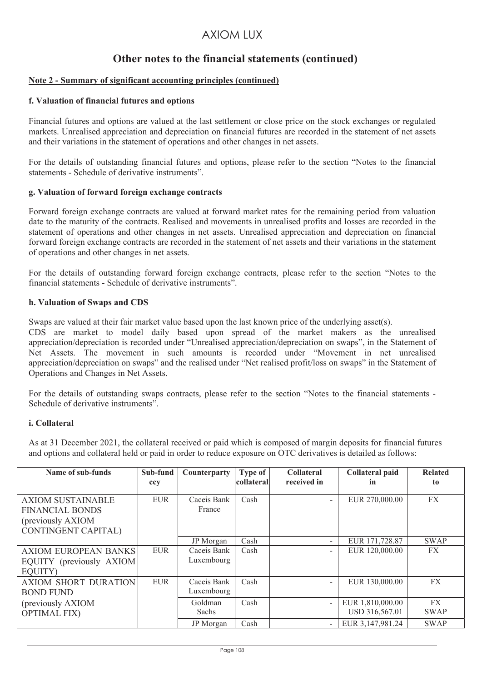## **Other notes to the financial statements (continued)**

#### **Note 2 - Summary of significant accounting principles (continued)**

#### **f. Valuation of financial futures and options**

Financial futures and options are valued at the last settlement or close price on the stock exchanges or regulated markets. Unrealised appreciation and depreciation on financial futures are recorded in the statement of net assets and their variations in the statement of operations and other changes in net assets.

For the details of outstanding financial futures and options, please refer to the section "Notes to the financial statements - Schedule of derivative instruments".

#### **g. Valuation of forward foreign exchange contracts**

Forward foreign exchange contracts are valued at forward market rates for the remaining period from valuation date to the maturity of the contracts. Realised and movements in unrealised profits and losses are recorded in the statement of operations and other changes in net assets. Unrealised appreciation and depreciation on financial forward foreign exchange contracts are recorded in the statement of net assets and their variations in the statement of operations and other changes in net assets.

For the details of outstanding forward foreign exchange contracts, please refer to the section "Notes to the financial statements - Schedule of derivative instruments".

#### **h. Valuation of Swaps and CDS**

Swaps are valued at their fair market value based upon the last known price of the underlying asset(s).

CDS are market to model daily based upon spread of the market makers as the unrealised appreciation/depreciation is recorded under "Unrealised appreciation/depreciation on swaps", in the Statement of Net Assets. The movement in such amounts is recorded under "Movement in net unrealised appreciation/depreciation on swaps" and the realised under "Net realised profit/loss on swaps" in the Statement of Operations and Changes in Net Assets.

For the details of outstanding swaps contracts, please refer to the section "Notes to the financial statements - Schedule of derivative instruments".

#### **i. Collateral**

As at 31 December 2021, the collateral received or paid which is composed of margin deposits for financial futures and options and collateral held or paid in order to reduce exposure on OTC derivatives is detailed as follows:

| Name of sub-funds                                                                                      | Sub-fund<br>ccy | Counterparty              | <b>Type of</b><br>collateral | <b>Collateral</b><br>received in | Collateral paid<br>in              | <b>Related</b><br>to |
|--------------------------------------------------------------------------------------------------------|-----------------|---------------------------|------------------------------|----------------------------------|------------------------------------|----------------------|
| <b>AXIOM SUSTAINABLE</b><br><b>FINANCIAL BONDS</b><br>(previously AXIOM)<br><b>CONTINGENT CAPITAL)</b> | <b>EUR</b>      | Caceis Bank<br>France     | Cash                         | $\overline{\phantom{0}}$         | EUR 270,000.00                     | FX                   |
|                                                                                                        |                 | JP Morgan                 | Cash                         | Ξ.                               | EUR 171,728.87                     | <b>SWAP</b>          |
| <b>AXIOM EUROPEAN BANKS</b><br>EQUITY (previously AXIOM)<br>EOUITY)                                    | <b>EUR</b>      | Caceis Bank<br>Luxembourg | Cash                         | $\overline{\phantom{a}}$         | EUR 120,000.00                     | FX                   |
| <b>AXIOM SHORT DURATION</b><br><b>BOND FUND</b>                                                        | <b>EUR</b>      | Caceis Bank<br>Luxembourg | Cash                         | $\overline{\phantom{0}}$         | EUR 130,000.00                     | FX                   |
| (previously AXIOM)<br><b>OPTIMAL FIX)</b>                                                              |                 | Goldman<br>Sachs          | Cash                         | $\overline{\phantom{0}}$         | EUR 1,810,000.00<br>USD 316,567.01 | FX<br><b>SWAP</b>    |
|                                                                                                        |                 | JP Morgan                 | Cash                         | $\overline{\phantom{a}}$         | EUR 3,147,981.24                   | <b>SWAP</b>          |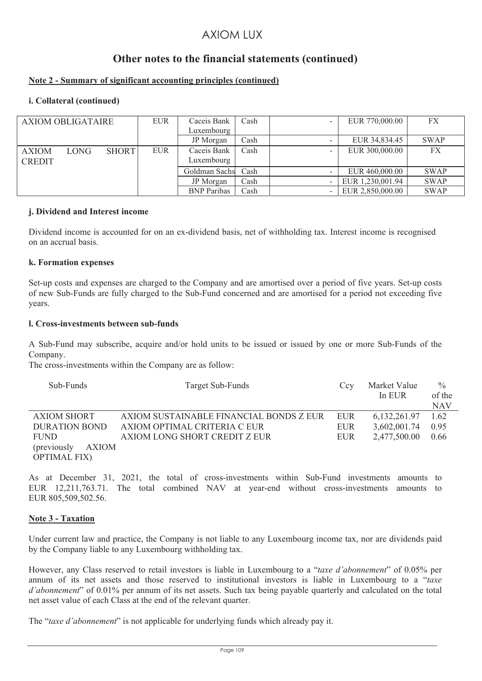# **Other notes to the financial statements (continued)**

### **Note 2 - Summary of significant accounting principles (continued)**

### **i. Collateral (continued)**

| <b>AXIOM OBLIGATAIRE</b>      |             |              | <b>EUR</b> | Caceis Bank<br>Luxembourg | Cash | -                        | EUR 770,000.00   | FX          |
|-------------------------------|-------------|--------------|------------|---------------------------|------|--------------------------|------------------|-------------|
|                               |             |              |            | JP Morgan                 | Cash |                          | EUR 34,834.45    | <b>SWAP</b> |
| <b>AXIOM</b><br><b>CREDIT</b> | <b>LONG</b> | <b>SHORT</b> | <b>EUR</b> | Caceis Bank<br>Luxembourg | Cash |                          | EUR 300,000.00   | FX          |
|                               |             |              |            | Goldman Sachs             | Cash | $\overline{\phantom{a}}$ | EUR 460,000.00   | <b>SWAP</b> |
|                               |             |              |            | JP Morgan                 | Cash | $\overline{\phantom{a}}$ | EUR 1,230,001.94 | <b>SWAP</b> |
|                               |             |              |            | <b>BNP</b> Paribas        | Cash | -                        | EUR 2,850,000.00 | <b>SWAP</b> |

### **j. Dividend and Interest income**

Dividend income is accounted for on an ex-dividend basis, net of withholding tax. Interest income is recognised on an accrual basis.

### **k. Formation expenses**

Set-up costs and expenses are charged to the Company and are amortised over a period of five years. Set-up costs of new Sub-Funds are fully charged to the Sub-Fund concerned and are amortised for a period not exceeding five years.

### **l. Cross-investments between sub-funds**

A Sub-Fund may subscribe, acquire and/or hold units to be issued or issued by one or more Sub-Funds of the Company.

The cross-investments within the Company are as follow:

| Sub-Funds                    | Target Sub-Funds                        | Ccv        | Market Value<br>In EUR | $\frac{0}{0}$<br>of the |
|------------------------------|-----------------------------------------|------------|------------------------|-------------------------|
|                              |                                         |            |                        |                         |
|                              |                                         |            |                        | <b>NAV</b>              |
| <b>AXIOM SHORT</b>           | AXIOM SUSTAINABLE FINANCIAL BONDS Z EUR | EUR        | 6, 132, 261. 97        | 1.62                    |
| <b>DURATION BOND</b>         | AXIOM OPTIMAL CRITERIA C EUR            | <b>EUR</b> | 3,602,001.74           | 0.95                    |
| <b>FUND</b>                  | AXIOM LONG SHORT CREDIT Z EUR           | <b>EUR</b> | 2,477,500.00           | 0.66                    |
| (previously)<br><b>AXIOM</b> |                                         |            |                        |                         |
| <b>OPTIMAL FIX)</b>          |                                         |            |                        |                         |

As at December 31, 2021, the total of cross-investments within Sub-Fund investments amounts to EUR 12,211,763.71. The total combined NAV at year-end without cross-investments amounts to EUR 805,509,502.56.

### **Note 3 - Taxation**

Under current law and practice, the Company is not liable to any Luxembourg income tax, nor are dividends paid by the Company liable to any Luxembourg withholding tax.

However, any Class reserved to retail investors is liable in Luxembourg to a "*taxe d'abonnement*" of 0.05% per annum of its net assets and those reserved to institutional investors is liable in Luxembourg to a "*taxe d'abonnement*" of 0.01% per annum of its net assets. Such tax being payable quarterly and calculated on the total net asset value of each Class at the end of the relevant quarter.

The "*taxe d'abonnement*" is not applicable for underlying funds which already pay it.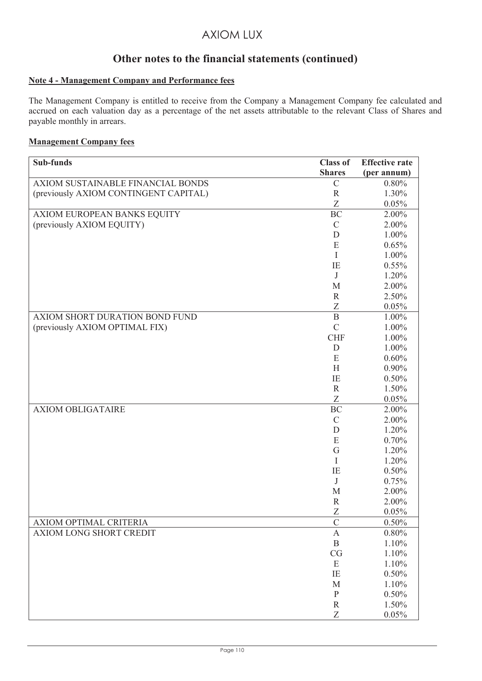# **Other notes to the financial statements (continued)**

## **Note 4 - Management Company and Performance fees**

The Management Company is entitled to receive from the Company a Management Company fee calculated and accrued on each valuation day as a percentage of the net assets attributable to the relevant Class of Shares and payable monthly in arrears.

## **Management Company fees**

| Sub-funds                             | <b>Class of</b>  | <b>Effective rate</b> |
|---------------------------------------|------------------|-----------------------|
|                                       | <b>Shares</b>    | (per annum)           |
| AXIOM SUSTAINABLE FINANCIAL BONDS     | $\mathcal{C}$    | 0.80%                 |
| (previously AXIOM CONTINGENT CAPITAL) | ${\bf R}$        | 1.30%                 |
|                                       | Z                | 0.05%                 |
| AXIOM EUROPEAN BANKS EQUITY           | <b>BC</b>        | 2.00%                 |
| (previously AXIOM EQUITY)             | $\mathcal{C}$    | 2.00%                 |
|                                       | D                | 1.00%                 |
|                                       | E                | 0.65%                 |
|                                       | I                | $1.00\%$              |
|                                       | IE               | 0.55%                 |
|                                       | J                | 1.20%                 |
|                                       | M                | 2.00%                 |
|                                       | $\mathbb{R}$     | 2.50%                 |
|                                       | Z                | 0.05%                 |
| AXIOM SHORT DURATION BOND FUND        | $\mathbf B$      | $1.00\%$              |
| (previously AXIOM OPTIMAL FIX)        | $\mathcal{C}$    | 1.00%                 |
|                                       | <b>CHF</b>       | 1.00%                 |
|                                       | D                | 1.00%                 |
|                                       | E                | 0.60%                 |
|                                       | H                | $0.90\%$              |
|                                       | IE               | 0.50%                 |
|                                       | $\mathbf R$      | 1.50%                 |
| <b>AXIOM OBLIGATAIRE</b>              | Z                | 0.05%                 |
|                                       | <b>BC</b>        | 2.00%<br>2.00%        |
|                                       | $\mathbf C$<br>D | 1.20%                 |
|                                       | ${\bf E}$        | 0.70%                 |
|                                       | G                | 1.20%                 |
|                                       | I                | 1.20%                 |
|                                       | IE               | 0.50%                 |
|                                       | J                | 0.75%                 |
|                                       | M                | 2.00%                 |
|                                       | $\mathbb{R}$     | 2.00%                 |
|                                       | Z                | 0.05%                 |
| AXIOM OPTIMAL CRITERIA                | $\mathsf C$      | 0.50%                 |
| AXIOM LONG SHORT CREDIT               | $\mathbf{A}$     | 0.80%                 |
|                                       | $\, {\bf B}$     | 1.10%                 |
|                                       | CG               | 1.10%                 |
|                                       | E                | 1.10%                 |
|                                       | IE               | 0.50%                 |
|                                       | M                | 1.10%                 |
|                                       | $\, {\bf P}$     | 0.50%                 |
|                                       | $\mathbf R$      | 1.50%                 |
|                                       | Z                | 0.05%                 |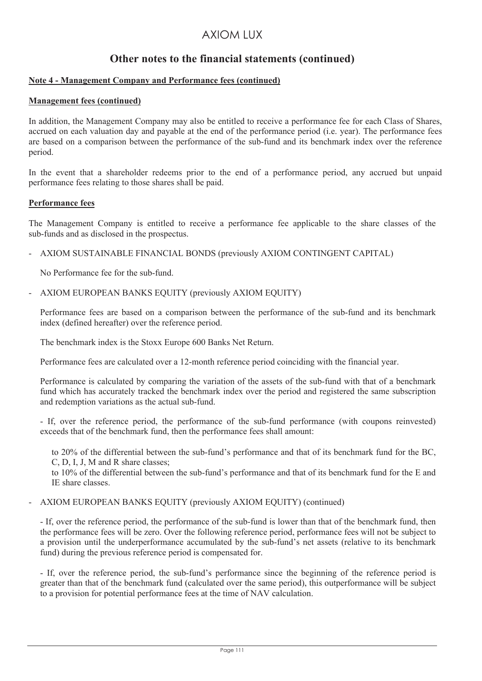# **Other notes to the financial statements (continued)**

### **Note 4 - Management Company and Performance fees (continued)**

### **Management fees (continued)**

In addition, the Management Company may also be entitled to receive a performance fee for each Class of Shares, accrued on each valuation day and payable at the end of the performance period (i.e. year). The performance fees are based on a comparison between the performance of the sub-fund and its benchmark index over the reference period.

In the event that a shareholder redeems prior to the end of a performance period, any accrued but unpaid performance fees relating to those shares shall be paid.

### **Performance fees**

The Management Company is entitled to receive a performance fee applicable to the share classes of the sub-funds and as disclosed in the prospectus.

- AXIOM SUSTAINABLE FINANCIAL BONDS (previously AXIOM CONTINGENT CAPITAL)

No Performance fee for the sub-fund.

- AXIOM EUROPEAN BANKS EQUITY (previously AXIOM EQUITY)

Performance fees are based on a comparison between the performance of the sub-fund and its benchmark index (defined hereafter) over the reference period.

The benchmark index is the Stoxx Europe 600 Banks Net Return.

Performance fees are calculated over a 12-month reference period coinciding with the financial year.

Performance is calculated by comparing the variation of the assets of the sub-fund with that of a benchmark fund which has accurately tracked the benchmark index over the period and registered the same subscription and redemption variations as the actual sub-fund.

- If, over the reference period, the performance of the sub-fund performance (with coupons reinvested) exceeds that of the benchmark fund, then the performance fees shall amount:

to 20% of the differential between the sub-fund's performance and that of its benchmark fund for the BC, C, D, I, J, M and R share classes;

to 10% of the differential between the sub-fund's performance and that of its benchmark fund for the E and IE share classes.

### - AXIOM EUROPEAN BANKS EQUITY (previously AXIOM EQUITY) (continued)

- If, over the reference period, the performance of the sub-fund is lower than that of the benchmark fund, then the performance fees will be zero. Over the following reference period, performance fees will not be subject to a provision until the underperformance accumulated by the sub-fund's net assets (relative to its benchmark fund) during the previous reference period is compensated for.

- If, over the reference period, the sub-fund's performance since the beginning of the reference period is greater than that of the benchmark fund (calculated over the same period), this outperformance will be subject to a provision for potential performance fees at the time of NAV calculation.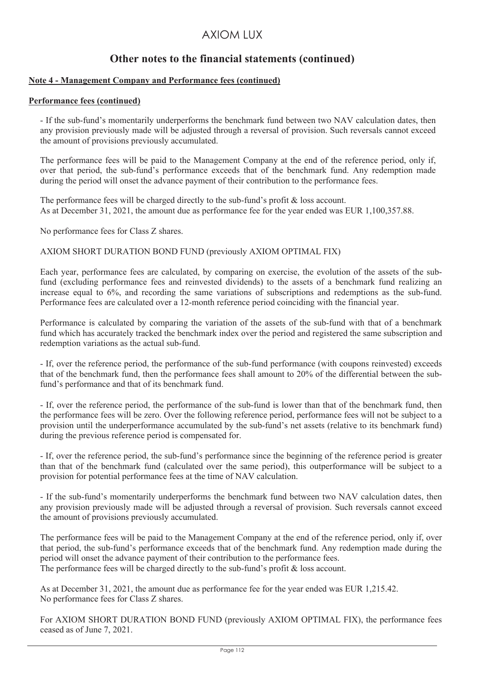# **Other notes to the financial statements (continued)**

### **Note 4 - Management Company and Performance fees (continued)**

### **Performance fees (continued)**

- If the sub-fund's momentarily underperforms the benchmark fund between two NAV calculation dates, then any provision previously made will be adjusted through a reversal of provision. Such reversals cannot exceed the amount of provisions previously accumulated.

The performance fees will be paid to the Management Company at the end of the reference period, only if, over that period, the sub-fund's performance exceeds that of the benchmark fund. Any redemption made during the period will onset the advance payment of their contribution to the performance fees.

The performance fees will be charged directly to the sub-fund's profit & loss account. As at December 31, 2021, the amount due as performance fee for the year ended was EUR 1,100,357.88.

No performance fees for Class Z shares.

### AXIOM SHORT DURATION BOND FUND (previously AXIOM OPTIMAL FIX)

Each year, performance fees are calculated, by comparing on exercise, the evolution of the assets of the subfund (excluding performance fees and reinvested dividends) to the assets of a benchmark fund realizing an increase equal to 6%, and recording the same variations of subscriptions and redemptions as the sub-fund. Performance fees are calculated over a 12-month reference period coinciding with the financial year.

Performance is calculated by comparing the variation of the assets of the sub-fund with that of a benchmark fund which has accurately tracked the benchmark index over the period and registered the same subscription and redemption variations as the actual sub-fund.

- If, over the reference period, the performance of the sub-fund performance (with coupons reinvested) exceeds that of the benchmark fund, then the performance fees shall amount to 20% of the differential between the subfund's performance and that of its benchmark fund.

- If, over the reference period, the performance of the sub-fund is lower than that of the benchmark fund, then the performance fees will be zero. Over the following reference period, performance fees will not be subject to a provision until the underperformance accumulated by the sub-fund's net assets (relative to its benchmark fund) during the previous reference period is compensated for.

- If, over the reference period, the sub-fund's performance since the beginning of the reference period is greater than that of the benchmark fund (calculated over the same period), this outperformance will be subject to a provision for potential performance fees at the time of NAV calculation.

- If the sub-fund's momentarily underperforms the benchmark fund between two NAV calculation dates, then any provision previously made will be adjusted through a reversal of provision. Such reversals cannot exceed the amount of provisions previously accumulated.

The performance fees will be paid to the Management Company at the end of the reference period, only if, over that period, the sub-fund's performance exceeds that of the benchmark fund. Any redemption made during the period will onset the advance payment of their contribution to the performance fees. The performance fees will be charged directly to the sub-fund's profit & loss account.

As at December 31, 2021, the amount due as performance fee for the year ended was EUR 1,215.42. No performance fees for Class Z shares.

For AXIOM SHORT DURATION BOND FUND (previously AXIOM OPTIMAL FIX), the performance fees ceased as of June 7, 2021.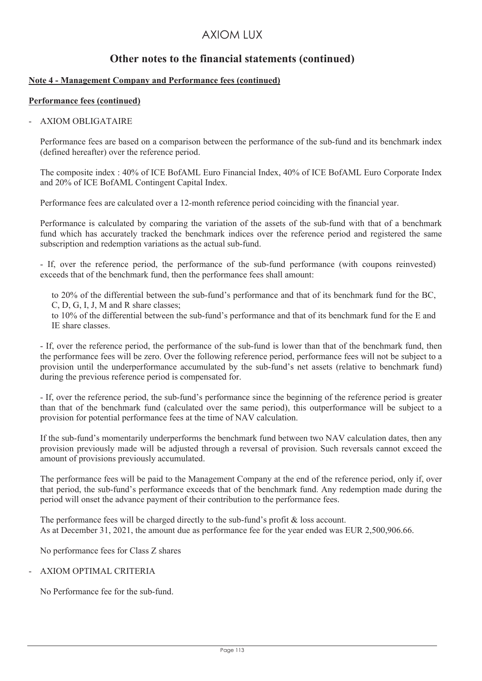# **Other notes to the financial statements (continued)**

### **Note 4 - Management Company and Performance fees (continued)**

### **Performance fees (continued)**

### - AXIOM OBLIGATAIRE

Performance fees are based on a comparison between the performance of the sub-fund and its benchmark index (defined hereafter) over the reference period.

The composite index : 40% of ICE BofAML Euro Financial Index, 40% of ICE BofAML Euro Corporate Index and 20% of ICE BofAML Contingent Capital Index.

Performance fees are calculated over a 12-month reference period coinciding with the financial year.

Performance is calculated by comparing the variation of the assets of the sub-fund with that of a benchmark fund which has accurately tracked the benchmark indices over the reference period and registered the same subscription and redemption variations as the actual sub-fund.

- If, over the reference period, the performance of the sub-fund performance (with coupons reinvested) exceeds that of the benchmark fund, then the performance fees shall amount:

to 20% of the differential between the sub-fund's performance and that of its benchmark fund for the BC, C, D, G, I, J, M and R share classes;

to 10% of the differential between the sub-fund's performance and that of its benchmark fund for the E and IE share classes.

- If, over the reference period, the performance of the sub-fund is lower than that of the benchmark fund, then the performance fees will be zero. Over the following reference period, performance fees will not be subject to a provision until the underperformance accumulated by the sub-fund's net assets (relative to benchmark fund) during the previous reference period is compensated for.

- If, over the reference period, the sub-fund's performance since the beginning of the reference period is greater than that of the benchmark fund (calculated over the same period), this outperformance will be subject to a provision for potential performance fees at the time of NAV calculation.

If the sub-fund's momentarily underperforms the benchmark fund between two NAV calculation dates, then any provision previously made will be adjusted through a reversal of provision. Such reversals cannot exceed the amount of provisions previously accumulated.

The performance fees will be paid to the Management Company at the end of the reference period, only if, over that period, the sub-fund's performance exceeds that of the benchmark fund. Any redemption made during the period will onset the advance payment of their contribution to the performance fees.

The performance fees will be charged directly to the sub-fund's profit & loss account. As at December 31, 2021, the amount due as performance fee for the year ended was EUR 2,500,906.66.

No performance fees for Class Z shares

## - AXIOM OPTIMAL CRITERIA

No Performance fee for the sub-fund.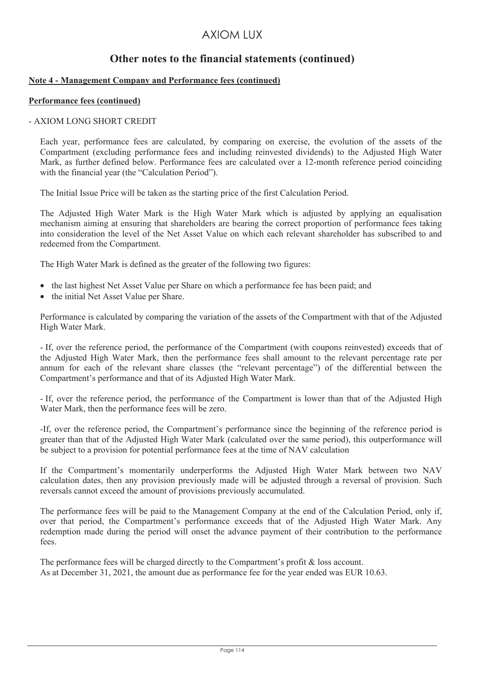## **Other notes to the financial statements (continued)**

### **Note 4 - Management Company and Performance fees (continued)**

### **Performance fees (continued)**

### - AXIOM LONG SHORT CREDIT

Each year, performance fees are calculated, by comparing on exercise, the evolution of the assets of the Compartment (excluding performance fees and including reinvested dividends) to the Adjusted High Water Mark, as further defined below. Performance fees are calculated over a 12-month reference period coinciding with the financial year (the "Calculation Period").

The Initial Issue Price will be taken as the starting price of the first Calculation Period.

The Adjusted High Water Mark is the High Water Mark which is adjusted by applying an equalisation mechanism aiming at ensuring that shareholders are bearing the correct proportion of performance fees taking into consideration the level of the Net Asset Value on which each relevant shareholder has subscribed to and redeemed from the Compartment.

The High Water Mark is defined as the greater of the following two figures:

- the last highest Net Asset Value per Share on which a performance fee has been paid; and
- the initial Net Asset Value per Share.

Performance is calculated by comparing the variation of the assets of the Compartment with that of the Adjusted High Water Mark.

- If, over the reference period, the performance of the Compartment (with coupons reinvested) exceeds that of the Adjusted High Water Mark, then the performance fees shall amount to the relevant percentage rate per annum for each of the relevant share classes (the "relevant percentage") of the differential between the Compartment's performance and that of its Adjusted High Water Mark.

- If, over the reference period, the performance of the Compartment is lower than that of the Adjusted High Water Mark, then the performance fees will be zero.

-If, over the reference period, the Compartment's performance since the beginning of the reference period is greater than that of the Adjusted High Water Mark (calculated over the same period), this outperformance will be subject to a provision for potential performance fees at the time of NAV calculation

If the Compartment's momentarily underperforms the Adjusted High Water Mark between two NAV calculation dates, then any provision previously made will be adjusted through a reversal of provision. Such reversals cannot exceed the amount of provisions previously accumulated.

The performance fees will be paid to the Management Company at the end of the Calculation Period, only if, over that period, the Compartment's performance exceeds that of the Adjusted High Water Mark. Any redemption made during the period will onset the advance payment of their contribution to the performance fees.

The performance fees will be charged directly to the Compartment's profit & loss account. As at December 31, 2021, the amount due as performance fee for the year ended was EUR 10.63.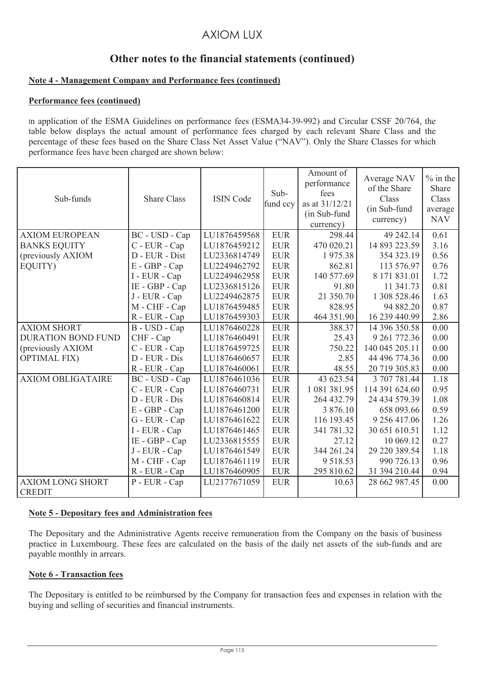# **Other notes to the financial statements (continued)**

### **Note 4 - Management Company and Performance fees (continued)**

### **Performance fees (continued)**

In application of the ESMA Guidelines on performance fees (ESMA34-39-992) and Circular CSSF 20/764, the table below displays the actual amount of performance fees charged by each relevant Share Class and the percentage of these fees based on the Share Class Net Asset Value ("NAV"). Only the Share Classes for which performance fees have been charged are shown below:

| Sub-funds                                | <b>Share Class</b> | <b>ISIN Code</b> | Sub-<br>fund ccy | Amount of<br>performance<br>fees<br>as at 31/12/21<br>(in Sub-fund<br>currency) | Average NAV<br>of the Share<br>Class<br>(in Sub-fund<br>currency) | $%$ in the<br>Share<br>Class<br>average<br><b>NAV</b> |
|------------------------------------------|--------------------|------------------|------------------|---------------------------------------------------------------------------------|-------------------------------------------------------------------|-------------------------------------------------------|
| <b>AXIOM EUROPEAN</b>                    | BC - USD - Cap     | LU1876459568     | <b>EUR</b>       | 298.44                                                                          | 49 242.14                                                         | 0.61                                                  |
| <b>BANKS EQUITY</b>                      | C - EUR - Cap      | LU1876459212     | <b>EUR</b>       | 470 020.21                                                                      | 14 893 223.59                                                     | 3.16                                                  |
| (previously AXIOM                        | D - EUR - Dist     | LU2336814749     | <b>EUR</b>       | 1975.38                                                                         | 354 323.19                                                        | 0.56                                                  |
| EQUITY)                                  | E - GBP - Cap      | LU2249462792     | <b>EUR</b>       | 862.81                                                                          | 113 576.97                                                        | 0.76                                                  |
|                                          | I - EUR - Cap      | LU2249462958     | <b>EUR</b>       | 140 577.69                                                                      | 8 171 831.01                                                      | 1.72                                                  |
|                                          | IE - GBP - Cap     | LU2336815126     | <b>EUR</b>       | 91.80                                                                           | 11 341.73                                                         | 0.81                                                  |
|                                          | J - EUR - Cap      | LU2249462875     | <b>EUR</b>       | 21 350.70                                                                       | 1 308 528.46                                                      | 1.63                                                  |
|                                          | M - CHF - Cap      | LU1876459485     | <b>EUR</b>       | 828.95                                                                          | 94 882.20                                                         | 0.87                                                  |
|                                          | R - EUR - Cap      | LU1876459303     | <b>EUR</b>       | 464 351.90                                                                      | 16 239 440.99                                                     | 2.86                                                  |
| <b>AXIOM SHORT</b>                       | B - USD - Cap      | LU1876460228     | <b>EUR</b>       | 388.37                                                                          | 14 396 350.58                                                     | 0.00                                                  |
| <b>DURATION BOND FUND</b>                | CHF - Cap          | LU1876460491     | <b>EUR</b>       | 25.43                                                                           | 9 261 772.36                                                      | 0.00                                                  |
| (previously AXIOM                        | C - EUR - Cap      | LU1876459725     | <b>EUR</b>       | 750.22                                                                          | 140 045 205.11                                                    | 0.00                                                  |
| <b>OPTIMAL FIX)</b>                      | D - EUR - Dis      | LU1876460657     | <b>EUR</b>       | 2.85                                                                            | 44 496 774.36                                                     | 0.00                                                  |
|                                          | R - EUR - Cap      | LU1876460061     | <b>EUR</b>       | 48.55                                                                           | 20 719 305.83                                                     | 0.00                                                  |
| <b>AXIOM OBLIGATAIRE</b>                 | BC - USD - Cap     | LU1876461036     | <b>EUR</b>       | 43 623.54                                                                       | 3 707 781.44                                                      | 1.18                                                  |
|                                          | C - EUR - Cap      | LU1876460731     | <b>EUR</b>       | 1 081 381.95                                                                    | 114 391 624.60                                                    | 0.95                                                  |
|                                          | D - EUR - Dis      | LU1876460814     | <b>EUR</b>       | 264 432.79                                                                      | 24 434 579.39                                                     | 1.08                                                  |
|                                          | E - GBP - Cap      | LU1876461200     | <b>EUR</b>       | 3 876.10                                                                        | 658 093.66                                                        | 0.59                                                  |
|                                          | G - EUR - Cap      | LU1876461622     | <b>EUR</b>       | 116 193.45                                                                      | 9 256 417.06                                                      | 1.26                                                  |
|                                          | I - EUR - Cap      | LU1876461465     | <b>EUR</b>       | 341 781.32                                                                      | 30 651 610.51                                                     | 1.12                                                  |
|                                          | IE - GBP - Cap     | LU2336815555     | <b>EUR</b>       | 27.12                                                                           | 10 069.12                                                         | 0.27                                                  |
|                                          | J - EUR - Cap      | LU1876461549     | <b>EUR</b>       | 344 261.24                                                                      | 29 220 389.54                                                     | 1.18                                                  |
|                                          | M - CHF - Cap      | LU1876461119     | <b>EUR</b>       | 9 5 18.53                                                                       | 990 726.13                                                        | 0.96                                                  |
|                                          | R - EUR - Cap      | LU1876460905     | <b>EUR</b>       | 295 810.62                                                                      | 31 394 210.44                                                     | 0.94                                                  |
| <b>AXIOM LONG SHORT</b><br><b>CREDIT</b> | P - EUR - Cap      | LU2177671059     | <b>EUR</b>       | 10.63                                                                           | 28 662 987.45                                                     | 0.00                                                  |
|                                          |                    |                  |                  |                                                                                 |                                                                   |                                                       |

### **Note 5 - Depositary fees and Administration fees**

The Depositary and the Administrative Agents receive remuneration from the Company on the basis of business practice in Luxembourg. These fees are calculated on the basis of the daily net assets of the sub-funds and are payable monthly in arrears.

### **Note 6 - Transaction fees**

The Depositary is entitled to be reimbursed by the Company for transaction fees and expenses in relation with the buying and selling of securities and financial instruments.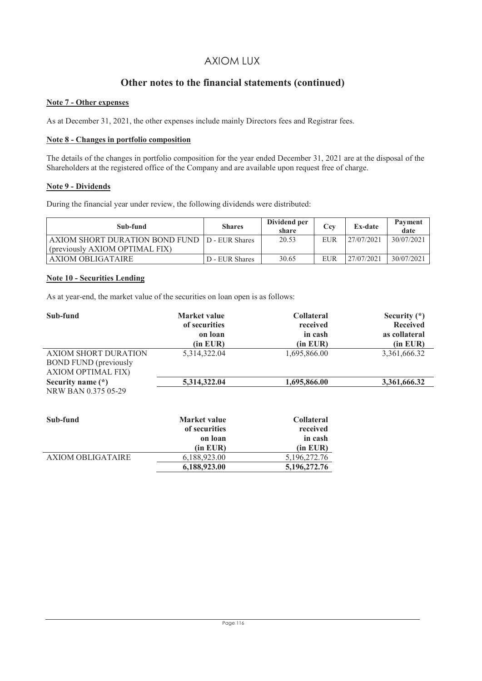## Other notes to the financial statements (continued)

### **Note 7 - Other expenses**

As at December 31, 2021, the other expenses include mainly Directors fees and Registrar fees.

### **Note 8 - Changes in portfolio composition**

The details of the changes in portfolio composition for the year ended December 31, 2021 are at the disposal of the Shareholders at the registered office of the Company and are available upon request free of charge.

### **Note 9 - Dividends**

During the financial year under review, the following dividends were distributed:

| Sub-fund                                        | <b>Shares</b>  | Dividend per<br>share | Cev        | <b>Ex-date</b> | Payment<br>date |
|-------------------------------------------------|----------------|-----------------------|------------|----------------|-----------------|
| AXIOM SHORT DURATION BOND FUND   D - EUR Shares |                | 20.53                 | <b>EUR</b> | 27/07/2021     | 30/07/2021      |
| (previously AXIOM OPTIMAL FIX)                  |                |                       |            |                |                 |
| AXIOM OBLIGATAIRE                               | D - EUR Shares | 30.65                 | EUR        | 27/07/2021     | 30/07/2021      |

### **Note 10 - Securities Lending**

As at year-end, the market value of the securities on loan open is as follows:

| Sub-fund                                                                   | Market value<br>of securities<br>on loan<br>(in EUR) | <b>Collateral</b><br>received<br>in cash<br>(in EUR) | Security $(*)$<br><b>Received</b><br>as collateral<br>(in EUR) |
|----------------------------------------------------------------------------|------------------------------------------------------|------------------------------------------------------|----------------------------------------------------------------|
| AXIOM SHORT DURATION<br><b>BOND FUND</b> (previously<br>AXIOM OPTIMAL FIX) | 5,314,322.04                                         | 1,695,866.00                                         | 3,361,666.32                                                   |
| Security name (*)<br>NRW BAN 0.375 05-29                                   | 5,314,322.04                                         | 1,695,866.00                                         | 3,361,666.32                                                   |

| Sub-fund          | Market value  | <b>Collateral</b> |
|-------------------|---------------|-------------------|
|                   | of securities | received          |
|                   | on loan       | in cash           |
|                   | $(in$ EUR $)$ | $(in$ $EUR)$      |
| AXIOM OBLIGATAIRE | 6.188.923.00  | 5,196,272.76      |
|                   | 6,188,923.00  | 5,196,272.76      |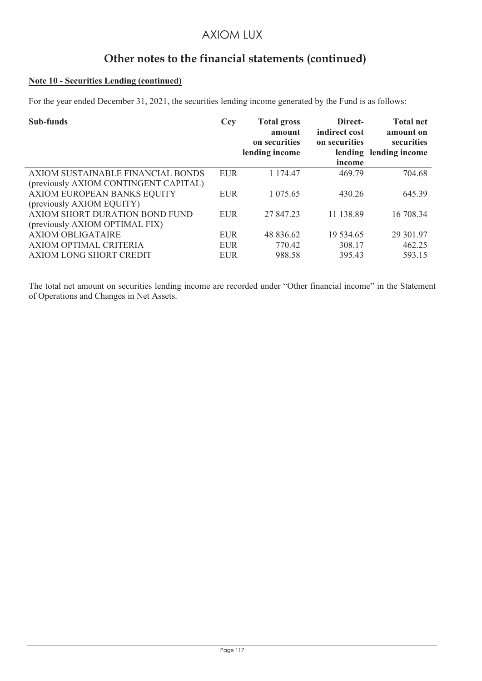# **Other notes to the financial statements (continued)**

## **Note 10 - Securities Lending (continued)**

For the year ended December 31, 2021, the securities lending income generated by the Fund is as follows:

| Sub-funds                                                                     | Ccy                                    | <b>Total gross</b><br>amount<br>on securities<br>lending income | Direct-<br>indirect cost<br>on securities<br>income | <b>Total net</b><br>amount on<br>securities<br>lending lending income |
|-------------------------------------------------------------------------------|----------------------------------------|-----------------------------------------------------------------|-----------------------------------------------------|-----------------------------------------------------------------------|
| AXIOM SUSTAINABLE FINANCIAL BONDS<br>(previously AXIOM CONTINGENT CAPITAL)    | <b>EUR</b>                             | 1 174.47                                                        | 469.79                                              | 704.68                                                                |
| AXIOM EUROPEAN BANKS EQUITY<br>(previously AXIOM EQUITY)                      | <b>EUR</b>                             | 1 075.65                                                        | 430.26                                              | 645.39                                                                |
| AXIOM SHORT DURATION BOND FUND<br>(previously AXIOM OPTIMAL FIX)              | <b>EUR</b>                             | 27 847.23                                                       | 11 138.89                                           | 16 708.34                                                             |
| <b>AXIOM OBLIGATAIRE</b><br>AXIOM OPTIMAL CRITERIA<br>AXIOM LONG SHORT CREDIT | <b>EUR</b><br><b>EUR</b><br><b>EUR</b> | 48 836.62<br>770.42<br>988.58                                   | 19 534.65<br>308.17<br>395.43                       | 29 301.97<br>462.25<br>593.15                                         |

The total net amount on securities lending income are recorded under "Other financial income" in the Statement of Operations and Changes in Net Assets.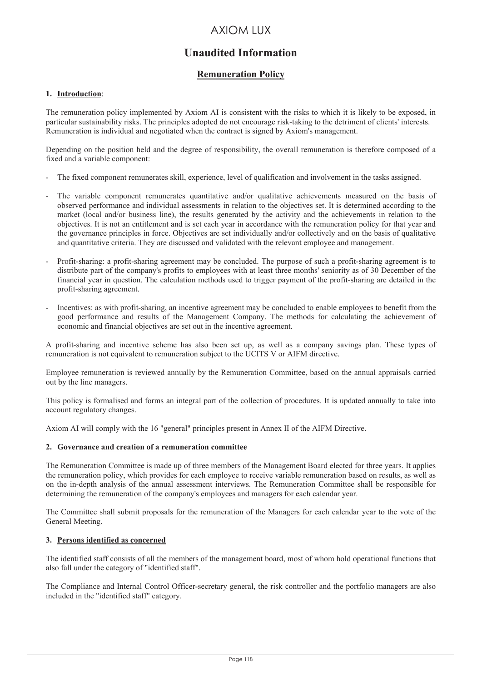# **Unaudited Information**

## **Remuneration Policy**

### **1. Introduction**:

The remuneration policy implemented by Axiom AI is consistent with the risks to which it is likely to be exposed, in particular sustainability risks. The principles adopted do not encourage risk-taking to the detriment of clients' interests. Remuneration is individual and negotiated when the contract is signed by Axiom's management.

Depending on the position held and the degree of responsibility, the overall remuneration is therefore composed of a fixed and a variable component:

- The fixed component remunerates skill, experience, level of qualification and involvement in the tasks assigned.
- The variable component remunerates quantitative and/or qualitative achievements measured on the basis of observed performance and individual assessments in relation to the objectives set. It is determined according to the market (local and/or business line), the results generated by the activity and the achievements in relation to the objectives. It is not an entitlement and is set each year in accordance with the remuneration policy for that year and the governance principles in force. Objectives are set individually and/or collectively and on the basis of qualitative and quantitative criteria. They are discussed and validated with the relevant employee and management.
- Profit-sharing: a profit-sharing agreement may be concluded. The purpose of such a profit-sharing agreement is to distribute part of the company's profits to employees with at least three months' seniority as of 30 December of the financial year in question. The calculation methods used to trigger payment of the profit-sharing are detailed in the profit-sharing agreement.
- Incentives: as with profit-sharing, an incentive agreement may be concluded to enable employees to benefit from the good performance and results of the Management Company. The methods for calculating the achievement of economic and financial objectives are set out in the incentive agreement.

A profit-sharing and incentive scheme has also been set up, as well as a company savings plan. These types of remuneration is not equivalent to remuneration subject to the UCITS V or AIFM directive.

Employee remuneration is reviewed annually by the Remuneration Committee, based on the annual appraisals carried out by the line managers.

This policy is formalised and forms an integral part of the collection of procedures. It is updated annually to take into account regulatory changes.

Axiom AI will comply with the 16 "general" principles present in Annex II of the AIFM Directive.

#### **2. Governance and creation of a remuneration committee**

The Remuneration Committee is made up of three members of the Management Board elected for three years. It applies the remuneration policy, which provides for each employee to receive variable remuneration based on results, as well as on the in-depth analysis of the annual assessment interviews. The Remuneration Committee shall be responsible for determining the remuneration of the company's employees and managers for each calendar year.

The Committee shall submit proposals for the remuneration of the Managers for each calendar year to the vote of the General Meeting.

#### **3. Persons identified as concerned**

The identified staff consists of all the members of the management board, most of whom hold operational functions that also fall under the category of "identified staff".

The Compliance and Internal Control Officer-secretary general, the risk controller and the portfolio managers are also included in the "identified staff" category.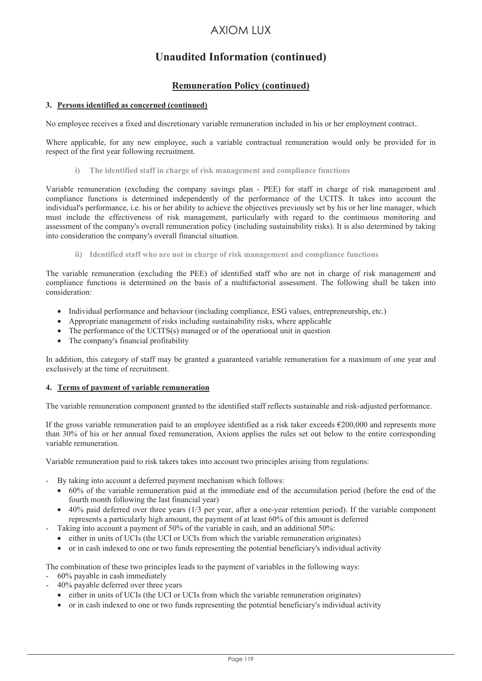# **Unaudited Information (continued)**

## **Remuneration Policy (continued)**

### **3. Persons identified as concerned (continued)**

No employee receives a fixed and discretionary variable remuneration included in his or her employment contract..

Where applicable, for any new employee, such a variable contractual remuneration would only be provided for in respect of the first year following recruitment.

**i) The identified staff in charge of risk management and compliance functions** 

Variable remuneration (excluding the company savings plan - PEE) for staff in charge of risk management and compliance functions is determined independently of the performance of the UCITS. It takes into account the individual's performance, i.e. his or her ability to achieve the objectives previously set by his or her line manager, which must include the effectiveness of risk management, particularly with regard to the continuous monitoring and assessment of the company's overall remuneration policy (including sustainability risks). It is also determined by taking into consideration the company's overall financial situation.

**ii) Identified staff who are not in charge of risk management and compliance functions** 

The variable remuneration (excluding the PEE) of identified staff who are not in charge of risk management and compliance functions is determined on the basis of a multifactorial assessment. The following shall be taken into consideration:

- Individual performance and behaviour (including compliance, ESG values, entrepreneurship, etc.)
- Appropriate management of risks including sustainability risks, where applicable
- The performance of the UCITS(s) managed or of the operational unit in question
- The company's financial profitability

In addition, this category of staff may be granted a guaranteed variable remuneration for a maximum of one year and exclusively at the time of recruitment.

### **4. Terms of payment of variable remuneration**

The variable remuneration component granted to the identified staff reflects sustainable and risk-adjusted performance.

If the gross variable remuneration paid to an employee identified as a risk taker exceeds  $\epsilon$ 200,000 and represents more than 30% of his or her annual fixed remuneration, Axiom applies the rules set out below to the entire corresponding variable remuneration.

Variable remuneration paid to risk takers takes into account two principles arising from regulations:

- By taking into account a deferred payment mechanism which follows:
	- 60% of the variable remuneration paid at the immediate end of the accumulation period (before the end of the fourth month following the last financial year)
	- 40% paid deferred over three years (1/3 per year, after a one-year retention period). If the variable component represents a particularly high amount, the payment of at least 60% of this amount is deferred
- Taking into account a payment of 50% of the variable in cash, and an additional 50%:
	- either in units of UCIs (the UCI or UCIs from which the variable remuneration originates)
	- or in cash indexed to one or two funds representing the potential beneficiary's individual activity

The combination of these two principles leads to the payment of variables in the following ways:

- 60% payable in cash immediately
- 40% payable deferred over three years
	- either in units of UCIs (the UCI or UCIs from which the variable remuneration originates)
	- or in cash indexed to one or two funds representing the potential beneficiary's individual activity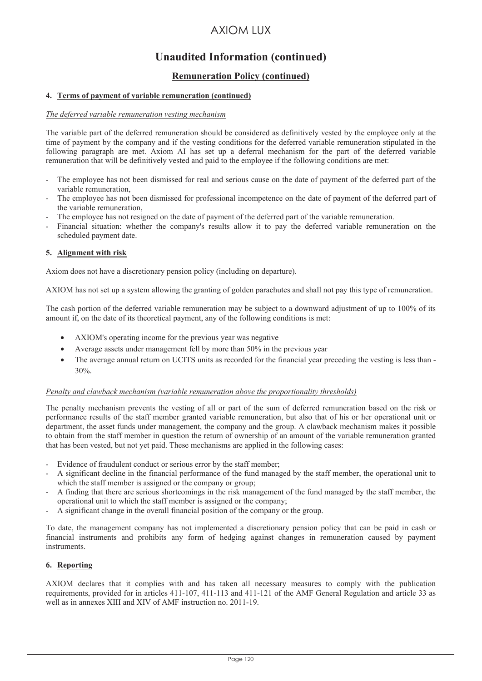# **Unaudited Information (continued)**

## **Remuneration Policy (continued)**

### **4. Terms of payment of variable remuneration (continued)**

### *The deferred variable remuneration vesting mechanism*

The variable part of the deferred remuneration should be considered as definitively vested by the employee only at the time of payment by the company and if the vesting conditions for the deferred variable remuneration stipulated in the following paragraph are met. Axiom AI has set up a deferral mechanism for the part of the deferred variable remuneration that will be definitively vested and paid to the employee if the following conditions are met:

- The employee has not been dismissed for real and serious cause on the date of payment of the deferred part of the variable remuneration,
- The employee has not been dismissed for professional incompetence on the date of payment of the deferred part of the variable remuneration,
- The employee has not resigned on the date of payment of the deferred part of the variable remuneration.
- Financial situation: whether the company's results allow it to pay the deferred variable remuneration on the scheduled payment date.

#### **5. Alignment with risk**

Axiom does not have a discretionary pension policy (including on departure).

AXIOM has not set up a system allowing the granting of golden parachutes and shall not pay this type of remuneration.

The cash portion of the deferred variable remuneration may be subject to a downward adjustment of up to 100% of its amount if, on the date of its theoretical payment, any of the following conditions is met:

- AXIOM's operating income for the previous year was negative
- Average assets under management fell by more than 50% in the previous year
- The average annual return on UCITS units as recorded for the financial year preceding the vesting is less than -30%.

#### *Penalty and clawback mechanism (variable remuneration above the proportionality thresholds)*

The penalty mechanism prevents the vesting of all or part of the sum of deferred remuneration based on the risk or performance results of the staff member granted variable remuneration, but also that of his or her operational unit or department, the asset funds under management, the company and the group. A clawback mechanism makes it possible to obtain from the staff member in question the return of ownership of an amount of the variable remuneration granted that has been vested, but not yet paid. These mechanisms are applied in the following cases:

- Evidence of fraudulent conduct or serious error by the staff member;
- A significant decline in the financial performance of the fund managed by the staff member, the operational unit to which the staff member is assigned or the company or group;
- A finding that there are serious shortcomings in the risk management of the fund managed by the staff member, the operational unit to which the staff member is assigned or the company;
- A significant change in the overall financial position of the company or the group.

To date, the management company has not implemented a discretionary pension policy that can be paid in cash or financial instruments and prohibits any form of hedging against changes in remuneration caused by payment instruments.

### **6. Reporting**

AXIOM declares that it complies with and has taken all necessary measures to comply with the publication requirements, provided for in articles 411-107, 411-113 and 411-121 of the AMF General Regulation and article 33 as well as in annexes XIII and XIV of AMF instruction no. 2011-19.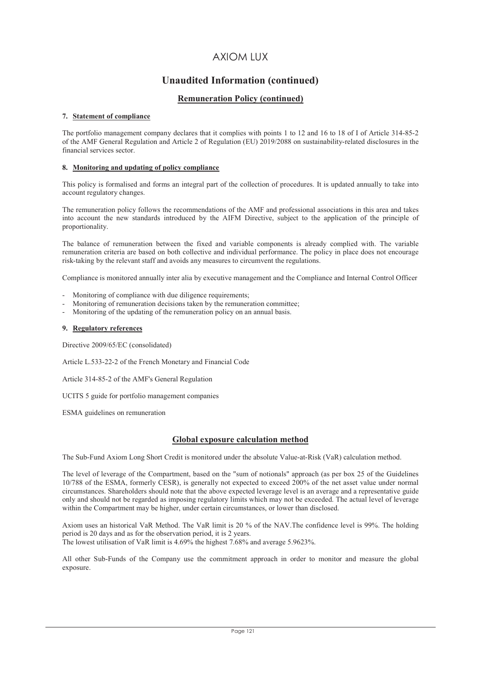## **Unaudited Information (continued)**

## **Remuneration Policy (continued)**

#### **7.** Statement of compliance

The portfolio management company declares that it complies with points 1 to 12 and 16 to 18 of I of Article 314-85-2 of the AMF General Regulation and Article 2 of Regulation (EU) 2019/2088 on sustainability-related disclosures in the financial services sector.

#### 8. Monitoring and updating of policy compliance

This policy is formalised and forms an integral part of the collection of procedures. It is updated annually to take into account regulatory changes.

The remuneration policy follows the recommendations of the AMF and professional associations in this area and takes into account the new standards introduced by the AIFM Directive, subject to the application of the principle of proportionality.

The balance of remuneration between the fixed and variable components is already complied with. The variable remuneration criteria are based on both collective and individual performance. The policy in place does not encourage risk-taking by the relevant staff and avoids any measures to circumvent the regulations.

Compliance is monitored annually inter alia by executive management and the Compliance and Internal Control Officer

- Monitoring of compliance with due diligence requirements;
- Monitoring of remuneration decisions taken by the remuneration committee;
- Monitoring of the updating of the remuneration policy on an annual basis.

#### **9. Regulatory references**

Directive 2009/65/EC (consolidated)

Article L.533-22-2 of the French Monetary and Financial Code

Article 314-85-2 of the AMF's General Regulation

UCITS 5 guide for portfolio management companies

ESMA guidelines on remuneration

### **Global exposure calculation method**

The Sub-Fund Axiom Long Short Credit is monitored under the absolute Value-at-Risk (VaR) calculation method.

The level of leverage of the Compartment, based on the "sum of notionals" approach (as per box 25 of the Guidelines 10/788 of the ESMA, formerly CESR), is generally not expected to exceed 200% of the net asset value under normal circumstances. Shareholders should note that the above expected leverage level is an average and a representative guide only and should not be regarded as imposing regulatory limits which may not be exceeded. The actual level of leverage within the Compartment may be higher, under certain circumstances, or lower than disclosed.

Axiom uses an historical VaR Method. The VaR limit is 20 % of the NAV. The confidence level is 99%. The holding period is 20 days and as for the observation period, it is 2 years. The lowest utilisation of VaR limit is 4.69% the highest 7.68% and average 5.9623%.

All other Sub-Funds of the Company use the commitment approach in order to monitor and measure the global exposure.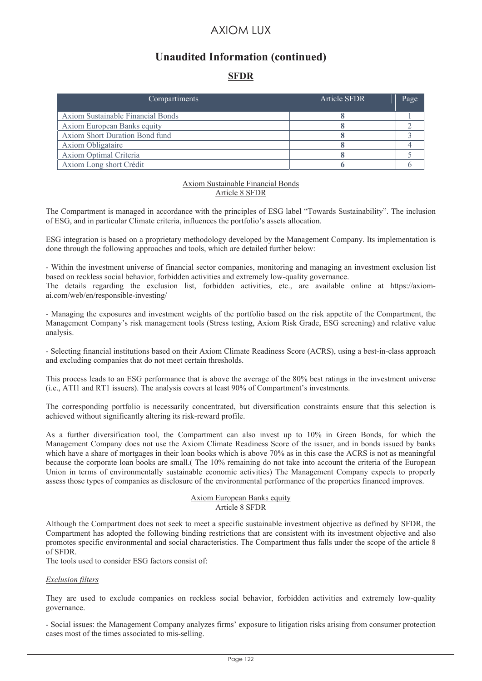# **Unaudited Information (continued)**

## **SFDR**

| Compartiments                     | <b>Article SFDR</b> | Page |
|-----------------------------------|---------------------|------|
| Axiom Sustainable Financial Bonds |                     |      |
| Axiom European Banks equity       |                     |      |
| Axiom Short Duration Bond fund    |                     |      |
| <b>Axiom Obligataire</b>          |                     |      |
| Axiom Optimal Criteria            |                     |      |
| Axiom Long short Crédit           |                     |      |

#### Axiom Sustainable Financial Bonds Article 8 SFDR

The Compartment is managed in accordance with the principles of ESG label "Towards Sustainability". The inclusion of ESG, and in particular Climate criteria, influences the portfolio's assets allocation.

ESG integration is based on a proprietary methodology developed by the Management Company. Its implementation is done through the following approaches and tools, which are detailed further below:

- Within the investment universe of financial sector companies, monitoring and managing an investment exclusion list based on reckless social behavior, forbidden activities and extremely low-quality governance. The details regarding the exclusion list, forbidden activities, etc., are available online at https://axiomai.com/web/en/responsible-investing/

- Managing the exposures and investment weights of the portfolio based on the risk appetite of the Compartment, the Management Company's risk management tools (Stress testing, Axiom Risk Grade, ESG screening) and relative value analysis.

- Selecting financial institutions based on their Axiom Climate Readiness Score (ACRS), using a best-in-class approach and excluding companies that do not meet certain thresholds.

This process leads to an ESG performance that is above the average of the 80% best ratings in the investment universe (i.e., ATI1 and RT1 issuers). The analysis covers at least 90% of Compartment's investments.

The corresponding portfolio is necessarily concentrated, but diversification constraints ensure that this selection is achieved without significantly altering its risk-reward profile.

As a further diversification tool, the Compartment can also invest up to 10% in Green Bonds, for which the Management Company does not use the Axiom Climate Readiness Score of the issuer, and in bonds issued by banks which have a share of mortgages in their loan books which is above 70% as in this case the ACRS is not as meaningful because the corporate loan books are small.( The 10% remaining do not take into account the criteria of the European Union in terms of environmentally sustainable economic activities) The Management Company expects to properly assess those types of companies as disclosure of the environmental performance of the properties financed improves.

#### Axiom European Banks equity Article 8 SFDR

Although the Compartment does not seek to meet a specific sustainable investment objective as defined by SFDR, the Compartment has adopted the following binding restrictions that are consistent with its investment objective and also promotes specific environmental and social characteristics. The Compartment thus falls under the scope of the article 8 of SFDR.

The tools used to consider ESG factors consist of:

#### *Exclusion filters*

They are used to exclude companies on reckless social behavior, forbidden activities and extremely low-quality governance.

- Social issues: the Management Company analyzes firms' exposure to litigation risks arising from consumer protection cases most of the times associated to mis-selling.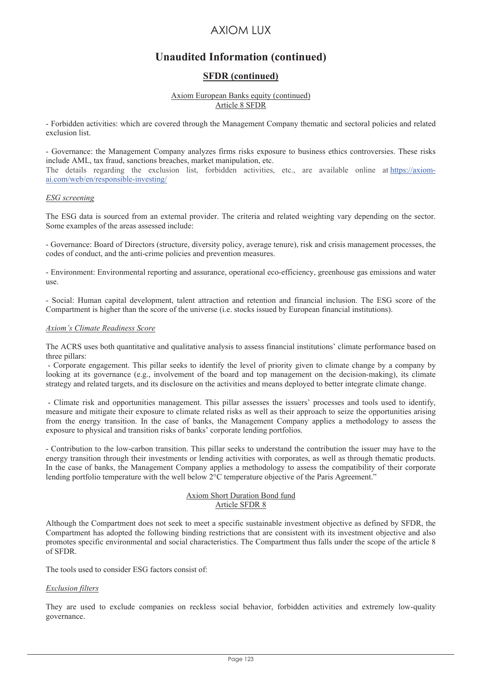# **Unaudited Information (continued)**

## **SFDR (continued)**

#### Axiom European Banks equity (continued) Article 8 SFDR

- Forbidden activities: which are covered through the Management Company thematic and sectoral policies and related exclusion list.

- Governance: the Management Company analyzes firms risks exposure to business ethics controversies. These risks include AML, tax fraud, sanctions breaches, market manipulation, etc. The details regarding the exclusion list, forbidden activities, etc., are available online at https://axiomai.com/web/en/responsible-investing/

#### *ESG screening*

The ESG data is sourced from an external provider. The criteria and related weighting vary depending on the sector. Some examples of the areas assessed include:

- Governance: Board of Directors (structure, diversity policy, average tenure), risk and crisis management processes, the codes of conduct, and the anti-crime policies and prevention measures.

- Environment: Environmental reporting and assurance, operational eco-efficiency, greenhouse gas emissions and water use.

- Social: Human capital development, talent attraction and retention and financial inclusion. The ESG score of the Compartment is higher than the score of the universe (i.e. stocks issued by European financial institutions).

#### *Axiom's Climate Readiness Score*

The ACRS uses both quantitative and qualitative analysis to assess financial institutions' climate performance based on three pillars:

 - Corporate engagement. This pillar seeks to identify the level of priority given to climate change by a company by looking at its governance (e.g., involvement of the board and top management on the decision-making), its climate strategy and related targets, and its disclosure on the activities and means deployed to better integrate climate change.

 - Climate risk and opportunities management. This pillar assesses the issuers' processes and tools used to identify, measure and mitigate their exposure to climate related risks as well as their approach to seize the opportunities arising from the energy transition. In the case of banks, the Management Company applies a methodology to assess the exposure to physical and transition risks of banks' corporate lending portfolios.

- Contribution to the low-carbon transition. This pillar seeks to understand the contribution the issuer may have to the energy transition through their investments or lending activities with corporates, as well as through thematic products. In the case of banks, the Management Company applies a methodology to assess the compatibility of their corporate lending portfolio temperature with the well below 2<sup>o</sup>C temperature objective of the Paris Agreement."

#### Axiom Short Duration Bond fund Article SFDR 8

Although the Compartment does not seek to meet a specific sustainable investment objective as defined by SFDR, the Compartment has adopted the following binding restrictions that are consistent with its investment objective and also promotes specific environmental and social characteristics. The Compartment thus falls under the scope of the article 8 of SFDR.

The tools used to consider ESG factors consist of:

### *Exclusion filters*

They are used to exclude companies on reckless social behavior, forbidden activities and extremely low-quality governance.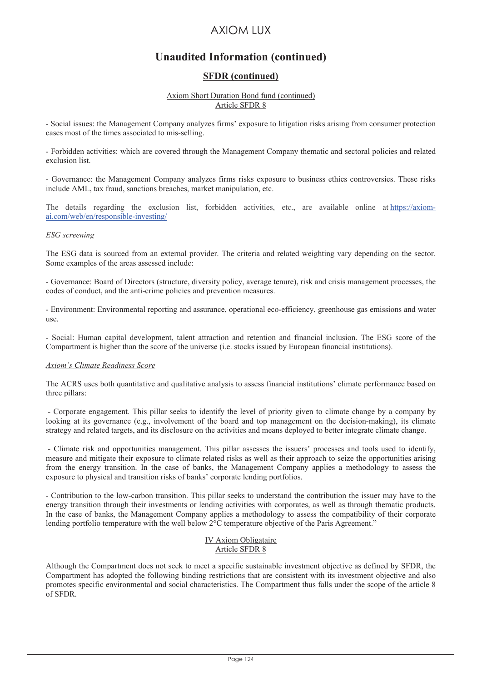# **Unaudited Information (continued)**

## **SFDR (continued)**

#### Axiom Short Duration Bond fund (continued) Article SFDR 8

- Social issues: the Management Company analyzes firms' exposure to litigation risks arising from consumer protection cases most of the times associated to mis-selling.

- Forbidden activities: which are covered through the Management Company thematic and sectoral policies and related exclusion list.

- Governance: the Management Company analyzes firms risks exposure to business ethics controversies. These risks include AML, tax fraud, sanctions breaches, market manipulation, etc.

The details regarding the exclusion list, forbidden activities, etc., are available online at https://axiomai.com/web/en/responsible-investing/

#### *ESG screening*

The ESG data is sourced from an external provider. The criteria and related weighting vary depending on the sector. Some examples of the areas assessed include:

- Governance: Board of Directors (structure, diversity policy, average tenure), risk and crisis management processes, the codes of conduct, and the anti-crime policies and prevention measures.

- Environment: Environmental reporting and assurance, operational eco-efficiency, greenhouse gas emissions and water use.

- Social: Human capital development, talent attraction and retention and financial inclusion. The ESG score of the Compartment is higher than the score of the universe (i.e. stocks issued by European financial institutions).

#### *Axiom's Climate Readiness Score*

The ACRS uses both quantitative and qualitative analysis to assess financial institutions' climate performance based on three pillars:

 - Corporate engagement. This pillar seeks to identify the level of priority given to climate change by a company by looking at its governance (e.g., involvement of the board and top management on the decision-making), its climate strategy and related targets, and its disclosure on the activities and means deployed to better integrate climate change.

 - Climate risk and opportunities management. This pillar assesses the issuers' processes and tools used to identify, measure and mitigate their exposure to climate related risks as well as their approach to seize the opportunities arising from the energy transition. In the case of banks, the Management Company applies a methodology to assess the exposure to physical and transition risks of banks' corporate lending portfolios.

- Contribution to the low-carbon transition. This pillar seeks to understand the contribution the issuer may have to the energy transition through their investments or lending activities with corporates, as well as through thematic products. In the case of banks, the Management Company applies a methodology to assess the compatibility of their corporate lending portfolio temperature with the well below 2°C temperature objective of the Paris Agreement."

#### IV Axiom Obligataire Article SFDR 8

Although the Compartment does not seek to meet a specific sustainable investment objective as defined by SFDR, the Compartment has adopted the following binding restrictions that are consistent with its investment objective and also promotes specific environmental and social characteristics. The Compartment thus falls under the scope of the article 8 of SFDR.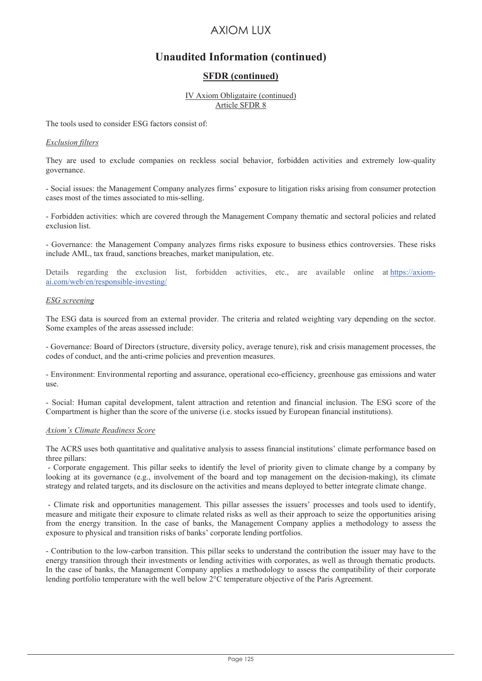# **Unaudited Information (continued)**

## **SFDR (continued)**

#### IV Axiom Obligataire (continued) Article SFDR 8

The tools used to consider ESG factors consist of:

#### *Exclusion filters*

They are used to exclude companies on reckless social behavior, forbidden activities and extremely low-quality governance.

- Social issues: the Management Company analyzes firms' exposure to litigation risks arising from consumer protection cases most of the times associated to mis-selling.

- Forbidden activities: which are covered through the Management Company thematic and sectoral policies and related exclusion list.

- Governance: the Management Company analyzes firms risks exposure to business ethics controversies. These risks include AML, tax fraud, sanctions breaches, market manipulation, etc.

Details regarding the exclusion list, forbidden activities, etc., are available online at https://axiomai.com/web/en/responsible-investing/

### *ESG screening*

The ESG data is sourced from an external provider. The criteria and related weighting vary depending on the sector. Some examples of the areas assessed include:

- Governance: Board of Directors (structure, diversity policy, average tenure), risk and crisis management processes, the codes of conduct, and the anti-crime policies and prevention measures.

- Environment: Environmental reporting and assurance, operational eco-efficiency, greenhouse gas emissions and water use.

- Social: Human capital development, talent attraction and retention and financial inclusion. The ESG score of the Compartment is higher than the score of the universe (i.e. stocks issued by European financial institutions).

#### *Axiom's Climate Readiness Score*

The ACRS uses both quantitative and qualitative analysis to assess financial institutions' climate performance based on three pillars:

 - Corporate engagement. This pillar seeks to identify the level of priority given to climate change by a company by looking at its governance (e.g., involvement of the board and top management on the decision-making), its climate strategy and related targets, and its disclosure on the activities and means deployed to better integrate climate change.

 - Climate risk and opportunities management. This pillar assesses the issuers' processes and tools used to identify, measure and mitigate their exposure to climate related risks as well as their approach to seize the opportunities arising from the energy transition. In the case of banks, the Management Company applies a methodology to assess the exposure to physical and transition risks of banks' corporate lending portfolios.

- Contribution to the low-carbon transition. This pillar seeks to understand the contribution the issuer may have to the energy transition through their investments or lending activities with corporates, as well as through thematic products. In the case of banks, the Management Company applies a methodology to assess the compatibility of their corporate lending portfolio temperature with the well below 2°C temperature objective of the Paris Agreement.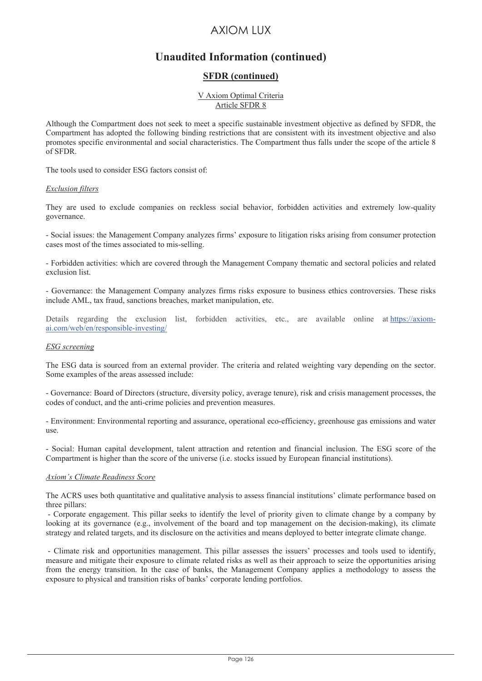# **Unaudited Information (continued)**

## **SFDR (continued)**

#### V Axiom Optimal Criteria Article SFDR 8

Although the Compartment does not seek to meet a specific sustainable investment objective as defined by SFDR, the Compartment has adopted the following binding restrictions that are consistent with its investment objective and also promotes specific environmental and social characteristics. The Compartment thus falls under the scope of the article 8 of SFDR.

The tools used to consider ESG factors consist of:

#### *Exclusion filters*

They are used to exclude companies on reckless social behavior, forbidden activities and extremely low-quality governance.

- Social issues: the Management Company analyzes firms' exposure to litigation risks arising from consumer protection cases most of the times associated to mis-selling.

- Forbidden activities: which are covered through the Management Company thematic and sectoral policies and related exclusion list.

- Governance: the Management Company analyzes firms risks exposure to business ethics controversies. These risks include AML, tax fraud, sanctions breaches, market manipulation, etc.

Details regarding the exclusion list, forbidden activities, etc., are available online at https://axiomai.com/web/en/responsible-investing/

#### *ESG screening*

The ESG data is sourced from an external provider. The criteria and related weighting vary depending on the sector. Some examples of the areas assessed include:

- Governance: Board of Directors (structure, diversity policy, average tenure), risk and crisis management processes, the codes of conduct, and the anti-crime policies and prevention measures.

- Environment: Environmental reporting and assurance, operational eco-efficiency, greenhouse gas emissions and water use.

- Social: Human capital development, talent attraction and retention and financial inclusion. The ESG score of the Compartment is higher than the score of the universe (i.e. stocks issued by European financial institutions).

### *Axiom's Climate Readiness Score*

The ACRS uses both quantitative and qualitative analysis to assess financial institutions' climate performance based on three pillars:

 - Corporate engagement. This pillar seeks to identify the level of priority given to climate change by a company by looking at its governance (e.g., involvement of the board and top management on the decision-making), its climate strategy and related targets, and its disclosure on the activities and means deployed to better integrate climate change.

 - Climate risk and opportunities management. This pillar assesses the issuers' processes and tools used to identify, measure and mitigate their exposure to climate related risks as well as their approach to seize the opportunities arising from the energy transition. In the case of banks, the Management Company applies a methodology to assess the exposure to physical and transition risks of banks' corporate lending portfolios.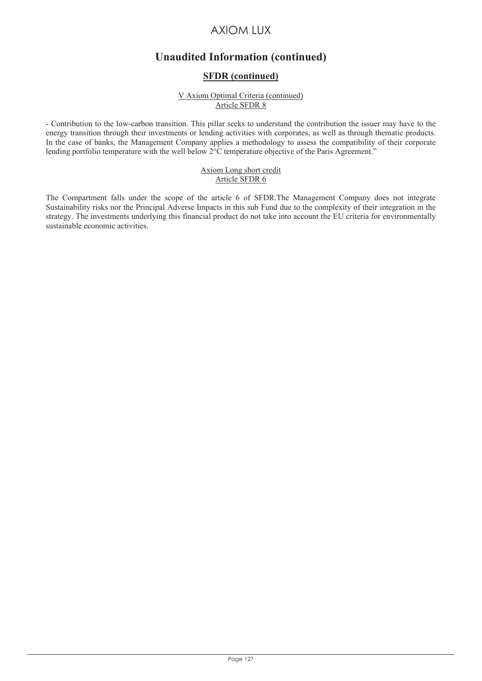# **Unaudited Information (continued)**

## **SFDR (continued)**

#### V Axiom Optimal Criteria (continued) Article SFDR 8

- Contribution to the low-carbon transition. This pillar seeks to understand the contribution the issuer may have to the energy transition through their investments or lending activities with corporates, as well as through thematic products. In the case of banks, the Management Company applies a methodology to assess the compatibility of their corporate lending portfolio temperature with the well below  $2^{\circ}$ C temperature objective of the Paris Agreement."

#### Axiom Long short credit Article SFDR 6

The Compartment falls under the scope of the article 6 of SFDR.The Management Company does not integrate Sustainability risks nor the Principal Adverse Impacts in this sub Fund due to the complexity of their integration in the strategy. The investments underlying this financial product do not take into account the EU criteria for environmentally sustainable economic activities.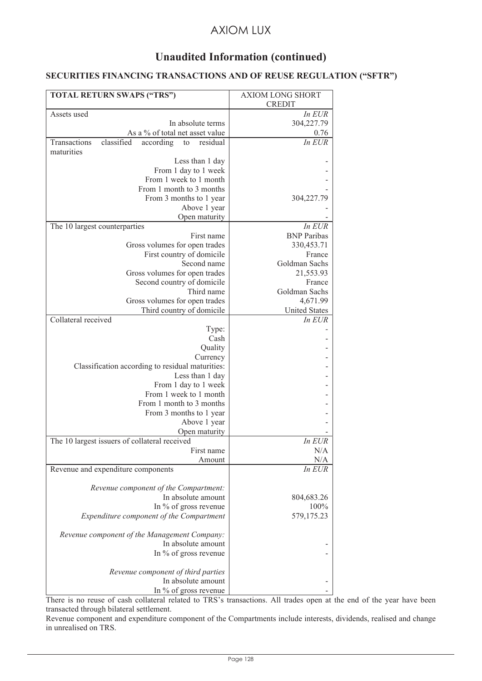# **Unaudited Information (continued)**

## **SECURITIES FINANCING TRANSACTIONS AND OF REUSE REGULATION ("SFTR")**

| TOTAL RETURN SWAPS ("TRS")                                | <b>AXIOM LONG SHORT</b><br><b>CREDIT</b> |
|-----------------------------------------------------------|------------------------------------------|
| Assets used                                               | In EUR                                   |
| In absolute terms                                         | 304,227.79                               |
| As a % of total net asset value                           | 0.76                                     |
| classified<br>Transactions<br>according<br>to<br>residual | In EUR                                   |
| maturities                                                |                                          |
| Less than 1 day                                           |                                          |
| From 1 day to 1 week                                      |                                          |
| From 1 week to 1 month                                    |                                          |
| From 1 month to 3 months                                  |                                          |
| From 3 months to 1 year                                   | 304,227.79                               |
| Above 1 year                                              |                                          |
| Open maturity                                             |                                          |
| The 10 largest counterparties                             | In EUR                                   |
| First name                                                | <b>BNP</b> Paribas                       |
| Gross volumes for open trades                             | 330,453.71                               |
| First country of domicile                                 | France                                   |
| Second name                                               | Goldman Sachs                            |
| Gross volumes for open trades                             | 21,553.93                                |
| Second country of domicile<br>Third name                  | France<br>Goldman Sachs                  |
| Gross volumes for open trades                             | 4,671.99                                 |
| Third country of domicile                                 | <b>United States</b>                     |
| Collateral received                                       | In EUR                                   |
| Type:                                                     |                                          |
| Cash                                                      |                                          |
| Quality                                                   |                                          |
| Currency                                                  |                                          |
| Classification according to residual maturities:          |                                          |
| Less than 1 day                                           |                                          |
| From 1 day to 1 week                                      |                                          |
| From 1 week to 1 month                                    |                                          |
| From 1 month to 3 months                                  |                                          |
| From 3 months to 1 year                                   |                                          |
| Above 1 year                                              |                                          |
| Open maturity                                             |                                          |
| The 10 largest issuers of collateral received             | In EUR                                   |
| First name                                                | N/A                                      |
| Amount                                                    | N/A                                      |
| Revenue and expenditure components                        | In EUR                                   |
| Revenue component of the Compartment:                     |                                          |
| In absolute amount                                        | 804,683.26                               |
| In % of gross revenue                                     | 100%                                     |
| Expenditure component of the Compartment                  | 579,175.23                               |
| Revenue component of the Management Company:              |                                          |
| In absolute amount                                        |                                          |
| In % of gross revenue                                     |                                          |
| Revenue component of third parties                        |                                          |
| In absolute amount                                        |                                          |
| In % of gross revenue                                     |                                          |

There is no reuse of cash collateral related to TRS's transactions. All trades open at the end of the year have been transacted through bilateral settlement.

Revenue component and expenditure component of the Compartments include interests, dividends, realised and change in unrealised on TRS.